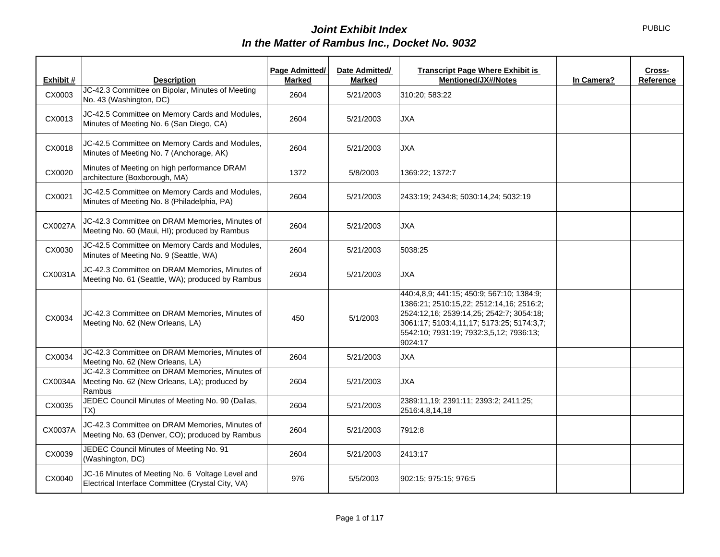|           |                                                                                                           | Page Admitted/ | Date Admitted/ | <b>Transcript Page Where Exhibit is</b><br><b>Mentioned/JX#/Notes</b>                                                                                                                                                                |            | Cross-    |
|-----------|-----------------------------------------------------------------------------------------------------------|----------------|----------------|--------------------------------------------------------------------------------------------------------------------------------------------------------------------------------------------------------------------------------------|------------|-----------|
| Exhibit # | <b>Description</b>                                                                                        | <b>Marked</b>  | <b>Marked</b>  |                                                                                                                                                                                                                                      | In Camera? | Reference |
| CX0003    | JC-42.3 Committee on Bipolar, Minutes of Meeting<br>No. 43 (Washington, DC)                               | 2604           | 5/21/2003      | 310:20; 583:22                                                                                                                                                                                                                       |            |           |
| CX0013    | JC-42.5 Committee on Memory Cards and Modules,<br>Minutes of Meeting No. 6 (San Diego, CA)                | 2604           | 5/21/2003      | <b>JXA</b>                                                                                                                                                                                                                           |            |           |
| CX0018    | JC-42.5 Committee on Memory Cards and Modules,<br>Minutes of Meeting No. 7 (Anchorage, AK)                | 2604           | 5/21/2003      | <b>JXA</b>                                                                                                                                                                                                                           |            |           |
| CX0020    | Minutes of Meeting on high performance DRAM<br>architecture (Boxborough, MA)                              | 1372           | 5/8/2003       | 1369:22; 1372:7                                                                                                                                                                                                                      |            |           |
| CX0021    | JC-42.5 Committee on Memory Cards and Modules,<br>Minutes of Meeting No. 8 (Philadelphia, PA)             | 2604           | 5/21/2003      | 2433:19; 2434:8; 5030:14,24; 5032:19                                                                                                                                                                                                 |            |           |
| CX0027A   | JC-42.3 Committee on DRAM Memories, Minutes of<br>Meeting No. 60 (Maui, HI); produced by Rambus           | 2604           | 5/21/2003      | <b>JXA</b>                                                                                                                                                                                                                           |            |           |
| CX0030    | JC-42.5 Committee on Memory Cards and Modules,<br>Minutes of Meeting No. 9 (Seattle, WA)                  | 2604           | 5/21/2003      | 5038:25                                                                                                                                                                                                                              |            |           |
| CX0031A   | JC-42.3 Committee on DRAM Memories, Minutes of<br>Meeting No. 61 (Seattle, WA); produced by Rambus        | 2604           | 5/21/2003      | <b>JXA</b>                                                                                                                                                                                                                           |            |           |
| CX0034    | JC-42.3 Committee on DRAM Memories, Minutes of<br>Meeting No. 62 (New Orleans, LA)                        | 450            | 5/1/2003       | 440:4,8,9; 441:15; 450:9; 567:10; 1384:9;<br>1386:21; 2510:15,22; 2512:14,16; 2516:2;<br>2524:12,16; 2539:14,25; 2542:7; 3054:18;<br>3061:17; 5103:4,11,17; 5173:25; 5174:3,7;<br>5542:10; 7931:19; 7932:3,5,12; 7936:13;<br>9024:17 |            |           |
| CX0034    | JC-42.3 Committee on DRAM Memories, Minutes of<br>Meeting No. 62 (New Orleans, LA)                        | 2604           | 5/21/2003      | <b>JXA</b>                                                                                                                                                                                                                           |            |           |
| CX0034A   | JC-42.3 Committee on DRAM Memories, Minutes of<br>Meeting No. 62 (New Orleans, LA); produced by<br>Rambus | 2604           | 5/21/2003      | <b>JXA</b>                                                                                                                                                                                                                           |            |           |
| CX0035    | JEDEC Council Minutes of Meeting No. 90 (Dallas,<br>TX)                                                   | 2604           | 5/21/2003      | 2389:11,19; 2391:11; 2393:2; 2411:25;<br>2516:4,8,14,18                                                                                                                                                                              |            |           |
| CX0037A   | JC-42.3 Committee on DRAM Memories, Minutes of<br>Meeting No. 63 (Denver, CO); produced by Rambus         | 2604           | 5/21/2003      | 7912:8                                                                                                                                                                                                                               |            |           |
| CX0039    | JEDEC Council Minutes of Meeting No. 91<br>(Washington, DC)                                               | 2604           | 5/21/2003      | 2413:17                                                                                                                                                                                                                              |            |           |
| CX0040    | JC-16 Minutes of Meeting No. 6 Voltage Level and<br>Electrical Interface Committee (Crystal City, VA)     | 976            | 5/5/2003       | 902:15; 975:15; 976:5                                                                                                                                                                                                                |            |           |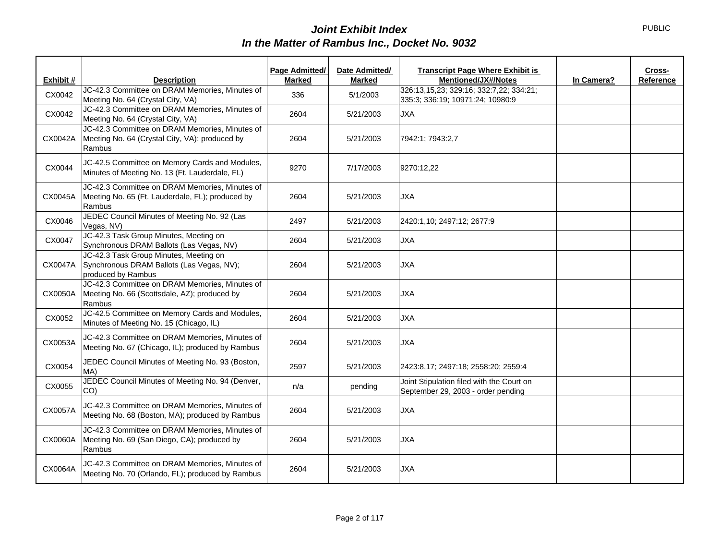| Exhibit # | <b>Description</b>                                                                                           | Page Admitted/<br><b>Marked</b> | Date Admitted/<br>Marked | <b>Transcript Page Where Exhibit is</b><br>Cross-<br>Mentioned/JX#/Notes<br>In Camera?<br>Reference |
|-----------|--------------------------------------------------------------------------------------------------------------|---------------------------------|--------------------------|-----------------------------------------------------------------------------------------------------|
| CX0042    | JC-42.3 Committee on DRAM Memories, Minutes of<br>Meeting No. 64 (Crystal City, VA)                          | 336                             | 5/1/2003                 | 326:13,15,23; 329:16; 332:7,22; 334:21;<br>335:3; 336:19; 10971:24; 10980:9                         |
| CX0042    | JC-42.3 Committee on DRAM Memories, Minutes of<br>Meeting No. 64 (Crystal City, VA)                          | 2604                            | 5/21/2003                | <b>JXA</b>                                                                                          |
| CX0042A   | JC-42.3 Committee on DRAM Memories, Minutes of<br>Meeting No. 64 (Crystal City, VA); produced by<br>Rambus   | 2604                            | 5/21/2003                | 7942:1; 7943:2,7                                                                                    |
| CX0044    | JC-42.5 Committee on Memory Cards and Modules,<br>Minutes of Meeting No. 13 (Ft. Lauderdale, FL)             | 9270                            | 7/17/2003                | 9270:12,22                                                                                          |
| CX0045A   | JC-42.3 Committee on DRAM Memories, Minutes of<br>Meeting No. 65 (Ft. Lauderdale, FL); produced by<br>Rambus | 2604                            | 5/21/2003                | <b>JXA</b>                                                                                          |
| CX0046    | JEDEC Council Minutes of Meeting No. 92 (Las<br>Vegas, NV)                                                   | 2497                            | 5/21/2003                | 2420:1,10; 2497:12; 2677:9                                                                          |
| CX0047    | JC-42.3 Task Group Minutes, Meeting on<br>Synchronous DRAM Ballots (Las Vegas, NV)                           | 2604                            | 5/21/2003                | <b>JXA</b>                                                                                          |
| CX0047A   | JC-42.3 Task Group Minutes, Meeting on<br>Synchronous DRAM Ballots (Las Vegas, NV);<br>produced by Rambus    | 2604                            | 5/21/2003                | <b>JXA</b>                                                                                          |
| CX0050A   | JC-42.3 Committee on DRAM Memories, Minutes of<br>Meeting No. 66 (Scottsdale, AZ); produced by<br>Rambus     | 2604                            | 5/21/2003                | <b>JXA</b>                                                                                          |
| CX0052    | JC-42.5 Committee on Memory Cards and Modules,<br>Minutes of Meeting No. 15 (Chicago, IL)                    | 2604                            | 5/21/2003                | <b>JXA</b>                                                                                          |
| CX0053A   | JC-42.3 Committee on DRAM Memories, Minutes of<br>Meeting No. 67 (Chicago, IL); produced by Rambus           | 2604                            | 5/21/2003                | <b>JXA</b>                                                                                          |
| CX0054    | JEDEC Council Minutes of Meeting No. 93 (Boston,<br>MA)                                                      | 2597                            | 5/21/2003                | 2423:8,17; 2497:18; 2558:20; 2559:4                                                                 |
| CX0055    | JEDEC Council Minutes of Meeting No. 94 (Denver,<br>CO <sub>0</sub>                                          | n/a                             | pending                  | Joint Stipulation filed with the Court on<br>September 29, 2003 - order pending                     |
| CX0057A   | JC-42.3 Committee on DRAM Memories, Minutes of<br>Meeting No. 68 (Boston, MA); produced by Rambus            | 2604                            | 5/21/2003                | <b>JXA</b>                                                                                          |
| CX0060A   | JC-42.3 Committee on DRAM Memories, Minutes of<br>Meeting No. 69 (San Diego, CA); produced by<br>Rambus      | 2604                            | 5/21/2003                | <b>JXA</b>                                                                                          |
| CX0064A   | JC-42.3 Committee on DRAM Memories, Minutes of<br>Meeting No. 70 (Orlando, FL); produced by Rambus           | 2604                            | 5/21/2003                | <b>JXA</b>                                                                                          |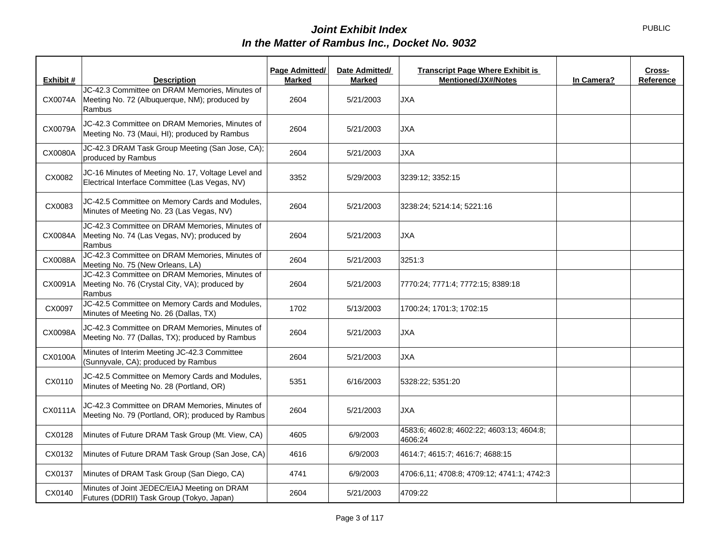| Exhibit # | <b>Description</b>                                                                                         | Page Admitted/<br><b>Marked</b> | Date Admitted/<br>Marked | <b>Transcript Page Where Exhibit is</b><br><b>Mentioned/JX#/Notes</b> | In Camera? | Cross-<br>Reference |
|-----------|------------------------------------------------------------------------------------------------------------|---------------------------------|--------------------------|-----------------------------------------------------------------------|------------|---------------------|
| CX0074A   | JC-42.3 Committee on DRAM Memories, Minutes of<br>Meeting No. 72 (Albuquerque, NM); produced by<br>Rambus  | 2604                            | 5/21/2003                | <b>JXA</b>                                                            |            |                     |
| CX0079A   | JC-42.3 Committee on DRAM Memories, Minutes of<br>Meeting No. 73 (Maui, HI); produced by Rambus            | 2604                            | 5/21/2003                | <b>JXA</b>                                                            |            |                     |
| CX0080A   | JC-42.3 DRAM Task Group Meeting (San Jose, CA);<br>produced by Rambus                                      | 2604                            | 5/21/2003                | <b>JXA</b>                                                            |            |                     |
| CX0082    | JC-16 Minutes of Meeting No. 17, Voltage Level and<br>Electrical Interface Committee (Las Vegas, NV)       | 3352                            | 5/29/2003                | 3239:12; 3352:15                                                      |            |                     |
| CX0083    | JC-42.5 Committee on Memory Cards and Modules,<br>Minutes of Meeting No. 23 (Las Vegas, NV)                | 2604                            | 5/21/2003                | 3238:24; 5214:14; 5221:16                                             |            |                     |
| CX0084A   | JC-42.3 Committee on DRAM Memories, Minutes of<br>Meeting No. 74 (Las Vegas, NV); produced by<br>Rambus    | 2604                            | 5/21/2003                | <b>JXA</b>                                                            |            |                     |
| CX0088A   | JC-42.3 Committee on DRAM Memories, Minutes of<br>Meeting No. 75 (New Orleans, LA)                         | 2604                            | 5/21/2003                | 3251:3                                                                |            |                     |
| CX0091A   | JC-42.3 Committee on DRAM Memories, Minutes of<br>Meeting No. 76 (Crystal City, VA); produced by<br>Rambus | 2604                            | 5/21/2003                | 7770:24; 7771:4; 7772:15; 8389:18                                     |            |                     |
| CX0097    | JC-42.5 Committee on Memory Cards and Modules,<br>Minutes of Meeting No. 26 (Dallas, TX)                   | 1702                            | 5/13/2003                | 1700:24; 1701:3; 1702:15                                              |            |                     |
| CX0098A   | JC-42.3 Committee on DRAM Memories, Minutes of<br>Meeting No. 77 (Dallas, TX); produced by Rambus          | 2604                            | 5/21/2003                | <b>JXA</b>                                                            |            |                     |
| CX0100A   | Minutes of Interim Meeting JC-42.3 Committee<br>(Sunnyvale, CA); produced by Rambus                        | 2604                            | 5/21/2003                | <b>JXA</b>                                                            |            |                     |
| CX0110    | JC-42.5 Committee on Memory Cards and Modules,<br>Minutes of Meeting No. 28 (Portland, OR)                 | 5351                            | 6/16/2003                | 5328:22; 5351:20                                                      |            |                     |
| CX0111A   | JC-42.3 Committee on DRAM Memories, Minutes of<br>Meeting No. 79 (Portland, OR); produced by Rambus        | 2604                            | 5/21/2003                | <b>JXA</b>                                                            |            |                     |
| CX0128    | Minutes of Future DRAM Task Group (Mt. View, CA)                                                           | 4605                            | 6/9/2003                 | 4583:6; 4602:8; 4602:22; 4603:13; 4604:8;<br>4606:24                  |            |                     |
| CX0132    | Minutes of Future DRAM Task Group (San Jose, CA)                                                           | 4616                            | 6/9/2003                 | 4614:7; 4615:7; 4616:7; 4688:15                                       |            |                     |
| CX0137    | Minutes of DRAM Task Group (San Diego, CA)                                                                 | 4741                            | 6/9/2003                 | 4706:6,11; 4708:8; 4709:12; 4741:1; 4742:3                            |            |                     |
| CX0140    | Minutes of Joint JEDEC/EIAJ Meeting on DRAM<br>Futures (DDRII) Task Group (Tokyo, Japan)                   | 2604                            | 5/21/2003                | 4709:22                                                               |            |                     |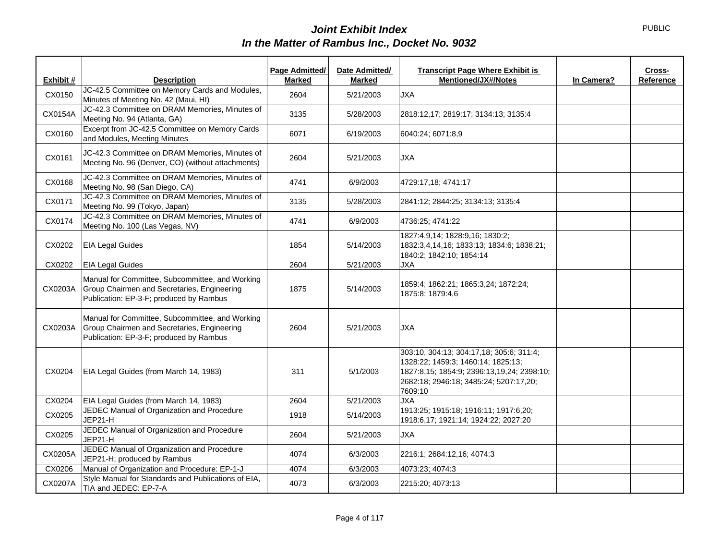| Exhibit # | <b>Description</b>                                                                                                                        | Page Admitted/<br><b>Marked</b> | Date Admitted/<br><b>Marked</b> | <b>Transcript Page Where Exhibit is</b><br><b>Mentioned/JX#/Notes</b>                                                                                                             | In Camera? | Cross-<br>Reference |
|-----------|-------------------------------------------------------------------------------------------------------------------------------------------|---------------------------------|---------------------------------|-----------------------------------------------------------------------------------------------------------------------------------------------------------------------------------|------------|---------------------|
| CX0150    | JC-42.5 Committee on Memory Cards and Modules,<br>Minutes of Meeting No. 42 (Maui, HI)                                                    | 2604                            | 5/21/2003                       | <b>JXA</b>                                                                                                                                                                        |            |                     |
| CX0154A   | JC-42.3 Committee on DRAM Memories, Minutes of<br>Meeting No. 94 (Atlanta, GA)                                                            | 3135                            | 5/28/2003                       | 2818:12,17; 2819:17; 3134:13; 3135:4                                                                                                                                              |            |                     |
| CX0160    | Excerpt from JC-42.5 Committee on Memory Cards<br>and Modules, Meeting Minutes                                                            | 6071                            | 6/19/2003                       | 6040:24; 6071:8,9                                                                                                                                                                 |            |                     |
| CX0161    | JC-42.3 Committee on DRAM Memories, Minutes of<br>Meeting No. 96 (Denver, CO) (without attachments)                                       | 2604                            | 5/21/2003                       | <b>JXA</b>                                                                                                                                                                        |            |                     |
| CX0168    | JC-42.3 Committee on DRAM Memories, Minutes of<br>Meeting No. 98 (San Diego, CA)                                                          | 4741                            | 6/9/2003                        | 4729:17,18; 4741:17                                                                                                                                                               |            |                     |
| CX0171    | JC-42.3 Committee on DRAM Memories, Minutes of<br>Meeting No. 99 (Tokyo, Japan)                                                           | 3135                            | 5/28/2003                       | 2841:12; 2844:25; 3134:13; 3135:4                                                                                                                                                 |            |                     |
| CX0174    | JC-42.3 Committee on DRAM Memories, Minutes of<br>Meeting No. 100 (Las Vegas, NV)                                                         | 4741                            | 6/9/2003                        | 4736:25; 4741:22                                                                                                                                                                  |            |                     |
| CX0202    | <b>EIA Legal Guides</b>                                                                                                                   | 1854                            | 5/14/2003                       | 1827:4,9,14; 1828:9,16; 1830:2;<br>1832:3,4,14,16; 1833:13; 1834:6; 1838:21;<br>1840:2; 1842:10; 1854:14                                                                          |            |                     |
| CX0202    | <b>EIA Legal Guides</b>                                                                                                                   | 2604                            | 5/21/2003                       | <b>JXA</b>                                                                                                                                                                        |            |                     |
| CX0203A   | Manual for Committee, Subcommittee, and Working<br>Group Chairmen and Secretaries, Engineering<br>Publication: EP-3-F; produced by Rambus | 1875                            | 5/14/2003                       | 1859:4; 1862:21; 1865:3,24; 1872:24;<br>1875:8; 1879:4,6                                                                                                                          |            |                     |
| CX0203A   | Manual for Committee, Subcommittee, and Working<br>Group Chairmen and Secretaries, Engineering<br>Publication: EP-3-F; produced by Rambus | 2604                            | 5/21/2003                       | <b>JXA</b>                                                                                                                                                                        |            |                     |
| CX0204    | EIA Legal Guides (from March 14, 1983)                                                                                                    | 311                             | 5/1/2003                        | 303:10, 304:13; 304:17,18; 305:6; 311:4;<br>1328:22; 1459:3; 1460:14; 1825:13;<br>1827:8,15; 1854:9; 2396:13,19,24; 2398:10;<br>2682:18; 2946:18; 3485:24; 5207:17,20;<br>7609:10 |            |                     |
| CX0204    | EIA Legal Guides (from March 14, 1983)                                                                                                    | 2604                            | 5/21/2003                       | <b>JXA</b>                                                                                                                                                                        |            |                     |
| CX0205    | JEDEC Manual of Organization and Procedure<br>JEP21-H                                                                                     | 1918                            | 5/14/2003                       | 1913:25; 1915:18; 1916:11; 1917:6,20;<br>1918:6,17; 1921:14; 1924:22; 2027:20                                                                                                     |            |                     |
| CX0205    | JEDEC Manual of Organization and Procedure<br>JEP21-H                                                                                     | 2604                            | 5/21/2003                       | <b>JXA</b>                                                                                                                                                                        |            |                     |
| CX0205A   | JEDEC Manual of Organization and Procedure<br>JEP21-H; produced by Rambus                                                                 | 4074                            | 6/3/2003                        | 2216:1; 2684:12,16; 4074:3                                                                                                                                                        |            |                     |
| CX0206    | Manual of Organization and Procedure: EP-1-J                                                                                              | 4074                            | 6/3/2003                        | 4073:23; 4074:3                                                                                                                                                                   |            |                     |
| CX0207A   | Style Manual for Standards and Publications of EIA,<br>TIA and JEDEC: EP-7-A                                                              | 4073                            | 6/3/2003                        | 2215:20; 4073:13                                                                                                                                                                  |            |                     |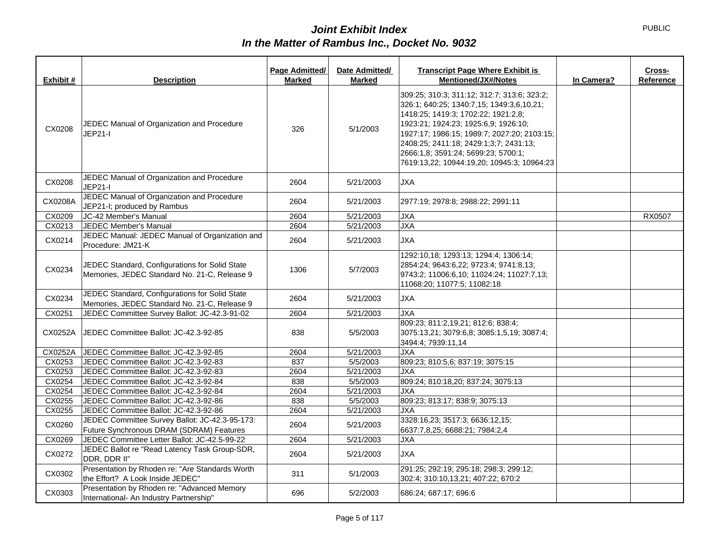| Exhibit # | <b>Description</b>                                                                             | Page Admitted/<br><b>Marked</b> | Date Admitted/<br>Marked | <b>Transcript Page Where Exhibit is</b><br><b>Mentioned/JX#/Notes</b><br>In Camera?                                                                                                                                                                                                                                                                   | Cross-<br>Reference |
|-----------|------------------------------------------------------------------------------------------------|---------------------------------|--------------------------|-------------------------------------------------------------------------------------------------------------------------------------------------------------------------------------------------------------------------------------------------------------------------------------------------------------------------------------------------------|---------------------|
| CX0208    | JEDEC Manual of Organization and Procedure<br>JEP21-I                                          | 326                             | 5/1/2003                 | 309:25; 310:3; 311:12; 312:7; 313:6; 323:2;<br>326:1; 640:25; 1340:7,15; 1349:3,6,10,21;<br>1418:25; 1419:3; 1702:22; 1921:2.8;<br>1923:21; 1924:23; 1925:6,9; 1926:10;<br>1927:17; 1986:15; 1989:7; 2027:20; 2103:15;<br>2408:25; 2411:18; 2429:1;3;7; 2431:13;<br>2666:1.8; 3591:24; 5699:23; 5700:1;<br>7619:13,22; 10944:19,20; 10945:3; 10964:23 |                     |
| CX0208    | JEDEC Manual of Organization and Procedure<br>JEP21-I                                          | 2604                            | 5/21/2003                | <b>JXA</b>                                                                                                                                                                                                                                                                                                                                            |                     |
| CX0208A   | JEDEC Manual of Organization and Procedure<br>JEP21-I; produced by Rambus                      | 2604                            | 5/21/2003                | 2977:19; 2978:8; 2988:22; 2991:11                                                                                                                                                                                                                                                                                                                     |                     |
| CX0209    | JC-42 Member's Manual                                                                          | 2604                            | 5/21/2003                | <b>JXA</b>                                                                                                                                                                                                                                                                                                                                            | RX0507              |
| CX0213    | JEDEC Member's Manual                                                                          | 2604                            | 5/21/2003                | <b>JXA</b>                                                                                                                                                                                                                                                                                                                                            |                     |
| CX0214    | JEDEC Manual: JEDEC Manual of Organization and<br>Procedure: JM21-K                            | 2604                            | 5/21/2003                | <b>JXA</b>                                                                                                                                                                                                                                                                                                                                            |                     |
| CX0234    | JEDEC Standard, Configurations for Solid State<br>Memories, JEDEC Standard No. 21-C, Release 9 | 1306                            | 5/7/2003                 | 1292:10,18; 1293:13; 1294:4; 1306:14;<br>2854:24; 9643:6.22; 9723:4; 9741:8.13;<br>9743:2; 11006:6,10; 11024:24; 11027:7,13;<br>11068:20; 11077:5; 11082:18                                                                                                                                                                                           |                     |
| CX0234    | JEDEC Standard, Configurations for Solid State<br>Memories, JEDEC Standard No. 21-C, Release 9 | 2604                            | 5/21/2003                | <b>JXA</b>                                                                                                                                                                                                                                                                                                                                            |                     |
| CX0251    | JEDEC Committee Survey Ballot: JC-42.3-91-02                                                   | 2604                            | 5/21/2003                | <b>JXA</b>                                                                                                                                                                                                                                                                                                                                            |                     |
| CX0252A   | JEDEC Committee Ballot: JC-42.3-92-85                                                          | 838                             | 5/5/2003                 | 809:23; 811:2,19,21; 812:6; 838:4;<br>3075:13,21; 3079:6,8; 3085:1,5,19; 3087:4;<br>3494:4; 7939:11,14                                                                                                                                                                                                                                                |                     |
| CX0252A   | JEDEC Committee Ballot: JC-42.3-92-85                                                          | 2604                            | 5/21/2003                | <b>JXA</b>                                                                                                                                                                                                                                                                                                                                            |                     |
| CX0253    | JEDEC Committee Ballot: JC-42.3-92-83                                                          | 837                             | 5/5/2003                 | 809:23; 810:5,6; 837:19; 3075:15                                                                                                                                                                                                                                                                                                                      |                     |
| CX0253    | JEDEC Committee Ballot: JC-42.3-92-83                                                          | 2604                            | 5/21/2003                | <b>JXA</b>                                                                                                                                                                                                                                                                                                                                            |                     |
| CX0254    | JEDEC Committee Ballot: JC-42.3-92-84                                                          | 838                             | 5/5/2003                 | 809:24; 810:18,20; 837:24; 3075:13                                                                                                                                                                                                                                                                                                                    |                     |
| CX0254    | JEDEC Committee Ballot: JC-42.3-92-84                                                          | 2604                            | 5/21/2003                | <b>JXA</b>                                                                                                                                                                                                                                                                                                                                            |                     |
| CX0255    | JEDEC Committee Ballot: JC-42.3-92-86                                                          | 838                             | 5/5/2003                 | 809:23; 813:17; 838:9; 3075:13                                                                                                                                                                                                                                                                                                                        |                     |
| CX0255    | JEDEC Committee Ballot: JC-42.3-92-86                                                          | 2604                            | 5/21/2003                | JXA                                                                                                                                                                                                                                                                                                                                                   |                     |
| CX0260    | JEDEC Committee Survey Ballot: JC-42.3-95-173:<br>Future Synchronous DRAM (SDRAM) Features     | 2604                            | 5/21/2003                | 3328:16,23; 3517:3; 6636:12,15;<br>6637:7,8,25; 6688:21; 7984:2,4                                                                                                                                                                                                                                                                                     |                     |
| CX0269    | JEDEC Committee Letter Ballot: JC-42.5-99-22                                                   | 2604                            | 5/21/2003                | <b>JXA</b>                                                                                                                                                                                                                                                                                                                                            |                     |
| CX0272    | JEDEC Ballot re "Read Latency Task Group-SDR,<br>DDR, DDR II"                                  | 2604                            | 5/21/2003                | <b>JXA</b>                                                                                                                                                                                                                                                                                                                                            |                     |
| CX0302    | Presentation by Rhoden re: "Are Standards Worth<br>the Effort? A Look Inside JEDEC"            | 311                             | 5/1/2003                 | 291:25; 292:19; 295:18; 298:3; 299:12;<br>302:4; 310:10,13,21; 407:22; 670:2                                                                                                                                                                                                                                                                          |                     |
| CX0303    | Presentation by Rhoden re: "Advanced Memory<br>International- An Industry Partnership"         | 696                             | 5/2/2003                 | 686:24; 687:17; 696:6                                                                                                                                                                                                                                                                                                                                 |                     |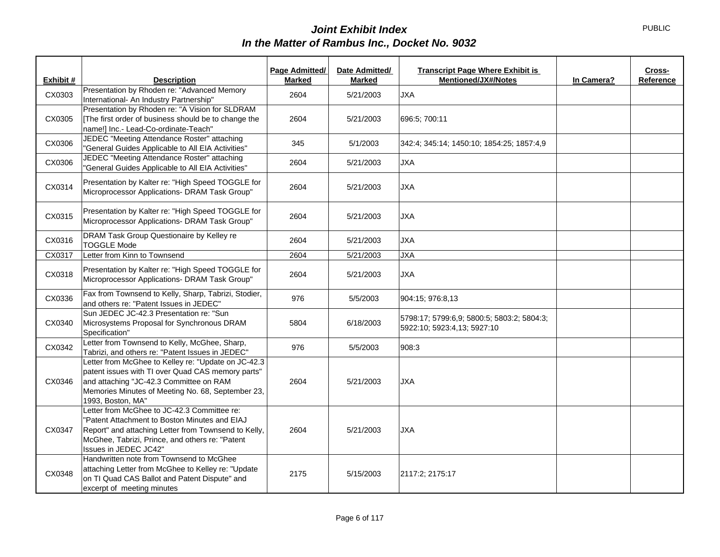| Exhibit # | <b>Description</b>                                                                                       | Page Admitted/<br><b>Marked</b> | Date Admitted/<br>Marked | <b>Transcript Page Where Exhibit is</b><br><b>Mentioned/JX#/Notes</b> | In Camera? | Cross-<br>Reference |
|-----------|----------------------------------------------------------------------------------------------------------|---------------------------------|--------------------------|-----------------------------------------------------------------------|------------|---------------------|
| CX0303    | Presentation by Rhoden re: "Advanced Memory                                                              | 2604                            | 5/21/2003                | <b>JXA</b>                                                            |            |                     |
|           | International- An Industry Partnership"                                                                  |                                 |                          |                                                                       |            |                     |
| CX0305    | Presentation by Rhoden re: "A Vision for SLDRAM<br>[The first order of business should be to change the  | 2604                            | 5/21/2003                | 696:5; 700:11                                                         |            |                     |
|           | name!] Inc.- Lead-Co-ordinate-Teach"                                                                     |                                 |                          |                                                                       |            |                     |
| CX0306    | JEDEC "Meeting Attendance Roster" attaching                                                              | 345                             | 5/1/2003                 | 342:4; 345:14; 1450:10; 1854:25; 1857:4,9                             |            |                     |
|           | "General Guides Applicable to All EIA Activities"                                                        |                                 |                          |                                                                       |            |                     |
| CX0306    | JEDEC "Meeting Attendance Roster" attaching<br>"General Guides Applicable to All EIA Activities"         | 2604                            | 5/21/2003                | <b>JXA</b>                                                            |            |                     |
|           | Presentation by Kalter re: "High Speed TOGGLE for                                                        |                                 |                          |                                                                       |            |                     |
| CX0314    | Microprocessor Applications- DRAM Task Group"                                                            | 2604                            | 5/21/2003                | <b>JXA</b>                                                            |            |                     |
|           | Presentation by Kalter re: "High Speed TOGGLE for                                                        |                                 |                          |                                                                       |            |                     |
| CX0315    | Microprocessor Applications- DRAM Task Group"                                                            | 2604                            | 5/21/2003                | <b>JXA</b>                                                            |            |                     |
|           | DRAM Task Group Questionaire by Kelley re                                                                |                                 |                          |                                                                       |            |                     |
| CX0316    | <b>TOGGLE Mode</b>                                                                                       | 2604                            | 5/21/2003                | <b>JXA</b>                                                            |            |                     |
| CX0317    | Letter from Kinn to Townsend                                                                             | 2604                            | 5/21/2003                | <b>JXA</b>                                                            |            |                     |
| CX0318    | Presentation by Kalter re: "High Speed TOGGLE for                                                        |                                 |                          |                                                                       |            |                     |
|           | Microprocessor Applications- DRAM Task Group"                                                            | 2604                            | 5/21/2003                | <b>JXA</b>                                                            |            |                     |
| CX0336    | Fax from Townsend to Kelly, Sharp, Tabrizi, Stodier,                                                     | 976                             | 5/5/2003                 | 904:15; 976:8,13                                                      |            |                     |
|           | and others re: "Patent Issues in JEDEC"                                                                  |                                 |                          |                                                                       |            |                     |
| CX0340    | Sun JEDEC JC-42.3 Presentation re: "Sun<br>Microsystems Proposal for Synchronous DRAM                    | 5804                            | 6/18/2003                | 5798:17; 5799:6,9; 5800:5; 5803:2; 5804:3;                            |            |                     |
|           | Specification"                                                                                           |                                 |                          | 5922:10; 5923:4,13; 5927:10                                           |            |                     |
| CX0342    | Letter from Townsend to Kelly, McGhee, Sharp,                                                            | 976                             | 5/5/2003                 | 908:3                                                                 |            |                     |
|           | Tabrizi, and others re: "Patent Issues in JEDEC"                                                         |                                 |                          |                                                                       |            |                     |
|           | Letter from McGhee to Kelley re: "Update on JC-42.3<br>patent issues with TI over Quad CAS memory parts" |                                 |                          |                                                                       |            |                     |
| CX0346    | and attaching "JC-42.3 Committee on RAM                                                                  | 2604                            | 5/21/2003                | <b>JXA</b>                                                            |            |                     |
|           | Memories Minutes of Meeting No. 68, September 23,                                                        |                                 |                          |                                                                       |            |                     |
|           | 1993, Boston, MA"                                                                                        |                                 |                          |                                                                       |            |                     |
|           | Letter from McGhee to JC-42.3 Committee re:<br>"Patent Attachment to Boston Minutes and EIAJ             |                                 |                          |                                                                       |            |                     |
| CX0347    | Report" and attaching Letter from Townsend to Kelly,                                                     | 2604                            | 5/21/2003                | <b>JXA</b>                                                            |            |                     |
|           | McGhee, Tabrizi, Prince, and others re: "Patent                                                          |                                 |                          |                                                                       |            |                     |
|           | Issues in JEDEC JC42"                                                                                    |                                 |                          |                                                                       |            |                     |
|           | Handwritten note from Townsend to McGhee                                                                 |                                 |                          |                                                                       |            |                     |
| CX0348    | attaching Letter from McGhee to Kelley re: "Update<br>on TI Quad CAS Ballot and Patent Dispute" and      | 2175                            | 5/15/2003                | 2117:2; 2175:17                                                       |            |                     |
|           | excerpt of meeting minutes                                                                               |                                 |                          |                                                                       |            |                     |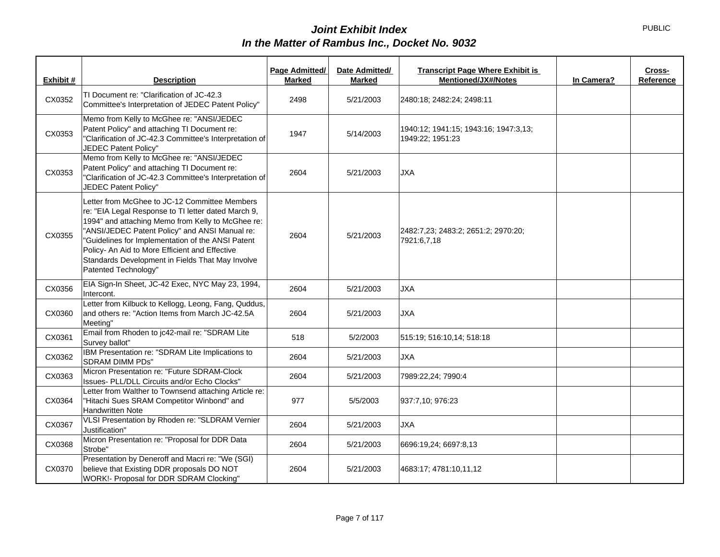| Exhibit # | <b>Description</b>                                                                                                                                                                                                                                                                                                                                                                             | Page Admitted/<br><b>Marked</b> | Date Admitted/<br>Marked | <b>Transcript Page Where Exhibit is</b><br>Mentioned/JX#/Notes | In Camera? | Cross-<br>Reference |
|-----------|------------------------------------------------------------------------------------------------------------------------------------------------------------------------------------------------------------------------------------------------------------------------------------------------------------------------------------------------------------------------------------------------|---------------------------------|--------------------------|----------------------------------------------------------------|------------|---------------------|
| CX0352    | TI Document re: "Clarification of JC-42.3<br>Committee's Interpretation of JEDEC Patent Policy"                                                                                                                                                                                                                                                                                                | 2498                            | 5/21/2003                | 2480:18; 2482:24; 2498:11                                      |            |                     |
| CX0353    | Memo from Kelly to McGhee re: "ANSI/JEDEC<br>Patent Policy" and attaching TI Document re:<br>"Clarification of JC-42.3 Committee's Interpretation of<br>JEDEC Patent Policy"                                                                                                                                                                                                                   | 1947                            | 5/14/2003                | 1940:12; 1941:15; 1943:16; 1947:3,13;<br>1949:22; 1951:23      |            |                     |
| CX0353    | Memo from Kelly to McGhee re: "ANSI/JEDEC<br>Patent Policy" and attaching TI Document re:<br>"Clarification of JC-42.3 Committee's Interpretation of<br>JEDEC Patent Policy"                                                                                                                                                                                                                   | 2604                            | 5/21/2003                | <b>JXA</b>                                                     |            |                     |
| CX0355    | Letter from McGhee to JC-12 Committee Members<br>re: "EIA Legal Response to TI letter dated March 9,<br>1994" and attaching Memo from Kelly to McGhee re:<br>"ANSI/JEDEC Patent Policy" and ANSI Manual re:<br>"Guidelines for Implementation of the ANSI Patent<br>Policy- An Aid to More Efficient and Effective<br>Standards Development in Fields That May Involve<br>Patented Technology" | 2604                            | 5/21/2003                | 2482:7,23; 2483:2; 2651:2; 2970:20;<br>7921:6,7,18             |            |                     |
| CX0356    | EIA Sign-In Sheet, JC-42 Exec, NYC May 23, 1994,<br>Intercont.                                                                                                                                                                                                                                                                                                                                 | 2604                            | 5/21/2003                | <b>JXA</b>                                                     |            |                     |
| CX0360    | Letter from Kilbuck to Kellogg, Leong, Fang, Quddus,<br>and others re: "Action Items from March JC-42.5A<br>Meeting"                                                                                                                                                                                                                                                                           | 2604                            | 5/21/2003                | <b>JXA</b>                                                     |            |                     |
| CX0361    | Email from Rhoden to jc42-mail re: "SDRAM Lite<br>Survey ballot"                                                                                                                                                                                                                                                                                                                               | 518                             | 5/2/2003                 | 515:19; 516:10,14; 518:18                                      |            |                     |
| CX0362    | IBM Presentation re: "SDRAM Lite Implications to<br><b>SDRAM DIMM PDs"</b>                                                                                                                                                                                                                                                                                                                     | 2604                            | 5/21/2003                | <b>JXA</b>                                                     |            |                     |
| CX0363    | Micron Presentation re: "Future SDRAM-Clock<br>Issues- PLL/DLL Circuits and/or Echo Clocks"                                                                                                                                                                                                                                                                                                    | 2604                            | 5/21/2003                | 7989:22,24; 7990:4                                             |            |                     |
| CX0364    | Letter from Walther to Townsend attaching Article re:<br>"Hitachi Sues SRAM Competitor Winbond" and<br><b>Handwritten Note</b>                                                                                                                                                                                                                                                                 | 977                             | 5/5/2003                 | 937:7,10; 976:23                                               |            |                     |
| CX0367    | VLSI Presentation by Rhoden re: "SLDRAM Vernier<br>Justification"                                                                                                                                                                                                                                                                                                                              | 2604                            | 5/21/2003                | <b>JXA</b>                                                     |            |                     |
| CX0368    | Micron Presentation re: "Proposal for DDR Data<br>Strobe"                                                                                                                                                                                                                                                                                                                                      | 2604                            | 5/21/2003                | 6696:19,24; 6697:8,13                                          |            |                     |
| CX0370    | Presentation by Deneroff and Macri re: "We (SGI)<br>believe that Existing DDR proposals DO NOT<br>WORK!- Proposal for DDR SDRAM Clocking"                                                                                                                                                                                                                                                      | 2604                            | 5/21/2003                | 4683:17; 4781:10,11,12                                         |            |                     |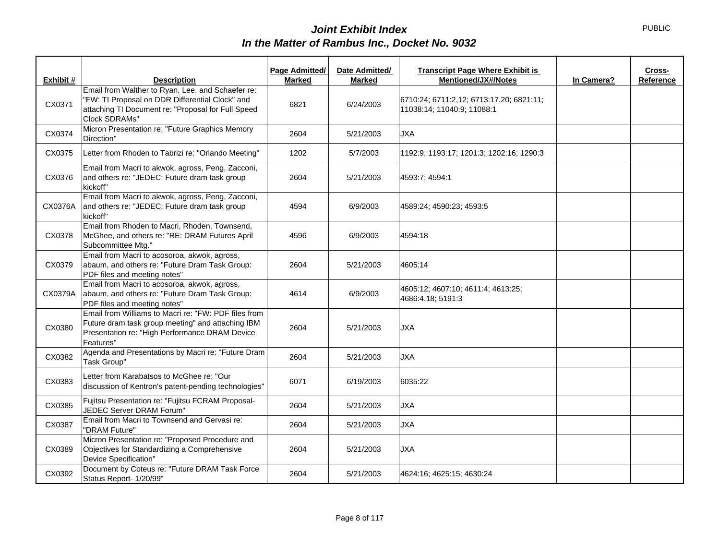|           |                                                                                                                                                                             | Page Admitted/ | Date Admitted/ | <b>Transcript Page Where Exhibit is</b>                                |            | Cross-    |
|-----------|-----------------------------------------------------------------------------------------------------------------------------------------------------------------------------|----------------|----------------|------------------------------------------------------------------------|------------|-----------|
| Exhibit # | <b>Description</b>                                                                                                                                                          | <b>Marked</b>  | <b>Marked</b>  | <b>Mentioned/JX#/Notes</b>                                             | In Camera? | Reference |
| CX0371    | Email from Walther to Ryan, Lee, and Schaefer re:<br>"FW: TI Proposal on DDR Differential Clock" and<br>attaching TI Document re: "Proposal for Full Speed<br>Clock SDRAMs" | 6821           | 6/24/2003      | 6710:24; 6711:2,12; 6713:17,20; 6821:11;<br>11038:14; 11040:9; 11088:1 |            |           |
| CX0374    | Micron Presentation re: "Future Graphics Memory<br>Direction"                                                                                                               | 2604           | 5/21/2003      | <b>JXA</b>                                                             |            |           |
| CX0375    | Letter from Rhoden to Tabrizi re: "Orlando Meeting"                                                                                                                         | 1202           | 5/7/2003       | 1192:9; 1193:17; 1201:3; 1202:16; 1290:3                               |            |           |
| CX0376    | Email from Macri to akwok, agross, Peng, Zacconi,<br>and others re: "JEDEC: Future dram task group<br>kickoff"                                                              | 2604           | 5/21/2003      | 4593:7; 4594:1                                                         |            |           |
| CX0376A   | Email from Macri to akwok, agross, Peng, Zacconi,<br>and others re: "JEDEC: Future dram task group<br>kickoff"                                                              | 4594           | 6/9/2003       | 4589:24; 4590:23; 4593:5                                               |            |           |
| CX0378    | Email from Rhoden to Macri, Rhoden, Townsend,<br>McGhee, and others re: "RE: DRAM Futures April<br>Subcommittee Mtg."                                                       | 4596           | 6/9/2003       | 4594:18                                                                |            |           |
| CX0379    | Email from Macri to acosoroa, akwok, agross,<br>abaum, and others re: "Future Dram Task Group:<br>PDF files and meeting notes"                                              | 2604           | 5/21/2003      | 4605:14                                                                |            |           |
| CX0379A   | Email from Macri to acosoroa, akwok, agross,<br>abaum, and others re: "Future Dram Task Group:<br>PDF files and meeting notes"                                              | 4614           | 6/9/2003       | 4605:12; 4607:10; 4611:4; 4613:25;<br>4686:4,18; 5191:3                |            |           |
| CX0380    | Email from Williams to Macri re: "FW: PDF files from<br>Future dram task group meeting" and attaching IBM<br>Presentation re: "High Performance DRAM Device<br>Features"    | 2604           | 5/21/2003      | <b>JXA</b>                                                             |            |           |
| CX0382    | Agenda and Presentations by Macri re: "Future Dram<br>Task Group"                                                                                                           | 2604           | 5/21/2003      | <b>JXA</b>                                                             |            |           |
| CX0383    | Letter from Karabatsos to McGhee re: "Our<br>discussion of Kentron's patent-pending technologies"                                                                           | 6071           | 6/19/2003      | 6035:22                                                                |            |           |
| CX0385    | Fujitsu Presentation re: "Fujitsu FCRAM Proposal-<br>JEDEC Server DRAM Forum"                                                                                               | 2604           | 5/21/2003      | <b>JXA</b>                                                             |            |           |
| CX0387    | Email from Macri to Townsend and Gervasi re:<br>"DRAM Future"                                                                                                               | 2604           | 5/21/2003      | <b>JXA</b>                                                             |            |           |
| CX0389    | Micron Presentation re: "Proposed Procedure and<br>Objectives for Standardizing a Comprehensive<br>Device Specification"                                                    | 2604           | 5/21/2003      | <b>JXA</b>                                                             |            |           |
| CX0392    | Document by Coteus re: "Future DRAM Task Force<br>Status Report- 1/20/99"                                                                                                   | 2604           | 5/21/2003      | 4624:16; 4625:15; 4630:24                                              |            |           |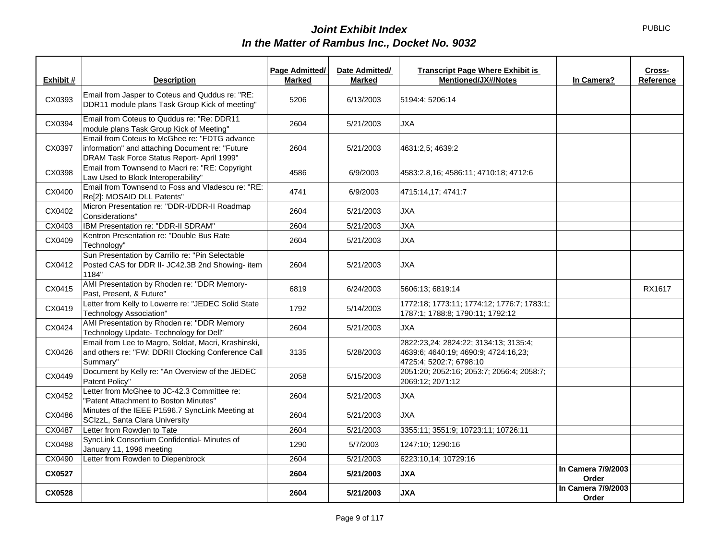| Exhibit # | <b>Description</b>                                                                                                                             | Page Admitted/<br><b>Marked</b> | Date Admitted/<br><b>Marked</b> | <b>Transcript Page Where Exhibit is</b><br><b>Mentioned/JX#/Notes</b>                                    | In Camera?                  | Cross-<br>Reference |
|-----------|------------------------------------------------------------------------------------------------------------------------------------------------|---------------------------------|---------------------------------|----------------------------------------------------------------------------------------------------------|-----------------------------|---------------------|
|           |                                                                                                                                                |                                 |                                 |                                                                                                          |                             |                     |
| CX0393    | Email from Jasper to Coteus and Quddus re: "RE:<br>DDR11 module plans Task Group Kick of meeting"                                              | 5206                            | 6/13/2003                       | 5194:4; 5206:14                                                                                          |                             |                     |
| CX0394    | Email from Coteus to Quddus re: "Re: DDR11<br>module plans Task Group Kick of Meeting"                                                         | 2604                            | 5/21/2003                       | <b>JXA</b>                                                                                               |                             |                     |
| CX0397    | Email from Coteus to McGhee re: "FDTG advance<br>information" and attaching Document re: "Future<br>DRAM Task Force Status Report- April 1999" | 2604                            | 5/21/2003                       | 4631:2,5; 4639:2                                                                                         |                             |                     |
| CX0398    | Email from Townsend to Macri re: "RE: Copyright<br>Law Used to Block Interoperability"                                                         | 4586                            | 6/9/2003                        | 4583:2,8,16; 4586:11; 4710:18; 4712:6                                                                    |                             |                     |
| CX0400    | Email from Townsend to Foss and Vladescu re: "RE:<br>Re[2]: MOSAID DLL Patents"                                                                | 4741                            | 6/9/2003                        | 4715:14,17; 4741:7                                                                                       |                             |                     |
| CX0402    | Micron Presentation re: "DDR-I/DDR-II Roadmap<br>Considerations"                                                                               | 2604                            | 5/21/2003                       | <b>JXA</b>                                                                                               |                             |                     |
| CX0403    | IBM Presentation re: "DDR-II SDRAM"                                                                                                            | 2604                            | 5/21/2003                       | <b>JXA</b>                                                                                               |                             |                     |
| CX0409    | Kentron Presentation re: "Double Bus Rate<br>Technology"                                                                                       | 2604                            | 5/21/2003                       | <b>JXA</b>                                                                                               |                             |                     |
| CX0412    | Sun Presentation by Carrillo re: "Pin Selectable<br>Posted CAS for DDR II- JC42.3B 2nd Showing- item<br>1184"                                  | 2604                            | 5/21/2003                       | <b>JXA</b>                                                                                               |                             |                     |
| CX0415    | AMI Presentation by Rhoden re: "DDR Memory-<br>Past, Present, & Future"                                                                        | 6819                            | 6/24/2003                       | 5606:13; 6819:14                                                                                         |                             | RX1617              |
| CX0419    | Letter from Kelly to Lowerre re: "JEDEC Solid State<br><b>Technology Association"</b>                                                          | 1792                            | 5/14/2003                       | 1772:18; 1773:11; 1774:12; 1776:7; 1783:1;<br>1787:1; 1788:8; 1790:11; 1792:12                           |                             |                     |
| CX0424    | AMI Presentation by Rhoden re: "DDR Memory<br>Technology Update-Technology for Dell"                                                           | 2604                            | 5/21/2003                       | <b>JXA</b>                                                                                               |                             |                     |
| CX0426    | Email from Lee to Magro, Soldat, Macri, Krashinski,<br>and others re: "FW: DDRII Clocking Conference Call<br>Summary"                          | 3135                            | 5/28/2003                       | 2822:23,24; 2824:22; 3134:13; 3135:4;<br>4639:6; 4640:19; 4690:9; 4724:16.23;<br>4725:4; 5202:7; 6798:10 |                             |                     |
| CX0449    | Document by Kelly re: "An Overview of the JEDEC<br>Patent Policy"                                                                              | 2058                            | 5/15/2003                       | 2051:20; 2052:16; 2053:7; 2056:4; 2058:7;<br>2069:12; 2071:12                                            |                             |                     |
| CX0452    | Letter from McGhee to JC-42.3 Committee re:<br>"Patent Attachment to Boston Minutes"                                                           | 2604                            | 5/21/2003                       | <b>JXA</b>                                                                                               |                             |                     |
| CX0486    | Minutes of the IEEE P1596.7 SyncLink Meeting at<br>SCIzzL, Santa Clara University                                                              | 2604                            | 5/21/2003                       | <b>JXA</b>                                                                                               |                             |                     |
| CX0487    | Letter from Rowden to Tate                                                                                                                     | 2604                            | 5/21/2003                       | 3355:11; 3551:9; 10723:11; 10726:11                                                                      |                             |                     |
| CX0488    | SyncLink Consortium Confidential- Minutes of<br>January 11, 1996 meeting                                                                       | 1290                            | 5/7/2003                        | 1247:10; 1290:16                                                                                         |                             |                     |
| CX0490    | Letter from Rowden to Diepenbrock                                                                                                              | 2604                            | 5/21/2003                       | 6223:10,14; 10729:16                                                                                     |                             |                     |
| CX0527    |                                                                                                                                                | 2604                            | 5/21/2003                       | <b>JXA</b>                                                                                               | In Camera 7/9/2003<br>Order |                     |
| CX0528    |                                                                                                                                                | 2604                            | 5/21/2003                       | <b>JXA</b>                                                                                               | In Camera 7/9/2003<br>Order |                     |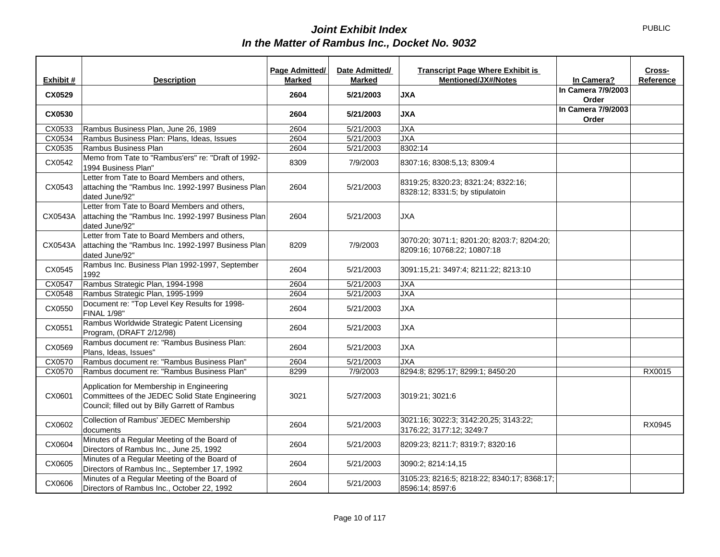|           |                                                                                                                                                | Page Admitted/ | Date Admitted/ | <b>Transcript Page Where Exhibit is</b><br><b>Mentioned/JX#/Notes</b>     |                                  | Cross-    |
|-----------|------------------------------------------------------------------------------------------------------------------------------------------------|----------------|----------------|---------------------------------------------------------------------------|----------------------------------|-----------|
| Exhibit # | <b>Description</b>                                                                                                                             | <b>Marked</b>  | <b>Marked</b>  |                                                                           | In Camera?<br>In Camera 7/9/2003 | Reference |
| CX0529    |                                                                                                                                                | 2604           | 5/21/2003      | <b>JXA</b>                                                                | Order                            |           |
| CX0530    |                                                                                                                                                | 2604           | 5/21/2003      | <b>JXA</b>                                                                | In Camera 7/9/2003<br>Order      |           |
| CX0533    | Rambus Business Plan, June 26, 1989                                                                                                            | 2604           | 5/21/2003      | <b>JXA</b>                                                                |                                  |           |
| CX0534    | Rambus Business Plan: Plans, Ideas, Issues                                                                                                     | 2604           | 5/21/2003      | <b>JXA</b>                                                                |                                  |           |
| CX0535    | Rambus Business Plan                                                                                                                           | 2604           | 5/21/2003      | 8302:14                                                                   |                                  |           |
| CX0542    | Memo from Tate to "Rambus'ers" re: "Draft of 1992-<br>1994 Business Plan"                                                                      | 8309           | 7/9/2003       | 8307:16; 8308:5,13; 8309:4                                                |                                  |           |
| CX0543    | Letter from Tate to Board Members and others,<br>attaching the "Rambus Inc. 1992-1997 Business Plan<br>dated June/92"                          | 2604           | 5/21/2003      | 8319:25; 8320:23; 8321:24; 8322:16;<br>8328:12; 8331:5; by stipulatoin    |                                  |           |
| CX0543A   | Letter from Tate to Board Members and others,<br>attaching the "Rambus Inc. 1992-1997 Business Plan<br>dated June/92"                          | 2604           | 5/21/2003      | JXA                                                                       |                                  |           |
| CX0543A   | Letter from Tate to Board Members and others,<br>attaching the "Rambus Inc. 1992-1997 Business Plan<br>dated June/92"                          | 8209           | 7/9/2003       | 3070:20; 3071:1; 8201:20; 8203:7; 8204:20;<br>8209:16; 10768:22; 10807:18 |                                  |           |
| CX0545    | Rambus Inc. Business Plan 1992-1997, September<br>1992                                                                                         | 2604           | 5/21/2003      | 3091:15,21: 3497:4; 8211:22; 8213:10                                      |                                  |           |
| CX0547    | Rambus Strategic Plan, 1994-1998                                                                                                               | 2604           | 5/21/2003      | <b>JXA</b>                                                                |                                  |           |
| CX0548    | Rambus Strategic Plan, 1995-1999                                                                                                               | 2604           | 5/21/2003      | <b>JXA</b>                                                                |                                  |           |
| CX0550    | Document re: "Top Level Key Results for 1998-<br><b>FINAL 1/98"</b>                                                                            | 2604           | 5/21/2003      | <b>JXA</b>                                                                |                                  |           |
| CX0551    | Rambus Worldwide Strategic Patent Licensing<br>Program, (DRAFT 2/12/98)                                                                        | 2604           | 5/21/2003      | <b>JXA</b>                                                                |                                  |           |
| CX0569    | Rambus document re: "Rambus Business Plan:<br>Plans, Ideas, Issues"                                                                            | 2604           | 5/21/2003      | <b>JXA</b>                                                                |                                  |           |
| CX0570    | Rambus document re: "Rambus Business Plan"                                                                                                     | 2604           | 5/21/2003      | <b>JXA</b>                                                                |                                  |           |
| CX0570    | Rambus document re: "Rambus Business Plan"                                                                                                     | 8299           | 7/9/2003       | 8294:8; 8295:17; 8299:1; 8450:20                                          |                                  | RX0015    |
| CX0601    | Application for Membership in Engineering<br>Committees of the JEDEC Solid State Engineering<br>Council; filled out by Billy Garrett of Rambus | 3021           | 5/27/2003      | 3019:21; 3021:6                                                           |                                  |           |
| CX0602    | Collection of Rambus' JEDEC Membership<br>documents                                                                                            | 2604           | 5/21/2003      | 3021:16; 3022:3; 3142:20,25; 3143:22;<br>3176:22; 3177:12; 3249:7         |                                  | RX0945    |
| CX0604    | Minutes of a Regular Meeting of the Board of<br>Directors of Rambus Inc., June 25, 1992                                                        | 2604           | 5/21/2003      | 8209:23; 8211:7; 8319:7; 8320:16                                          |                                  |           |
| CX0605    | Minutes of a Regular Meeting of the Board of<br>Directors of Rambus Inc., September 17, 1992                                                   | 2604           | 5/21/2003      | 3090:2; 8214:14,15                                                        |                                  |           |
| CX0606    | Minutes of a Regular Meeting of the Board of<br>Directors of Rambus Inc., October 22, 1992                                                     | 2604           | 5/21/2003      | 3105:23; 8216:5; 8218:22; 8340:17; 8368:17;<br>8596:14; 8597:6            |                                  |           |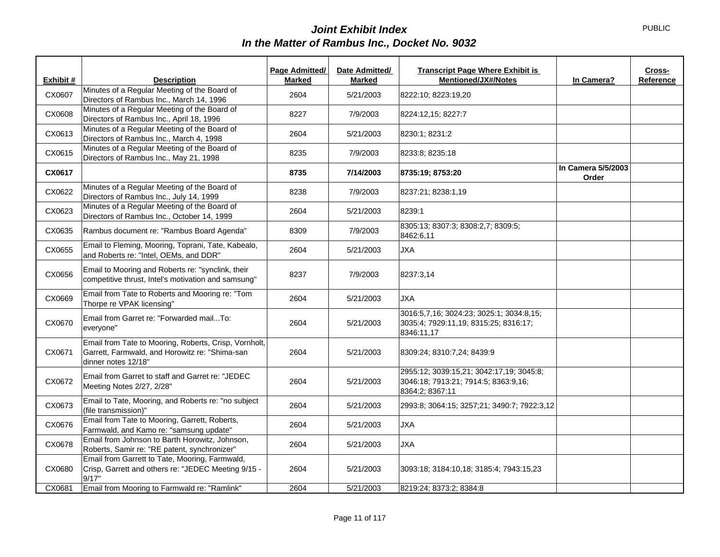|           |                                                                                                                                | Page Admitted/ | Date Admitted/ | <b>Transcript Page Where Exhibit is</b>                                                             |                             | Cross-    |
|-----------|--------------------------------------------------------------------------------------------------------------------------------|----------------|----------------|-----------------------------------------------------------------------------------------------------|-----------------------------|-----------|
| Exhibit # | <b>Description</b>                                                                                                             | <b>Marked</b>  | <b>Marked</b>  | <b>Mentioned/JX#/Notes</b>                                                                          | In Camera?                  | Reference |
| CX0607    | Minutes of a Regular Meeting of the Board of<br>Directors of Rambus Inc., March 14, 1996                                       | 2604           | 5/21/2003      | 8222:10; 8223:19,20                                                                                 |                             |           |
| CX0608    | Minutes of a Regular Meeting of the Board of<br>Directors of Rambus Inc., April 18, 1996                                       | 8227           | 7/9/2003       | 8224:12,15; 8227:7                                                                                  |                             |           |
| CX0613    | Minutes of a Regular Meeting of the Board of<br>Directors of Rambus Inc., March 4, 1998                                        | 2604           | 5/21/2003      | 8230:1; 8231:2                                                                                      |                             |           |
| CX0615    | Minutes of a Regular Meeting of the Board of<br>Directors of Rambus Inc., May 21, 1998                                         | 8235           | 7/9/2003       | 8233:8; 8235:18                                                                                     |                             |           |
| CX0617    |                                                                                                                                | 8735           | 7/14/2003      | 8735:19; 8753:20                                                                                    | In Camera 5/5/2003<br>Order |           |
| CX0622    | Minutes of a Regular Meeting of the Board of<br>Directors of Rambus Inc., July 14, 1999                                        | 8238           | 7/9/2003       | 8237:21; 8238:1,19                                                                                  |                             |           |
| CX0623    | Minutes of a Regular Meeting of the Board of<br>Directors of Rambus Inc., October 14, 1999                                     | 2604           | 5/21/2003      | 8239:1                                                                                              |                             |           |
| CX0635    | Rambus document re: "Rambus Board Agenda"                                                                                      | 8309           | 7/9/2003       | 8305:13; 8307:3; 8308:2,7; 8309:5;<br>8462:6,11                                                     |                             |           |
| CX0655    | Email to Fleming, Mooring, Toprani, Tate, Kabealo,<br>and Roberts re: "Intel, OEMs, and DDR"                                   | 2604           | 5/21/2003      | <b>JXA</b>                                                                                          |                             |           |
| CX0656    | Email to Mooring and Roberts re: "synclink, their<br>competitive thrust, Intel's motivation and samsung"                       | 8237           | 7/9/2003       | 8237:3,14                                                                                           |                             |           |
| CX0669    | Email from Tate to Roberts and Mooring re: "Tom<br>Thorpe re VPAK licensing"                                                   | 2604           | 5/21/2003      | <b>JXA</b>                                                                                          |                             |           |
| CX0670    | Email from Garret re: "Forwarded mailTo:<br>everyone"                                                                          | 2604           | 5/21/2003      | 3016:5,7,16; 3024:23; 3025:1; 3034:8,15;<br>3035:4; 7929:11,19; 8315:25; 8316:17;<br>8346:11,17     |                             |           |
| CX0671    | Email from Tate to Mooring, Roberts, Crisp, Vornholt,<br>Garrett, Farmwald, and Horowitz re: "Shima-san<br>dinner notes 12/18" | 2604           | 5/21/2003      | 8309:24; 8310:7,24; 8439:9                                                                          |                             |           |
| CX0672    | Email from Garret to staff and Garret re: "JEDEC<br>Meeting Notes 2/27, 2/28"                                                  | 2604           | 5/21/2003      | 2955:12; 3039:15,21; 3042:17,19; 3045:8;<br>3046:18; 7913:21; 7914:5; 8363:9,16;<br>8364:2; 8367:11 |                             |           |
| CX0673    | Email to Tate, Mooring, and Roberts re: "no subject<br>(file transmission)"                                                    | 2604           | 5/21/2003      | 2993:8; 3064:15; 3257;21; 3490:7; 7922:3,12                                                         |                             |           |
| CX0676    | Email from Tate to Mooring, Garrett, Roberts,<br>Farmwald, and Kamo re: "samsung update"                                       | 2604           | 5/21/2003      | <b>JXA</b>                                                                                          |                             |           |
| CX0678    | Email from Johnson to Barth Horowitz, Johnson,<br>Roberts, Samir re: "RE patent, synchronizer"                                 | 2604           | 5/21/2003      | JXA                                                                                                 |                             |           |
| CX0680    | Email from Garrett to Tate, Mooring, Farmwald,<br>Crisp, Garrett and others re: "JEDEC Meeting 9/15 -<br>9/17"                 | 2604           | 5/21/2003      | 3093:18; 3184:10.18; 3185:4; 7943:15.23                                                             |                             |           |
| CX0681    | Email from Mooring to Farmwald re: "Ramlink"                                                                                   | 2604           | 5/21/2003      | 8219:24; 8373:2; 8384:8                                                                             |                             |           |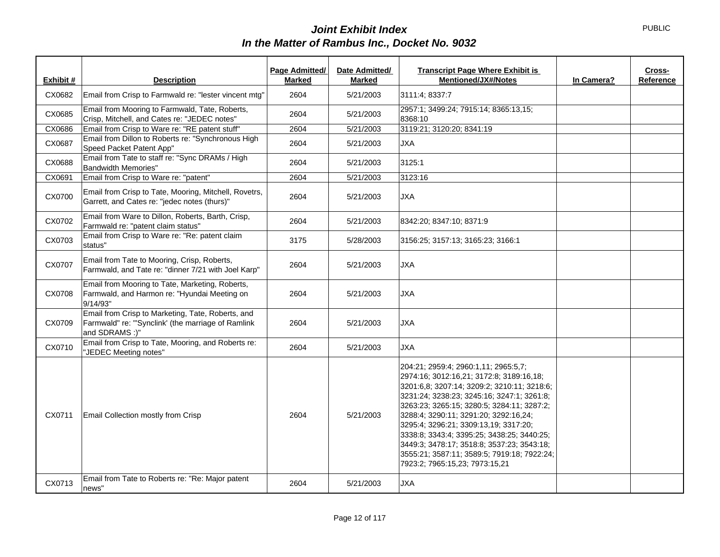| Exhibit # | <b>Description</b>                                                                                                        | Page Admitted/<br><b>Marked</b> | Date Admitted/<br><b>Marked</b> | <b>Transcript Page Where Exhibit is</b><br>Cross-<br><b>Mentioned/JX#/Notes</b><br>In Camera?<br>Reference                                                                                                                                                                                                                                                                                                                                                                                 |
|-----------|---------------------------------------------------------------------------------------------------------------------------|---------------------------------|---------------------------------|--------------------------------------------------------------------------------------------------------------------------------------------------------------------------------------------------------------------------------------------------------------------------------------------------------------------------------------------------------------------------------------------------------------------------------------------------------------------------------------------|
| CX0682    | Email from Crisp to Farmwald re: "lester vincent mtg"                                                                     | 2604                            | 5/21/2003                       | 3111:4: 8337:7                                                                                                                                                                                                                                                                                                                                                                                                                                                                             |
| CX0685    | Email from Mooring to Farmwald, Tate, Roberts,<br>Crisp, Mitchell, and Cates re: "JEDEC notes"                            | 2604                            | 5/21/2003                       | 2957:1; 3499:24; 7915:14; 8365:13,15;<br>8368:10                                                                                                                                                                                                                                                                                                                                                                                                                                           |
| CX0686    | Email from Crisp to Ware re: "RE patent stuff"                                                                            | 2604                            | 5/21/2003                       | 3119:21; 3120:20; 8341:19                                                                                                                                                                                                                                                                                                                                                                                                                                                                  |
| CX0687    | Email from Dillon to Roberts re: "Synchronous High<br>Speed Packet Patent App"                                            | 2604                            | 5/21/2003                       | <b>JXA</b>                                                                                                                                                                                                                                                                                                                                                                                                                                                                                 |
| CX0688    | Email from Tate to staff re: "Sync DRAMs / High<br><b>Bandwidth Memories"</b>                                             | 2604                            | 5/21/2003                       | 3125:1                                                                                                                                                                                                                                                                                                                                                                                                                                                                                     |
| CX0691    | Email from Crisp to Ware re: "patent"                                                                                     | 2604                            | 5/21/2003                       | 3123:16                                                                                                                                                                                                                                                                                                                                                                                                                                                                                    |
| CX0700    | Email from Crisp to Tate, Mooring, Mitchell, Rovetrs,<br>Garrett, and Cates re: "jedec notes (thurs)"                     | 2604                            | 5/21/2003                       | <b>JXA</b>                                                                                                                                                                                                                                                                                                                                                                                                                                                                                 |
| CX0702    | Email from Ware to Dillon, Roberts, Barth, Crisp,<br>Farmwald re: "patent claim status"                                   | 2604                            | 5/21/2003                       | 8342:20; 8347:10; 8371:9                                                                                                                                                                                                                                                                                                                                                                                                                                                                   |
| CX0703    | Email from Crisp to Ware re: "Re: patent claim<br>status"                                                                 | 3175                            | 5/28/2003                       | 3156:25; 3157:13; 3165:23; 3166:1                                                                                                                                                                                                                                                                                                                                                                                                                                                          |
| CX0707    | Email from Tate to Mooring, Crisp, Roberts,<br>Farmwald, and Tate re: "dinner 7/21 with Joel Karp"                        | 2604                            | 5/21/2003                       | <b>JXA</b>                                                                                                                                                                                                                                                                                                                                                                                                                                                                                 |
| CX0708    | Email from Mooring to Tate, Marketing, Roberts,<br>Farmwald, and Harmon re: "Hyundai Meeting on<br>9/14/93"               | 2604                            | 5/21/2003                       | <b>JXA</b>                                                                                                                                                                                                                                                                                                                                                                                                                                                                                 |
| CX0709    | Email from Crisp to Marketing, Tate, Roberts, and<br>Farmwald" re: "'Synclink' (the marriage of Ramlink<br>and SDRAMS :)" | 2604                            | 5/21/2003                       | <b>JXA</b>                                                                                                                                                                                                                                                                                                                                                                                                                                                                                 |
| CX0710    | Email from Crisp to Tate, Mooring, and Roberts re:<br>"JEDEC Meeting notes"                                               | 2604                            | 5/21/2003                       | <b>JXA</b>                                                                                                                                                                                                                                                                                                                                                                                                                                                                                 |
| CX0711    | Email Collection mostly from Crisp                                                                                        | 2604                            | 5/21/2003                       | 204:21; 2959:4; 2960:1,11; 2965:5,7;<br>2974:16; 3012:16,21; 3172:8; 3189:16,18;<br>3201:6.8; 3207:14; 3209:2; 3210:11; 3218:6;<br>3231:24; 3238:23; 3245:16; 3247:1; 3261:8;<br>3263:23; 3265:15; 3280:5; 3284:11; 3287:2;<br>3288:4; 3290:11; 3291:20; 3292:16.24;<br>3295:4; 3296:21; 3309:13,19; 3317:20;<br>3338:8; 3343:4; 3395:25; 3438:25; 3440:25;<br>3449:3; 3478:17; 3518:8; 3537:23; 3543:18;<br>3555:21; 3587:11; 3589:5; 7919:18; 7922:24;<br>7923:2; 7965:15,23; 7973:15,21 |
| CX0713    | Email from Tate to Roberts re: "Re: Major patent<br>news"                                                                 | 2604                            | 5/21/2003                       | <b>JXA</b>                                                                                                                                                                                                                                                                                                                                                                                                                                                                                 |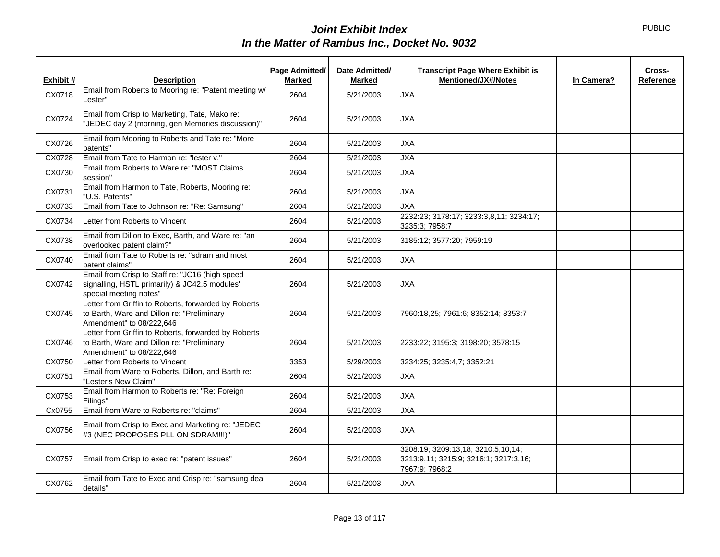| Exhibit # | <b>Description</b>                                                                                                             | Page Admitted/<br><b>Marked</b> | Date Admitted/<br><b>Marked</b> | <b>Transcript Page Where Exhibit is</b><br>Mentioned/JX#/Notes                                | In Camera? | Cross-<br>Reference |
|-----------|--------------------------------------------------------------------------------------------------------------------------------|---------------------------------|---------------------------------|-----------------------------------------------------------------------------------------------|------------|---------------------|
|           | Email from Roberts to Mooring re: "Patent meeting w/                                                                           |                                 |                                 |                                                                                               |            |                     |
| CX0718    | Lester"                                                                                                                        | 2604                            | 5/21/2003                       | <b>JXA</b>                                                                                    |            |                     |
| CX0724    | Email from Crisp to Marketing, Tate, Mako re:<br>"JEDEC day 2 (morning, gen Memories discussion)"                              | 2604                            | 5/21/2003                       | <b>JXA</b>                                                                                    |            |                     |
| CX0726    | Email from Mooring to Roberts and Tate re: "More<br>patents"                                                                   | 2604                            | 5/21/2003                       | <b>JXA</b>                                                                                    |            |                     |
| CX0728    | Email from Tate to Harmon re: "lester v."                                                                                      | 2604                            | 5/21/2003                       | <b>JXA</b>                                                                                    |            |                     |
| CX0730    | Email from Roberts to Ware re: "MOST Claims<br>session"                                                                        | 2604                            | 5/21/2003                       | <b>JXA</b>                                                                                    |            |                     |
| CX0731    | Email from Harmon to Tate, Roberts, Mooring re:<br>"U.S. Patents"                                                              | 2604                            | 5/21/2003                       | <b>JXA</b>                                                                                    |            |                     |
| CX0733    | Email from Tate to Johnson re: "Re: Samsung"                                                                                   | 2604                            | 5/21/2003                       | <b>JXA</b>                                                                                    |            |                     |
| CX0734    | Letter from Roberts to Vincent                                                                                                 | 2604                            | 5/21/2003                       | 2232:23; 3178:17; 3233:3,8,11; 3234:17;<br>3235:3; 7958:7                                     |            |                     |
| CX0738    | Email from Dillon to Exec, Barth, and Ware re: "an<br>overlooked patent claim?"                                                | 2604                            | 5/21/2003                       | 3185:12; 3577:20; 7959:19                                                                     |            |                     |
| CX0740    | Email from Tate to Roberts re: "sdram and most<br>patent claims"                                                               | 2604                            | 5/21/2003                       | <b>JXA</b>                                                                                    |            |                     |
| CX0742    | Email from Crisp to Staff re: "JC16 (high speed<br>signalling, HSTL primarily) & JC42.5 modules'<br>special meeting notes"     | 2604                            | 5/21/2003                       | <b>JXA</b>                                                                                    |            |                     |
| CX0745    | Letter from Griffin to Roberts, forwarded by Roberts<br>to Barth, Ware and Dillon re: "Preliminary<br>Amendment" to 08/222,646 | 2604                            | 5/21/2003                       | 7960:18,25; 7961:6; 8352:14; 8353:7                                                           |            |                     |
| CX0746    | Letter from Griffin to Roberts, forwarded by Roberts<br>to Barth, Ware and Dillon re: "Preliminary<br>Amendment" to 08/222,646 | 2604                            | 5/21/2003                       | 2233:22; 3195:3; 3198:20; 3578:15                                                             |            |                     |
| CX0750    | Letter from Roberts to Vincent                                                                                                 | 3353                            | 5/29/2003                       | 3234:25; 3235:4,7; 3352:21                                                                    |            |                     |
| CX0751    | Email from Ware to Roberts, Dillon, and Barth re:<br>"Lester's New Claim"                                                      | 2604                            | 5/21/2003                       | <b>JXA</b>                                                                                    |            |                     |
| CX0753    | Email from Harmon to Roberts re: "Re: Foreign<br>Filings"                                                                      | 2604                            | 5/21/2003                       | <b>JXA</b>                                                                                    |            |                     |
| Cx0755    | Email from Ware to Roberts re: "claims"                                                                                        | 2604                            | 5/21/2003                       | <b>JXA</b>                                                                                    |            |                     |
| CX0756    | Email from Crisp to Exec and Marketing re: "JEDEC<br>#3 (NEC PROPOSES PLL ON SDRAM !!! )"                                      | 2604                            | 5/21/2003                       | <b>JXA</b>                                                                                    |            |                     |
| CX0757    | Email from Crisp to exec re: "patent issues"                                                                                   | 2604                            | 5/21/2003                       | 3208:19; 3209:13,18; 3210:5,10,14;<br>3213:9,11; 3215:9; 3216:1; 3217:3,16;<br>7967:9; 7968:2 |            |                     |
| CX0762    | Email from Tate to Exec and Crisp re: "samsung deal<br>details"                                                                | 2604                            | 5/21/2003                       | <b>JXA</b>                                                                                    |            |                     |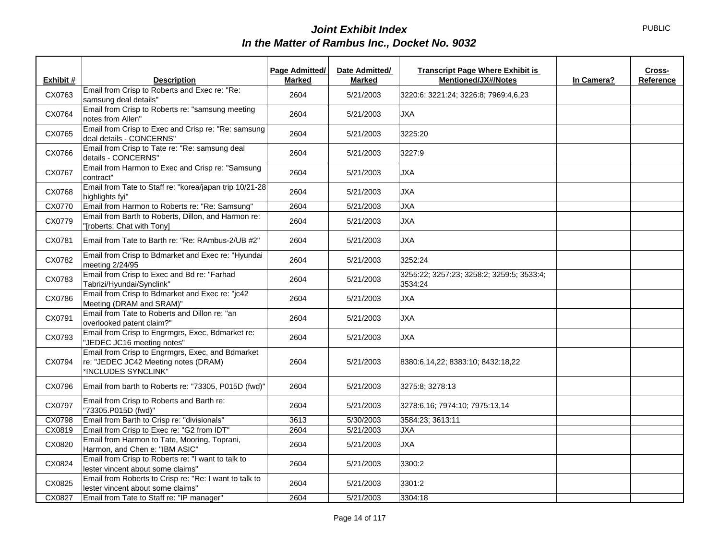|           |                                                                                                                 | Page Admitted/ | Date Admitted/ | <b>Transcript Page Where Exhibit is</b>              |            | Cross-    |
|-----------|-----------------------------------------------------------------------------------------------------------------|----------------|----------------|------------------------------------------------------|------------|-----------|
| Exhibit # | <b>Description</b>                                                                                              | <b>Marked</b>  | <b>Marked</b>  | <b>Mentioned/JX#/Notes</b>                           | In Camera? | Reference |
| CX0763    | Email from Crisp to Roberts and Exec re: "Re:<br>samsung deal details"                                          | 2604           | 5/21/2003      | 3220:6; 3221:24; 3226:8; 7969:4,6,23                 |            |           |
| CX0764    | Email from Crisp to Roberts re: "samsung meeting<br>notes from Allen"                                           | 2604           | 5/21/2003      | <b>JXA</b>                                           |            |           |
| CX0765    | Email from Crisp to Exec and Crisp re: "Re: samsung<br>deal details - CONCERNS"                                 | 2604           | 5/21/2003      | 3225:20                                              |            |           |
| CX0766    | Email from Crisp to Tate re: "Re: samsung deal<br>details - CONCERNS"                                           | 2604           | 5/21/2003      | 3227:9                                               |            |           |
| CX0767    | Email from Harmon to Exec and Crisp re: "Samsung<br>contract"                                                   | 2604           | 5/21/2003      | JXA                                                  |            |           |
| CX0768    | Email from Tate to Staff re: "korea/japan trip 10/21-28<br>highlights fyi"                                      | 2604           | 5/21/2003      | <b>JXA</b>                                           |            |           |
| CX0770    | Email from Harmon to Roberts re: "Re: Samsung"                                                                  | 2604           | 5/21/2003      | JXA                                                  |            |           |
| CX0779    | Email from Barth to Roberts, Dillon, and Harmon re:<br>"[roberts: Chat with Tony]                               | 2604           | 5/21/2003      | <b>JXA</b>                                           |            |           |
| CX0781    | Email from Tate to Barth re: "Re: RAmbus-2/UB #2"                                                               | 2604           | 5/21/2003      | <b>JXA</b>                                           |            |           |
| CX0782    | Email from Crisp to Bdmarket and Exec re: "Hyundai<br>meeting 2/24/95                                           | 2604           | 5/21/2003      | 3252:24                                              |            |           |
| CX0783    | Email from Crisp to Exec and Bd re: "Farhad<br>Tabrizi/Hyundai/Synclink"                                        | 2604           | 5/21/2003      | 3255:22; 3257:23; 3258:2; 3259:5; 3533:4;<br>3534:24 |            |           |
| CX0786    | Email from Crisp to Bdmarket and Exec re: "jc42<br>Meeting (DRAM and SRAM)"                                     | 2604           | 5/21/2003      | <b>JXA</b>                                           |            |           |
| CX0791    | Email from Tate to Roberts and Dillon re: "an<br>overlooked patent claim?"                                      | 2604           | 5/21/2003      | <b>JXA</b>                                           |            |           |
| CX0793    | Email from Crisp to Engrmgrs, Exec, Bdmarket re:<br>"JEDEC JC16 meeting notes"                                  | 2604           | 5/21/2003      | <b>JXA</b>                                           |            |           |
| CX0794    | Email from Crisp to Engrmgrs, Exec, and Bdmarket<br>re: "JEDEC JC42 Meeting notes (DRAM)<br>*INCLUDES SYNCLINK" | 2604           | 5/21/2003      | 8380:6,14,22; 8383:10; 8432:18,22                    |            |           |
| CX0796    | Email from barth to Roberts re: "73305, P015D (fwd)"                                                            | 2604           | 5/21/2003      | 3275:8; 3278:13                                      |            |           |
| CX0797    | Email from Crisp to Roberts and Barth re:<br>"73305.P015D (fwd)"                                                | 2604           | 5/21/2003      | 3278:6,16; 7974:10; 7975:13,14                       |            |           |
| CX0798    | Email from Barth to Crisp re: "divisionals"                                                                     | 3613           | 5/30/2003      | 3584:23; 3613:11                                     |            |           |
| CX0819    | Email from Crisp to Exec re: "G2 from IDT"                                                                      | 2604           | 5/21/2003      | <b>JXA</b>                                           |            |           |
| CX0820    | Email from Harmon to Tate, Mooring, Toprani,<br>Harmon, and Chen e: "IBM ASIC"                                  | 2604           | 5/21/2003      | <b>JXA</b>                                           |            |           |
| CX0824    | Email from Crisp to Roberts re: "I want to talk to<br>lester vincent about some claims"                         | 2604           | 5/21/2003      | 3300:2                                               |            |           |
| CX0825    | Email from Roberts to Crisp re: "Re: I want to talk to<br>lester vincent about some claims"                     | 2604           | 5/21/2003      | 3301:2                                               |            |           |
| CX0827    | Email from Tate to Staff re: "IP manager"                                                                       | 2604           | 5/21/2003      | 3304:18                                              |            |           |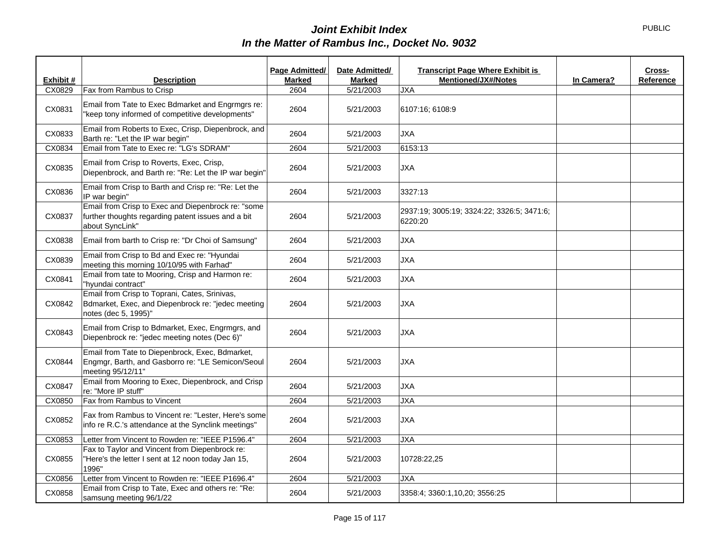|           |                                                                                                                             | Page Admitted/ | Date Admitted/ | <b>Transcript Page Where Exhibit is</b>               |            | Cross-    |
|-----------|-----------------------------------------------------------------------------------------------------------------------------|----------------|----------------|-------------------------------------------------------|------------|-----------|
| Exhibit # | <b>Description</b>                                                                                                          | <b>Marked</b>  | <b>Marked</b>  | <b>Mentioned/JX#/Notes</b>                            | In Camera? | Reference |
| CX0829    | Fax from Rambus to Crisp                                                                                                    | 2604           | 5/21/2003      | <b>JXA</b>                                            |            |           |
| CX0831    | Email from Tate to Exec Bdmarket and Engrmgrs re:<br>"keep tony informed of competitive developments"                       | 2604           | 5/21/2003      | 6107:16; 6108:9                                       |            |           |
| CX0833    | Email from Roberts to Exec, Crisp, Diepenbrock, and<br>Barth re: "Let the IP war begin"                                     | 2604           | 5/21/2003      | <b>JXA</b>                                            |            |           |
| CX0834    | Email from Tate to Exec re: "LG's SDRAM"                                                                                    | 2604           | 5/21/2003      | 6153:13                                               |            |           |
| CX0835    | Email from Crisp to Roverts, Exec, Crisp,<br>Diepenbrock, and Barth re: "Re: Let the IP war begin"                          | 2604           | 5/21/2003      | <b>JXA</b>                                            |            |           |
| CX0836    | Email from Crisp to Barth and Crisp re: "Re: Let the<br>IP war begin"                                                       | 2604           | 5/21/2003      | 3327:13                                               |            |           |
| CX0837    | Email from Crisp to Exec and Diepenbrock re: "some<br>further thoughts regarding patent issues and a bit<br>about SyncLink" | 2604           | 5/21/2003      | 2937:19: 3005:19: 3324:22: 3326:5: 3471:6:<br>6220:20 |            |           |
| CX0838    | Email from barth to Crisp re: "Dr Choi of Samsung"                                                                          | 2604           | 5/21/2003      | <b>JXA</b>                                            |            |           |
| CX0839    | Email from Crisp to Bd and Exec re: "Hyundai<br>meeting this morning 10/10/95 with Farhad"                                  | 2604           | 5/21/2003      | <b>JXA</b>                                            |            |           |
| CX0841    | Email from tate to Mooring, Crisp and Harmon re:<br>"hyundai contract"                                                      | 2604           | 5/21/2003      | <b>JXA</b>                                            |            |           |
| CX0842    | Email from Crisp to Toprani, Cates, Srinivas,<br>Bdmarket, Exec, and Diepenbrock re: "jedec meeting<br>notes (dec 5, 1995)" | 2604           | 5/21/2003      | <b>JXA</b>                                            |            |           |
| CX0843    | Email from Crisp to Bdmarket, Exec, Engrmgrs, and<br>Diepenbrock re: "jedec meeting notes (Dec 6)"                          | 2604           | 5/21/2003      | <b>JXA</b>                                            |            |           |
| CX0844    | Email from Tate to Diepenbrock, Exec, Bdmarket,<br>Engmgr, Barth, and Gasborro re: "LE Semicon/Seoul<br>meeting 95/12/11"   | 2604           | 5/21/2003      | <b>JXA</b>                                            |            |           |
| CX0847    | Email from Mooring to Exec, Diepenbrock, and Crisp<br>re: "More IP stuff"                                                   | 2604           | 5/21/2003      | <b>JXA</b>                                            |            |           |
| CX0850    | Fax from Rambus to Vincent                                                                                                  | 2604           | 5/21/2003      | <b>JXA</b>                                            |            |           |
| CX0852    | Fax from Rambus to Vincent re: "Lester, Here's some<br>info re R.C.'s attendance at the Synclink meetings"                  | 2604           | 5/21/2003      | <b>JXA</b>                                            |            |           |
| CX0853    | Letter from Vincent to Rowden re: "IEEE P1596.4"                                                                            | 2604           | 5/21/2003      | <b>JXA</b>                                            |            |           |
| CX0855    | Fax to Taylor and Vincent from Diepenbrock re:<br>"Here's the letter I sent at 12 noon today Jan 15,<br>1996"               | 2604           | 5/21/2003      | 10728:22,25                                           |            |           |
| CX0856    | Letter from Vincent to Rowden re: "IEEE P1696.4"                                                                            | 2604           | 5/21/2003      | <b>JXA</b>                                            |            |           |
| CX0858    | Email from Crisp to Tate, Exec and others re: "Re:<br>samsung meeting 96/1/22                                               | 2604           | 5/21/2003      | 3358:4; 3360:1,10,20; 3556:25                         |            |           |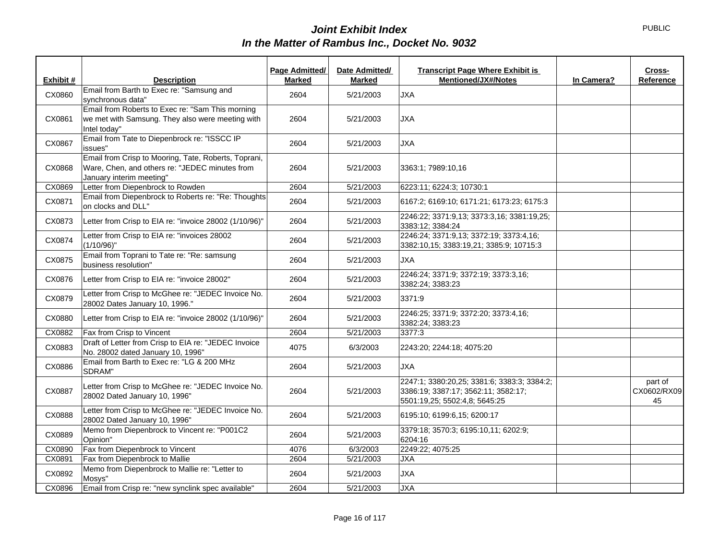|           |                                                                                                                                    | Page Admitted/ | Date Admitted/ | <b>Transcript Page Where Exhibit is</b>                                                                             |            | Cross-                       |
|-----------|------------------------------------------------------------------------------------------------------------------------------------|----------------|----------------|---------------------------------------------------------------------------------------------------------------------|------------|------------------------------|
| Exhibit # | <b>Description</b>                                                                                                                 | <b>Marked</b>  | <b>Marked</b>  | <b>Mentioned/JX#/Notes</b>                                                                                          | In Camera? | Reference                    |
| CX0860    | Email from Barth to Exec re: "Samsung and<br>synchronous data"                                                                     | 2604           | 5/21/2003      | <b>JXA</b>                                                                                                          |            |                              |
| CX0861    | Email from Roberts to Exec re: "Sam This morning<br>we met with Samsung. They also were meeting with<br>Intel today"               | 2604           | 5/21/2003      | <b>JXA</b>                                                                                                          |            |                              |
| CX0867    | Email from Tate to Diepenbrock re: "ISSCC IP<br>issues"                                                                            | 2604           | 5/21/2003      | <b>JXA</b>                                                                                                          |            |                              |
| CX0868    | Email from Crisp to Mooring, Tate, Roberts, Toprani,<br>Ware, Chen, and others re: "JEDEC minutes from<br>January interim meeting" | 2604           | 5/21/2003      | 3363:1; 7989:10,16                                                                                                  |            |                              |
| CX0869    | Letter from Diepenbrock to Rowden                                                                                                  | 2604           | 5/21/2003      | 6223:11; 6224:3; 10730:1                                                                                            |            |                              |
| CX0871    | Email from Diepenbrock to Roberts re: "Re: Thoughts<br>on clocks and DLL"                                                          | 2604           | 5/21/2003      | 6167:2; 6169:10; 6171:21; 6173:23; 6175:3                                                                           |            |                              |
| CX0873    | Letter from Crisp to EIA re: "invoice 28002 (1/10/96)"                                                                             | 2604           | 5/21/2003      | 2246:22; 3371:9,13; 3373:3,16; 3381:19,25;<br>3383:12; 3384:24                                                      |            |                              |
| CX0874    | Letter from Crisp to EIA re: "invoices 28002<br>$(1/10/96)$ "                                                                      | 2604           | 5/21/2003      | 2246:24; 3371:9,13; 3372:19; 3373:4,16;<br>3382:10.15; 3383:19.21; 3385:9; 10715:3                                  |            |                              |
| CX0875    | Email from Toprani to Tate re: "Re: samsung<br>business resolution"                                                                | 2604           | 5/21/2003      | <b>JXA</b>                                                                                                          |            |                              |
| CX0876    | Letter from Crisp to EIA re: "invoice 28002"                                                                                       | 2604           | 5/21/2003      | 2246:24; 3371:9; 3372:19; 3373:3,16;<br>3382:24; 3383:23                                                            |            |                              |
| CX0879    | Letter from Crisp to McGhee re: "JEDEC Invoice No.<br>28002 Dates January 10, 1996."                                               | 2604           | 5/21/2003      | 3371:9                                                                                                              |            |                              |
| CX0880    | Letter from Crisp to EIA re: "invoice 28002 (1/10/96)"                                                                             | 2604           | 5/21/2003      | 2246:25; 3371:9; 3372:20; 3373:4,16;<br>3382:24; 3383:23                                                            |            |                              |
| CX0882    | Fax from Crisp to Vincent                                                                                                          | 2604           | 5/21/2003      | 3377:3                                                                                                              |            |                              |
| CX0883    | Draft of Letter from Crisp to EIA re: "JEDEC Invoice<br>No. 28002 dated January 10, 1996"                                          | 4075           | 6/3/2003       | 2243:20; 2244:18; 4075:20                                                                                           |            |                              |
| CX0886    | Email from Barth to Exec re: "LG & 200 MHz<br>SDRAM"                                                                               | 2604           | 5/21/2003      | <b>JXA</b>                                                                                                          |            |                              |
| CX0887    | Letter from Crisp to McGhee re: "JEDEC Invoice No.<br>28002 Dated January 10, 1996"                                                | 2604           | 5/21/2003      | 2247:1; 3380:20,25; 3381:6; 3383:3; 3384:2;<br>3386:19; 3387:17; 3562:11; 3582:17;<br>5501:19,25; 5502:4,8; 5645:25 |            | part of<br>CX0602/RX09<br>45 |
| CX0888    | Letter from Crisp to McGhee re: "JEDEC Invoice No.<br>28002 Dated January 10, 1996"                                                | 2604           | 5/21/2003      | 6195:10; 6199:6,15; 6200:17                                                                                         |            |                              |
| CX0889    | Memo from Diepenbrock to Vincent re: "P001C2<br>Opinion"                                                                           | 2604           | 5/21/2003      | 3379:18; 3570:3; 6195:10,11; 6202:9;<br>6204:16                                                                     |            |                              |
| CX0890    | Fax from Diepenbrock to Vincent                                                                                                    | 4076           | 6/3/2003       | 2249:22; 4075:25                                                                                                    |            |                              |
| CX0891    | Fax from Diepenbrock to Mallie                                                                                                     | 2604           | 5/21/2003      | JXA                                                                                                                 |            |                              |
| CX0892    | Memo from Diepenbrock to Mallie re: "Letter to<br>Mosys"                                                                           | 2604           | 5/21/2003      | <b>JXA</b>                                                                                                          |            |                              |
| CX0896    | Email from Crisp re: "new synclink spec available"                                                                                 | 2604           | 5/21/2003      | <b>JXA</b>                                                                                                          |            |                              |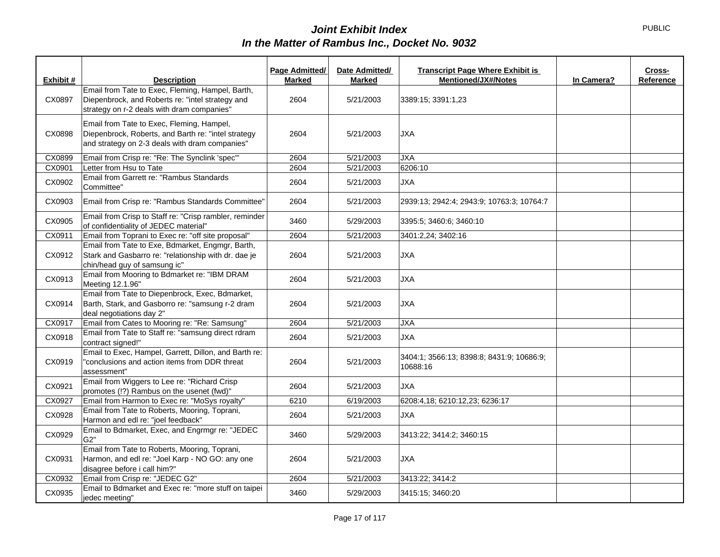|           |                                                                                                                                                    | Page Admitted/ | Date Admitted/ | <b>Transcript Page Where Exhibit is</b>               |            | Cross-    |
|-----------|----------------------------------------------------------------------------------------------------------------------------------------------------|----------------|----------------|-------------------------------------------------------|------------|-----------|
| Exhibit # | <b>Description</b>                                                                                                                                 | <b>Marked</b>  | <b>Marked</b>  | <b>Mentioned/JX#/Notes</b>                            | In Camera? | Reference |
| CX0897    | Email from Tate to Exec, Fleming, Hampel, Barth,<br>Diepenbrock, and Roberts re: "intel strategy and<br>strategy on r-2 deals with dram companies" | 2604           | 5/21/2003      | 3389:15; 3391:1,23                                    |            |           |
| CX0898    | Email from Tate to Exec, Fleming, Hampel,<br>Diepenbrock, Roberts, and Barth re: "intel strategy<br>and strategy on 2-3 deals with dram companies" | 2604           | 5/21/2003      | <b>JXA</b>                                            |            |           |
| CX0899    | Email from Crisp re: "Re: The Synclink 'spec'"                                                                                                     | 2604           | 5/21/2003      | <b>JXA</b>                                            |            |           |
| CX0901    | Letter from Hsu to Tate                                                                                                                            | 2604           | 5/21/2003      | 6206:10                                               |            |           |
| CX0902    | Email from Garrett re: "Rambus Standards<br>Committee"                                                                                             | 2604           | 5/21/2003      | <b>JXA</b>                                            |            |           |
| CX0903    | Email from Crisp re: "Rambus Standards Committee"                                                                                                  | 2604           | 5/21/2003      | 2939:13; 2942:4; 2943:9; 10763:3; 10764:7             |            |           |
| CX0905    | Email from Crisp to Staff re: "Crisp rambler, reminder<br>of confidentiality of JEDEC material"                                                    | 3460           | 5/29/2003      | 3395:5; 3460:6; 3460:10                               |            |           |
| CX0911    | Email from Toprani to Exec re: "off site proposal"                                                                                                 | 2604           | 5/21/2003      | 3401:2,24; 3402:16                                    |            |           |
| CX0912    | Email from Tate to Exe, Bdmarket, Engmgr, Barth,<br>Stark and Gasbarro re: "relationship with dr. dae je<br>chin/head guy of samsung ic"           | 2604           | 5/21/2003      | <b>JXA</b>                                            |            |           |
| CX0913    | Email from Mooring to Bdmarket re: "IBM DRAM<br>Meeting 12.1.96"                                                                                   | 2604           | 5/21/2003      | <b>JXA</b>                                            |            |           |
| CX0914    | Email from Tate to Diepenbrock, Exec, Bdmarket,<br>Barth, Stark, and Gasborro re: "samsung r-2 dram<br>deal negotiations day 2"                    | 2604           | 5/21/2003      | <b>JXA</b>                                            |            |           |
| CX0917    | Email from Cates to Mooring re: "Re: Samsung"                                                                                                      | 2604           | 5/21/2003      | <b>JXA</b>                                            |            |           |
| CX0918    | Email from Tate to Staff re: "samsung direct rdram<br>contract signed!"                                                                            | 2604           | 5/21/2003      | <b>JXA</b>                                            |            |           |
| CX0919    | Email to Exec, Hampel, Garrett, Dillon, and Barth re:<br>"conclusions and action items from DDR threat<br>assessment"                              | 2604           | 5/21/2003      | 3404:1: 3566:13: 8398:8: 8431:9: 10686:9:<br>10688:16 |            |           |
| CX0921    | Email from Wiggers to Lee re: "Richard Crisp<br>promotes (!?) Rambus on the usenet (fwd)"                                                          | 2604           | 5/21/2003      | <b>JXA</b>                                            |            |           |
| CX0927    | Email from Harmon to Exec re: "MoSys royalty"                                                                                                      | 6210           | 6/19/2003      | 6208:4,18; 6210:12,23; 6236:17                        |            |           |
| CX0928    | Email from Tate to Roberts, Mooring, Toprani,<br>Harmon and edl re: "joel feedback"                                                                | 2604           | 5/21/2003      | <b>JXA</b>                                            |            |           |
| CX0929    | Email to Bdmarket, Exec, and Engrmgr re: "JEDEC<br>G2"                                                                                             | 3460           | 5/29/2003      | 3413:22; 3414:2; 3460:15                              |            |           |
| CX0931    | Email from Tate to Roberts, Mooring, Toprani,<br>Harmon, and edl re: "Joel Karp - NO GO: any one<br>disagree before i call him?"                   | 2604           | 5/21/2003      | <b>JXA</b>                                            |            |           |
| CX0932    | Email from Crisp re: "JEDEC G2"                                                                                                                    | 2604           | 5/21/2003      | 3413:22; 3414:2                                       |            |           |
| CX0935    | Email to Bdmarket and Exec re: "more stuff on taipei<br>jedec meeting"                                                                             | 3460           | 5/29/2003      | 3415:15; 3460:20                                      |            |           |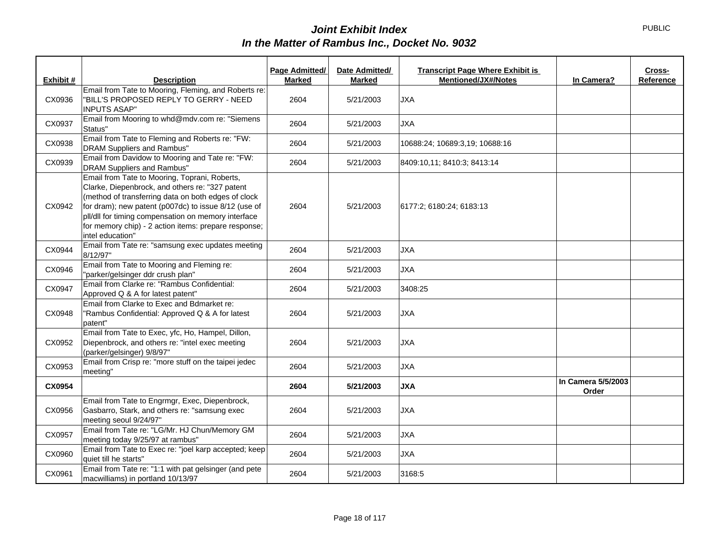|           |                                                                                                                                                                                                                                                                                                                                                    | Page Admitted/ | Date Admitted/ | <b>Transcript Page Where Exhibit is</b> |                             | Cross-    |
|-----------|----------------------------------------------------------------------------------------------------------------------------------------------------------------------------------------------------------------------------------------------------------------------------------------------------------------------------------------------------|----------------|----------------|-----------------------------------------|-----------------------------|-----------|
| Exhibit # | <b>Description</b>                                                                                                                                                                                                                                                                                                                                 | <b>Marked</b>  | <b>Marked</b>  | <b>Mentioned/JX#/Notes</b>              | In Camera?                  | Reference |
| CX0936    | Email from Tate to Mooring, Fleming, and Roberts re:<br>"BILL'S PROPOSED REPLY TO GERRY - NEED<br><b>INPUTS ASAP"</b>                                                                                                                                                                                                                              | 2604           | 5/21/2003      | <b>JXA</b>                              |                             |           |
| CX0937    | Email from Mooring to whd@mdv.com re: "Siemens<br>Status"                                                                                                                                                                                                                                                                                          | 2604           | 5/21/2003      | <b>JXA</b>                              |                             |           |
| CX0938    | Email from Tate to Fleming and Roberts re: "FW:<br><b>DRAM Suppliers and Rambus"</b>                                                                                                                                                                                                                                                               | 2604           | 5/21/2003      | 10688:24; 10689:3,19; 10688:16          |                             |           |
| CX0939    | Email from Davidow to Mooring and Tate re: "FW:<br><b>DRAM Suppliers and Rambus"</b>                                                                                                                                                                                                                                                               | 2604           | 5/21/2003      | 8409:10,11; 8410:3; 8413:14             |                             |           |
| CX0942    | Email from Tate to Mooring, Toprani, Roberts,<br>Clarke, Diepenbrock, and others re: "327 patent<br>(method of transferring data on both edges of clock<br>for dram); new patent (p007dc) to issue 8/12 (use of<br>pll/dll for timing compensation on memory interface<br>for memory chip) - 2 action items: prepare response;<br>intel education" | 2604           | 5/21/2003      | 6177:2; 6180:24; 6183:13                |                             |           |
| CX0944    | Email from Tate re: "samsung exec updates meeting<br>8/12/97"                                                                                                                                                                                                                                                                                      | 2604           | 5/21/2003      | <b>JXA</b>                              |                             |           |
| CX0946    | Email from Tate to Mooring and Fleming re:<br>"parker/gelsinger ddr crush plan"                                                                                                                                                                                                                                                                    | 2604           | 5/21/2003      | <b>JXA</b>                              |                             |           |
| CX0947    | Email from Clarke re: "Rambus Confidential:<br>Approved Q & A for latest patent"                                                                                                                                                                                                                                                                   | 2604           | 5/21/2003      | 3408:25                                 |                             |           |
| CX0948    | Email from Clarke to Exec and Bdmarket re:<br>"Rambus Confidential: Approved Q & A for latest<br>patent"                                                                                                                                                                                                                                           | 2604           | 5/21/2003      | <b>JXA</b>                              |                             |           |
| CX0952    | Email from Tate to Exec, yfc, Ho, Hampel, Dillon,<br>Diepenbrock, and others re: "intel exec meeting<br>(parker/gelsinger) 9/8/97"                                                                                                                                                                                                                 | 2604           | 5/21/2003      | <b>JXA</b>                              |                             |           |
| CX0953    | Email from Crisp re: "more stuff on the taipei jedec<br>meeting"                                                                                                                                                                                                                                                                                   | 2604           | 5/21/2003      | <b>JXA</b>                              |                             |           |
| CX0954    |                                                                                                                                                                                                                                                                                                                                                    | 2604           | 5/21/2003      | <b>JXA</b>                              | In Camera 5/5/2003<br>Order |           |
| CX0956    | Email from Tate to Engrmgr, Exec, Diepenbrock,<br>Gasbarro, Stark, and others re: "samsung exec<br>meeting seoul 9/24/97"                                                                                                                                                                                                                          | 2604           | 5/21/2003      | <b>JXA</b>                              |                             |           |
| CX0957    | Email from Tate re: "LG/Mr. HJ Chun/Memory GM<br>meeting today 9/25/97 at rambus"                                                                                                                                                                                                                                                                  | 2604           | 5/21/2003      | <b>JXA</b>                              |                             |           |
| CX0960    | Email from Tate to Exec re: "joel karp accepted; keep<br>quiet till he starts"                                                                                                                                                                                                                                                                     | 2604           | 5/21/2003      | <b>JXA</b>                              |                             |           |
| CX0961    | Email from Tate re: "1:1 with pat gelsinger (and pete<br>macwilliams) in portland 10/13/97                                                                                                                                                                                                                                                         | 2604           | 5/21/2003      | 3168:5                                  |                             |           |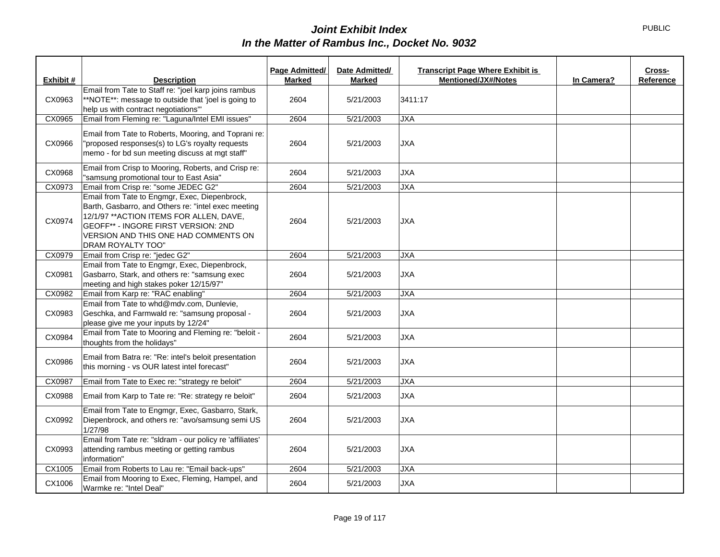|           |                                                                                                                                                                                                                                                      | Page Admitted/ | Date Admitted/ | <b>Transcript Page Where Exhibit is</b> |            | Cross-    |
|-----------|------------------------------------------------------------------------------------------------------------------------------------------------------------------------------------------------------------------------------------------------------|----------------|----------------|-----------------------------------------|------------|-----------|
| Exhibit # | <b>Description</b>                                                                                                                                                                                                                                   | <b>Marked</b>  | <b>Marked</b>  | <b>Mentioned/JX#/Notes</b>              | In Camera? | Reference |
| CX0963    | Email from Tate to Staff re: "joel karp joins rambus<br>**NOTE**: message to outside that 'joel is going to<br>help us with contract negotiations"                                                                                                   | 2604           | 5/21/2003      | 3411:17                                 |            |           |
| CX0965    | Email from Fleming re: "Laguna/Intel EMI issues"                                                                                                                                                                                                     | 2604           | 5/21/2003      | <b>JXA</b>                              |            |           |
| CX0966    | Email from Tate to Roberts, Mooring, and Toprani re:<br>"proposed responses(s) to LG's royalty requests<br>memo - for bd sun meeting discuss at mgt staff"                                                                                           | 2604           | 5/21/2003      | <b>JXA</b>                              |            |           |
| CX0968    | Email from Crisp to Mooring, Roberts, and Crisp re:<br>"samsung promotional tour to East Asia"                                                                                                                                                       | 2604           | 5/21/2003      | <b>JXA</b>                              |            |           |
| CX0973    | Email from Crisp re: "some JEDEC G2"                                                                                                                                                                                                                 | 2604           | 5/21/2003      | <b>JXA</b>                              |            |           |
| CX0974    | Email from Tate to Engmgr, Exec, Diepenbrock,<br>Barth, Gasbarro, and Others re: "intel exec meeting<br>12/1/97 ** ACTION ITEMS FOR ALLEN, DAVE,<br>GEOFF** - INGORE FIRST VERSION: 2ND<br>VERSION AND THIS ONE HAD COMMENTS ON<br>DRAM ROYALTY TOO" | 2604           | 5/21/2003      | <b>JXA</b>                              |            |           |
| CX0979    | Email from Crisp re: "jedec G2"                                                                                                                                                                                                                      | 2604           | 5/21/2003      | <b>JXA</b>                              |            |           |
| CX0981    | Email from Tate to Engmgr, Exec, Diepenbrock,<br>Gasbarro, Stark, and others re: "samsung exec<br>meeting and high stakes poker 12/15/97"                                                                                                            | 2604           | 5/21/2003      | <b>JXA</b>                              |            |           |
| CX0982    | Email from Karp re: "RAC enabling"                                                                                                                                                                                                                   | 2604           | 5/21/2003      | <b>JXA</b>                              |            |           |
| CX0983    | Email from Tate to whd@mdv.com, Dunlevie,<br>Geschka, and Farmwald re: "samsung proposal -<br>please give me your inputs by 12/24"                                                                                                                   | 2604           | 5/21/2003      | <b>JXA</b>                              |            |           |
| CX0984    | Email from Tate to Mooring and Fleming re: "beloit -<br>thoughts from the holidays"                                                                                                                                                                  | 2604           | 5/21/2003      | <b>JXA</b>                              |            |           |
| CX0986    | Email from Batra re: "Re: intel's beloit presentation<br>this morning - vs OUR latest intel forecast"                                                                                                                                                | 2604           | 5/21/2003      | <b>JXA</b>                              |            |           |
| CX0987    | Email from Tate to Exec re: "strategy re beloit"                                                                                                                                                                                                     | 2604           | 5/21/2003      | <b>JXA</b>                              |            |           |
| CX0988    | Email from Karp to Tate re: "Re: strategy re beloit"                                                                                                                                                                                                 | 2604           | 5/21/2003      | <b>JXA</b>                              |            |           |
| CX0992    | Email from Tate to Engmgr, Exec, Gasbarro, Stark,<br>Diepenbrock, and others re: "avo/samsung semi US<br>1/27/98                                                                                                                                     | 2604           | 5/21/2003      | <b>JXA</b>                              |            |           |
| CX0993    | Email from Tate re: "sldram - our policy re 'affiliates'<br>attending rambus meeting or getting rambus<br>information"                                                                                                                               | 2604           | 5/21/2003      | <b>JXA</b>                              |            |           |
| CX1005    | Email from Roberts to Lau re: "Email back-ups"                                                                                                                                                                                                       | 2604           | 5/21/2003      | <b>JXA</b>                              |            |           |
| CX1006    | Email from Mooring to Exec, Fleming, Hampel, and<br>Warmke re: "Intel Deal"                                                                                                                                                                          | 2604           | 5/21/2003      | <b>JXA</b>                              |            |           |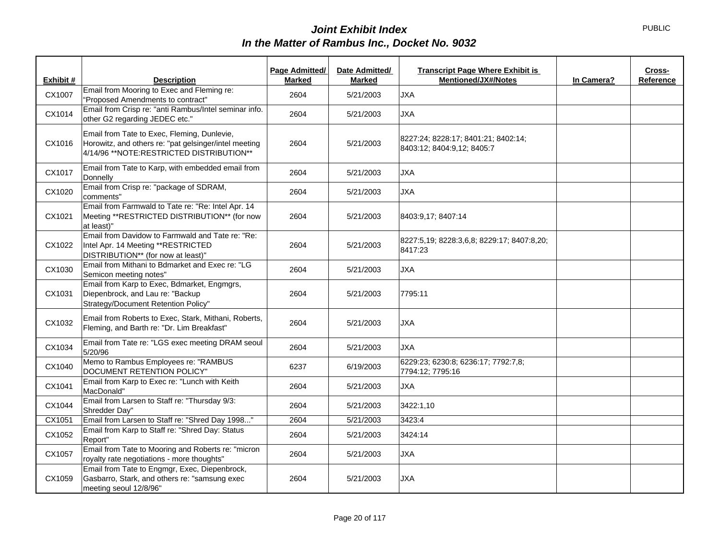|           |                                                                                                                                                    | Page Admitted/ | Date Admitted/ | <b>Transcript Page Where Exhibit is</b>                           |            | Cross-    |
|-----------|----------------------------------------------------------------------------------------------------------------------------------------------------|----------------|----------------|-------------------------------------------------------------------|------------|-----------|
| Exhibit # | <b>Description</b>                                                                                                                                 | <b>Marked</b>  | <b>Marked</b>  | <b>Mentioned/JX#/Notes</b>                                        | In Camera? | Reference |
| CX1007    | Email from Mooring to Exec and Fleming re:<br>"Proposed Amendments to contract"                                                                    | 2604           | 5/21/2003      | <b>JXA</b>                                                        |            |           |
| CX1014    | Email from Crisp re: "anti Rambus/Intel seminar info.<br>other G2 regarding JEDEC etc."                                                            | 2604           | 5/21/2003      | <b>JXA</b>                                                        |            |           |
| CX1016    | Email from Tate to Exec, Fleming, Dunlevie,<br>Horowitz, and others re: "pat gelsinger/intel meeting<br>4/14/96 ** NOTE: RESTRICTED DISTRIBUTION** | 2604           | 5/21/2003      | 8227:24; 8228:17; 8401:21; 8402:14;<br>8403:12; 8404:9,12; 8405:7 |            |           |
| CX1017    | Email from Tate to Karp, with embedded email from<br>Donnelly                                                                                      | 2604           | 5/21/2003      | <b>JXA</b>                                                        |            |           |
| CX1020    | Email from Crisp re: "package of SDRAM,<br>comments"                                                                                               | 2604           | 5/21/2003      | <b>JXA</b>                                                        |            |           |
| CX1021    | Email from Farmwald to Tate re: "Re: Intel Apr. 14<br>Meeting **RESTRICTED DISTRIBUTION** (for now<br>at least)"                                   | 2604           | 5/21/2003      | 8403:9,17; 8407:14                                                |            |           |
| CX1022    | Email from Davidow to Farmwald and Tate re: "Re:<br>Intel Apr. 14 Meeting ** RESTRICTED<br>DISTRIBUTION** (for now at least)"                      | 2604           | 5/21/2003      | 8227:5,19; 8228:3,6,8; 8229:17; 8407:8,20;<br>8417:23             |            |           |
| CX1030    | Email from Mithani to Bdmarket and Exec re: "LG<br>Semicon meeting notes"                                                                          | 2604           | 5/21/2003      | <b>JXA</b>                                                        |            |           |
| CX1031    | Email from Karp to Exec, Bdmarket, Engmgrs,<br>Diepenbrock, and Lau re: "Backup<br>Strategy/Document Retention Policy"                             | 2604           | 5/21/2003      | 7795:11                                                           |            |           |
| CX1032    | Email from Roberts to Exec, Stark, Mithani, Roberts,<br>Fleming, and Barth re: "Dr. Lim Breakfast"                                                 | 2604           | 5/21/2003      | <b>JXA</b>                                                        |            |           |
| CX1034    | Email from Tate re: "LGS exec meeting DRAM seoul<br>5/20/96                                                                                        | 2604           | 5/21/2003      | <b>JXA</b>                                                        |            |           |
| CX1040    | Memo to Rambus Employees re: "RAMBUS<br>DOCUMENT RETENTION POLICY"                                                                                 | 6237           | 6/19/2003      | 6229:23; 6230:8; 6236:17; 7792:7,8;<br>7794:12; 7795:16           |            |           |
| CX1041    | Email from Karp to Exec re: "Lunch with Keith<br>MacDonald"                                                                                        | 2604           | 5/21/2003      | <b>JXA</b>                                                        |            |           |
| CX1044    | Email from Larsen to Staff re: "Thursday 9/3:<br>Shredder Day"                                                                                     | 2604           | 5/21/2003      | 3422:1,10                                                         |            |           |
| CX1051    | Email from Larsen to Staff re: "Shred Day 1998"                                                                                                    | 2604           | 5/21/2003      | 3423:4                                                            |            |           |
| CX1052    | Email from Karp to Staff re: "Shred Day: Status<br>Report"                                                                                         | 2604           | 5/21/2003      | 3424:14                                                           |            |           |
| CX1057    | Email from Tate to Mooring and Roberts re: "micron<br>royalty rate negotiations - more thoughts"                                                   | 2604           | 5/21/2003      | <b>JXA</b>                                                        |            |           |
| CX1059    | Email from Tate to Engmgr, Exec, Diepenbrock,<br>Gasbarro, Stark, and others re: "samsung exec<br>meeting seoul 12/8/96"                           | 2604           | 5/21/2003      | <b>JXA</b>                                                        |            |           |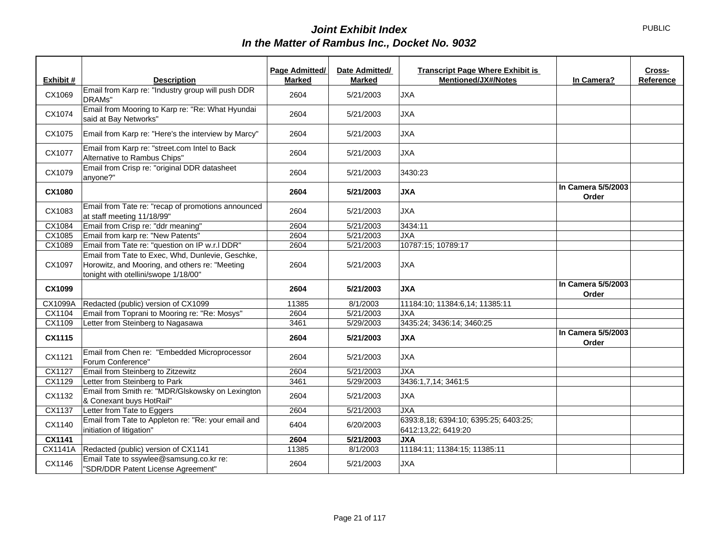|           |                                                                                                                                            | Page Admitted/ | Date Admitted/ | <b>Transcript Page Where Exhibit is</b>                      |                             | Cross-    |
|-----------|--------------------------------------------------------------------------------------------------------------------------------------------|----------------|----------------|--------------------------------------------------------------|-----------------------------|-----------|
| Exhibit # | <b>Description</b>                                                                                                                         | <b>Marked</b>  | <b>Marked</b>  | Mentioned/JX#/Notes                                          | In Camera?                  | Reference |
| CX1069    | Email from Karp re: "Industry group will push DDR<br>DRAMs"                                                                                | 2604           | 5/21/2003      | <b>JXA</b>                                                   |                             |           |
| CX1074    | Email from Mooring to Karp re: "Re: What Hyundai<br>said at Bay Networks"                                                                  | 2604           | 5/21/2003      | <b>JXA</b>                                                   |                             |           |
| CX1075    | Email from Karp re: "Here's the interview by Marcy"                                                                                        | 2604           | 5/21/2003      | <b>JXA</b>                                                   |                             |           |
| CX1077    | Email from Karp re: "street.com Intel to Back<br>Alternative to Rambus Chips"                                                              | 2604           | 5/21/2003      | <b>JXA</b>                                                   |                             |           |
| CX1079    | Email from Crisp re: "original DDR datasheet<br>anyone?"                                                                                   | 2604           | 5/21/2003      | 3430:23                                                      |                             |           |
| CX1080    |                                                                                                                                            | 2604           | 5/21/2003      | <b>JXA</b>                                                   | In Camera 5/5/2003<br>Order |           |
| CX1083    | Email from Tate re: "recap of promotions announced<br>at staff meeting 11/18/99"                                                           | 2604           | 5/21/2003      | <b>JXA</b>                                                   |                             |           |
| CX1084    | Email from Crisp re: "ddr meaning"                                                                                                         | 2604           | 5/21/2003      | 3434:11                                                      |                             |           |
| CX1085    | Email from karp re: "New Patents"                                                                                                          | 2604           | 5/21/2003      | <b>JXA</b>                                                   |                             |           |
| CX1089    | Email from Tate re: "question on IP w.r.I DDR"                                                                                             | 2604           | 5/21/2003      | 10787:15; 10789:17                                           |                             |           |
| CX1097    | Email from Tate to Exec, Whd, Dunlevie, Geschke,<br>Horowitz, and Mooring, and others re: "Meeting<br>tonight with otellini/swope 1/18/00" | 2604           | 5/21/2003      | <b>JXA</b>                                                   |                             |           |
| CX1099    |                                                                                                                                            | 2604           | 5/21/2003      | <b>JXA</b>                                                   | In Camera 5/5/2003<br>Order |           |
| CX1099A   | Redacted (public) version of CX1099                                                                                                        | 11385          | 8/1/2003       | 11184:10; 11384:6,14; 11385:11                               |                             |           |
| CX1104    | Email from Toprani to Mooring re: "Re: Mosys"                                                                                              | 2604           | 5/21/2003      | <b>JXA</b>                                                   |                             |           |
| CX1109    | Letter from Steinberg to Nagasawa                                                                                                          | 3461           | 5/29/2003      | 3435:24; 3436:14; 3460:25                                    |                             |           |
| CX1115    |                                                                                                                                            | 2604           | 5/21/2003      | <b>JXA</b>                                                   | In Camera 5/5/2003<br>Order |           |
| CX1121    | Email from Chen re: "Embedded Microprocessor<br>Forum Conference"                                                                          | 2604           | 5/21/2003      | <b>JXA</b>                                                   |                             |           |
| CX1127    | Email from Steinberg to Zitzewitz                                                                                                          | 2604           | 5/21/2003      | <b>JXA</b>                                                   |                             |           |
| CX1129    | Letter from Steinberg to Park                                                                                                              | 3461           | 5/29/2003      | 3436:1,7,14; 3461:5                                          |                             |           |
| CX1132    | Email from Smith re: "MDR/Glskowsky on Lexington<br>& Conexant buys HotRail"                                                               | 2604           | 5/21/2003      | <b>JXA</b>                                                   |                             |           |
| CX1137    | Letter from Tate to Eggers                                                                                                                 | 2604           | 5/21/2003      | <b>JXA</b>                                                   |                             |           |
| CX1140    | Email from Tate to Appleton re: "Re: your email and<br>initiation of litigation"                                                           | 6404           | 6/20/2003      | 6393:8,18; 6394:10; 6395:25; 6403:25;<br>6412:13,22; 6419:20 |                             |           |
| CX1141    |                                                                                                                                            | 2604           | 5/21/2003      | <b>JXA</b>                                                   |                             |           |
| CX1141A   | Redacted (public) version of CX1141                                                                                                        | 11385          | 8/1/2003       | 11184:11; 11384:15; 11385:11                                 |                             |           |
| CX1146    | Email Tate to ssywlee@samsung.co.kr re:<br>"SDR/DDR Patent License Agreement"                                                              | 2604           | 5/21/2003      | <b>JXA</b>                                                   |                             |           |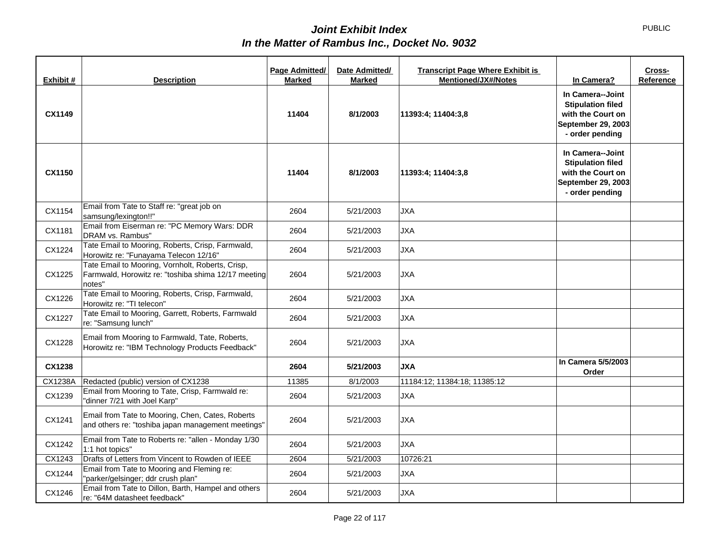| Exhibit # | <b>Description</b>                                                                                                | Page Admitted/<br><b>Marked</b> | Date Admitted/<br><b>Marked</b> | <b>Transcript Page Where Exhibit is</b><br><b>Mentioned/JX#/Notes</b> | In Camera?                                                                                                        | Cross-<br>Reference |
|-----------|-------------------------------------------------------------------------------------------------------------------|---------------------------------|---------------------------------|-----------------------------------------------------------------------|-------------------------------------------------------------------------------------------------------------------|---------------------|
| CX1149    |                                                                                                                   | 11404                           | 8/1/2003                        | 11393:4; 11404:3,8                                                    | In Camera--Joint<br><b>Stipulation filed</b><br>with the Court on<br>September 29, 2003<br>- order pending        |                     |
| CX1150    |                                                                                                                   | 11404                           | 8/1/2003                        | 11393:4; 11404:3,8                                                    | In Camera--Joint<br><b>Stipulation filed</b><br>with the Court on<br><b>September 29, 2003</b><br>- order pending |                     |
| CX1154    | Email from Tate to Staff re: "great job on<br>samsung/lexington!!"                                                | 2604                            | 5/21/2003                       | <b>JXA</b>                                                            |                                                                                                                   |                     |
| CX1181    | Email from Eiserman re: "PC Memory Wars: DDR<br>DRAM vs. Rambus"                                                  | 2604                            | 5/21/2003                       | <b>JXA</b>                                                            |                                                                                                                   |                     |
| CX1224    | Tate Email to Mooring, Roberts, Crisp, Farmwald,<br>Horowitz re: "Funayama Telecon 12/16"                         | 2604                            | 5/21/2003                       | <b>JXA</b>                                                            |                                                                                                                   |                     |
| CX1225    | Tate Email to Mooring, Vornholt, Roberts, Crisp,<br>Farmwald, Horowitz re: "toshiba shima 12/17 meeting<br>notes" | 2604                            | 5/21/2003                       | <b>JXA</b>                                                            |                                                                                                                   |                     |
| CX1226    | Tate Email to Mooring, Roberts, Crisp, Farmwald,<br>Horowitz re: "TI telecon"                                     | 2604                            | 5/21/2003                       | <b>JXA</b>                                                            |                                                                                                                   |                     |
| CX1227    | Tate Email to Mooring, Garrett, Roberts, Farmwald<br>re: "Samsung lunch"                                          | 2604                            | 5/21/2003                       | <b>JXA</b>                                                            |                                                                                                                   |                     |
| CX1228    | Email from Mooring to Farmwald, Tate, Roberts,<br>Horowitz re: "IBM Technology Products Feedback"                 | 2604                            | 5/21/2003                       | <b>JXA</b>                                                            |                                                                                                                   |                     |
| CX1238    |                                                                                                                   | 2604                            | 5/21/2003                       | <b>JXA</b>                                                            | In Camera 5/5/2003<br>Order                                                                                       |                     |
| CX1238A   | Redacted (public) version of CX1238                                                                               | 11385                           | 8/1/2003                        | 11184:12; 11384:18; 11385:12                                          |                                                                                                                   |                     |
| CX1239    | Email from Mooring to Tate, Crisp, Farmwald re:<br>"dinner 7/21 with Joel Karp"                                   | 2604                            | 5/21/2003                       | <b>JXA</b>                                                            |                                                                                                                   |                     |
| CX1241    | Email from Tate to Mooring, Chen, Cates, Roberts<br>and others re: "toshiba japan management meetings"            | 2604                            | 5/21/2003                       | <b>JXA</b>                                                            |                                                                                                                   |                     |
| CX1242    | Email from Tate to Roberts re: "allen - Monday 1/30<br>1:1 hot topics"                                            | 2604                            | 5/21/2003                       | <b>JXA</b>                                                            |                                                                                                                   |                     |
| CX1243    | Drafts of Letters from Vincent to Rowden of IEEE                                                                  | 2604                            | 5/21/2003                       | 10726:21                                                              |                                                                                                                   |                     |
| CX1244    | Email from Tate to Mooring and Fleming re:<br>"parker/gelsinger; ddr crush plan"                                  | 2604                            | 5/21/2003                       | <b>JXA</b>                                                            |                                                                                                                   |                     |
| CX1246    | Email from Tate to Dillon, Barth, Hampel and others<br>re: "64M datasheet feedback"                               | 2604                            | 5/21/2003                       | <b>JXA</b>                                                            |                                                                                                                   |                     |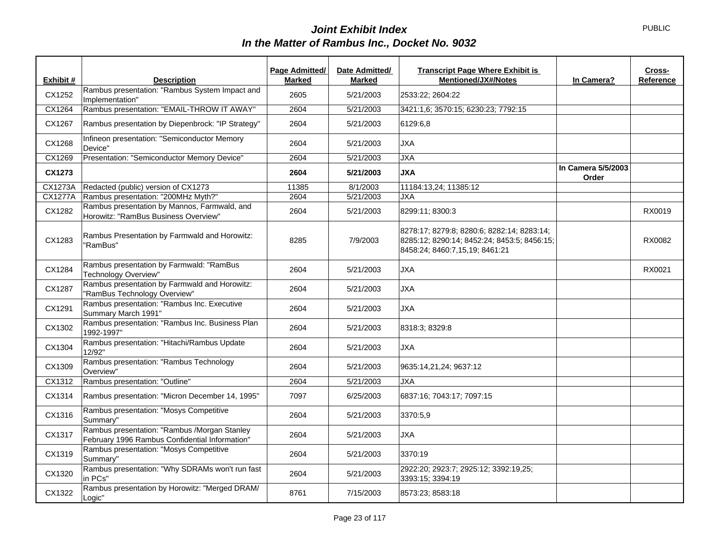|                |                                                                                                | Page Admitted/ | Date Admitted/ | <b>Transcript Page Where Exhibit is</b>                                                                                     |                             | Cross-    |
|----------------|------------------------------------------------------------------------------------------------|----------------|----------------|-----------------------------------------------------------------------------------------------------------------------------|-----------------------------|-----------|
| Exhibit #      | <b>Description</b>                                                                             | <b>Marked</b>  | <b>Marked</b>  | <b>Mentioned/JX#/Notes</b>                                                                                                  | In Camera?                  | Reference |
| CX1252         | Rambus presentation: "Rambus System Impact and<br>Implementation"                              | 2605           | 5/21/2003      | 2533:22: 2604:22                                                                                                            |                             |           |
| CX1264         | Rambus presentation: "EMAIL-THROW IT AWAY"                                                     | 2604           | 5/21/2003      | 3421:1,6; 3570:15; 6230:23; 7792:15                                                                                         |                             |           |
| CX1267         | Rambus presentation by Diepenbrock: "IP Strategy"                                              | 2604           | 5/21/2003      | 6129:6,8                                                                                                                    |                             |           |
| CX1268         | Infineon presentation: "Semiconductor Memory<br>Device"                                        | 2604           | 5/21/2003      | <b>JXA</b>                                                                                                                  |                             |           |
| CX1269         | Presentation: "Semiconductor Memory Device"                                                    | 2604           | 5/21/2003      | <b>JXA</b>                                                                                                                  |                             |           |
| CX1273         |                                                                                                | 2604           | 5/21/2003      | <b>JXA</b>                                                                                                                  | In Camera 5/5/2003<br>Order |           |
| CX1273A        | Redacted (public) version of CX1273                                                            | 11385          | 8/1/2003       | 11184:13,24; 11385:12                                                                                                       |                             |           |
| <b>CX1277A</b> | Rambus presentation: "200MHz Myth?"                                                            | 2604           | 5/21/2003      | <b>JXA</b>                                                                                                                  |                             |           |
| CX1282         | Rambus presentation by Mannos, Farmwald, and<br>Horowitz: "RamBus Business Overview"           | 2604           | 5/21/2003      | 8299:11; 8300:3                                                                                                             |                             | RX0019    |
| CX1283         | Rambus Presentation by Farmwald and Horowitz:<br>'RamBus"                                      | 8285           | 7/9/2003       | 8278:17; 8279:8; 8280:6; 8282:14; 8283:14;<br>8285:12; 8290:14; 8452:24; 8453:5; 8456:15;<br>8458:24; 8460:7,15,19; 8461:21 |                             | RX0082    |
| CX1284         | Rambus presentation by Farmwald: "RamBus<br><b>Technology Overview"</b>                        | 2604           | 5/21/2003      | <b>JXA</b>                                                                                                                  |                             | RX0021    |
| CX1287         | Rambus presentation by Farmwald and Horowitz:<br>"RamBus Technology Overview"                  | 2604           | 5/21/2003      | <b>JXA</b>                                                                                                                  |                             |           |
| CX1291         | Rambus presentation: "Rambus Inc. Executive<br>Summary March 1991"                             | 2604           | 5/21/2003      | <b>JXA</b>                                                                                                                  |                             |           |
| CX1302         | Rambus presentation: "Rambus Inc. Business Plan<br>1992-1997"                                  | 2604           | 5/21/2003      | 8318:3; 8329:8                                                                                                              |                             |           |
| CX1304         | Rambus presentation: "Hitachi/Rambus Update<br>12/92"                                          | 2604           | 5/21/2003      | <b>JXA</b>                                                                                                                  |                             |           |
| CX1309         | Rambus presentation: "Rambus Technology<br>Overview"                                           | 2604           | 5/21/2003      | 9635:14,21,24; 9637:12                                                                                                      |                             |           |
| CX1312         | Rambus presentation: "Outline"                                                                 | 2604           | 5/21/2003      | <b>JXA</b>                                                                                                                  |                             |           |
| CX1314         | Rambus presentation: "Micron December 14, 1995"                                                | 7097           | 6/25/2003      | 6837:16; 7043:17; 7097:15                                                                                                   |                             |           |
| CX1316         | Rambus presentation: "Mosys Competitive<br>Summary"                                            | 2604           | 5/21/2003      | 3370:5,9                                                                                                                    |                             |           |
| CX1317         | Rambus presentation: "Rambus /Morgan Stanley<br>February 1996 Rambus Confidential Information" | 2604           | 5/21/2003      | <b>JXA</b>                                                                                                                  |                             |           |
| CX1319         | Rambus presentation: "Mosys Competitive<br>Summary"                                            | 2604           | 5/21/2003      | 3370:19                                                                                                                     |                             |           |
| CX1320         | Rambus presentation: "Why SDRAMs won't run fast<br>in PCs"                                     | 2604           | 5/21/2003      | 2922:20; 2923:7; 2925:12; 3392:19,25;<br>3393:15; 3394:19                                                                   |                             |           |
| CX1322         | Rambus presentation by Horowitz: "Merged DRAM/<br>Logic"                                       | 8761           | 7/15/2003      | 8573:23; 8583:18                                                                                                            |                             |           |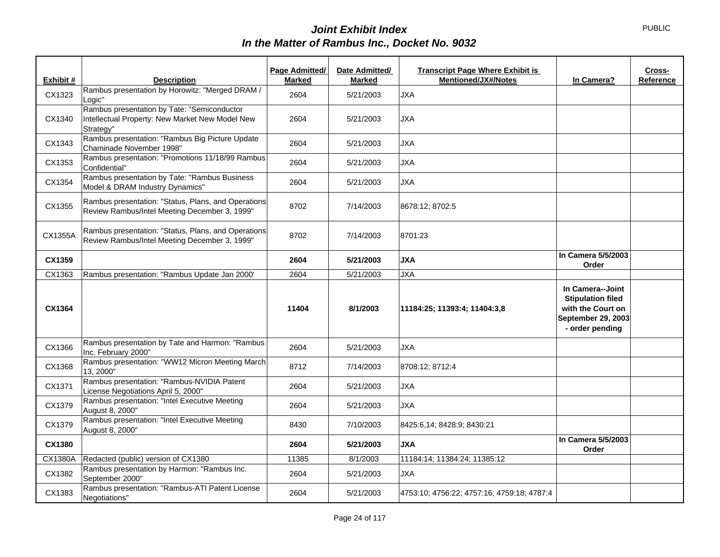|           |                                                                                                             | Page Admitted/ | Date Admitted/ | <b>Transcript Page Where Exhibit is</b>    |                                                                                                            | Cross-    |
|-----------|-------------------------------------------------------------------------------------------------------------|----------------|----------------|--------------------------------------------|------------------------------------------------------------------------------------------------------------|-----------|
| Exhibit # | <b>Description</b>                                                                                          | <b>Marked</b>  | <b>Marked</b>  | <b>Mentioned/JX#/Notes</b>                 | In Camera?                                                                                                 | Reference |
| CX1323    | Rambus presentation by Horowitz: "Merged DRAM /<br>Logic"                                                   | 2604           | 5/21/2003      | <b>JXA</b>                                 |                                                                                                            |           |
| CX1340    | Rambus presentation by Tate: "Semiconductor<br>Intellectual Property: New Market New Model New<br>Strategy" | 2604           | 5/21/2003      | <b>JXA</b>                                 |                                                                                                            |           |
| CX1343    | Rambus presentation: "Rambus Big Picture Update<br>Chaminade November 1998"                                 | 2604           | 5/21/2003      | <b>JXA</b>                                 |                                                                                                            |           |
| CX1353    | Rambus presentation: "Promotions 11/18/99 Rambus<br>Confidential"                                           | 2604           | 5/21/2003      | <b>JXA</b>                                 |                                                                                                            |           |
| CX1354    | Rambus presentation by Tate: "Rambus Business<br>Model & DRAM Industry Dynamics"                            | 2604           | 5/21/2003      | <b>JXA</b>                                 |                                                                                                            |           |
| CX1355    | Rambus presentation: "Status, Plans, and Operations<br>Review Rambus/Intel Meeting December 3, 1999"        | 8702           | 7/14/2003      | 8678:12; 8702:5                            |                                                                                                            |           |
| CX1355A   | Rambus presentation: "Status, Plans, and Operations<br>Review Rambus/Intel Meeting December 3, 1999"        | 8702           | 7/14/2003      | 8701:23                                    |                                                                                                            |           |
| CX1359    |                                                                                                             | 2604           | 5/21/2003      | <b>JXA</b>                                 | In Camera 5/5/2003<br>Order                                                                                |           |
| CX1363    | Rambus presentation: "Rambus Update Jan 2000'                                                               | 2604           | 5/21/2003      | <b>JXA</b>                                 |                                                                                                            |           |
| CX1364    |                                                                                                             | 11404          | 8/1/2003       | 11184:25; 11393:4; 11404:3,8               | In Camera--Joint<br><b>Stipulation filed</b><br>with the Court on<br>September 29, 2003<br>- order pending |           |
| CX1366    | Rambus presentation by Tate and Harmon: "Rambus<br>Inc. February 2000"                                      | 2604           | 5/21/2003      | <b>JXA</b>                                 |                                                                                                            |           |
| CX1368    | Rambus presentation: "WW12 Micron Meeting March<br>13, 2000"                                                | 8712           | 7/14/2003      | 8708:12; 8712:4                            |                                                                                                            |           |
| CX1371    | Rambus presentation: "Rambus-NVIDIA Patent<br>License Negotiations April 5, 2000"                           | 2604           | 5/21/2003      | JXA                                        |                                                                                                            |           |
| CX1379    | Rambus presentation: "Intel Executive Meeting<br>August 8, 2000"                                            | 2604           | 5/21/2003      | <b>JXA</b>                                 |                                                                                                            |           |
| CX1379    | Rambus presentation: "Intel Executive Meeting<br>August 8, 2000"                                            | 8430           | 7/10/2003      | 8425:6,14; 8428:9; 8430:21                 |                                                                                                            |           |
| CX1380    |                                                                                                             | 2604           | 5/21/2003      | <b>JXA</b>                                 | In Camera 5/5/2003<br>Order                                                                                |           |
| CX1380A   | Redacted (public) version of CX1380                                                                         | 11385          | 8/1/2003       | 11184:14; 11384:24; 11385:12               |                                                                                                            |           |
| CX1382    | Rambus presentation by Harmon: "Rambus Inc.<br>September 2000"                                              | 2604           | 5/21/2003      | <b>JXA</b>                                 |                                                                                                            |           |
| CX1383    | Rambus presentation: "Rambus-ATI Patent License<br>Negotiations"                                            | 2604           | 5/21/2003      | 4753:10; 4756:22; 4757:16; 4759:18; 4787:4 |                                                                                                            |           |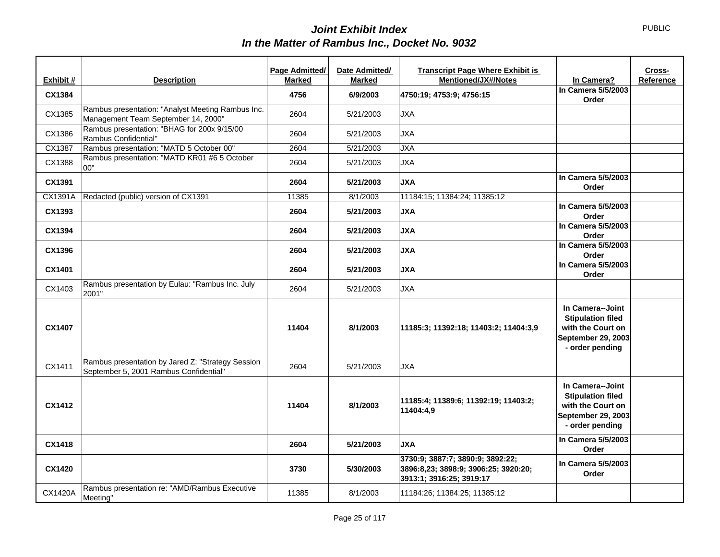|                |                                                                                             | Page Admitted/ | Date Admitted/ | <b>Transcript Page Where Exhibit is</b>                                                              |                                                                                                            | Cross-    |
|----------------|---------------------------------------------------------------------------------------------|----------------|----------------|------------------------------------------------------------------------------------------------------|------------------------------------------------------------------------------------------------------------|-----------|
| Exhibit #      | <b>Description</b>                                                                          | <b>Marked</b>  | <b>Marked</b>  | Mentioned/JX#/Notes                                                                                  | In Camera?                                                                                                 | Reference |
| CX1384         |                                                                                             | 4756           | 6/9/2003       | 4750:19; 4753:9; 4756:15                                                                             | In Camera 5/5/2003<br>Order                                                                                |           |
| CX1385         | Rambus presentation: "Analyst Meeting Rambus Inc.<br>Management Team September 14, 2000"    | 2604           | 5/21/2003      | <b>JXA</b>                                                                                           |                                                                                                            |           |
| CX1386         | Rambus presentation: "BHAG for 200x 9/15/00<br>Rambus Confidential"                         | 2604           | 5/21/2003      | <b>JXA</b>                                                                                           |                                                                                                            |           |
| CX1387         | Rambus presentation: "MATD 5 October 00"                                                    | 2604           | 5/21/2003      | <b>JXA</b>                                                                                           |                                                                                                            |           |
| CX1388         | Rambus presentation: "MATD KR01 #6 5 October<br>00"                                         | 2604           | 5/21/2003      | <b>JXA</b>                                                                                           |                                                                                                            |           |
| CX1391         |                                                                                             | 2604           | 5/21/2003      | <b>JXA</b>                                                                                           | In Camera 5/5/2003<br>Order                                                                                |           |
| CX1391A        | Redacted (public) version of CX1391                                                         | 11385          | 8/1/2003       | 11184:15; 11384:24; 11385:12                                                                         |                                                                                                            |           |
| CX1393         |                                                                                             | 2604           | 5/21/2003      | <b>JXA</b>                                                                                           | In Camera 5/5/2003<br>Order                                                                                |           |
| CX1394         |                                                                                             | 2604           | 5/21/2003      | <b>AXL</b>                                                                                           | In Camera 5/5/2003<br>Order                                                                                |           |
| CX1396         |                                                                                             | 2604           | 5/21/2003      | <b>AXL</b>                                                                                           | In Camera 5/5/2003<br>Order                                                                                |           |
| CX1401         |                                                                                             | 2604           | 5/21/2003      | <b>AXL</b>                                                                                           | In Camera 5/5/2003<br>Order                                                                                |           |
| CX1403         | Rambus presentation by Eulau: "Rambus Inc. July<br>2001"                                    | 2604           | 5/21/2003      | <b>JXA</b>                                                                                           |                                                                                                            |           |
| CX1407         |                                                                                             | 11404          | 8/1/2003       | 11185:3; 11392:18; 11403:2; 11404:3,9                                                                | In Camera--Joint<br><b>Stipulation filed</b><br>with the Court on<br>September 29, 2003<br>- order pending |           |
| CX1411         | Rambus presentation by Jared Z: "Strategy Session<br>September 5, 2001 Rambus Confidential" | 2604           | 5/21/2003      | <b>JXA</b>                                                                                           |                                                                                                            |           |
| CX1412         |                                                                                             | 11404          | 8/1/2003       | 11185:4; 11389:6; 11392:19; 11403:2;<br>11404:4,9                                                    | In Camera--Joint<br><b>Stipulation filed</b><br>with the Court on<br>September 29, 2003<br>- order pending |           |
| CX1418         |                                                                                             | 2604           | 5/21/2003      | <b>JXA</b>                                                                                           | In Camera 5/5/2003<br>Order                                                                                |           |
| <b>CX1420</b>  |                                                                                             | 3730           | 5/30/2003      | 3730:9; 3887:7; 3890:9; 3892:22;<br>3896:8,23; 3898:9; 3906:25; 3920:20;<br>3913:1; 3916:25; 3919:17 | In Camera 5/5/2003<br>Order                                                                                |           |
| <b>CX1420A</b> | Rambus presentation re: "AMD/Rambus Executive<br>Meeting"                                   | 11385          | 8/1/2003       | 11184:26; 11384:25; 11385:12                                                                         |                                                                                                            |           |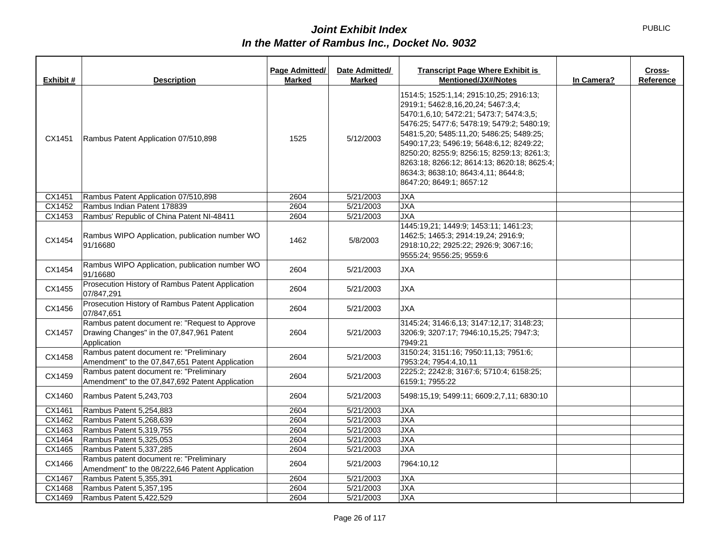| Exhibit # | <b>Description</b>                                                                                         | Page Admitted/<br><b>Marked</b> | Date Admitted/<br><b>Marked</b> | <b>Transcript Page Where Exhibit is</b><br><b>Mentioned/JX#/Notes</b>                                                                                                                                                                                                                                                                                                                                                          | In Camera? | Cross-<br>Reference |
|-----------|------------------------------------------------------------------------------------------------------------|---------------------------------|---------------------------------|--------------------------------------------------------------------------------------------------------------------------------------------------------------------------------------------------------------------------------------------------------------------------------------------------------------------------------------------------------------------------------------------------------------------------------|------------|---------------------|
| CX1451    | Rambus Patent Application 07/510,898                                                                       | 1525                            | 5/12/2003                       | 1514:5; 1525:1,14; 2915:10,25; 2916:13;<br>2919:1; 5462:8,16,20,24; 5467:3,4;<br>5470:1,6,10; 5472:21; 5473:7; 5474:3,5;<br>5476:25; 5477:6; 5478:19; 5479:2; 5480:19;<br>5481:5,20; 5485:11,20; 5486:25; 5489:25;<br>5490:17,23; 5496:19; 5648:6,12; 8249:22;<br>8250:20; 8255:9; 8256:15; 8259:13; 8261:3;<br>8263:18; 8266:12; 8614:13; 8620:18; 8625:4;<br>8634:3; 8638:10; 8643:4,11; 8644:8;<br>8647:20; 8649:1; 8657:12 |            |                     |
| CX1451    | Rambus Patent Application 07/510,898                                                                       | 2604                            | 5/21/2003                       | <b>JXA</b>                                                                                                                                                                                                                                                                                                                                                                                                                     |            |                     |
| CX1452    | Rambus Indian Patent 178839                                                                                | 2604                            | 5/21/2003                       | <b>JXA</b>                                                                                                                                                                                                                                                                                                                                                                                                                     |            |                     |
| CX1453    | Rambus' Republic of China Patent NI-48411                                                                  | 2604                            | 5/21/2003                       | <b>JXA</b>                                                                                                                                                                                                                                                                                                                                                                                                                     |            |                     |
| CX1454    | Rambus WIPO Application, publication number WO<br>91/16680                                                 | 1462                            | 5/8/2003                        | 1445:19,21; 1449:9; 1453:11; 1461:23;<br>1462:5; 1465:3; 2914:19,24; 2916:9;<br>2918:10,22; 2925:22; 2926:9; 3067:16;<br>9555:24; 9556:25; 9559:6                                                                                                                                                                                                                                                                              |            |                     |
| CX1454    | Rambus WIPO Application, publication number WO<br>91/16680                                                 | 2604                            | 5/21/2003                       | <b>JXA</b>                                                                                                                                                                                                                                                                                                                                                                                                                     |            |                     |
| CX1455    | Prosecution History of Rambus Patent Application<br>07/847,291                                             | 2604                            | 5/21/2003                       | <b>JXA</b>                                                                                                                                                                                                                                                                                                                                                                                                                     |            |                     |
| CX1456    | Prosecution History of Rambus Patent Application<br>07/847,651                                             | 2604                            | 5/21/2003                       | <b>JXA</b>                                                                                                                                                                                                                                                                                                                                                                                                                     |            |                     |
| CX1457    | Rambus patent document re: "Request to Approve<br>Drawing Changes" in the 07,847,961 Patent<br>Application | 2604                            | 5/21/2003                       | 3145:24; 3146:6,13; 3147:12,17; 3148:23;<br>3206:9; 3207:17; 7946:10,15,25; 7947:3;<br>7949:21                                                                                                                                                                                                                                                                                                                                 |            |                     |
| CX1458    | Rambus patent document re: "Preliminary<br>Amendment" to the 07,847,651 Patent Application                 | 2604                            | 5/21/2003                       | 3150:24; 3151:16; 7950:11,13; 7951:6;<br>7953:24; 7954:4,10,11                                                                                                                                                                                                                                                                                                                                                                 |            |                     |
| CX1459    | Rambus patent document re: "Preliminary<br>Amendment" to the 07,847,692 Patent Application                 | 2604                            | 5/21/2003                       | 2225:2; 2242:8; 3167:6; 5710:4; 6158:25;<br>6159:1; 7955:22                                                                                                                                                                                                                                                                                                                                                                    |            |                     |
| CX1460    | Rambus Patent 5,243,703                                                                                    | 2604                            | 5/21/2003                       | 5498:15,19; 5499:11; 6609:2,7,11; 6830:10                                                                                                                                                                                                                                                                                                                                                                                      |            |                     |
| CX1461    | Rambus Patent 5,254,883                                                                                    | 2604                            | 5/21/2003                       | <b>JXA</b>                                                                                                                                                                                                                                                                                                                                                                                                                     |            |                     |
| CX1462    | Rambus Patent 5,268,639                                                                                    | 2604                            | 5/21/2003                       | <b>JXA</b>                                                                                                                                                                                                                                                                                                                                                                                                                     |            |                     |
| CX1463    | Rambus Patent 5,319,755                                                                                    | 2604                            | 5/21/2003                       | <b>JXA</b>                                                                                                                                                                                                                                                                                                                                                                                                                     |            |                     |
| CX1464    | Rambus Patent 5,325,053                                                                                    | 2604                            | 5/21/2003                       | <b>JXA</b>                                                                                                                                                                                                                                                                                                                                                                                                                     |            |                     |
| CX1465    | Rambus Patent 5,337,285                                                                                    | 2604                            | 5/21/2003                       | <b>JXA</b>                                                                                                                                                                                                                                                                                                                                                                                                                     |            |                     |
| CX1466    | Rambus patent document re: "Preliminary<br>Amendment" to the 08/222,646 Patent Application                 | 2604                            | 5/21/2003                       | 7964:10.12                                                                                                                                                                                                                                                                                                                                                                                                                     |            |                     |
| CX1467    | Rambus Patent 5,355,391                                                                                    | 2604                            | 5/21/2003                       | <b>JXA</b>                                                                                                                                                                                                                                                                                                                                                                                                                     |            |                     |
| CX1468    | Rambus Patent 5,357,195                                                                                    | 2604                            | 5/21/2003                       | <b>JXA</b>                                                                                                                                                                                                                                                                                                                                                                                                                     |            |                     |
| CX1469    | Rambus Patent 5,422,529                                                                                    | 2604                            | 5/21/2003                       | <b>JXA</b>                                                                                                                                                                                                                                                                                                                                                                                                                     |            |                     |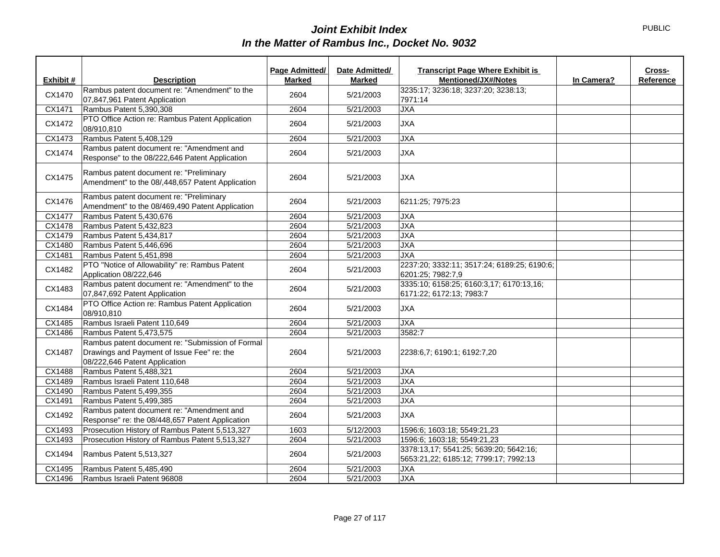|                             |                                                                                                                                 | Page Admitted/ | Date Admitted/ | <b>Transcript Page Where Exhibit is</b>                                         |            | Cross-    |
|-----------------------------|---------------------------------------------------------------------------------------------------------------------------------|----------------|----------------|---------------------------------------------------------------------------------|------------|-----------|
| Exhibit #                   | <b>Description</b>                                                                                                              | <b>Marked</b>  | <b>Marked</b>  | Mentioned/JX#/Notes                                                             | In Camera? | Reference |
| CX1470                      | Rambus patent document re: "Amendment" to the<br>07,847,961 Patent Application                                                  | 2604           | 5/21/2003      | 3235:17; 3236:18; 3237:20; 3238:13;<br>7971:14                                  |            |           |
| CX1471                      | Rambus Patent 5,390,308                                                                                                         | 2604           | 5/21/2003      | JXA                                                                             |            |           |
| CX1472                      | PTO Office Action re: Rambus Patent Application<br>08/910,810                                                                   | 2604           | 5/21/2003      | <b>JXA</b>                                                                      |            |           |
| CX1473                      | Rambus Patent 5,408,129                                                                                                         | 2604           | 5/21/2003      | <b>JXA</b>                                                                      |            |           |
| CX1474                      | Rambus patent document re: "Amendment and<br>Response" to the 08/222,646 Patent Application                                     | 2604           | 5/21/2003      | <b>JXA</b>                                                                      |            |           |
| CX1475                      | Rambus patent document re: "Preliminary<br>Amendment" to the 08/,448,657 Patent Application                                     | 2604           | 5/21/2003      | <b>JXA</b>                                                                      |            |           |
| CX1476                      | Rambus patent document re: "Preliminary<br>Amendment" to the 08/469,490 Patent Application                                      | 2604           | 5/21/2003      | 6211:25; 7975:23                                                                |            |           |
| CX1477                      | Rambus Patent 5,430,676                                                                                                         | 2604           | 5/21/2003      | <b>JXA</b>                                                                      |            |           |
| CX1478                      | Rambus Patent 5,432,823                                                                                                         | 2604           | 5/21/2003      | <b>JXA</b>                                                                      |            |           |
| CX1479                      | Rambus Patent 5,434,817                                                                                                         | 2604           | 5/21/2003      | <b>JXA</b>                                                                      |            |           |
| CX1480                      | Rambus Patent 5,446,696                                                                                                         | 2604           | 5/21/2003      | <b>JXA</b>                                                                      |            |           |
| CX1481                      | Rambus Patent 5,451,898                                                                                                         | 2604           | 5/21/2003      | <b>JXA</b>                                                                      |            |           |
| CX1482                      | PTO "Notice of Allowability" re: Rambus Patent<br>Application 08/222,646                                                        | 2604           | 5/21/2003      | 2237:20; 3332:11; 3517:24; 6189:25; 6190:6;<br>6201:25; 7982:7,9                |            |           |
| CX1483                      | Rambus patent document re: "Amendment" to the<br>07,847,692 Patent Application                                                  | 2604           | 5/21/2003      | 3335:10; 6158:25; 6160:3,17; 6170:13,16;<br>6171:22; 6172:13; 7983:7            |            |           |
| CX1484                      | PTO Office Action re: Rambus Patent Application<br>08/910.810                                                                   | 2604           | 5/21/2003      | <b>JXA</b>                                                                      |            |           |
| CX1485                      | Rambus Israeli Patent 110,649                                                                                                   | 2604           | 5/21/2003      | <b>JXA</b>                                                                      |            |           |
| CX1486                      | Rambus Patent 5,473,575                                                                                                         | 2604           | 5/21/2003      | 3582:7                                                                          |            |           |
| CX1487                      | Rambus patent document re: "Submission of Formal<br>Drawings and Payment of Issue Fee" re: the<br>08/222,646 Patent Application | 2604           | 5/21/2003      | 2238:6,7; 6190:1; 6192:7,20                                                     |            |           |
| CX1488                      | Rambus Patent 5,488,321                                                                                                         | 2604           | 5/21/2003      | <b>JXA</b>                                                                      |            |           |
| CX1489                      | Rambus Israeli Patent 110,648                                                                                                   | 2604           | 5/21/2003      | <b>JXA</b>                                                                      |            |           |
| CX1490                      | Rambus Patent 5,499,355                                                                                                         | 2604           | 5/21/2003      | <b>JXA</b>                                                                      |            |           |
| CX1491                      | Rambus Patent 5,499,385                                                                                                         | 2604           | 5/21/2003      | <b>JXA</b>                                                                      |            |           |
| CX1492                      | Rambus patent document re: "Amendment and<br>Response" re: the 08/448,657 Patent Application                                    | 2604           | 5/21/2003      | <b>JXA</b>                                                                      |            |           |
| $\overline{\text{CX}}$ 1493 | Prosecution History of Rambus Patent 5,513,327                                                                                  | 1603           | 5/12/2003      | 1596:6; 1603:18; 5549:21,23                                                     |            |           |
| CX1493                      | Prosecution History of Rambus Patent 5,513,327                                                                                  | 2604           | 5/21/2003      | 1596:6; 1603:18; 5549:21,23                                                     |            |           |
| CX1494                      | Rambus Patent 5,513,327                                                                                                         | 2604           | 5/21/2003      | 3378:13,17; 5541:25; 5639:20; 5642:16;<br>5653:21,22; 6185:12; 7799:17; 7992:13 |            |           |
| CX1495                      | Rambus Patent 5,485,490                                                                                                         | 2604           | 5/21/2003      | <b>JXA</b>                                                                      |            |           |
| CX1496                      | Rambus Israeli Patent 96808                                                                                                     | 2604           | 5/21/2003      | <b>JXA</b>                                                                      |            |           |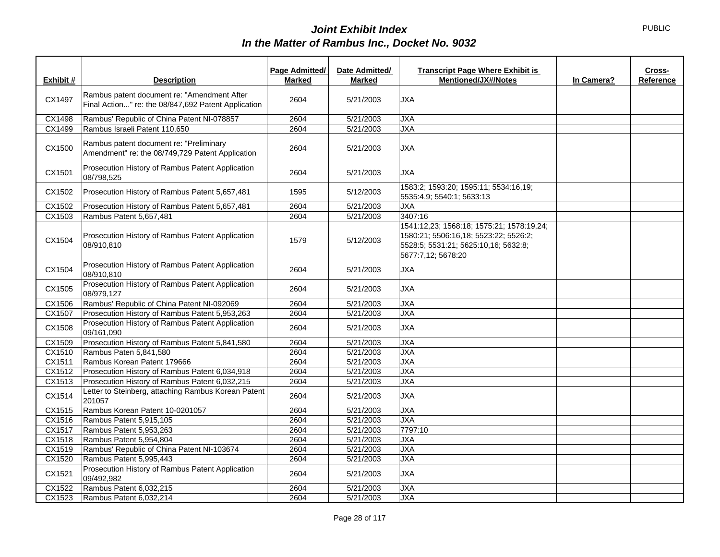|               |                                                                                                    | Page Admitted/ | Date Admitted/ | <b>Transcript Page Where Exhibit is</b>                                                                                                          |            | Cross-    |
|---------------|----------------------------------------------------------------------------------------------------|----------------|----------------|--------------------------------------------------------------------------------------------------------------------------------------------------|------------|-----------|
| Exhibit #     | <b>Description</b>                                                                                 | <b>Marked</b>  | <b>Marked</b>  | <b>Mentioned/JX#/Notes</b>                                                                                                                       | In Camera? | Reference |
| CX1497        | Rambus patent document re: "Amendment After<br>Final Action" re: the 08/847,692 Patent Application | 2604           | 5/21/2003      | <b>JXA</b>                                                                                                                                       |            |           |
| <b>CX1498</b> | Rambus' Republic of China Patent NI-078857                                                         | 2604           | 5/21/2003      | <b>JXA</b>                                                                                                                                       |            |           |
| CX1499        | Rambus Israeli Patent 110.650                                                                      | 2604           | 5/21/2003      | <b>JXA</b>                                                                                                                                       |            |           |
| CX1500        | Rambus patent document re: "Preliminary<br>Amendment" re: the 08/749,729 Patent Application        | 2604           | 5/21/2003      | <b>JXA</b>                                                                                                                                       |            |           |
| CX1501        | Prosecution History of Rambus Patent Application<br>08/798,525                                     | 2604           | 5/21/2003      | <b>JXA</b>                                                                                                                                       |            |           |
| CX1502        | Prosecution History of Rambus Patent 5,657,481                                                     | 1595           | 5/12/2003      | 1583:2; 1593:20; 1595:11; 5534:16,19;<br>5535:4,9; 5540:1; 5633:13                                                                               |            |           |
| CX1502        | Prosecution History of Rambus Patent 5,657,481                                                     | 2604           | 5/21/2003      | <b>JXA</b>                                                                                                                                       |            |           |
| CX1503        | Rambus Patent 5,657,481                                                                            | 2604           | 5/21/2003      | 3407:16                                                                                                                                          |            |           |
| CX1504        | Prosecution History of Rambus Patent Application<br>08/910,810                                     | 1579           | 5/12/2003      | 1541:12,23; 1568:18; 1575:21; 1578:19,24;<br>1580:21; 5506:16,18; 5523:22; 5526:2;<br>5528:5; 5531:21; 5625:10,16; 5632:8;<br>5677:7,12; 5678:20 |            |           |
| CX1504        | Prosecution History of Rambus Patent Application<br>08/910,810                                     | 2604           | 5/21/2003      | <b>JXA</b>                                                                                                                                       |            |           |
| CX1505        | Prosecution History of Rambus Patent Application<br>08/979,127                                     | 2604           | 5/21/2003      | <b>JXA</b>                                                                                                                                       |            |           |
| CX1506        | Rambus' Republic of China Patent NI-092069                                                         | 2604           | 5/21/2003      | <b>JXA</b>                                                                                                                                       |            |           |
| CX1507        | Prosecution History of Rambus Patent 5,953,263                                                     | 2604           | 5/21/2003      | <b>JXA</b>                                                                                                                                       |            |           |
| CX1508        | Prosecution History of Rambus Patent Application<br>09/161,090                                     | 2604           | 5/21/2003      | <b>JXA</b>                                                                                                                                       |            |           |
| CX1509        | Prosecution History of Rambus Patent 5,841,580                                                     | 2604           | 5/21/2003      | <b>JXA</b>                                                                                                                                       |            |           |
| CX1510        | Rambus Paten 5,841,580                                                                             | 2604           | 5/21/2003      | <b>JXA</b>                                                                                                                                       |            |           |
| CX1511        | Rambus Korean Patent 179666                                                                        | 2604           | 5/21/2003      | <b>JXA</b>                                                                                                                                       |            |           |
| CX1512        | Prosecution History of Rambus Patent 6,034,918                                                     | 2604           | 5/21/2003      | <b>JXA</b>                                                                                                                                       |            |           |
| CX1513        | Prosecution History of Rambus Patent 6,032,215                                                     | 2604           | 5/21/2003      | <b>JXA</b>                                                                                                                                       |            |           |
| CX1514        | Letter to Steinberg, attaching Rambus Korean Patent<br>201057                                      | 2604           | 5/21/2003      | <b>JXA</b>                                                                                                                                       |            |           |
| CX1515        | Rambus Korean Patent 10-0201057                                                                    | 2604           | 5/21/2003      | <b>JXA</b>                                                                                                                                       |            |           |
| CX1516        | Rambus Patent 5,915,105                                                                            | 2604           | 5/21/2003      | <b>JXA</b>                                                                                                                                       |            |           |
| CX1517        | Rambus Patent 5,953,263                                                                            | 2604           | 5/21/2003      | 7797:10                                                                                                                                          |            |           |
| CX1518        | Rambus Patent 5,954,804                                                                            | 2604           | 5/21/2003      | <b>JXA</b>                                                                                                                                       |            |           |
| CX1519        | Rambus' Republic of China Patent NI-103674                                                         | 2604           | 5/21/2003      | <b>JXA</b>                                                                                                                                       |            |           |
| CX1520        | Rambus Patent 5,995,443                                                                            | 2604           | 5/21/2003      | <b>JXA</b>                                                                                                                                       |            |           |
| CX1521        | Prosecution History of Rambus Patent Application<br>09/492,982                                     | 2604           | 5/21/2003      | <b>JXA</b>                                                                                                                                       |            |           |
| CX1522        | Rambus Patent 6,032,215                                                                            | 2604           | 5/21/2003      | <b>JXA</b>                                                                                                                                       |            |           |
| CX1523        | Rambus Patent 6,032,214                                                                            | 2604           | 5/21/2003      | <b>JXA</b>                                                                                                                                       |            |           |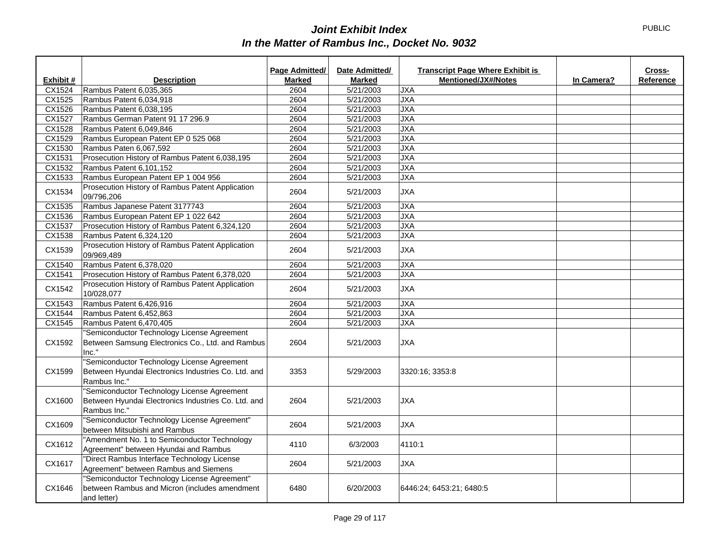|           |                                                                                                                    | Page Admitted/ | Date Admitted/ | <b>Transcript Page Where Exhibit is</b> |            | Cross-    |
|-----------|--------------------------------------------------------------------------------------------------------------------|----------------|----------------|-----------------------------------------|------------|-----------|
| Exhibit # | <b>Description</b>                                                                                                 | <b>Marked</b>  | <b>Marked</b>  | <b>Mentioned/JX#/Notes</b>              | In Camera? | Reference |
| CX1524    | Rambus Patent 6,035,365                                                                                            | 2604           | 5/21/2003      | <b>JXA</b>                              |            |           |
| CX1525    | Rambus Patent 6,034,918                                                                                            | 2604           | 5/21/2003      | <b>JXA</b>                              |            |           |
| CX1526    | Rambus Patent 6,038,195                                                                                            | 2604           | 5/21/2003      | <b>JXA</b>                              |            |           |
| CX1527    | Rambus German Patent 91 17 296.9                                                                                   | 2604           | 5/21/2003      | <b>JXA</b>                              |            |           |
| CX1528    | Rambus Patent 6.049.846                                                                                            | 2604           | 5/21/2003      | <b>JXA</b>                              |            |           |
| CX1529    | Rambus European Patent EP 0 525 068                                                                                | 2604           | 5/21/2003      | <b>JXA</b>                              |            |           |
| CX1530    | Rambus Paten 6,067,592                                                                                             | 2604           | 5/21/2003      | <b>JXA</b>                              |            |           |
| CX1531    | Prosecution History of Rambus Patent 6,038,195                                                                     | 2604           | 5/21/2003      | <b>JXA</b>                              |            |           |
| CX1532    | Rambus Patent 6,101,152                                                                                            | 2604           | 5/21/2003      | <b>JXA</b>                              |            |           |
| CX1533    | Rambus European Patent EP 1 004 956                                                                                | 2604           | 5/21/2003      | <b>JXA</b>                              |            |           |
| CX1534    | Prosecution History of Rambus Patent Application<br>09/796,206                                                     | 2604           | 5/21/2003      | <b>JXA</b>                              |            |           |
| CX1535    | Rambus Japanese Patent 3177743                                                                                     | 2604           | 5/21/2003      | <b>JXA</b>                              |            |           |
| CX1536    | Rambus European Patent EP 1 022 642                                                                                | 2604           | 5/21/2003      | <b>JXA</b>                              |            |           |
| CX1537    | Prosecution History of Rambus Patent 6,324,120                                                                     | 2604           | 5/21/2003      | <b>JXA</b>                              |            |           |
| CX1538    | Rambus Patent 6,324,120                                                                                            | 2604           | 5/21/2003      | <b>JXA</b>                              |            |           |
| CX1539    | Prosecution History of Rambus Patent Application<br>09/969,489                                                     | 2604           | 5/21/2003      | <b>JXA</b>                              |            |           |
| CX1540    | Rambus Patent 6,378,020                                                                                            | 2604           | 5/21/2003      | <b>JXA</b>                              |            |           |
| CX1541    | Prosecution History of Rambus Patent 6,378,020                                                                     | 2604           | 5/21/2003      | <b>JXA</b>                              |            |           |
| CX1542    | Prosecution History of Rambus Patent Application<br>10/028,077                                                     | 2604           | 5/21/2003      | <b>JXA</b>                              |            |           |
| CX1543    | Rambus Patent 6,426,916                                                                                            | 2604           | 5/21/2003      | <b>JXA</b>                              |            |           |
| CX1544    | Rambus Patent 6,452,863                                                                                            | 2604           | 5/21/2003      | <b>JXA</b>                              |            |           |
| CX1545    | Rambus Patent 6,470,405                                                                                            | 2604           | 5/21/2003      | <b>JXA</b>                              |            |           |
| CX1592    | "Semiconductor Technology License Agreement<br>Between Samsung Electronics Co., Ltd. and Rambus<br>Inc."           | 2604           | 5/21/2003      | <b>JXA</b>                              |            |           |
| CX1599    | "Semiconductor Technology License Agreement<br>Between Hyundai Electronics Industries Co. Ltd. and<br>Rambus Inc." | 3353           | 5/29/2003      | 3320:16; 3353:8                         |            |           |
| CX1600    | "Semiconductor Technology License Agreement<br>Between Hyundai Electronics Industries Co. Ltd. and<br>Rambus Inc." | 2604           | 5/21/2003      | <b>JXA</b>                              |            |           |
| CX1609    | "Semiconductor Technology License Agreement"<br>between Mitsubishi and Rambus                                      | 2604           | 5/21/2003      | <b>JXA</b>                              |            |           |
| CX1612    | "Amendment No. 1 to Semiconductor Technology<br>Agreement" between Hyundai and Rambus                              | 4110           | 6/3/2003       | 4110:1                                  |            |           |
| CX1617    | "Direct Rambus Interface Technology License<br>Agreement" between Rambus and Siemens                               | 2604           | 5/21/2003      | <b>JXA</b>                              |            |           |
| CX1646    | "Semiconductor Technology License Agreement"<br>between Rambus and Micron (includes amendment<br>and letter)       | 6480           | 6/20/2003      | 6446:24; 6453:21; 6480:5                |            |           |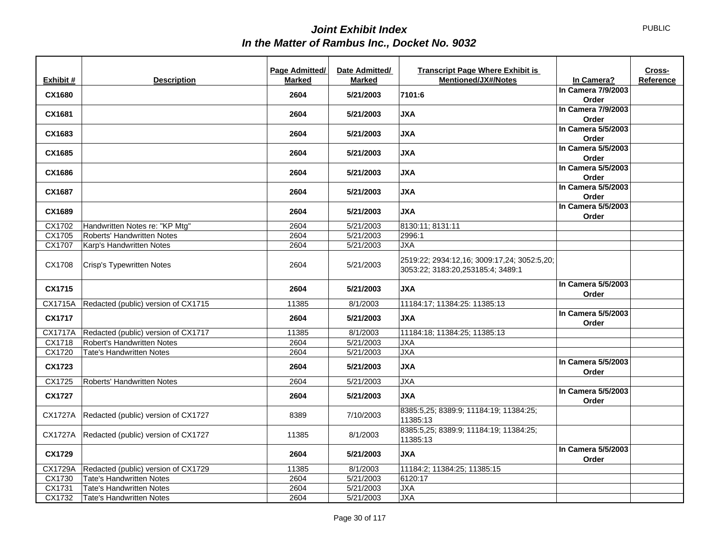|               |                                             | Page Admitted/ | Date Admitted/ | <b>Transcript Page Where Exhibit is</b>            |                             | Cross-    |
|---------------|---------------------------------------------|----------------|----------------|----------------------------------------------------|-----------------------------|-----------|
| Exhibit #     | <b>Description</b>                          | <b>Marked</b>  | <b>Marked</b>  | <b>Mentioned/JX#/Notes</b>                         | In Camera?                  | Reference |
| <b>CX1680</b> |                                             | 2604           | 5/21/2003      | 7101:6                                             | In Camera 7/9/2003          |           |
|               |                                             |                |                |                                                    | Order                       |           |
| CX1681        |                                             | 2604           | 5/21/2003      | <b>JXA</b>                                         | In Camera 7/9/2003          |           |
|               |                                             |                |                |                                                    | Order                       |           |
| CX1683        |                                             | 2604           | 5/21/2003      | <b>JXA</b>                                         | In Camera 5/5/2003          |           |
|               |                                             |                |                |                                                    | Order                       |           |
| CX1685        |                                             | 2604           | 5/21/2003      | <b>AXL</b>                                         | In Camera 5/5/2003          |           |
|               |                                             |                |                |                                                    | Order<br>In Camera 5/5/2003 |           |
| CX1686        |                                             | 2604           | 5/21/2003      | <b>JXA</b>                                         | Order                       |           |
|               |                                             |                |                |                                                    | In Camera 5/5/2003          |           |
| CX1687        |                                             | 2604           | 5/21/2003      | <b>JXA</b>                                         | Order                       |           |
|               |                                             |                |                |                                                    | In Camera 5/5/2003          |           |
| CX1689        |                                             | 2604           | 5/21/2003      | <b>JXA</b>                                         | Order                       |           |
| CX1702        | Handwritten Notes re: "KP Mtg"              | 2604           | 5/21/2003      | 8130:11; 8131:11                                   |                             |           |
| CX1705        | <b>Roberts' Handwritten Notes</b>           | 2604           | 5/21/2003      | 2996:1                                             |                             |           |
| CX1707        | Karp's Handwritten Notes                    | 2604           | 5/21/2003      | <b>JXA</b>                                         |                             |           |
|               |                                             |                |                |                                                    |                             |           |
| CX1708        | Crisp's Typewritten Notes                   | 2604           | 5/21/2003      | 2519:22; 2934:12,16; 3009:17,24; 3052:5,20;        |                             |           |
|               |                                             |                |                | 3053:22; 3183:20,253185:4; 3489:1                  |                             |           |
| CX1715        |                                             | 2604           | 5/21/2003      | <b>JXA</b>                                         | In Camera 5/5/2003<br>Order |           |
| CX1715A       | Redacted (public) version of CX1715         | 11385          | 8/1/2003       | 11184:17; 11384:25: 11385:13                       |                             |           |
| <b>CX1717</b> |                                             | 2604           | 5/21/2003      | <b>JXA</b>                                         | In Camera 5/5/2003<br>Order |           |
|               | CX1717A Redacted (public) version of CX1717 | 11385          | 8/1/2003       | 11184:18; 11384:25; 11385:13                       |                             |           |
| CX1718        | Robert's Handwritten Notes                  | 2604           | 5/21/2003      | <b>JXA</b>                                         |                             |           |
| CX1720        | <b>Tate's Handwritten Notes</b>             | 2604           | 5/21/2003      | <b>JXA</b>                                         |                             |           |
| CX1723        |                                             | 2604           | 5/21/2003      | <b>JXA</b>                                         | In Camera 5/5/2003<br>Order |           |
| CX1725        | Roberts' Handwritten Notes                  | 2604           | 5/21/2003      | <b>JXA</b>                                         |                             |           |
| <b>CX1727</b> |                                             | 2604           | 5/21/2003      | <b>JXA</b>                                         | In Camera 5/5/2003<br>Order |           |
| CX1727A       | Redacted (public) version of CX1727         | 8389           | 7/10/2003      | 8385:5,25; 8389:9; 11184:19; 11384:25;<br>11385:13 |                             |           |
|               | CX1727A Redacted (public) version of CX1727 | 11385          | 8/1/2003       | 8385:5,25; 8389:9; 11184:19; 11384:25;<br>11385:13 |                             |           |
| CX1729        |                                             | 2604           | 5/21/2003      | <b>JXA</b>                                         | In Camera 5/5/2003<br>Order |           |
|               | CX1729A Redacted (public) version of CX1729 | 11385          | 8/1/2003       | 11184:2; 11384:25; 11385:15                        |                             |           |
| CX1730        | Tate's Handwritten Notes                    | 2604           | 5/21/2003      | 6120:17                                            |                             |           |
| CX1731        | <b>Tate's Handwritten Notes</b>             | 2604           | 5/21/2003      | <b>JXA</b>                                         |                             |           |
| CX1732        | Tate's Handwritten Notes                    | 2604           | 5/21/2003      | <b>JXA</b>                                         |                             |           |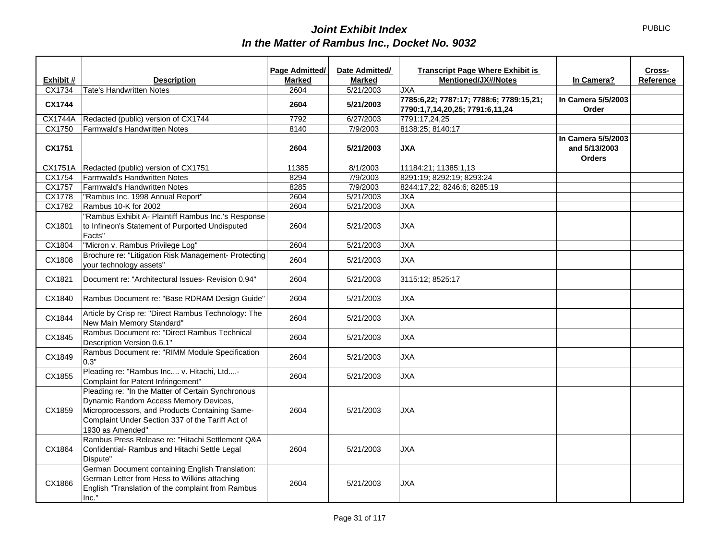|               |                                                                                                                                                                                                                       | <b>Page Admitted/</b> | Date Admitted/ | <b>Transcript Page Where Exhibit is</b>                                    |                                                      | Cross-    |
|---------------|-----------------------------------------------------------------------------------------------------------------------------------------------------------------------------------------------------------------------|-----------------------|----------------|----------------------------------------------------------------------------|------------------------------------------------------|-----------|
| Exhibit #     | <b>Description</b>                                                                                                                                                                                                    | <b>Marked</b>         | <b>Marked</b>  | Mentioned/JX#/Notes                                                        | In Camera?                                           | Reference |
| CX1734        | <b>Tate's Handwritten Notes</b>                                                                                                                                                                                       | 2604                  | 5/21/2003      | <b>JXA</b>                                                                 |                                                      |           |
| <b>CX1744</b> |                                                                                                                                                                                                                       | 2604                  | 5/21/2003      | 7785:6,22; 7787:17; 7788:6; 7789:15,21;<br>7790:1,7,14,20,25; 7791:6,11,24 | In Camera 5/5/2003<br>Order                          |           |
| CX1744A       | Redacted (public) version of CX1744                                                                                                                                                                                   | 7792                  | 6/27/2003      | 7791:17,24,25                                                              |                                                      |           |
| CX1750        | Farmwald's Handwritten Notes                                                                                                                                                                                          | 8140                  | 7/9/2003       | 8138:25; 8140:17                                                           |                                                      |           |
| CX1751        |                                                                                                                                                                                                                       | 2604                  | 5/21/2003      | <b>JXA</b>                                                                 | In Camera 5/5/2003<br>and 5/13/2003<br><b>Orders</b> |           |
| CX1751A       | Redacted (public) version of CX1751                                                                                                                                                                                   | 11385                 | 8/1/2003       | 11184:21; 11385:1,13                                                       |                                                      |           |
| CX1754        | Farmwald's Handwritten Notes                                                                                                                                                                                          | 8294                  | 7/9/2003       | 8291:19; 8292:19; 8293:24                                                  |                                                      |           |
| CX1757        | Farmwald's Handwritten Notes                                                                                                                                                                                          | 8285                  | 7/9/2003       | 8244:17,22; 8246:6; 8285:19                                                |                                                      |           |
| <b>CX1778</b> | "Rambus Inc. 1998 Annual Report"                                                                                                                                                                                      | 2604                  | 5/21/2003      | <b>JXA</b>                                                                 |                                                      |           |
| CX1782        | Rambus 10-K for 2002                                                                                                                                                                                                  | 2604                  | 5/21/2003      | <b>JXA</b>                                                                 |                                                      |           |
| CX1801        | "Rambus Exhibit A- Plaintiff Rambus Inc.'s Response<br>to Infineon's Statement of Purported Undisputed<br>Facts"                                                                                                      | 2604                  | 5/21/2003      | <b>JXA</b>                                                                 |                                                      |           |
| CX1804        | "Micron v. Rambus Privilege Log"                                                                                                                                                                                      | 2604                  | 5/21/2003      | <b>JXA</b>                                                                 |                                                      |           |
| CX1808        | Brochure re: "Litigation Risk Management- Protecting<br>your technology assets"                                                                                                                                       | 2604                  | 5/21/2003      | <b>JXA</b>                                                                 |                                                      |           |
| CX1821        | Document re: "Architectural Issues- Revision 0.94"                                                                                                                                                                    | 2604                  | 5/21/2003      | 3115:12; 8525:17                                                           |                                                      |           |
| CX1840        | Rambus Document re: "Base RDRAM Design Guide"                                                                                                                                                                         | 2604                  | 5/21/2003      | <b>JXA</b>                                                                 |                                                      |           |
| CX1844        | Article by Crisp re: "Direct Rambus Technology: The<br>New Main Memory Standard"                                                                                                                                      | 2604                  | 5/21/2003      | <b>JXA</b>                                                                 |                                                      |           |
| CX1845        | Rambus Document re: "Direct Rambus Technical<br>Description Version 0.6.1"                                                                                                                                            | 2604                  | 5/21/2003      | <b>JXA</b>                                                                 |                                                      |           |
| CX1849        | Rambus Document re: "RIMM Module Specification<br>0.3"                                                                                                                                                                | 2604                  | 5/21/2003      | <b>JXA</b>                                                                 |                                                      |           |
| CX1855        | Pleading re: "Rambus Inc v. Hitachi, Ltd-<br>Complaint for Patent Infringement"                                                                                                                                       | 2604                  | 5/21/2003      | <b>JXA</b>                                                                 |                                                      |           |
| CX1859        | Pleading re: "In the Matter of Certain Synchronous<br>Dynamic Random Access Memory Devices,<br>Microprocessors, and Products Containing Same-<br>Complaint Under Section 337 of the Tariff Act of<br>1930 as Amended" | 2604                  | 5/21/2003      | <b>JXA</b>                                                                 |                                                      |           |
| CX1864        | Rambus Press Release re: "Hitachi Settlement Q&A<br>Confidential- Rambus and Hitachi Settle Legal<br>Dispute"                                                                                                         | 2604                  | 5/21/2003      | <b>JXA</b>                                                                 |                                                      |           |
| CX1866        | German Document containing English Translation:<br>German Letter from Hess to Wilkins attaching<br>English "Translation of the complaint from Rambus<br>Inc."                                                         | 2604                  | 5/21/2003      | <b>JXA</b>                                                                 |                                                      |           |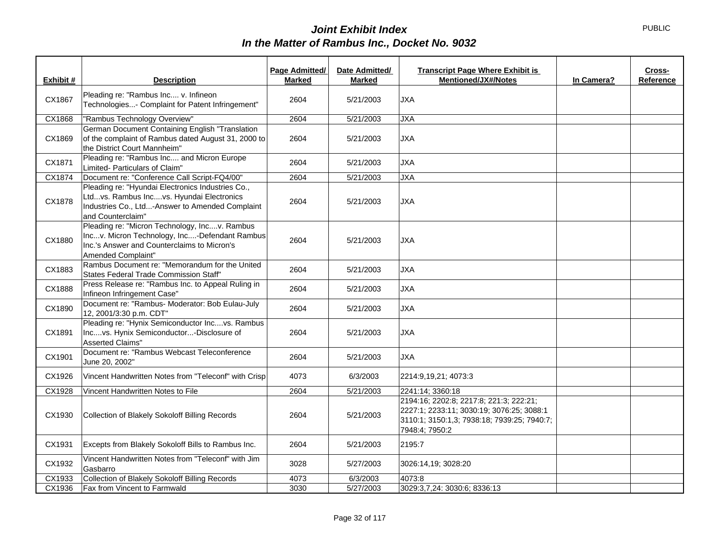| Exhibit # | <b>Description</b>                                                                                                                                                    | Page Admitted/<br><b>Marked</b> | Date Admitted/<br><b>Marked</b> | <b>Transcript Page Where Exhibit is</b><br><b>Mentioned/JX#/Notes</b>                                                                                 | In Camera? | Cross-<br>Reference |
|-----------|-----------------------------------------------------------------------------------------------------------------------------------------------------------------------|---------------------------------|---------------------------------|-------------------------------------------------------------------------------------------------------------------------------------------------------|------------|---------------------|
| CX1867    | Pleading re: "Rambus Inc v. Infineon<br>Technologies- Complaint for Patent Infringement"                                                                              | 2604                            | 5/21/2003                       | <b>JXA</b>                                                                                                                                            |            |                     |
| CX1868    | "Rambus Technology Overview"                                                                                                                                          | 2604                            | 5/21/2003                       | <b>JXA</b>                                                                                                                                            |            |                     |
| CX1869    | German Document Containing English "Translation<br>of the complaint of Rambus dated August 31, 2000 to<br>the District Court Mannheim"                                | 2604                            | 5/21/2003                       | <b>JXA</b>                                                                                                                                            |            |                     |
| CX1871    | Pleading re: "Rambus Inc and Micron Europe<br>Limited- Particulars of Claim"                                                                                          | 2604                            | 5/21/2003                       | <b>JXA</b>                                                                                                                                            |            |                     |
| CX1874    | Document re: "Conference Call Script-FQ4/00"                                                                                                                          | 2604                            | 5/21/2003                       | <b>JXA</b>                                                                                                                                            |            |                     |
| CX1878    | Pleading re: "Hyundai Electronics Industries Co.,<br>Ltdvs. Rambus Incvs. Hyundai Electronics<br>Industries Co., Ltd-Answer to Amended Complaint<br>and Counterclaim" | 2604                            | 5/21/2003                       | <b>JXA</b>                                                                                                                                            |            |                     |
| CX1880    | Pleading re: "Micron Technology, Incv. Rambus<br>Incv. Micron Technology, Inc-Defendant Rambus<br>Inc.'s Answer and Counterclaims to Micron's<br>Amended Complaint"   | 2604                            | 5/21/2003                       | <b>JXA</b>                                                                                                                                            |            |                     |
| CX1883    | Rambus Document re: "Memorandum for the United<br>States Federal Trade Commission Staff"                                                                              | 2604                            | 5/21/2003                       | <b>JXA</b>                                                                                                                                            |            |                     |
| CX1888    | Press Release re: "Rambus Inc. to Appeal Ruling in<br>Infineon Infringement Case"                                                                                     | 2604                            | 5/21/2003                       | <b>JXA</b>                                                                                                                                            |            |                     |
| CX1890    | Document re: "Rambus- Moderator: Bob Eulau-July<br>12, 2001/3:30 p.m. CDT"                                                                                            | 2604                            | 5/21/2003                       | <b>JXA</b>                                                                                                                                            |            |                     |
| CX1891    | Pleading re: "Hynix Semiconductor Incvs. Rambus<br>Incvs. Hynix Semiconductor-Disclosure of<br><b>Asserted Claims"</b>                                                | 2604                            | 5/21/2003                       | <b>JXA</b>                                                                                                                                            |            |                     |
| CX1901    | Document re: "Rambus Webcast Teleconference<br>June 20, 2002"                                                                                                         | 2604                            | 5/21/2003                       | JXA                                                                                                                                                   |            |                     |
| CX1926    | Vincent Handwritten Notes from "Teleconf" with Crisp                                                                                                                  | 4073                            | 6/3/2003                        | 2214:9,19,21; 4073:3                                                                                                                                  |            |                     |
| CX1928    | Vincent Handwritten Notes to File                                                                                                                                     | 2604                            | 5/21/2003                       | 2241:14; 3360:18                                                                                                                                      |            |                     |
| CX1930    | Collection of Blakely Sokoloff Billing Records                                                                                                                        | 2604                            | 5/21/2003                       | 2194:16; 2202:8; 2217:8; 221:3; 222:21;<br>2227:1; 2233:11; 3030:19; 3076:25; 3088:1<br>3110:1; 3150:1,3; 7938:18; 7939:25; 7940:7;<br>7948:4; 7950:2 |            |                     |
| CX1931    | Excepts from Blakely Sokoloff Bills to Rambus Inc.                                                                                                                    | 2604                            | 5/21/2003                       | 2195:7                                                                                                                                                |            |                     |
| CX1932    | Vincent Handwritten Notes from "Teleconf" with Jim<br>Gasbarro                                                                                                        | 3028                            | 5/27/2003                       | 3026:14,19; 3028:20                                                                                                                                   |            |                     |
| CX1933    | Collection of Blakely Sokoloff Billing Records                                                                                                                        | 4073                            | 6/3/2003                        | 4073:8                                                                                                                                                |            |                     |
| CX1936    | Fax from Vincent to Farmwald                                                                                                                                          | 3030                            | 5/27/2003                       | 3029:3,7,24: 3030:6; 8336:13                                                                                                                          |            |                     |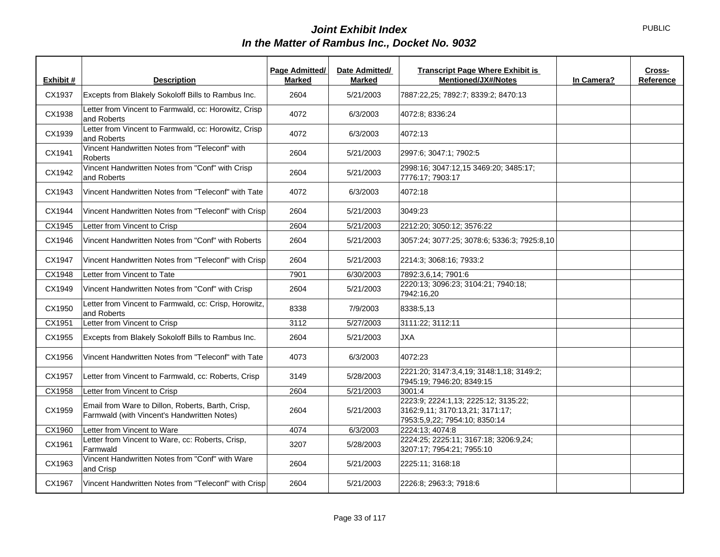| Exhibit # | <b>Description</b>                                                                               | <b>Page Admitted/</b><br><b>Marked</b> | Date Admitted/<br><b>Marked</b> | <b>Transcript Page Where Exhibit is</b><br><b>Mentioned/JX#/Notes</b>                                    | In Camera? | Cross-<br>Reference |
|-----------|--------------------------------------------------------------------------------------------------|----------------------------------------|---------------------------------|----------------------------------------------------------------------------------------------------------|------------|---------------------|
| CX1937    | Excepts from Blakely Sokoloff Bills to Rambus Inc.                                               | 2604                                   | 5/21/2003                       | 7887:22,25; 7892:7; 8339:2; 8470:13                                                                      |            |                     |
| CX1938    | Letter from Vincent to Farmwald, cc: Horowitz, Crisp<br>and Roberts                              | 4072                                   | 6/3/2003                        | 4072:8; 8336:24                                                                                          |            |                     |
| CX1939    | Letter from Vincent to Farmwald, cc: Horowitz, Crisp<br>and Roberts                              | 4072                                   | 6/3/2003                        | 4072:13                                                                                                  |            |                     |
| CX1941    | Vincent Handwritten Notes from "Teleconf" with<br>Roberts                                        | 2604                                   | 5/21/2003                       | 2997:6; 3047:1; 7902:5                                                                                   |            |                     |
| CX1942    | Vincent Handwritten Notes from "Conf" with Crisp<br>and Roberts                                  | 2604                                   | 5/21/2003                       | 2998:16; 3047:12,15 3469:20; 3485:17;<br>7776:17: 7903:17                                                |            |                     |
| CX1943    | Vincent Handwritten Notes from "Teleconf" with Tate                                              | 4072                                   | 6/3/2003                        | 4072:18                                                                                                  |            |                     |
| CX1944    | Vincent Handwritten Notes from "Teleconf" with Crisp                                             | 2604                                   | 5/21/2003                       | 3049:23                                                                                                  |            |                     |
| CX1945    | Letter from Vincent to Crisp                                                                     | 2604                                   | 5/21/2003                       | 2212:20; 3050:12; 3576:22                                                                                |            |                     |
| CX1946    | Vincent Handwritten Notes from "Conf" with Roberts                                               | 2604                                   | 5/21/2003                       | 3057:24; 3077:25; 3078:6; 5336:3; 7925:8,10                                                              |            |                     |
| CX1947    | Vincent Handwritten Notes from "Teleconf" with Crisp                                             | 2604                                   | 5/21/2003                       | 2214:3; 3068:16; 7933:2                                                                                  |            |                     |
| CX1948    | Letter from Vincent to Tate                                                                      | 7901                                   | 6/30/2003                       | 7892:3,6,14; 7901:6                                                                                      |            |                     |
| CX1949    | Vincent Handwritten Notes from "Conf" with Crisp                                                 | 2604                                   | 5/21/2003                       | 2220:13; 3096:23; 3104:21; 7940:18;<br>7942:16,20                                                        |            |                     |
| CX1950    | Letter from Vincent to Farmwald, cc: Crisp, Horowitz,<br>and Roberts                             | 8338                                   | 7/9/2003                        | 8338:5,13                                                                                                |            |                     |
| CX1951    | Letter from Vincent to Crisp                                                                     | 3112                                   | 5/27/2003                       | 3111:22; 3112:11                                                                                         |            |                     |
| CX1955    | Excepts from Blakely Sokoloff Bills to Rambus Inc.                                               | 2604                                   | 5/21/2003                       | <b>JXA</b>                                                                                               |            |                     |
| CX1956    | Vincent Handwritten Notes from "Teleconf" with Tate                                              | 4073                                   | 6/3/2003                        | 4072:23                                                                                                  |            |                     |
| CX1957    | Letter from Vincent to Farmwald, cc: Roberts, Crisp                                              | 3149                                   | 5/28/2003                       | 2221:20; 3147:3,4,19; 3148:1,18; 3149:2;<br>7945:19: 7946:20: 8349:15                                    |            |                     |
| CX1958    | Letter from Vincent to Crisp                                                                     | 2604                                   | 5/21/2003                       | 3001:4                                                                                                   |            |                     |
| CX1959    | Email from Ware to Dillon, Roberts, Barth, Crisp,<br>Farmwald (with Vincent's Handwritten Notes) | 2604                                   | 5/21/2003                       | 2223:9; 2224:1,13; 2225:12; 3135:22;<br>3162:9,11; 3170:13,21; 3171:17;<br>7953:5,9,22; 7954:10; 8350:14 |            |                     |
| CX1960    | Letter from Vincent to Ware                                                                      | 4074                                   | 6/3/2003                        | 2224:13; 4074:8                                                                                          |            |                     |
| CX1961    | Letter from Vincent to Ware, cc: Roberts, Crisp,<br>Farmwald                                     | 3207                                   | 5/28/2003                       | 2224:25; 2225:11; 3167:18; 3206:9,24;<br>3207:17; 7954:21; 7955:10                                       |            |                     |
| CX1963    | Vincent Handwritten Notes from "Conf" with Ware<br>and Crisp                                     | 2604                                   | 5/21/2003                       | 2225:11; 3168:18                                                                                         |            |                     |
| CX1967    | Vincent Handwritten Notes from "Teleconf" with Crisp                                             | 2604                                   | 5/21/2003                       | 2226:8; 2963:3; 7918:6                                                                                   |            |                     |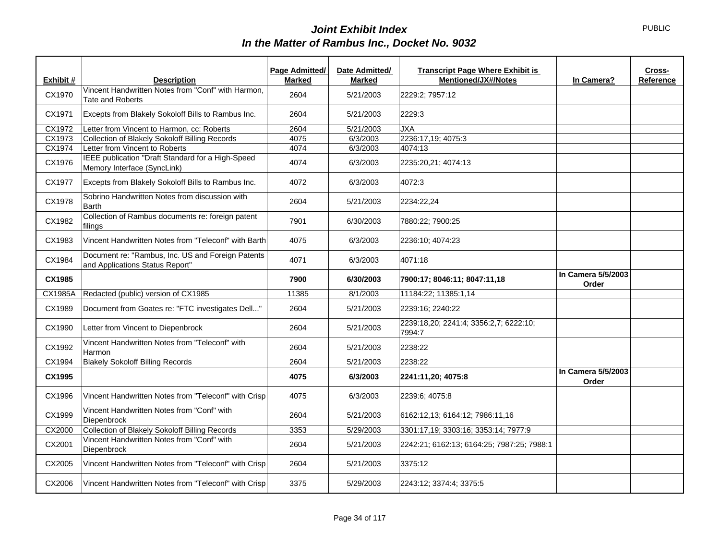| Exhibit # | <b>Description</b>                                                                   | Page Admitted/<br><b>Marked</b> | Date Admitted/<br>Marked | <b>Transcript Page Where Exhibit is</b><br>Mentioned/JX#/Notes | In Camera?                  | Cross-<br>Reference |
|-----------|--------------------------------------------------------------------------------------|---------------------------------|--------------------------|----------------------------------------------------------------|-----------------------------|---------------------|
| CX1970    | Vincent Handwritten Notes from "Conf" with Harmon,<br><b>Tate and Roberts</b>        | 2604                            | 5/21/2003                | 2229:2; 7957:12                                                |                             |                     |
| CX1971    | Excepts from Blakely Sokoloff Bills to Rambus Inc.                                   | 2604                            | 5/21/2003                | 2229:3                                                         |                             |                     |
| CX1972    | Letter from Vincent to Harmon, cc: Roberts                                           | 2604                            | 5/21/2003                | <b>JXA</b>                                                     |                             |                     |
| CX1973    | Collection of Blakely Sokoloff Billing Records                                       | 4075                            | 6/3/2003                 | 2236:17,19; 4075:3                                             |                             |                     |
| CX1974    | Letter from Vincent to Roberts                                                       | 4074                            | 6/3/2003                 | 4074:13                                                        |                             |                     |
| CX1976    | IEEE publication "Draft Standard for a High-Speed<br>Memory Interface (SyncLink)     | 4074                            | 6/3/2003                 | 2235:20,21; 4074:13                                            |                             |                     |
| CX1977    | Excepts from Blakely Sokoloff Bills to Rambus Inc.                                   | 4072                            | 6/3/2003                 | 4072:3                                                         |                             |                     |
| CX1978    | Sobrino Handwritten Notes from discussion with<br><b>Barth</b>                       | 2604                            | 5/21/2003                | 2234:22,24                                                     |                             |                     |
| CX1982    | Collection of Rambus documents re: foreign patent<br>filings                         | 7901                            | 6/30/2003                | 7880:22; 7900:25                                               |                             |                     |
| CX1983    | Vincent Handwritten Notes from "Teleconf" with Barth                                 | 4075                            | 6/3/2003                 | 2236:10; 4074:23                                               |                             |                     |
| CX1984    | Document re: "Rambus, Inc. US and Foreign Patents<br>and Applications Status Report" | 4071                            | 6/3/2003                 | 4071:18                                                        |                             |                     |
| CX1985    |                                                                                      | 7900                            | 6/30/2003                | 7900:17; 8046:11; 8047:11,18                                   | In Camera 5/5/2003<br>Order |                     |
| CX1985A   | Redacted (public) version of CX1985                                                  | 11385                           | 8/1/2003                 | 11184:22: 11385:1.14                                           |                             |                     |
| CX1989    | Document from Goates re: "FTC investigates Dell"                                     | 2604                            | 5/21/2003                | 2239:16; 2240:22                                               |                             |                     |
| CX1990    | Letter from Vincent to Diepenbrock                                                   | 2604                            | 5/21/2003                | 2239:18,20; 2241:4; 3356:2,7; 6222:10;<br>7994:7               |                             |                     |
| CX1992    | Vincent Handwritten Notes from "Teleconf" with<br>Harmon                             | 2604                            | 5/21/2003                | 2238:22                                                        |                             |                     |
| CX1994    | <b>Blakely Sokoloff Billing Records</b>                                              | 2604                            | 5/21/2003                | 2238:22                                                        |                             |                     |
| CX1995    |                                                                                      | 4075                            | 6/3/2003                 | 2241:11,20; 4075:8                                             | In Camera 5/5/2003<br>Order |                     |
| CX1996    | Vincent Handwritten Notes from "Teleconf" with Crisp                                 | 4075                            | 6/3/2003                 | 2239:6; 4075:8                                                 |                             |                     |
| CX1999    | Vincent Handwritten Notes from "Conf" with<br>Diepenbrock                            | 2604                            | 5/21/2003                | 6162:12,13; 6164:12; 7986:11,16                                |                             |                     |
| CX2000    | Collection of Blakely Sokoloff Billing Records                                       | 3353                            | 5/29/2003                | 3301:17,19; 3303:16; 3353:14; 7977:9                           |                             |                     |
| CX2001    | Vincent Handwritten Notes from "Conf" with<br>Diepenbrock                            | 2604                            | 5/21/2003                | 2242:21; 6162:13; 6164:25; 7987:25; 7988:1                     |                             |                     |
| CX2005    | Vincent Handwritten Notes from "Teleconf" with Crisp                                 | 2604                            | 5/21/2003                | 3375:12                                                        |                             |                     |
| CX2006    | Vincent Handwritten Notes from "Teleconf" with Crisp                                 | 3375                            | 5/29/2003                | 2243:12; 3374:4; 3375:5                                        |                             |                     |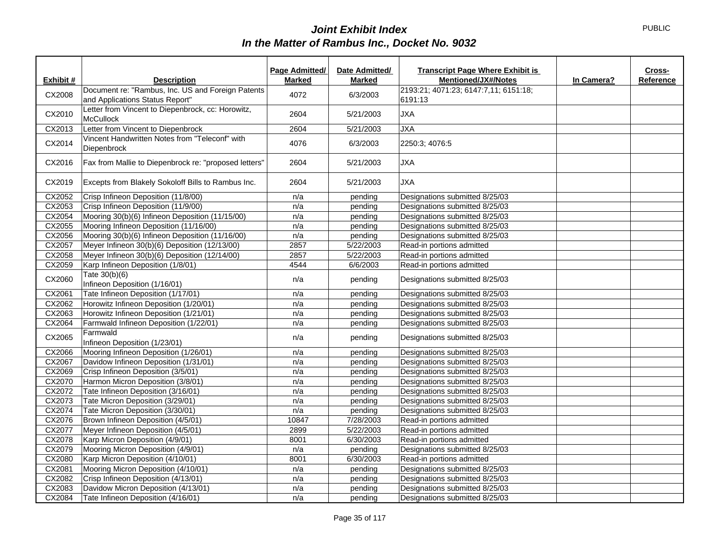|           |                                                                                      | Page Admitted/ | Date Admitted/ | <b>Transcript Page Where Exhibit is</b>          |            | Cross-    |
|-----------|--------------------------------------------------------------------------------------|----------------|----------------|--------------------------------------------------|------------|-----------|
| Exhibit # | <b>Description</b>                                                                   | <b>Marked</b>  | <b>Marked</b>  | <b>Mentioned/JX#/Notes</b>                       | In Camera? | Reference |
| CX2008    | Document re: "Rambus, Inc. US and Foreign Patents<br>and Applications Status Report" | 4072           | 6/3/2003       | 2193:21; 4071:23; 6147:7,11; 6151:18;<br>6191:13 |            |           |
| CX2010    | Letter from Vincent to Diepenbrock, cc: Horowitz,<br>McCullock                       | 2604           | 5/21/2003      | <b>JXA</b>                                       |            |           |
| CX2013    | Letter from Vincent to Diepenbrock                                                   | 2604           | 5/21/2003      | <b>JXA</b>                                       |            |           |
| CX2014    | Vincent Handwritten Notes from "Teleconf" with<br>Diepenbrock                        | 4076           | 6/3/2003       | 2250:3; 4076:5                                   |            |           |
| CX2016    | Fax from Mallie to Diepenbrock re: "proposed letters"                                | 2604           | 5/21/2003      | <b>JXA</b>                                       |            |           |
| CX2019    | Excepts from Blakely Sokoloff Bills to Rambus Inc.                                   | 2604           | 5/21/2003      | <b>JXA</b>                                       |            |           |
| CX2052    | Crisp Infineon Deposition (11/8/00)                                                  | n/a            | pending        | Designations submitted 8/25/03                   |            |           |
| CX2053    | Crisp Infineon Deposition (11/9/00)                                                  | n/a            | pending        | Designations submitted 8/25/03                   |            |           |
| CX2054    | Mooring 30(b)(6) Infineon Deposition (11/15/00)                                      | n/a            | pending        | Designations submitted 8/25/03                   |            |           |
| CX2055    | Mooring Infineon Deposition (11/16/00)                                               | n/a            | pending        | Designations submitted 8/25/03                   |            |           |
| CX2056    | Mooring 30(b)(6) Infineon Deposition (11/16/00)                                      | n/a            | pending        | Designations submitted 8/25/03                   |            |           |
| CX2057    | Meyer Infineon 30(b)(6) Deposition (12/13/00)                                        | 2857           | 5/22/2003      | Read-in portions admitted                        |            |           |
| CX2058    | Meyer Infineon 30(b)(6) Deposition (12/14/00)                                        | 2857           | 5/22/2003      | Read-in portions admitted                        |            |           |
| CX2059    | Karp Infineon Deposition (1/8/01)                                                    | 4544           | 6/6/2003       | Read-in portions admitted                        |            |           |
| CX2060    | Tate 30(b)(6)<br>Infineon Deposition (1/16/01)                                       | n/a            | pending        | Designations submitted 8/25/03                   |            |           |
| CX2061    | Tate Infineon Deposition (1/17/01)                                                   | n/a            | pending        | Designations submitted 8/25/03                   |            |           |
| CX2062    | Horowitz Infineon Deposition (1/20/01)                                               | n/a            | pending        | Designations submitted 8/25/03                   |            |           |
| CX2063    | Horowitz Infineon Deposition (1/21/01)                                               | n/a            | pending        | Designations submitted 8/25/03                   |            |           |
| CX2064    | Farmwald Infineon Deposition (1/22/01)                                               | n/a            | pending        | Designations submitted 8/25/03                   |            |           |
| CX2065    | Farmwald<br>Infineon Deposition (1/23/01)                                            | n/a            | pending        | Designations submitted 8/25/03                   |            |           |
| CX2066    | Mooring Infineon Deposition (1/26/01)                                                | n/a            | pending        | Designations submitted 8/25/03                   |            |           |
| CX2067    | Davidow Infineon Deposition (1/31/01)                                                | n/a            | pending        | Designations submitted 8/25/03                   |            |           |
| CX2069    | Crisp Infineon Deposition (3/5/01)                                                   | n/a            | pending        | Designations submitted 8/25/03                   |            |           |
| CX2070    | Harmon Micron Deposition (3/8/01)                                                    | n/a            | pending        | Designations submitted 8/25/03                   |            |           |
| CX2072    | Tate Infineon Deposition (3/16/01)                                                   | n/a            | pending        | Designations submitted 8/25/03                   |            |           |
| CX2073    | Tate Micron Deposition (3/29/01)                                                     | n/a            | pending        | Designations submitted 8/25/03                   |            |           |
| CX2074    | Tate Micron Deposition (3/30/01)                                                     | n/a            | pending        | Designations submitted 8/25/03                   |            |           |
| CX2076    | Brown Infineon Deposition (4/5/01)                                                   | 10847          | 7/28/2003      | Read-in portions admitted                        |            |           |
| CX2077    | Meyer Infineon Deposition (4/5/01)                                                   | 2899           | 5/22/2003      | Read-in portions admitted                        |            |           |
| CX2078    | Karp Micron Deposition (4/9/01)                                                      | 8001           | 6/30/2003      | Read-in portions admitted                        |            |           |
| CX2079    | Mooring Micron Deposition (4/9/01)                                                   | n/a            | pending        | Designations submitted 8/25/03                   |            |           |
| CX2080    | Karp Micron Deposition (4/10/01)                                                     | 8001           | 6/30/2003      | Read-in portions admitted                        |            |           |
| CX2081    | Mooring Micron Deposition (4/10/01)                                                  | n/a            | pending        | Designations submitted 8/25/03                   |            |           |
| CX2082    | Crisp Infineon Deposition (4/13/01)                                                  | n/a            | pending        | Designations submitted 8/25/03                   |            |           |
| CX2083    | Davidow Micron Deposition (4/13/01)                                                  | n/a            | pending        | Designations submitted 8/25/03                   |            |           |
| CX2084    | Tate Infineon Deposition (4/16/01)                                                   | n/a            | pending        | Designations submitted 8/25/03                   |            |           |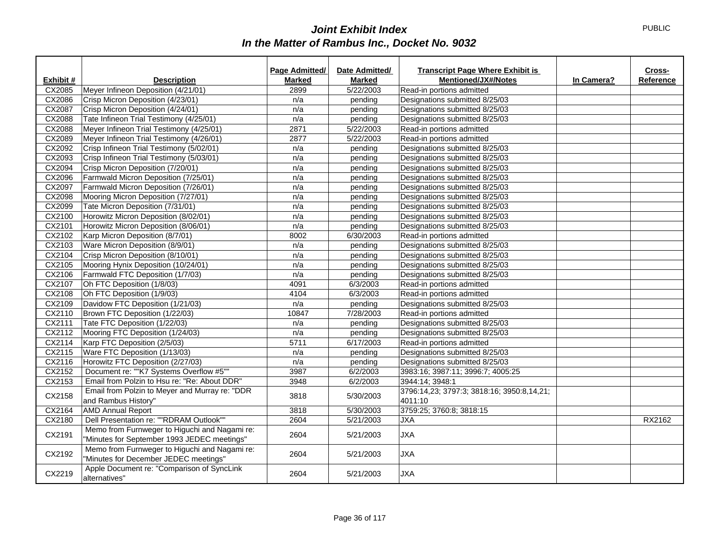|           |                                                                                              | Page Admitted/ | Date Admitted/ | <b>Transcript Page Where Exhibit is</b>               |            | Cross-    |
|-----------|----------------------------------------------------------------------------------------------|----------------|----------------|-------------------------------------------------------|------------|-----------|
| Exhibit # | <b>Description</b>                                                                           | Marked         | Marked         | <b>Mentioned/JX#/Notes</b>                            | In Camera? | Reference |
| CX2085    | Meyer Infineon Deposition (4/21/01)                                                          | 2899           | 5/22/2003      | Read-in portions admitted                             |            |           |
| CX2086    | Crisp Micron Deposition (4/23/01)                                                            | n/a            | pending        | Designations submitted 8/25/03                        |            |           |
| CX2087    | Crisp Micron Deposition (4/24/01)                                                            | n/a            | pending        | Designations submitted 8/25/03                        |            |           |
| CX2088    | Tate Infineon Trial Testimony (4/25/01)                                                      | n/a            | pending        | Designations submitted 8/25/03                        |            |           |
| CX2088    | Meyer Infineon Trial Testimony (4/25/01)                                                     | 2871           | 5/22/2003      | Read-in portions admitted                             |            |           |
| CX2089    | Meyer Infineon Trial Testimony (4/26/01)                                                     | 2877           | 5/22/2003      | Read-in portions admitted                             |            |           |
| CX2092    | Crisp Infineon Trial Testimony (5/02/01)                                                     | n/a            | pending        | Designations submitted 8/25/03                        |            |           |
| CX2093    | Crisp Infineon Trial Testimony (5/03/01)                                                     | n/a            | pending        | Designations submitted 8/25/03                        |            |           |
| CX2094    | Crisp Micron Deposition (7/20/01)                                                            | n/a            | pending        | Designations submitted 8/25/03                        |            |           |
| CX2096    | Farmwald Micron Deposition (7/25/01)                                                         | n/a            | pending        | Designations submitted 8/25/03                        |            |           |
| CX2097    | Farmwald Micron Deposition (7/26/01)                                                         | n/a            | pending        | Designations submitted 8/25/03                        |            |           |
| CX2098    | Mooring Micron Deposition (7/27/01)                                                          | n/a            | pending        | Designations submitted 8/25/03                        |            |           |
| CX2099    | Tate Micron Deposition (7/31/01)                                                             | n/a            | pending        | Designations submitted 8/25/03                        |            |           |
| CX2100    | Horowitz Micron Deposition (8/02/01)                                                         | n/a            | pending        | Designations submitted 8/25/03                        |            |           |
| CX2101    | Horowitz Micron Deposition (8/06/01)                                                         | n/a            | pending        | Designations submitted 8/25/03                        |            |           |
| CX2102    | Karp Micron Deposition (8/7/01)                                                              | 8002           | 6/30/2003      | Read-in portions admitted                             |            |           |
| CX2103    | Ware Micron Deposition (8/9/01)                                                              | n/a            | pending        | Designations submitted 8/25/03                        |            |           |
| CX2104    | Crisp Micron Deposition (8/10/01)                                                            | n/a            | pending        | Designations submitted 8/25/03                        |            |           |
| CX2105    | Mooring Hynix Deposition (10/24/01)                                                          | n/a            | pending        | Designations submitted 8/25/03                        |            |           |
| CX2106    | Farmwald FTC Deposition (1/7/03)                                                             | n/a            | pending        | Designations submitted 8/25/03                        |            |           |
| CX2107    | Oh FTC Deposition (1/8/03)                                                                   | 4091           | 6/3/2003       | Read-in portions admitted                             |            |           |
| CX2108    | Oh FTC Deposition (1/9/03)                                                                   | 4104           | 6/3/2003       | Read-in portions admitted                             |            |           |
| CX2109    | Davidow FTC Deposition (1/21/03)                                                             | n/a            | pending        | Designations submitted 8/25/03                        |            |           |
| CX2110    | Brown FTC Deposition (1/22/03)                                                               | 10847          | 7/28/2003      | Read-in portions admitted                             |            |           |
| CX2111    | Tate FTC Deposition (1/22/03)                                                                | n/a            | pending        | Designations submitted 8/25/03                        |            |           |
| CX2112    | Mooring FTC Deposition (1/24/03)                                                             | n/a            | pending        | Designations submitted 8/25/03                        |            |           |
| CX2114    | Karp FTC Deposition (2/5/03)                                                                 | 5711           | 6/17/2003      | Read-in portions admitted                             |            |           |
| CX2115    | Ware FTC Deposition (1/13/03)                                                                | n/a            | pending        | Designations submitted 8/25/03                        |            |           |
| CX2116    | Horowitz FTC Deposition (2/27/03)                                                            | n/a            | pending        | Designations submitted 8/25/03                        |            |           |
| CX2152    | Document re: ""K7 Systems Overflow #5""                                                      | 3987           | 6/2/2003       | 3983:16; 3987:11; 3996:7; 4005:25                     |            |           |
| CX2153    | Email from Polzin to Hsu re: "Re: About DDR"                                                 | 3948           | 6/2/2003       | 3944:14; 3948:1                                       |            |           |
| CX2158    | Email from Polzin to Meyer and Murray re: "DDR<br>and Rambus History"                        | 3818           | 5/30/2003      | 3796:14,23; 3797:3; 3818:16; 3950:8,14,21;<br>4011:10 |            |           |
| CX2164    | <b>AMD Annual Report</b>                                                                     | 3818           | 5/30/2003      | 3759:25; 3760:8; 3818:15                              |            |           |
| CX2180    | Dell Presentation re: ""RDRAM Outlook""                                                      | 2604           | 5/21/2003      | <b>JXA</b>                                            |            | RX2162    |
| CX2191    | Memo from Furnweger to Higuchi and Nagami re:<br>"Minutes for September 1993 JEDEC meetings" | 2604           | 5/21/2003      | <b>JXA</b>                                            |            |           |
| CX2192    | Memo from Furnweger to Higuchi and Nagami re:<br>"Minutes for December JEDEC meetings"       | 2604           | 5/21/2003      | <b>JXA</b>                                            |            |           |
| CX2219    | Apple Document re: "Comparison of SyncLink<br>alternatives"                                  | 2604           | 5/21/2003      | <b>JXA</b>                                            |            |           |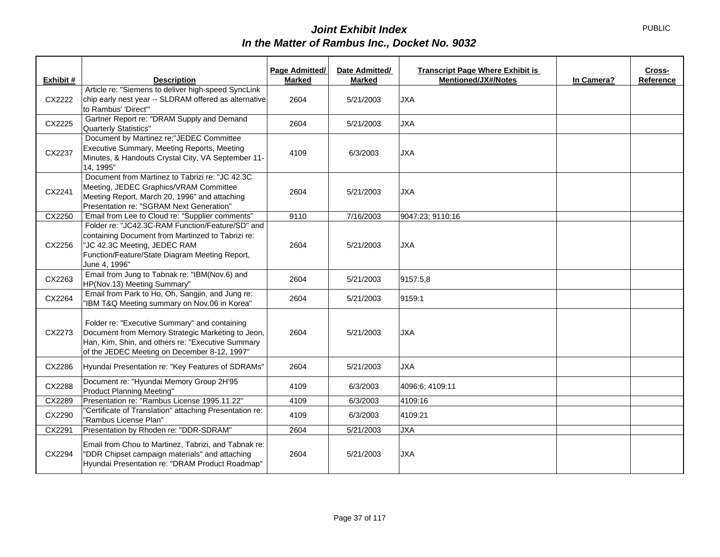| Exhibit # | <b>Description</b>                                                                                                                                                                                       | Page Admitted/<br><b>Marked</b> | Date Admitted/<br><b>Marked</b> | <b>Transcript Page Where Exhibit is</b><br><b>Mentioned/JX#/Notes</b> | In Camera? | Cross-<br>Reference |
|-----------|----------------------------------------------------------------------------------------------------------------------------------------------------------------------------------------------------------|---------------------------------|---------------------------------|-----------------------------------------------------------------------|------------|---------------------|
|           | Article re: "Siemens to deliver high-speed SyncLink                                                                                                                                                      |                                 |                                 |                                                                       |            |                     |
| CX2222    | chip early nest year -- SLDRAM offered as alternative<br>to Rambus' 'Direct'"                                                                                                                            | 2604                            | 5/21/2003                       | <b>JXA</b>                                                            |            |                     |
| CX2225    | Gartner Report re: "DRAM Supply and Demand<br>Quarterly Statistics"                                                                                                                                      | 2604                            | 5/21/2003                       | <b>JXA</b>                                                            |            |                     |
| CX2237    | Document by Martinez re:"JEDEC Committee<br>Executive Summary, Meeting Reports, Meeting<br>Minutes, & Handouts Crystal City, VA September 11-<br>14, 1995"                                               | 4109                            | 6/3/2003                        | <b>JXA</b>                                                            |            |                     |
| CX2241    | Document from Martinez to Tabrizi re: "JC 42.3C<br>Meeting, JEDEC Graphics/VRAM Committee<br>Meeting Report, March 20, 1996" and attaching<br>Presentation re: "SGRAM Next Generation"                   | 2604                            | 5/21/2003                       | <b>JXA</b>                                                            |            |                     |
| CX2250    | Email from Lee to Cloud re: "Supplier comments"                                                                                                                                                          | 9110                            | 7/16/2003                       | 9047:23; 9110:16                                                      |            |                     |
| CX2256    | Folder re: "JC42.3C-RAM Function/Feature/SD" and<br>containing Document from Martinzed to Tabrizi re:<br>"JC 42.3C Meeting, JEDEC RAM<br>Function/Feature/State Diagram Meeting Report,<br>June 4, 1996" | 2604                            | 5/21/2003                       | <b>JXA</b>                                                            |            |                     |
| CX2263    | Email from Jung to Tabnak re: "IBM(Nov.6) and<br>HP(Nov.13) Meeting Summary"                                                                                                                             | 2604                            | 5/21/2003                       | 9157:5,8                                                              |            |                     |
| CX2264    | Email from Park to Ho, Oh, Sangjin, and Jung re:<br>"IBM T&Q Meeting summary on Nov.06 in Korea"                                                                                                         | 2604                            | 5/21/2003                       | 9159:1                                                                |            |                     |
| CX2273    | Folder re: "Executive Summary" and containing<br>Document from Memory Strategic Marketing to Jeon,<br>Han, Kim, Shin, and others re: "Executive Summary<br>of the JEDEC Meeting on December 8-12, 1997"  | 2604                            | 5/21/2003                       | <b>JXA</b>                                                            |            |                     |
| CX2286    | Hyundai Presentation re: "Key Features of SDRAMs"                                                                                                                                                        | 2604                            | 5/21/2003                       | <b>JXA</b>                                                            |            |                     |
| CX2288    | Document re: "Hyundai Memory Group 2H'95<br><b>Product Planning Meeting"</b>                                                                                                                             | 4109                            | 6/3/2003                        | 4096:6; 4109:11                                                       |            |                     |
| CX2289    | Presentation re: "Rambus License 1995.11.22"                                                                                                                                                             | 4109                            | 6/3/2003                        | 4109:16                                                               |            |                     |
| CX2290    | "Certificate of Translation" attaching Presentation re:<br>"Rambus License Plan"                                                                                                                         | 4109                            | 6/3/2003                        | 4109:21                                                               |            |                     |
| CX2291    | Presentation by Rhoden re: "DDR-SDRAM"                                                                                                                                                                   | 2604                            | 5/21/2003                       | <b>JXA</b>                                                            |            |                     |
| CX2294    | Email from Chou to Martinez, Tabrizi, and Tabnak re:<br>"DDR Chipset campaign materials" and attaching<br>Hyundai Presentation re: "DRAM Product Roadmap"                                                | 2604                            | 5/21/2003                       | <b>JXA</b>                                                            |            |                     |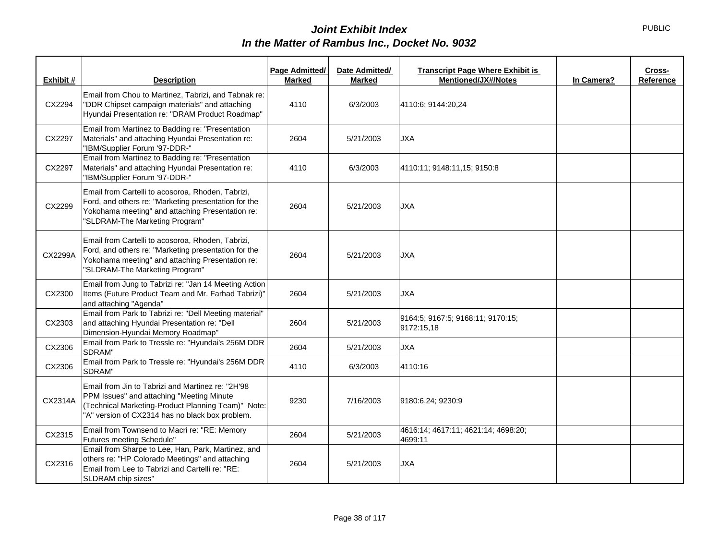| Exhibit # | <b>Description</b>                                                                                                                                                                                      | Page Admitted/<br><b>Marked</b> | Date Admitted/<br><b>Marked</b> | <b>Transcript Page Where Exhibit is</b><br><b>Mentioned/JX#/Notes</b> | In Camera? | Cross-<br>Reference |
|-----------|---------------------------------------------------------------------------------------------------------------------------------------------------------------------------------------------------------|---------------------------------|---------------------------------|-----------------------------------------------------------------------|------------|---------------------|
| CX2294    | Email from Chou to Martinez, Tabrizi, and Tabnak re:<br>"DDR Chipset campaign materials" and attaching<br>Hyundai Presentation re: "DRAM Product Roadmap"                                               | 4110                            | 6/3/2003                        | 4110:6; 9144:20,24                                                    |            |                     |
| CX2297    | Email from Martinez to Badding re: "Presentation<br>Materials" and attaching Hyundai Presentation re:<br>"IBM/Supplier Forum '97-DDR-"                                                                  | 2604                            | 5/21/2003                       | <b>JXA</b>                                                            |            |                     |
| CX2297    | Email from Martinez to Badding re: "Presentation<br>Materials" and attaching Hyundai Presentation re:<br>"IBM/Supplier Forum '97-DDR-"                                                                  | 4110                            | 6/3/2003                        | 4110:11; 9148:11,15; 9150:8                                           |            |                     |
| CX2299    | Email from Cartelli to acosoroa, Rhoden, Tabrizi,<br>Ford, and others re: "Marketing presentation for the<br>Yokohama meeting" and attaching Presentation re:<br>"SLDRAM-The Marketing Program"         | 2604                            | 5/21/2003                       | <b>JXA</b>                                                            |            |                     |
| CX2299A   | Email from Cartelli to acosoroa, Rhoden, Tabrizi,<br>Ford, and others re: "Marketing presentation for the<br>Yokohama meeting" and attaching Presentation re:<br>"SLDRAM-The Marketing Program"         | 2604                            | 5/21/2003                       | <b>JXA</b>                                                            |            |                     |
| CX2300    | Email from Jung to Tabrizi re: "Jan 14 Meeting Action<br>Items (Future Product Team and Mr. Farhad Tabrizi)"<br>and attaching "Agenda"                                                                  | 2604                            | 5/21/2003                       | <b>JXA</b>                                                            |            |                     |
| CX2303    | Email from Park to Tabrizi re: "Dell Meeting material"<br>and attaching Hyundai Presentation re: "Dell<br>Dimension-Hyundai Memory Roadmap"                                                             | 2604                            | 5/21/2003                       | 9164:5; 9167:5; 9168:11; 9170:15;<br>9172:15,18                       |            |                     |
| CX2306    | Email from Park to Tressle re: "Hyundai's 256M DDR<br>SDRAM"                                                                                                                                            | 2604                            | 5/21/2003                       | <b>JXA</b>                                                            |            |                     |
| CX2306    | Email from Park to Tressle re: "Hyundai's 256M DDR<br>SDRAM"                                                                                                                                            | 4110                            | 6/3/2003                        | 4110:16                                                               |            |                     |
| CX2314A   | Email from Jin to Tabrizi and Martinez re: "2H'98<br>PPM Issues" and attaching "Meeting Minute<br>(Technical Marketing-Product Planning Team)" Note:<br>"A" version of CX2314 has no black box problem. | 9230                            | 7/16/2003                       | 9180:6,24; 9230:9                                                     |            |                     |
| CX2315    | Email from Townsend to Macri re: "RE: Memory<br>Futures meeting Schedule"                                                                                                                               | 2604                            | 5/21/2003                       | 4616:14; 4617:11; 4621:14; 4698:20;<br>4699:11                        |            |                     |
| CX2316    | Email from Sharpe to Lee, Han, Park, Martinez, and<br>others re: "HP Colorado Meetings" and attaching<br>Email from Lee to Tabrizi and Cartelli re: "RE:<br>SLDRAM chip sizes"                          | 2604                            | 5/21/2003                       | <b>JXA</b>                                                            |            |                     |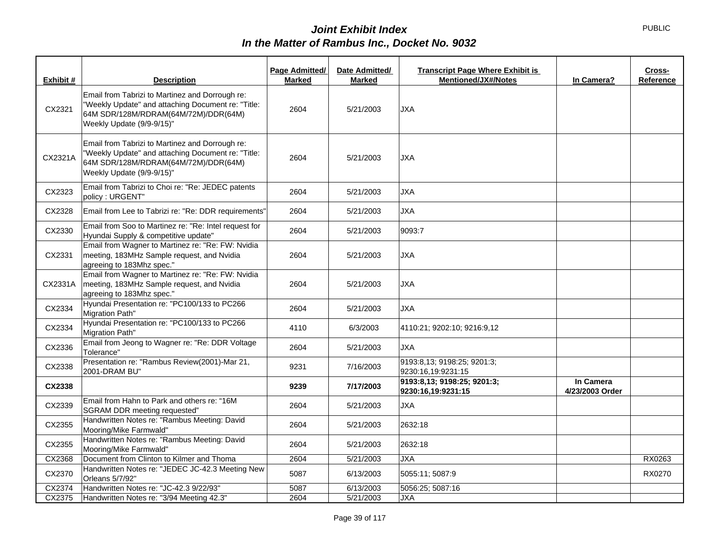| Exhibit # | <b>Description</b>                                                                                                                                                         | Page Admitted/<br><b>Marked</b> | Date Admitted/<br><b>Marked</b> | <b>Transcript Page Where Exhibit is</b><br><b>Mentioned/JX#/Notes</b> | In Camera?                   | Cross-<br>Reference |
|-----------|----------------------------------------------------------------------------------------------------------------------------------------------------------------------------|---------------------------------|---------------------------------|-----------------------------------------------------------------------|------------------------------|---------------------|
|           |                                                                                                                                                                            |                                 |                                 |                                                                       |                              |                     |
| CX2321    | Email from Tabrizi to Martinez and Dorrough re:<br>"Weekly Update" and attaching Document re: "Title:<br>64M SDR/128M/RDRAM(64M/72M)/DDR(64M)<br>Weekly Update (9/9-9/15)" | 2604                            | 5/21/2003                       | <b>JXA</b>                                                            |                              |                     |
| CX2321A   | Email from Tabrizi to Martinez and Dorrough re:<br>"Weekly Update" and attaching Document re: "Title:<br>64M SDR/128M/RDRAM(64M/72M)/DDR(64M)<br>Weekly Update (9/9-9/15)" | 2604                            | 5/21/2003                       | <b>JXA</b>                                                            |                              |                     |
| CX2323    | Email from Tabrizi to Choi re: "Re: JEDEC patents<br>policy: URGENT"                                                                                                       | 2604                            | 5/21/2003                       | <b>JXA</b>                                                            |                              |                     |
| CX2328    | Email from Lee to Tabrizi re: "Re: DDR requirements"                                                                                                                       | 2604                            | 5/21/2003                       | <b>JXA</b>                                                            |                              |                     |
| CX2330    | Email from Soo to Martinez re: "Re: Intel request for<br>Hyundai Supply & competitive update"                                                                              | 2604                            | 5/21/2003                       | 9093:7                                                                |                              |                     |
| CX2331    | Email from Wagner to Martinez re: "Re: FW: Nvidia<br>meeting, 183MHz Sample request, and Nvidia<br>agreeing to 183Mhz spec."                                               | 2604                            | 5/21/2003                       | <b>JXA</b>                                                            |                              |                     |
| CX2331A   | Email from Wagner to Martinez re: "Re: FW: Nvidia<br>meeting, 183MHz Sample request, and Nvidia<br>agreeing to 183Mhz spec."                                               | 2604                            | 5/21/2003                       | <b>JXA</b>                                                            |                              |                     |
| CX2334    | Hyundai Presentation re: "PC100/133 to PC266<br>Migration Path"                                                                                                            | 2604                            | 5/21/2003                       | <b>JXA</b>                                                            |                              |                     |
| CX2334    | Hyundai Presentation re: "PC100/133 to PC266<br>Migration Path"                                                                                                            | 4110                            | 6/3/2003                        | 4110:21; 9202:10; 9216:9,12                                           |                              |                     |
| CX2336    | Email from Jeong to Wagner re: "Re: DDR Voltage<br>Tolerance"                                                                                                              | 2604                            | 5/21/2003                       | <b>JXA</b>                                                            |                              |                     |
| CX2338    | Presentation re: "Rambus Review(2001)-Mar 21,<br>2001-DRAM BU"                                                                                                             | 9231                            | 7/16/2003                       | 9193:8,13; 9198:25; 9201:3;<br>9230:16.19:9231:15                     |                              |                     |
| CX2338    |                                                                                                                                                                            | 9239                            | 7/17/2003                       | 9193:8,13; 9198:25; 9201:3;<br>9230:16,19:9231:15                     | In Camera<br>4/23/2003 Order |                     |
| CX2339    | Email from Hahn to Park and others re: "16M<br>SGRAM DDR meeting requested"                                                                                                | 2604                            | 5/21/2003                       | <b>JXA</b>                                                            |                              |                     |
| CX2355    | Handwritten Notes re: "Rambus Meeting: David<br>Mooring/Mike Farmwald"                                                                                                     | 2604                            | 5/21/2003                       | 2632:18                                                               |                              |                     |
| CX2355    | Handwritten Notes re: "Rambus Meeting: David<br>Mooring/Mike Farmwald"                                                                                                     | 2604                            | 5/21/2003                       | 2632:18                                                               |                              |                     |
| CX2368    | Document from Clinton to Kilmer and Thoma                                                                                                                                  | 2604                            | 5/21/2003                       | <b>JXA</b>                                                            |                              | RX0263              |
| CX2370    | Handwritten Notes re: "JEDEC JC-42.3 Meeting New<br>Orleans 5/7/92"                                                                                                        | 5087                            | 6/13/2003                       | 5055:11; 5087:9                                                       |                              | RX0270              |
| CX2374    | Handwritten Notes re: "JC-42.3 9/22/93"                                                                                                                                    | 5087                            | 6/13/2003                       | 5056:25; 5087:16                                                      |                              |                     |
| CX2375    | Handwritten Notes re: "3/94 Meeting 42.3"                                                                                                                                  | 2604                            | 5/21/2003                       | <b>JXA</b>                                                            |                              |                     |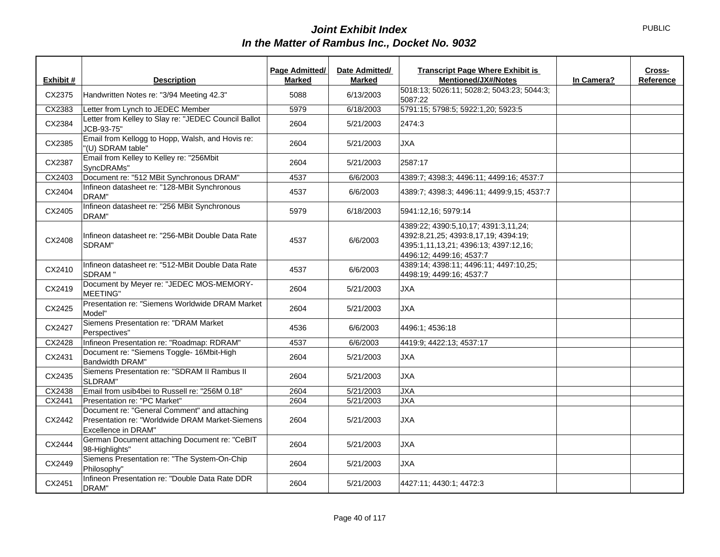| Exhibit # | <b>Description</b>                                                                                                     | <b>Page Admitted/</b><br><b>Marked</b> | Date Admitted/<br><b>Marked</b> | <b>Transcript Page Where Exhibit is</b><br><b>Mentioned/JX#/Notes</b>                                                                             | In Camera? | Cross-<br>Reference |
|-----------|------------------------------------------------------------------------------------------------------------------------|----------------------------------------|---------------------------------|---------------------------------------------------------------------------------------------------------------------------------------------------|------------|---------------------|
| CX2375    | Handwritten Notes re: "3/94 Meeting 42.3"                                                                              | 5088                                   | 6/13/2003                       | 5018:13; 5026:11; 5028:2; 5043:23; 5044:3;<br>5087:22                                                                                             |            |                     |
| CX2383    | Letter from Lynch to JEDEC Member                                                                                      | 5979                                   | 6/18/2003                       | 5791:15; 5798:5; 5922:1,20; 5923:5                                                                                                                |            |                     |
| CX2384    | Letter from Kelley to Slay re: "JEDEC Council Ballot<br>JCB-93-75"                                                     | 2604                                   | 5/21/2003                       | 2474:3                                                                                                                                            |            |                     |
| CX2385    | Email from Kellogg to Hopp, Walsh, and Hovis re:<br>"(U) SDRAM table"                                                  | 2604                                   | 5/21/2003                       | <b>JXA</b>                                                                                                                                        |            |                     |
| CX2387    | Email from Kelley to Kelley re: "256Mbit<br>SyncDRAMs"                                                                 | 2604                                   | 5/21/2003                       | 2587:17                                                                                                                                           |            |                     |
| CX2403    | Document re: "512 MBit Synchronous DRAM"                                                                               | 4537                                   | 6/6/2003                        | 4389:7; 4398:3; 4496:11; 4499:16; 4537:7                                                                                                          |            |                     |
| CX2404    | Infineon datasheet re: "128-MBit Synchronous<br>DRAM"                                                                  | 4537                                   | 6/6/2003                        | 4389:7; 4398:3; 4496:11; 4499:9,15; 4537:7                                                                                                        |            |                     |
| CX2405    | Infineon datasheet re: "256 MBit Synchronous<br>DRAM"                                                                  | 5979                                   | 6/18/2003                       | 5941:12,16; 5979:14                                                                                                                               |            |                     |
| CX2408    | Infineon datasheet re: "256-MBit Double Data Rate<br>SDRAM"                                                            | 4537                                   | 6/6/2003                        | 4389:22; 4390:5,10,17; 4391:3,11,24;<br>4392:8,21,25; 4393:8,17,19; 4394:19;<br>4395:1,11,13,21; 4396:13; 4397:12,16;<br>4496:12; 4499:16; 4537:7 |            |                     |
| CX2410    | Infineon datasheet re: "512-MBit Double Data Rate<br>SDRAM"                                                            | 4537                                   | 6/6/2003                        | 4389:14; 4398:11; 4496:11; 4497:10,25;<br>4498:19; 4499:16; 4537:7                                                                                |            |                     |
| CX2419    | Document by Meyer re: "JEDEC MOS-MEMORY-<br>MEETING"                                                                   | 2604                                   | 5/21/2003                       | <b>JXA</b>                                                                                                                                        |            |                     |
| CX2425    | Presentation re: "Siemens Worldwide DRAM Market<br>Model"                                                              | 2604                                   | 5/21/2003                       | <b>JXA</b>                                                                                                                                        |            |                     |
| CX2427    | Siemens Presentation re: "DRAM Market<br>Perspectives"                                                                 | 4536                                   | 6/6/2003                        | 4496:1; 4536:18                                                                                                                                   |            |                     |
| CX2428    | Infineon Presentation re: "Roadmap: RDRAM"                                                                             | 4537                                   | 6/6/2003                        | 4419:9; 4422:13; 4537:17                                                                                                                          |            |                     |
| CX2431    | Document re: "Siemens Toggle- 16Mbit-High<br>Bandwidth DRAM"                                                           | 2604                                   | 5/21/2003                       | <b>JXA</b>                                                                                                                                        |            |                     |
| CX2435    | Siemens Presentation re: "SDRAM II Rambus II<br>SLDRAM"                                                                | 2604                                   | 5/21/2003                       | <b>JXA</b>                                                                                                                                        |            |                     |
| CX2438    | Email from usib4bei to Russell re: "256M 0.18"                                                                         | 2604                                   | 5/21/2003                       | <b>JXA</b>                                                                                                                                        |            |                     |
| CX2441    | Presentation re: "PC Market"                                                                                           | 2604                                   | 5/21/2003                       | <b>JXA</b>                                                                                                                                        |            |                     |
| CX2442    | Document re: "General Comment" and attaching<br>Presentation re: "Worldwide DRAM Market-Siemens<br>Excellence in DRAM" | 2604                                   | 5/21/2003                       | <b>JXA</b>                                                                                                                                        |            |                     |
| CX2444    | German Document attaching Document re: "CeBIT<br>98-Highlights"                                                        | 2604                                   | 5/21/2003                       | <b>JXA</b>                                                                                                                                        |            |                     |
| CX2449    | Siemens Presentation re: "The System-On-Chip"<br>Philosophy"                                                           | 2604                                   | 5/21/2003                       | <b>JXA</b>                                                                                                                                        |            |                     |
| CX2451    | Infineon Presentation re: "Double Data Rate DDR<br>DRAM"                                                               | 2604                                   | 5/21/2003                       | 4427:11; 4430:1; 4472:3                                                                                                                           |            |                     |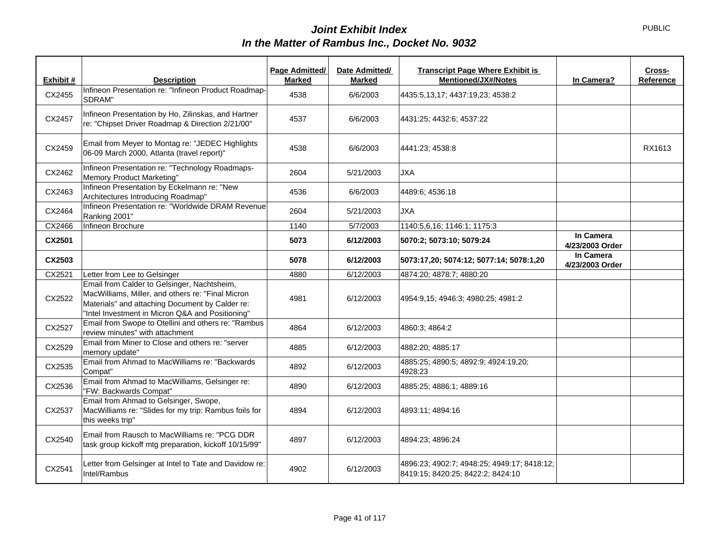| Exhibit # | <b>Description</b>                                                                                                                                                                                      | Page Admitted/<br><b>Marked</b> | Date Admitted/<br><b>Marked</b> | <b>Transcript Page Where Exhibit is</b><br><b>Mentioned/JX#/Notes</b>            | In Camera?                   | Cross-<br>Reference |
|-----------|---------------------------------------------------------------------------------------------------------------------------------------------------------------------------------------------------------|---------------------------------|---------------------------------|----------------------------------------------------------------------------------|------------------------------|---------------------|
| CX2455    | Infineon Presentation re: "Infineon Product Roadmap-<br>SDRAM"                                                                                                                                          | 4538                            | 6/6/2003                        | 4435:5,13,17; 4437:19,23; 4538:2                                                 |                              |                     |
| CX2457    | Infineon Presentation by Ho, Zilinskas, and Hartner<br>re: "Chipset Driver Roadmap & Direction 2/21/00"                                                                                                 | 4537                            | 6/6/2003                        | 4431:25; 4432:6; 4537:22                                                         |                              |                     |
| CX2459    | Email from Meyer to Montag re: "JEDEC Highlights<br>06-09 March 2000, Atlanta (travel report)"                                                                                                          | 4538                            | 6/6/2003                        | 4441:23; 4538:8                                                                  |                              | RX1613              |
| CX2462    | Infineon Presentation re: "Technology Roadmaps-<br>Memory Product Marketing"                                                                                                                            | 2604                            | 5/21/2003                       | <b>JXA</b>                                                                       |                              |                     |
| CX2463    | Infineon Presentation by Eckelmann re: "New<br>Architectures Introducing Roadmap"                                                                                                                       | 4536                            | 6/6/2003                        | 4489:6; 4536:18                                                                  |                              |                     |
| CX2464    | Infineon Presentation re: "Worldwide DRAM Revenue<br>Ranking 2001"                                                                                                                                      | 2604                            | 5/21/2003                       | <b>JXA</b>                                                                       |                              |                     |
| CX2466    | Infineon Brochure                                                                                                                                                                                       | 1140                            | 5/7/2003                        | 1140:5,6,16; 1146:1; 1175:3                                                      |                              |                     |
| CX2501    |                                                                                                                                                                                                         | 5073                            | 6/12/2003                       | 5070:2; 5073:10; 5079:24                                                         | In Camera<br>4/23/2003 Order |                     |
| CX2503    |                                                                                                                                                                                                         | 5078                            | 6/12/2003                       | 5073:17,20; 5074:12; 5077:14; 5078:1,20                                          | In Camera<br>4/23/2003 Order |                     |
| CX2521    | Letter from Lee to Gelsinger                                                                                                                                                                            | 4880                            | 6/12/2003                       | 4874:20; 4878:7; 4880:20                                                         |                              |                     |
| CX2522    | Email from Calder to Gelsinger, Nachtsheim,<br>MacWilliams, Miller, and others re: "Final Micron<br>Materials" and attaching Document by Calder re:<br>"Intel Investment in Micron Q&A and Positioning" | 4981                            | 6/12/2003                       | 4954:9,15; 4946:3; 4980:25; 4981:2                                               |                              |                     |
| CX2527    | Email from Swope to Otellini and others re: "Rambus<br>review minutes" with attachment                                                                                                                  | 4864                            | 6/12/2003                       | 4860:3: 4864:2                                                                   |                              |                     |
| CX2529    | Email from Miner to Close and others re: "server<br>memory update"                                                                                                                                      | 4885                            | 6/12/2003                       | 4882:20; 4885:17                                                                 |                              |                     |
| CX2535    | Email from Ahmad to MacWilliams re: "Backwards<br>Compat"                                                                                                                                               | 4892                            | 6/12/2003                       | 4885:25; 4890:5; 4892:9; 4924:19,20;<br>4928:23                                  |                              |                     |
| CX2536    | Email from Ahmad to MacWilliams, Gelsinger re:<br>"FW: Backwards Compat"                                                                                                                                | 4890                            | 6/12/2003                       | 4885:25; 4886:1; 4889:16                                                         |                              |                     |
| CX2537    | Email from Ahmad to Gelsinger, Swope,<br>MacWilliams re: "Slides for my trip: Rambus foils for<br>this weeks trip"                                                                                      | 4894                            | 6/12/2003                       | 4893:11; 4894:16                                                                 |                              |                     |
| CX2540    | Email from Rausch to MacWilliams re: "PCG DDR<br>task group kickoff mtg preparation, kickoff 10/15/99"                                                                                                  | 4897                            | 6/12/2003                       | 4894:23; 4896:24                                                                 |                              |                     |
| CX2541    | Letter from Gelsinger at Intel to Tate and Davidow re:<br>Intel/Rambus                                                                                                                                  | 4902                            | 6/12/2003                       | 4896:23; 4902:7; 4948:25; 4949:17; 8418:12;<br>8419:15; 8420:25; 8422:2; 8424:10 |                              |                     |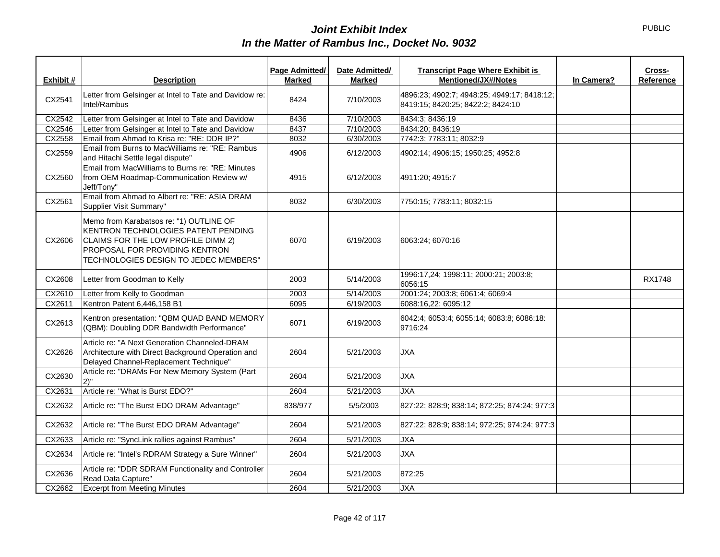| Exhibit # | <b>Description</b>                                                                                                                                                                                     | Page Admitted/<br><b>Marked</b> | Date Admitted/<br><b>Marked</b> | <b>Transcript Page Where Exhibit is</b><br><b>Mentioned/JX#/Notes</b>            | In Camera? | Cross-<br>Reference |
|-----------|--------------------------------------------------------------------------------------------------------------------------------------------------------------------------------------------------------|---------------------------------|---------------------------------|----------------------------------------------------------------------------------|------------|---------------------|
| CX2541    | Letter from Gelsinger at Intel to Tate and Davidow re:<br>Intel/Rambus                                                                                                                                 | 8424                            | 7/10/2003                       | 4896:23; 4902:7; 4948:25; 4949:17; 8418:12;<br>8419:15; 8420:25; 8422:2; 8424:10 |            |                     |
| CX2542    | Letter from Gelsinger at Intel to Tate and Davidow                                                                                                                                                     | 8436                            | 7/10/2003                       | 8434:3; 8436:19                                                                  |            |                     |
| CX2546    | Letter from Gelsinger at Intel to Tate and Davidow                                                                                                                                                     | 8437                            | 7/10/2003                       | 8434:20; 8436:19                                                                 |            |                     |
| CX2558    | Email from Ahmad to Krisa re: "RE: DDR IP?"                                                                                                                                                            | 8032                            | 6/30/2003                       | 7742:3; 7783:11; 8032:9                                                          |            |                     |
| CX2559    | Email from Burns to MacWilliams re: "RE: Rambus<br>and Hitachi Settle legal dispute"                                                                                                                   | 4906                            | 6/12/2003                       | 4902:14; 4906:15; 1950:25; 4952:8                                                |            |                     |
| CX2560    | Email from MacWilliams to Burns re: "RE: Minutes<br>from OEM Roadmap-Communication Review w/<br>Jeff/Tony"                                                                                             | 4915                            | 6/12/2003                       | 4911:20; 4915:7                                                                  |            |                     |
| CX2561    | Email from Ahmad to Albert re: "RE: ASIA DRAM<br>Supplier Visit Summary"                                                                                                                               | 8032                            | 6/30/2003                       | 7750:15; 7783:11; 8032:15                                                        |            |                     |
| CX2606    | Memo from Karabatsos re: "1) OUTLINE OF<br><b>KENTRON TECHNOLOGIES PATENT PENDING</b><br>CLAIMS FOR THE LOW PROFILE DIMM 2)<br>PROPOSAL FOR PROVIDING KENTRON<br>TECHNOLOGIES DESIGN TO JEDEC MEMBERS" | 6070                            | 6/19/2003                       | 6063:24; 6070:16                                                                 |            |                     |
| CX2608    | Letter from Goodman to Kelly                                                                                                                                                                           | 2003                            | 5/14/2003                       | 1996:17,24; 1998:11; 2000:21; 2003:8;<br>6056:15                                 |            | <b>RX1748</b>       |
| CX2610    | Letter from Kelly to Goodman                                                                                                                                                                           | 2003                            | 5/14/2003                       | 2001:24; 2003:8; 6061:4; 6069:4                                                  |            |                     |
| CX2611    | Kentron Patent 6,446,158 B1                                                                                                                                                                            | 6095                            | 6/19/2003                       | 6088:16,22: 6095:12                                                              |            |                     |
| CX2613    | Kentron presentation: "QBM QUAD BAND MEMORY<br>(QBM): Doubling DDR Bandwidth Performance"                                                                                                              | 6071                            | 6/19/2003                       | 6042:4; 6053:4; 6055:14; 6083:8; 6086:18:<br>9716:24                             |            |                     |
| CX2626    | Article re: "A Next Generation Channeled-DRAM<br>Architecture with Direct Background Operation and<br>Delayed Channel-Replacement Technique"                                                           | 2604                            | 5/21/2003                       | <b>JXA</b>                                                                       |            |                     |
| CX2630    | Article re: "DRAMs For New Memory System (Part<br>2)''                                                                                                                                                 | 2604                            | 5/21/2003                       | <b>JXA</b>                                                                       |            |                     |
| CX2631    | Article re: "What is Burst EDO?"                                                                                                                                                                       | 2604                            | 5/21/2003                       | <b>JXA</b>                                                                       |            |                     |
| CX2632    | Article re: "The Burst EDO DRAM Advantage"                                                                                                                                                             | 838/977                         | 5/5/2003                        | 827:22; 828:9; 838:14; 872:25; 874:24; 977:3                                     |            |                     |
| CX2632    | Article re: "The Burst EDO DRAM Advantage"                                                                                                                                                             | 2604                            | 5/21/2003                       | 827:22; 828:9; 838:14; 972:25; 974:24; 977:3                                     |            |                     |
| CX2633    | Article re: "SyncLink rallies against Rambus"                                                                                                                                                          | 2604                            | 5/21/2003                       | <b>JXA</b>                                                                       |            |                     |
| CX2634    | Article re: "Intel's RDRAM Strategy a Sure Winner"                                                                                                                                                     | 2604                            | 5/21/2003                       | <b>JXA</b>                                                                       |            |                     |
| CX2636    | Article re: "DDR SDRAM Functionality and Controller<br>Read Data Capture"                                                                                                                              | 2604                            | 5/21/2003                       | 872:25                                                                           |            |                     |
| CX2662    | <b>Excerpt from Meeting Minutes</b>                                                                                                                                                                    | 2604                            | 5/21/2003                       | <b>JXA</b>                                                                       |            |                     |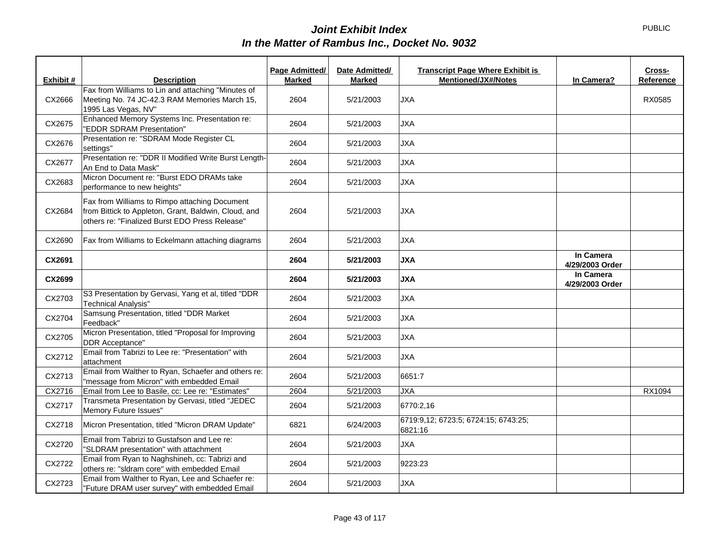| Exhibit # | <b>Description</b>                                                                                                                                      | Page Admitted/<br><b>Marked</b> | Date Admitted/<br>Marked | <b>Transcript Page Where Exhibit is</b><br><b>Mentioned/JX#/Notes</b> | In Camera?                   | Cross-<br>Reference |
|-----------|---------------------------------------------------------------------------------------------------------------------------------------------------------|---------------------------------|--------------------------|-----------------------------------------------------------------------|------------------------------|---------------------|
|           | Fax from Williams to Lin and attaching "Minutes of                                                                                                      |                                 |                          |                                                                       |                              |                     |
| CX2666    | Meeting No. 74 JC-42.3 RAM Memories March 15,<br>1995 Las Vegas, NV"                                                                                    | 2604                            | 5/21/2003                | <b>JXA</b>                                                            |                              | RX0585              |
| CX2675    | Enhanced Memory Systems Inc. Presentation re:<br>"EDDR SDRAM Presentation"                                                                              | 2604                            | 5/21/2003                | <b>JXA</b>                                                            |                              |                     |
| CX2676    | Presentation re: "SDRAM Mode Register CL<br>settings"                                                                                                   | 2604                            | 5/21/2003                | <b>JXA</b>                                                            |                              |                     |
| CX2677    | Presentation re: "DDR II Modified Write Burst Length-<br>An End to Data Mask"                                                                           | 2604                            | 5/21/2003                | <b>JXA</b>                                                            |                              |                     |
| CX2683    | Micron Document re: "Burst EDO DRAMs take<br>performance to new heights"                                                                                | 2604                            | 5/21/2003                | <b>JXA</b>                                                            |                              |                     |
| CX2684    | Fax from Williams to Rimpo attaching Document<br>from Bittick to Appleton, Grant, Baldwin, Cloud, and<br>others re: "Finalized Burst EDO Press Release" | 2604                            | 5/21/2003                | <b>JXA</b>                                                            |                              |                     |
| CX2690    | Fax from Williams to Eckelmann attaching diagrams                                                                                                       | 2604                            | 5/21/2003                | <b>JXA</b>                                                            |                              |                     |
| CX2691    |                                                                                                                                                         | 2604                            | 5/21/2003                | <b>JXA</b>                                                            | In Camera<br>4/29/2003 Order |                     |
| CX2699    |                                                                                                                                                         | 2604                            | 5/21/2003                | <b>JXA</b>                                                            | In Camera<br>4/29/2003 Order |                     |
| CX2703    | S3 Presentation by Gervasi, Yang et al, titled "DDR<br><b>Technical Analysis"</b>                                                                       | 2604                            | 5/21/2003                | <b>JXA</b>                                                            |                              |                     |
| CX2704    | Samsung Presentation, titled "DDR Market<br>Feedback"                                                                                                   | 2604                            | 5/21/2003                | <b>JXA</b>                                                            |                              |                     |
| CX2705    | Micron Presentation, titled "Proposal for Improving<br><b>DDR</b> Acceptance"                                                                           | 2604                            | 5/21/2003                | <b>JXA</b>                                                            |                              |                     |
| CX2712    | Email from Tabrizi to Lee re: "Presentation" with<br>attachment                                                                                         | 2604                            | 5/21/2003                | <b>JXA</b>                                                            |                              |                     |
| CX2713    | Email from Walther to Ryan, Schaefer and others re:<br>"message from Micron" with embedded Email                                                        | 2604                            | 5/21/2003                | 6651:7                                                                |                              |                     |
| CX2716    | Email from Lee to Basile, cc: Lee re: "Estimates"                                                                                                       | 2604                            | 5/21/2003                | <b>JXA</b>                                                            |                              | RX1094              |
| CX2717    | Transmeta Presentation by Gervasi, titled "JEDEC<br>Memory Future Issues"                                                                               | 2604                            | 5/21/2003                | 6770:2,16                                                             |                              |                     |
| CX2718    | Micron Presentation, titled "Micron DRAM Update"                                                                                                        | 6821                            | 6/24/2003                | 6719:9,12; 6723:5; 6724:15; 6743:25;<br>6821:16                       |                              |                     |
| CX2720    | Email from Tabrizi to Gustafson and Lee re:<br>"SLDRAM presentation" with attachment                                                                    | 2604                            | 5/21/2003                | <b>JXA</b>                                                            |                              |                     |
| CX2722    | Email from Ryan to Naghshineh, cc: Tabrizi and<br>others re: "sldram core" with embedded Email                                                          | 2604                            | 5/21/2003                | 9223:23                                                               |                              |                     |
| CX2723    | Email from Walther to Ryan, Lee and Schaefer re:<br>"Future DRAM user survey" with embedded Email                                                       | 2604                            | 5/21/2003                | <b>JXA</b>                                                            |                              |                     |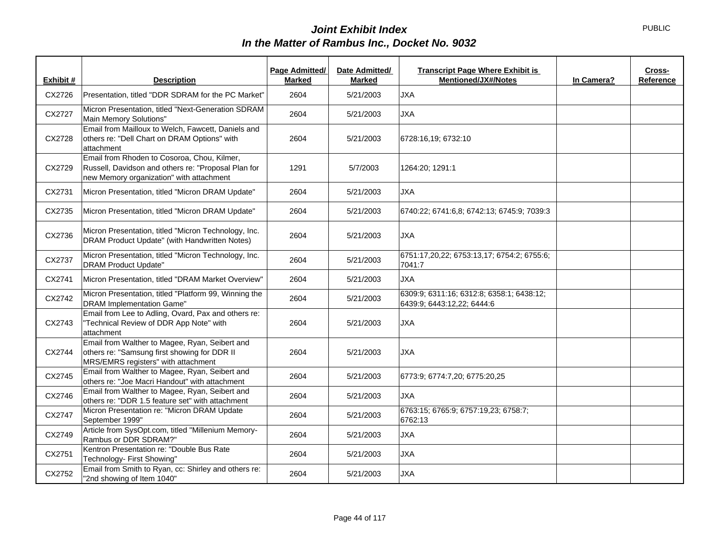| Exhibit # | <b>Description</b>                                                                                                                             | Page Admitted/<br><b>Marked</b> | Date Admitted/<br><b>Marked</b> | <b>Transcript Page Where Exhibit is</b><br>Cross-<br><b>Mentioned/JX#/Notes</b><br>Reference<br>In Camera? |
|-----------|------------------------------------------------------------------------------------------------------------------------------------------------|---------------------------------|---------------------------------|------------------------------------------------------------------------------------------------------------|
| CX2726    | Presentation, titled "DDR SDRAM for the PC Market"                                                                                             | 2604                            | 5/21/2003                       | <b>JXA</b>                                                                                                 |
| CX2727    | Micron Presentation, titled "Next-Generation SDRAM<br>Main Memory Solutions"                                                                   | 2604                            | 5/21/2003                       | <b>JXA</b>                                                                                                 |
| CX2728    | Email from Mailloux to Welch, Fawcett, Daniels and<br>others re: "Dell Chart on DRAM Options" with<br>attachment                               | 2604                            | 5/21/2003                       | 6728:16,19; 6732:10                                                                                        |
| CX2729    | Email from Rhoden to Cosoroa, Chou, Kilmer,<br>Russell, Davidson and others re: "Proposal Plan for<br>new Memory organization" with attachment | 1291                            | 5/7/2003                        | 1264:20; 1291:1                                                                                            |
| CX2731    | Micron Presentation, titled "Micron DRAM Update"                                                                                               | 2604                            | 5/21/2003                       | <b>JXA</b>                                                                                                 |
| CX2735    | Micron Presentation, titled "Micron DRAM Update"                                                                                               | 2604                            | 5/21/2003                       | 6740:22; 6741:6,8; 6742:13; 6745:9; 7039:3                                                                 |
| CX2736    | Micron Presentation, titled "Micron Technology, Inc.<br>DRAM Product Update" (with Handwritten Notes)                                          | 2604                            | 5/21/2003                       | <b>JXA</b>                                                                                                 |
| CX2737    | Micron Presentation, titled "Micron Technology, Inc.<br><b>DRAM Product Update"</b>                                                            | 2604                            | 5/21/2003                       | 6751:17,20,22; 6753:13,17; 6754:2; 6755:6;<br>7041:7                                                       |
| CX2741    | Micron Presentation, titled "DRAM Market Overview"                                                                                             | 2604                            | 5/21/2003                       | <b>JXA</b>                                                                                                 |
| CX2742    | Micron Presentation, titled "Platform 99, Winning the<br><b>DRAM Implementation Game"</b>                                                      | 2604                            | 5/21/2003                       | 6309:9; 6311:16; 6312:8; 6358:1; 6438:12;<br>6439:9; 6443:12,22; 6444:6                                    |
| CX2743    | Email from Lee to Adling, Ovard, Pax and others re:<br>"Technical Review of DDR App Note" with<br>attachment                                   | 2604                            | 5/21/2003                       | <b>JXA</b>                                                                                                 |
| CX2744    | Email from Walther to Magee, Ryan, Seibert and<br>others re: "Samsung first showing for DDR II<br>MRS/EMRS registers" with attachment          | 2604                            | 5/21/2003                       | <b>JXA</b>                                                                                                 |
| CX2745    | Email from Walther to Magee, Ryan, Seibert and<br>others re: "Joe Macri Handout" with attachment                                               | 2604                            | 5/21/2003                       | 6773:9; 6774:7,20; 6775:20,25                                                                              |
| CX2746    | Email from Walther to Magee, Ryan, Seibert and<br>others re: "DDR 1.5 feature set" with attachment                                             | 2604                            | 5/21/2003                       | <b>JXA</b>                                                                                                 |
| CX2747    | Micron Presentation re: "Micron DRAM Update<br>September 1999"                                                                                 | 2604                            | 5/21/2003                       | 6763:15; 6765:9; 6757:19,23; 6758:7;<br>6762:13                                                            |
| CX2749    | Article from SysOpt.com, titled "Millenium Memory-<br>Rambus or DDR SDRAM?"                                                                    | 2604                            | 5/21/2003                       | <b>JXA</b>                                                                                                 |
| CX2751    | Kentron Presentation re: "Double Bus Rate<br>Technology- First Showing"                                                                        | 2604                            | 5/21/2003                       | <b>JXA</b>                                                                                                 |
| CX2752    | Email from Smith to Ryan, cc: Shirley and others re:<br>"2nd showing of Item 1040"                                                             | 2604                            | 5/21/2003                       | <b>JXA</b>                                                                                                 |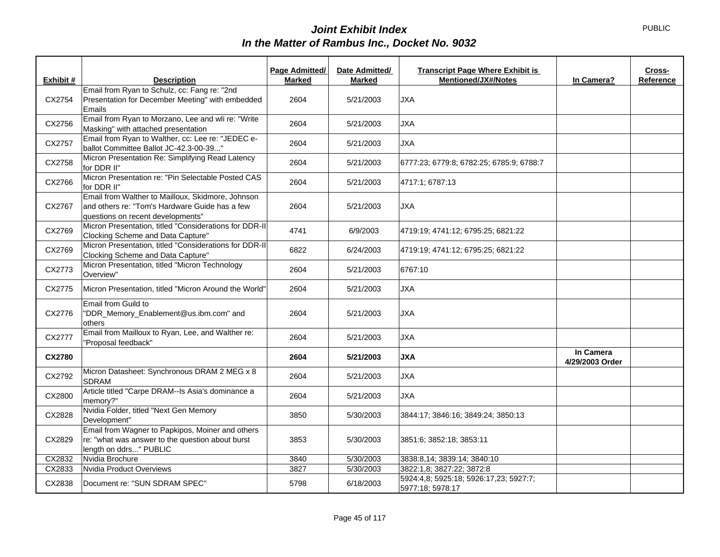|               |                                                                                                                                          | Page Admitted/ | Date Admitted/ | <b>Transcript Page Where Exhibit is</b>                    |                              | Cross-    |
|---------------|------------------------------------------------------------------------------------------------------------------------------------------|----------------|----------------|------------------------------------------------------------|------------------------------|-----------|
| Exhibit #     | <b>Description</b>                                                                                                                       | <b>Marked</b>  | <b>Marked</b>  | <b>Mentioned/JX#/Notes</b>                                 | In Camera?                   | Reference |
| CX2754        | Email from Ryan to Schulz, cc: Fang re: "2nd<br>Presentation for December Meeting" with embedded<br>Emails                               | 2604           | 5/21/2003      | <b>JXA</b>                                                 |                              |           |
| CX2756        | Email from Ryan to Morzano, Lee and wli re: "Write<br>Masking" with attached presentation                                                | 2604           | 5/21/2003      | <b>JXA</b>                                                 |                              |           |
| CX2757        | Email from Ryan to Walther, cc: Lee re: "JEDEC e-<br>ballot Committee Ballot JC-42.3-00-39"                                              | 2604           | 5/21/2003      | <b>JXA</b>                                                 |                              |           |
| CX2758        | Micron Presentation Re: Simplifying Read Latency<br>for DDR II"                                                                          | 2604           | 5/21/2003      | 6777:23; 6779:8; 6782:25; 6785:9; 6788:7                   |                              |           |
| CX2766        | Micron Presentation re: "Pin Selectable Posted CAS<br>for DDR II"                                                                        | 2604           | 5/21/2003      | 4717:1; 6787:13                                            |                              |           |
| CX2767        | Email from Walther to Mailloux, Skidmore, Johnson<br>and others re: "Tom's Hardware Guide has a few<br>questions on recent developments" | 2604           | 5/21/2003      | <b>JXA</b>                                                 |                              |           |
| CX2769        | Micron Presentation, titled "Considerations for DDR-II<br>Clocking Scheme and Data Capture"                                              | 4741           | 6/9/2003       | 4719:19; 4741:12; 6795:25; 6821:22                         |                              |           |
| CX2769        | Micron Presentation, titled "Considerations for DDR-II<br>Clocking Scheme and Data Capture"                                              | 6822           | 6/24/2003      | 4719:19; 4741:12; 6795:25; 6821:22                         |                              |           |
| CX2773        | Micron Presentation, titled "Micron Technology<br>Overview"                                                                              | 2604           | 5/21/2003      | 6767:10                                                    |                              |           |
| CX2775        | Micron Presentation, titled "Micron Around the World"                                                                                    | 2604           | 5/21/2003      | <b>JXA</b>                                                 |                              |           |
| CX2776        | Email from Guild to<br>"DDR_Memory_Enablement@us.ibm.com" and<br>others                                                                  | 2604           | 5/21/2003      | <b>JXA</b>                                                 |                              |           |
| CX2777        | Email from Mailloux to Ryan, Lee, and Walther re:<br>"Proposal feedback"                                                                 | 2604           | 5/21/2003      | <b>JXA</b>                                                 |                              |           |
| <b>CX2780</b> |                                                                                                                                          | 2604           | 5/21/2003      | <b>JXA</b>                                                 | In Camera<br>4/29/2003 Order |           |
| CX2792        | Micron Datasheet: Synchronous DRAM 2 MEG x 8<br><b>SDRAM</b>                                                                             | 2604           | 5/21/2003      | <b>JXA</b>                                                 |                              |           |
| CX2800        | Article titled "Carpe DRAM--Is Asia's dominance a<br>memory?"                                                                            | 2604           | 5/21/2003      | <b>JXA</b>                                                 |                              |           |
| CX2828        | Nvidia Folder, titled "Next Gen Memory<br>Development"                                                                                   | 3850           | 5/30/2003      | 3844:17; 3846:16; 3849:24; 3850:13                         |                              |           |
| CX2829        | Email from Wagner to Papkipos, Moiner and others<br>re: "what was answer to the question about burst<br>length on ddrs" PUBLIC           | 3853           | 5/30/2003      | 3851:6; 3852:18; 3853:11                                   |                              |           |
| CX2832        | Nvidia Brochure                                                                                                                          | 3840           | 5/30/2003      | 3838:8,14; 3839:14; 3840:10                                |                              |           |
| CX2833        | Nvidia Product Overviews                                                                                                                 | 3827           | 5/30/2003      | 3822:1,8; 3827:22; 3872:8                                  |                              |           |
| CX2838        | Document re: "SUN SDRAM SPEC"                                                                                                            | 5798           | 6/18/2003      | 5924:4,8; 5925:18; 5926:17,23; 5927:7;<br>5977:18; 5978:17 |                              |           |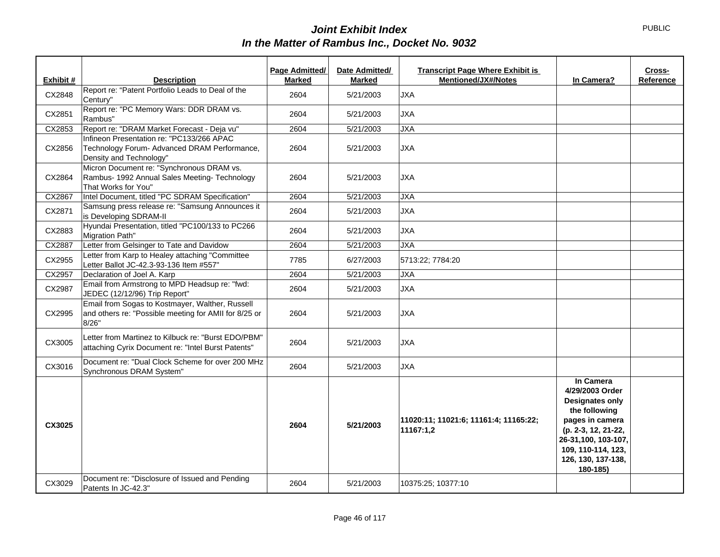PUBLIC

|           |                                                                                                                      | Page Admitted/ | Date Admitted/ | <b>Transcript Page Where Exhibit is</b>            |                                                                                                                                                                                                  | Cross-    |
|-----------|----------------------------------------------------------------------------------------------------------------------|----------------|----------------|----------------------------------------------------|--------------------------------------------------------------------------------------------------------------------------------------------------------------------------------------------------|-----------|
| Exhibit # | <b>Description</b>                                                                                                   | <b>Marked</b>  | <b>Marked</b>  | <b>Mentioned/JX#/Notes</b>                         | In Camera?                                                                                                                                                                                       | Reference |
| CX2848    | Report re: "Patent Portfolio Leads to Deal of the<br>Century"                                                        | 2604           | 5/21/2003      | <b>JXA</b>                                         |                                                                                                                                                                                                  |           |
| CX2851    | Report re: "PC Memory Wars: DDR DRAM vs.<br>Rambus"                                                                  | 2604           | 5/21/2003      | <b>JXA</b>                                         |                                                                                                                                                                                                  |           |
| CX2853    | Report re: "DRAM Market Forecast - Deja vu"                                                                          | 2604           | 5/21/2003      | <b>JXA</b>                                         |                                                                                                                                                                                                  |           |
| CX2856    | Infineon Presentation re: "PC133/266 APAC<br>Technology Forum- Advanced DRAM Performance,<br>Density and Technology" | 2604           | 5/21/2003      | <b>JXA</b>                                         |                                                                                                                                                                                                  |           |
| CX2864    | Micron Document re: "Synchronous DRAM vs.<br>Rambus- 1992 Annual Sales Meeting- Technology<br>That Works for You"    | 2604           | 5/21/2003      | <b>JXA</b>                                         |                                                                                                                                                                                                  |           |
| CX2867    | Intel Document, titled "PC SDRAM Specification"                                                                      | 2604           | 5/21/2003      | <b>JXA</b>                                         |                                                                                                                                                                                                  |           |
| CX2871    | Samsung press release re: "Samsung Announces it<br>is Developing SDRAM-II                                            | 2604           | 5/21/2003      | JXA                                                |                                                                                                                                                                                                  |           |
| CX2883    | Hyundai Presentation, titled "PC100/133 to PC266<br>Migration Path"                                                  | 2604           | 5/21/2003      | <b>JXA</b>                                         |                                                                                                                                                                                                  |           |
| CX2887    | Letter from Gelsinger to Tate and Davidow                                                                            | 2604           | 5/21/2003      | <b>JXA</b>                                         |                                                                                                                                                                                                  |           |
| CX2955    | Letter from Karp to Healey attaching "Committee<br>Letter Ballot JC-42.3-93-136 Item #557"                           | 7785           | 6/27/2003      | 5713:22; 7784:20                                   |                                                                                                                                                                                                  |           |
| CX2957    | Declaration of Joel A. Karp                                                                                          | 2604           | 5/21/2003      | <b>JXA</b>                                         |                                                                                                                                                                                                  |           |
| CX2987    | Email from Armstrong to MPD Headsup re: "fwd:<br>JEDEC (12/12/96) Trip Report"                                       | 2604           | 5/21/2003      | <b>JXA</b>                                         |                                                                                                                                                                                                  |           |
| CX2995    | Email from Sogas to Kostmayer, Walther, Russell<br>and others re: "Possible meeting for AMII for 8/25 or<br>8/26"    | 2604           | 5/21/2003      | <b>JXA</b>                                         |                                                                                                                                                                                                  |           |
| CX3005    | Letter from Martinez to Kilbuck re: "Burst EDO/PBM"<br>attaching Cyrix Document re: "Intel Burst Patents"            | 2604           | 5/21/2003      | <b>JXA</b>                                         |                                                                                                                                                                                                  |           |
| CX3016    | Document re: "Dual Clock Scheme for over 200 MHz<br>Synchronous DRAM System"                                         | 2604           | 5/21/2003      | <b>JXA</b>                                         |                                                                                                                                                                                                  |           |
| CX3025    |                                                                                                                      | 2604           | 5/21/2003      | 11020:11; 11021:6; 11161:4; 11165:22;<br>11167:1,2 | In Camera<br>4/29/2003 Order<br><b>Designates only</b><br>the following<br>pages in camera<br>(p. 2-3, 12, 21-22,<br>26-31,100, 103-107,<br>109, 110-114, 123,<br>126, 130, 137-138,<br>180-185) |           |
| CX3029    | Document re: "Disclosure of Issued and Pending<br>Patents In JC-42.3"                                                | 2604           | 5/21/2003      | 10375:25; 10377:10                                 |                                                                                                                                                                                                  |           |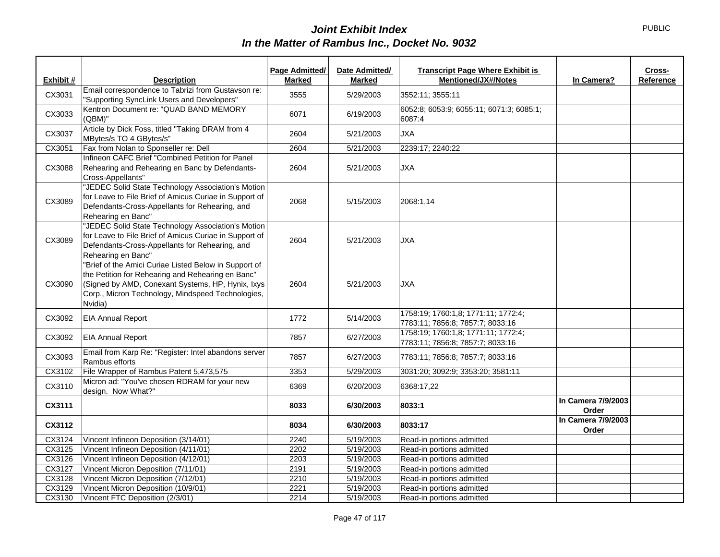|           |                                                                                                                                                                                                                                 | Page Admitted/ | Date Admitted/ | <b>Transcript Page Where Exhibit is</b>                                 | Cross-                      |
|-----------|---------------------------------------------------------------------------------------------------------------------------------------------------------------------------------------------------------------------------------|----------------|----------------|-------------------------------------------------------------------------|-----------------------------|
| Exhibit # | <b>Description</b>                                                                                                                                                                                                              | <b>Marked</b>  | Marked         | <b>Mentioned/JX#/Notes</b>                                              | In Camera?<br>Reference     |
| CX3031    | Email correspondence to Tabrizi from Gustavson re:<br>"Supporting SyncLink Users and Developers"                                                                                                                                | 3555           | 5/29/2003      | 3552:11; 3555:11                                                        |                             |
| CX3033    | Kentron Document re: "QUAD BAND MEMORY<br>(QBM)"                                                                                                                                                                                | 6071           | 6/19/2003      | 6052:8; 6053:9; 6055:11; 6071:3; 6085:1;<br>6087:4                      |                             |
| CX3037    | Article by Dick Foss, titled "Taking DRAM from 4<br>MBytes/s TO 4 GBytes/s"                                                                                                                                                     | 2604           | 5/21/2003      | <b>JXA</b>                                                              |                             |
| CX3051    | Fax from Nolan to Sponseller re: Dell                                                                                                                                                                                           | 2604           | 5/21/2003      | 2239:17; 2240:22                                                        |                             |
| CX3088    | Infineon CAFC Brief "Combined Petition for Panel<br>Rehearing and Rehearing en Banc by Defendants-<br>Cross-Appellants"                                                                                                         | 2604           | 5/21/2003      | <b>JXA</b>                                                              |                             |
| CX3089    | "JEDEC Solid State Technology Association's Motion<br>for Leave to File Brief of Amicus Curiae in Support of<br>Defendants-Cross-Appellants for Rehearing, and<br>Rehearing en Banc"                                            | 2068           | 5/15/2003      | 2068:1,14                                                               |                             |
| CX3089    | "JEDEC Solid State Technology Association's Motion<br>for Leave to File Brief of Amicus Curiae in Support of<br>Defendants-Cross-Appellants for Rehearing, and<br>Rehearing en Banc"                                            | 2604           | 5/21/2003      | <b>JXA</b>                                                              |                             |
| CX3090    | "Brief of the Amici Curiae Listed Below in Support of<br>the Petition for Rehearing and Rehearing en Banc"<br>(Signed by AMD, Conexant Systems, HP, Hynix, Ixys<br>Corp., Micron Technology, Mindspeed Technologies,<br>Nvidia) | 2604           | 5/21/2003      | <b>JXA</b>                                                              |                             |
| CX3092    | <b>EIA Annual Report</b>                                                                                                                                                                                                        | 1772           | 5/14/2003      | 1758:19; 1760:1,8; 1771:11; 1772:4;<br>7783:11; 7856:8; 7857:7; 8033:16 |                             |
| CX3092    | <b>EIA Annual Report</b>                                                                                                                                                                                                        | 7857           | 6/27/2003      | 1758:19; 1760:1,8; 1771:11; 1772:4;<br>7783:11; 7856:8; 7857:7; 8033:16 |                             |
| CX3093    | Email from Karp Re: "Register: Intel abandons server<br>Rambus efforts                                                                                                                                                          | 7857           | 6/27/2003      | 7783:11; 7856:8; 7857:7; 8033:16                                        |                             |
| CX3102    | File Wrapper of Rambus Patent 5,473,575                                                                                                                                                                                         | 3353           | 5/29/2003      | 3031:20; 3092:9; 3353:20; 3581:11                                       |                             |
| CX3110    | Micron ad: "You've chosen RDRAM for your new<br>design. Now What?"                                                                                                                                                              | 6369           | 6/20/2003      | 6368:17,22                                                              |                             |
| CX3111    |                                                                                                                                                                                                                                 | 8033           | 6/30/2003      | 8033:1                                                                  | In Camera 7/9/2003<br>Order |
| CX3112    |                                                                                                                                                                                                                                 | 8034           | 6/30/2003      | 8033:17                                                                 | In Camera 7/9/2003<br>Order |
| CX3124    | Vincent Infineon Deposition (3/14/01)                                                                                                                                                                                           | 2240           | 5/19/2003      | Read-in portions admitted                                               |                             |
| CX3125    | Vincent Infineon Deposition (4/11/01)                                                                                                                                                                                           | 2202           | 5/19/2003      | Read-in portions admitted                                               |                             |
| CX3126    | Vincent Infineon Deposition (4/12/01)                                                                                                                                                                                           | 2203           | 5/19/2003      | Read-in portions admitted                                               |                             |
| CX3127    | Vincent Micron Deposition (7/11/01)                                                                                                                                                                                             | 2191           | 5/19/2003      | Read-in portions admitted                                               |                             |
| CX3128    | Vincent Micron Deposition (7/12/01)                                                                                                                                                                                             | 2210           | 5/19/2003      | Read-in portions admitted                                               |                             |
| CX3129    | Vincent Micron Deposition (10/9/01)                                                                                                                                                                                             | 2221           | 5/19/2003      | Read-in portions admitted                                               |                             |
| CX3130    | Vincent FTC Deposition (2/3/01)                                                                                                                                                                                                 | 2214           | 5/19/2003      | Read-in portions admitted                                               |                             |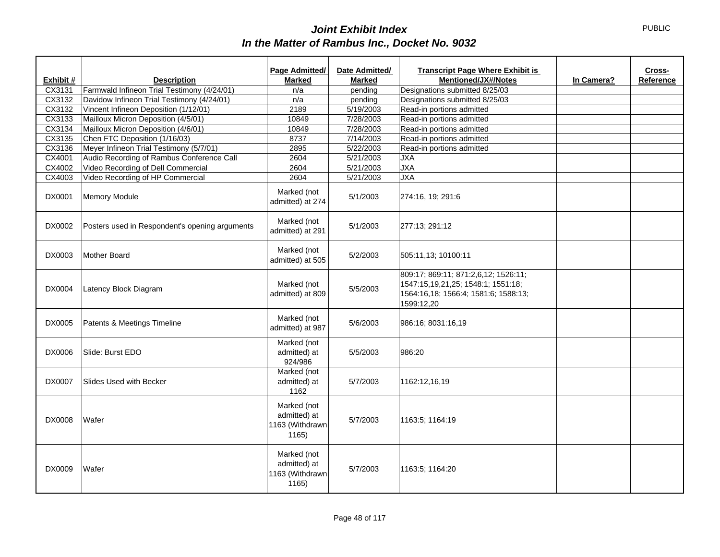|           |                                                | Page Admitted/                                          | Date Admitted/ | <b>Transcript Page Where Exhibit is</b>                                                                                          |            | Cross-    |
|-----------|------------------------------------------------|---------------------------------------------------------|----------------|----------------------------------------------------------------------------------------------------------------------------------|------------|-----------|
| Exhibit # | <b>Description</b>                             | Marked                                                  | <b>Marked</b>  | <b>Mentioned/JX#/Notes</b>                                                                                                       | In Camera? | Reference |
| CX3131    | Farmwald Infineon Trial Testimony (4/24/01)    | n/a                                                     | pending        | Designations submitted 8/25/03                                                                                                   |            |           |
| CX3132    | Davidow Infineon Trial Testimony (4/24/01)     | n/a                                                     | pending        | Designations submitted 8/25/03                                                                                                   |            |           |
| CX3132    | Vincent Infineon Deposition (1/12/01)          | 2189                                                    | 5/19/2003      | Read-in portions admitted                                                                                                        |            |           |
| CX3133    | Mailloux Micron Deposition (4/5/01)            | 10849                                                   | 7/28/2003      | Read-in portions admitted                                                                                                        |            |           |
| CX3134    | Mailloux Micron Deposition (4/6/01)            | 10849                                                   | 7/28/2003      | Read-in portions admitted                                                                                                        |            |           |
| CX3135    | Chen FTC Deposition (1/16/03)                  | 8737                                                    | 7/14/2003      | Read-in portions admitted                                                                                                        |            |           |
| CX3136    | Meyer Infineon Trial Testimony (5/7/01)        | 2895                                                    | 5/22/2003      | Read-in portions admitted                                                                                                        |            |           |
| CX4001    | Audio Recording of Rambus Conference Call      | 2604                                                    | 5/21/2003      | <b>JXA</b>                                                                                                                       |            |           |
| CX4002    | Video Recording of Dell Commercial             | 2604                                                    | 5/21/2003      | <b>JXA</b>                                                                                                                       |            |           |
| CX4003    | Video Recording of HP Commercial               | 2604                                                    | 5/21/2003      | <b>JXA</b>                                                                                                                       |            |           |
| DX0001    | Memory Module                                  | Marked (not<br>admitted) at 274                         | 5/1/2003       | 274:16, 19; 291:6                                                                                                                |            |           |
| DX0002    | Posters used in Respondent's opening arguments | Marked (not<br>admitted) at 291                         | 5/1/2003       | 277:13; 291:12                                                                                                                   |            |           |
| DX0003    | Mother Board                                   | Marked (not<br>admitted) at 505                         | 5/2/2003       | 505:11,13; 10100:11                                                                                                              |            |           |
| DX0004    | Latency Block Diagram                          | Marked (not<br>admitted) at 809                         | 5/5/2003       | 809:17; 869:11; 871:2,6,12; 1526:11;<br>1547:15,19,21,25; 1548:1; 1551:18;<br>1564:16,18; 1566:4; 1581:6; 1588:13;<br>1599:12,20 |            |           |
| DX0005    | Patents & Meetings Timeline                    | Marked (not<br>admitted) at 987                         | 5/6/2003       | 986:16; 8031:16,19                                                                                                               |            |           |
| DX0006    | Slide: Burst EDO                               | Marked (not<br>admitted) at<br>924/986                  | 5/5/2003       | 986:20                                                                                                                           |            |           |
| DX0007    | Slides Used with Becker                        | Marked (not<br>admitted) at<br>1162                     | 5/7/2003       | 1162:12,16,19                                                                                                                    |            |           |
| DX0008    | Wafer                                          | Marked (not<br>admitted) at<br>1163 (Withdrawn<br>1165) | 5/7/2003       | 1163:5; 1164:19                                                                                                                  |            |           |
| DX0009    | Wafer                                          | Marked (not<br>admitted) at<br>1163 (Withdrawn<br>1165) | 5/7/2003       | 1163:5; 1164:20                                                                                                                  |            |           |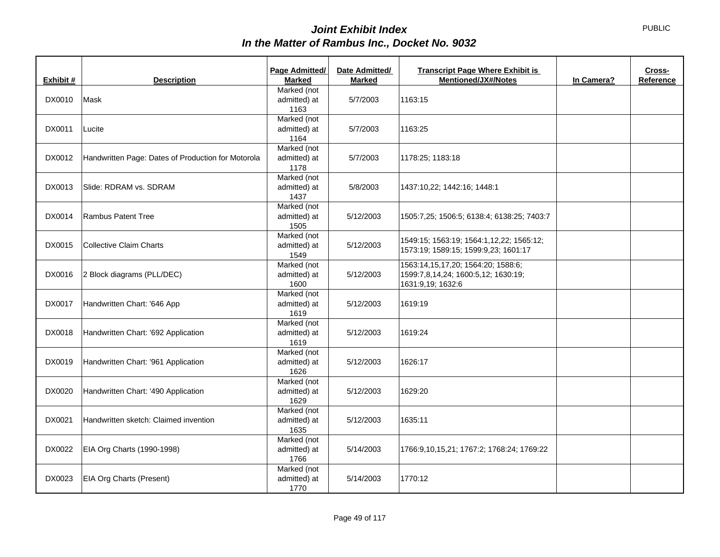| Exhibit # | <b>Description</b>                                 | Page Admitted/<br><b>Marked</b>     | Date Admitted/<br><b>Marked</b> | <b>Transcript Page Where Exhibit is</b><br><b>Mentioned/JX#/Notes</b>                          | In Camera? | Cross-<br>Reference |
|-----------|----------------------------------------------------|-------------------------------------|---------------------------------|------------------------------------------------------------------------------------------------|------------|---------------------|
| DX0010    | Mask                                               | Marked (not<br>admitted) at<br>1163 | 5/7/2003                        | 1163:15                                                                                        |            |                     |
| DX0011    | Lucite                                             | Marked (not<br>admitted) at<br>1164 | 5/7/2003                        | 1163:25                                                                                        |            |                     |
| DX0012    | Handwritten Page: Dates of Production for Motorola | Marked (not<br>admitted) at<br>1178 | 5/7/2003                        | 1178:25; 1183:18                                                                               |            |                     |
| DX0013    | Slide: RDRAM vs. SDRAM                             | Marked (not<br>admitted) at<br>1437 | 5/8/2003                        | 1437:10,22; 1442:16; 1448:1                                                                    |            |                     |
| DX0014    | <b>Rambus Patent Tree</b>                          | Marked (not<br>admitted) at<br>1505 | 5/12/2003                       | 1505:7,25; 1506:5; 6138:4; 6138:25; 7403:7                                                     |            |                     |
| DX0015    | Collective Claim Charts                            | Marked (not<br>admitted) at<br>1549 | 5/12/2003                       | 1549:15; 1563:19; 1564:1,12,22; 1565:12;<br>1573:19; 1589:15; 1599:9,23; 1601:17               |            |                     |
| DX0016    | 2 Block diagrams (PLL/DEC)                         | Marked (not<br>admitted) at<br>1600 | 5/12/2003                       | 1563:14,15,17,20; 1564:20; 1588:6;<br>1599:7,8,14,24; 1600:5,12; 1630:19;<br>1631:9,19; 1632:6 |            |                     |
| DX0017    | Handwritten Chart: '646 App                        | Marked (not<br>admitted) at<br>1619 | 5/12/2003                       | 1619:19                                                                                        |            |                     |
| DX0018    | Handwritten Chart: '692 Application                | Marked (not<br>admitted) at<br>1619 | 5/12/2003                       | 1619:24                                                                                        |            |                     |
| DX0019    | Handwritten Chart: '961 Application                | Marked (not<br>admitted) at<br>1626 | 5/12/2003                       | 1626:17                                                                                        |            |                     |
| DX0020    | Handwritten Chart: '490 Application                | Marked (not<br>admitted) at<br>1629 | 5/12/2003                       | 1629:20                                                                                        |            |                     |
| DX0021    | Handwritten sketch: Claimed invention              | Marked (not<br>admitted) at<br>1635 | 5/12/2003                       | 1635:11                                                                                        |            |                     |
| DX0022    | EIA Org Charts (1990-1998)                         | Marked (not<br>admitted) at<br>1766 | 5/14/2003                       | 1766:9,10,15,21; 1767:2; 1768:24; 1769:22                                                      |            |                     |
| DX0023    | EIA Org Charts (Present)                           | Marked (not<br>admitted) at<br>1770 | 5/14/2003                       | 1770:12                                                                                        |            |                     |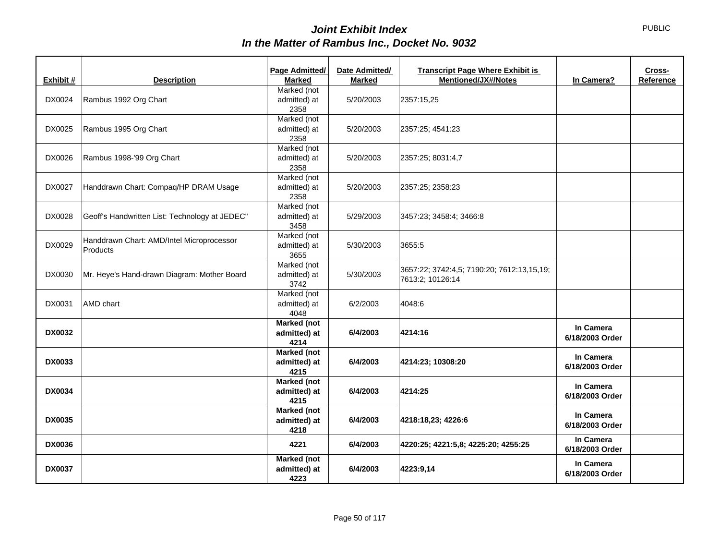|               |                                                | Page Admitted/       | Date Admitted/ | <b>Transcript Page Where Exhibit is</b>    |                 | Cross-    |
|---------------|------------------------------------------------|----------------------|----------------|--------------------------------------------|-----------------|-----------|
| Exhibit #     | <b>Description</b>                             | <b>Marked</b>        | <b>Marked</b>  | <b>Mentioned/JX#/Notes</b>                 | In Camera?      | Reference |
|               |                                                | Marked (not          |                |                                            |                 |           |
| DX0024        | Rambus 1992 Org Chart                          | admitted) at         | 5/20/2003      | 2357:15,25                                 |                 |           |
|               |                                                | 2358                 |                |                                            |                 |           |
|               |                                                | Marked (not          |                |                                            |                 |           |
| DX0025        | Rambus 1995 Org Chart                          | admitted) at         | 5/20/2003      | 2357:25; 4541:23                           |                 |           |
|               |                                                | 2358                 |                |                                            |                 |           |
|               |                                                | Marked (not          |                |                                            |                 |           |
| DX0026        | Rambus 1998-'99 Org Chart                      | admitted) at         | 5/20/2003      | 2357:25; 8031:4,7                          |                 |           |
|               |                                                | 2358<br>Marked (not  |                |                                            |                 |           |
|               |                                                |                      |                |                                            |                 |           |
| DX0027        | Handdrawn Chart: Compaq/HP DRAM Usage          | admitted) at<br>2358 | 5/20/2003      | 2357:25; 2358:23                           |                 |           |
|               |                                                |                      |                |                                            |                 |           |
|               |                                                | Marked (not          |                |                                            |                 |           |
| DX0028        | Geoff's Handwritten List: Technology at JEDEC" | admitted) at<br>3458 | 5/29/2003      | 3457:23; 3458:4; 3466:8                    |                 |           |
|               |                                                |                      |                |                                            |                 |           |
| DX0029        | Handdrawn Chart: AMD/Intel Microprocessor      | Marked (not          |                |                                            |                 |           |
|               | Products                                       | admitted) at<br>3655 | 5/30/2003      | 3655:5                                     |                 |           |
|               |                                                | Marked (not          |                |                                            |                 |           |
| DX0030        | Mr. Heye's Hand-drawn Diagram: Mother Board    | admitted) at         | 5/30/2003      | 3657:22; 3742:4,5; 7190:20; 7612:13,15,19; |                 |           |
|               |                                                | 3742                 |                | 7613:2; 10126:14                           |                 |           |
|               |                                                | Marked (not          |                |                                            |                 |           |
| DX0031        | AMD chart                                      | admitted) at         | 6/2/2003       | 4048:6                                     |                 |           |
|               |                                                | 4048                 |                |                                            |                 |           |
|               |                                                | <b>Marked (not</b>   |                |                                            |                 |           |
| <b>DX0032</b> |                                                | admitted) at         | 6/4/2003       | 4214:16                                    | In Camera       |           |
|               |                                                | 4214                 |                |                                            | 6/18/2003 Order |           |
|               |                                                | <b>Marked (not</b>   |                |                                            |                 |           |
| <b>DX0033</b> |                                                | admitted) at         | 6/4/2003       | 4214:23; 10308:20                          | In Camera       |           |
|               |                                                | 4215                 |                |                                            | 6/18/2003 Order |           |
|               |                                                | <b>Marked (not</b>   |                |                                            |                 |           |
| <b>DX0034</b> |                                                | admitted) at         | 6/4/2003       | 4214:25                                    | In Camera       |           |
|               |                                                | 4215                 |                |                                            | 6/18/2003 Order |           |
|               |                                                | <b>Marked (not</b>   |                |                                            |                 |           |
| <b>DX0035</b> |                                                | admitted) at         | 6/4/2003       | 4218:18,23; 4226:6                         | In Camera       |           |
|               |                                                | 4218                 |                |                                            | 6/18/2003 Order |           |
|               |                                                |                      |                |                                            | In Camera       |           |
| <b>DX0036</b> |                                                | 4221                 | 6/4/2003       | 4220:25; 4221:5,8; 4225:20; 4255:25        | 6/18/2003 Order |           |
|               |                                                | <b>Marked (not</b>   |                |                                            |                 |           |
| <b>DX0037</b> |                                                | admitted) at         | 6/4/2003       | 4223:9,14                                  | In Camera       |           |
|               |                                                | 4223                 |                |                                            | 6/18/2003 Order |           |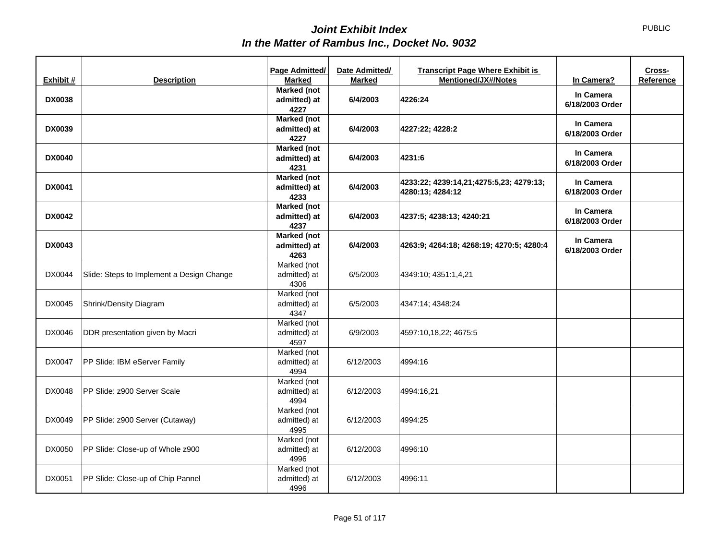| Exhibit #     | <b>Description</b>                        | Page Admitted/<br><b>Marked</b>            | Date Admitted/<br><b>Marked</b> | <b>Transcript Page Where Exhibit is</b><br><b>Mentioned/JX#/Notes</b> | In Camera?                   | Cross-<br>Reference |
|---------------|-------------------------------------------|--------------------------------------------|---------------------------------|-----------------------------------------------------------------------|------------------------------|---------------------|
| <b>DX0038</b> |                                           | <b>Marked</b> (not<br>admitted) at<br>4227 | 6/4/2003                        | 4226:24                                                               | In Camera<br>6/18/2003 Order |                     |
| <b>DX0039</b> |                                           | <b>Marked</b> (not<br>admitted) at<br>4227 | 6/4/2003                        | 4227:22; 4228:2                                                       | In Camera<br>6/18/2003 Order |                     |
| <b>DX0040</b> |                                           | Marked (not<br>admitted) at<br>4231        | 6/4/2003                        | 4231:6                                                                | In Camera<br>6/18/2003 Order |                     |
| <b>DX0041</b> |                                           | <b>Marked (not</b><br>admitted) at<br>4233 | 6/4/2003                        | 4233:22; 4239:14,21;4275:5,23; 4279:13;<br>4280:13; 4284:12           | In Camera<br>6/18/2003 Order |                     |
| <b>DX0042</b> |                                           | <b>Marked (not</b><br>admitted) at<br>4237 | 6/4/2003                        | 4237:5; 4238:13; 4240:21                                              | In Camera<br>6/18/2003 Order |                     |
| <b>DX0043</b> |                                           | <b>Marked (not</b><br>admitted) at<br>4263 | 6/4/2003                        | 4263:9; 4264:18; 4268:19; 4270:5; 4280:4                              | In Camera<br>6/18/2003 Order |                     |
| DX0044        | Slide: Steps to Implement a Design Change | Marked (not<br>admitted) at<br>4306        | 6/5/2003                        | 4349:10; 4351:1,4,21                                                  |                              |                     |
| DX0045        | Shrink/Density Diagram                    | Marked (not<br>admitted) at<br>4347        | 6/5/2003                        | 4347:14; 4348:24                                                      |                              |                     |
| DX0046        | DDR presentation given by Macri           | Marked (not<br>admitted) at<br>4597        | 6/9/2003                        | 4597:10,18,22; 4675:5                                                 |                              |                     |
| DX0047        | PP Slide: IBM eServer Family              | Marked (not<br>admitted) at<br>4994        | 6/12/2003                       | 4994:16                                                               |                              |                     |
| DX0048        | PP Slide: z900 Server Scale               | Marked (not<br>admitted) at<br>4994        | 6/12/2003                       | 4994:16,21                                                            |                              |                     |
| DX0049        | PP Slide: z900 Server (Cutaway)           | Marked (not<br>admitted) at<br>4995        | 6/12/2003                       | 4994:25                                                               |                              |                     |
| DX0050        | PP Slide: Close-up of Whole z900          | Marked (not<br>admitted) at<br>4996        | 6/12/2003                       | 4996:10                                                               |                              |                     |
| DX0051        | PP Slide: Close-up of Chip Pannel         | Marked (not<br>admitted) at<br>4996        | 6/12/2003                       | 4996:11                                                               |                              |                     |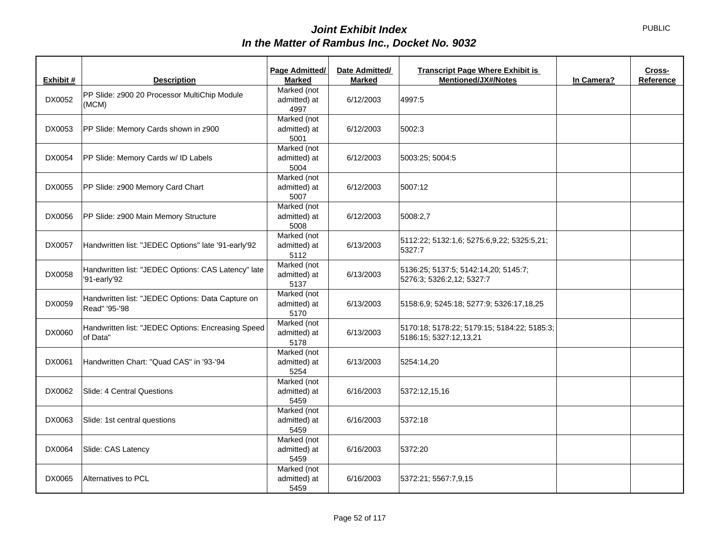| Exhibit # | <b>Description</b>                                                 | Page Admitted/<br><b>Marked</b> | Date Admitted/<br><b>Marked</b> | <b>Transcript Page Where Exhibit is</b><br><b>Mentioned/JX#/Notes</b> | In Camera? | Cross-<br>Reference |
|-----------|--------------------------------------------------------------------|---------------------------------|---------------------------------|-----------------------------------------------------------------------|------------|---------------------|
|           |                                                                    | Marked (not                     |                                 |                                                                       |            |                     |
| DX0052    | PP Slide: z900 20 Processor MultiChip Module                       | admitted) at                    | 6/12/2003                       | 4997:5                                                                |            |                     |
|           | (MCM)                                                              | 4997                            |                                 |                                                                       |            |                     |
|           |                                                                    | Marked (not                     |                                 |                                                                       |            |                     |
| DX0053    | PP Slide: Memory Cards shown in z900                               | admitted) at                    | 6/12/2003                       | 5002:3                                                                |            |                     |
|           |                                                                    | 5001                            |                                 |                                                                       |            |                     |
|           |                                                                    | Marked (not                     |                                 |                                                                       |            |                     |
| DX0054    | PP Slide: Memory Cards w/ ID Labels                                | admitted) at                    | 6/12/2003                       | 5003:25; 5004:5                                                       |            |                     |
|           |                                                                    | 5004                            |                                 |                                                                       |            |                     |
|           |                                                                    | Marked (not                     |                                 |                                                                       |            |                     |
| DX0055    | PP Slide: z900 Memory Card Chart                                   | admitted) at                    | 6/12/2003                       | 5007:12                                                               |            |                     |
|           |                                                                    | 5007                            |                                 |                                                                       |            |                     |
|           |                                                                    | Marked (not                     |                                 |                                                                       |            |                     |
| DX0056    | PP Slide: z900 Main Memory Structure                               | admitted) at<br>5008            | 6/12/2003                       | 5008:2,7                                                              |            |                     |
|           |                                                                    | Marked (not                     |                                 |                                                                       |            |                     |
| DX0057    | Handwritten list: "JEDEC Options" late '91-early'92                | admitted) at                    | 6/13/2003                       | 5112:22; 5132:1,6; 5275:6,9,22; 5325:5,21;                            |            |                     |
|           |                                                                    | 5112                            |                                 | 5327:7                                                                |            |                     |
|           |                                                                    | Marked (not                     |                                 |                                                                       |            |                     |
| DX0058    | Handwritten list: "JEDEC Options: CAS Latency" late                | admitted) at                    | 6/13/2003                       | 5136:25; 5137:5; 5142:14,20; 5145:7;                                  |            |                     |
|           | '91-early'92                                                       | 5137                            |                                 | 5276:3; 5326:2,12; 5327:7                                             |            |                     |
|           |                                                                    | Marked (not                     |                                 |                                                                       |            |                     |
| DX0059    | Handwritten list: "JEDEC Options: Data Capture on<br>Read" '95-'98 | admitted) at                    | 6/13/2003                       | 5158:6,9; 5245:18; 5277:9; 5326:17,18,25                              |            |                     |
|           |                                                                    | 5170                            |                                 |                                                                       |            |                     |
|           | Handwritten list: "JEDEC Options: Encreasing Speed                 | Marked (not                     |                                 | 5170:18; 5178:22; 5179:15; 5184:22; 5185:3;                           |            |                     |
| DX0060    | of Data"                                                           | admitted) at                    | 6/13/2003                       | 5186:15; 5327:12,13,21                                                |            |                     |
|           |                                                                    | 5178                            |                                 |                                                                       |            |                     |
|           |                                                                    | Marked (not                     |                                 |                                                                       |            |                     |
| DX0061    | Handwritten Chart: "Quad CAS" in '93-'94                           | admitted) at                    | 6/13/2003                       | 5254:14,20                                                            |            |                     |
|           |                                                                    | 5254<br>Marked (not             |                                 |                                                                       |            |                     |
| DX0062    | Slide: 4 Central Questions                                         | admitted) at                    | 6/16/2003                       | 5372:12,15,16                                                         |            |                     |
|           |                                                                    | 5459                            |                                 |                                                                       |            |                     |
|           |                                                                    | Marked (not                     |                                 |                                                                       |            |                     |
| DX0063    | Slide: 1st central questions                                       | admitted) at                    | 6/16/2003                       | 5372:18                                                               |            |                     |
|           |                                                                    | 5459                            |                                 |                                                                       |            |                     |
|           |                                                                    | Marked (not                     |                                 |                                                                       |            |                     |
| DX0064    | Slide: CAS Latency                                                 | admitted) at                    | 6/16/2003                       | 5372:20                                                               |            |                     |
|           |                                                                    | 5459                            |                                 |                                                                       |            |                     |
|           |                                                                    | Marked (not                     |                                 |                                                                       |            |                     |
| DX0065    | Alternatives to PCL                                                | admitted) at                    | 6/16/2003                       | 5372:21; 5567:7,9,15                                                  |            |                     |
|           |                                                                    | 5459                            |                                 |                                                                       |            |                     |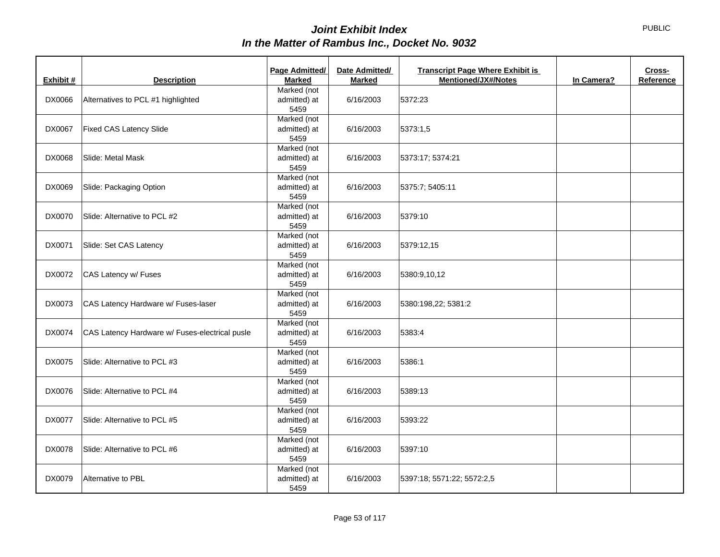|               |                                                | Page Admitted/ | Date Admitted/ | <b>Transcript Page Where Exhibit is</b>  | Cross-    |
|---------------|------------------------------------------------|----------------|----------------|------------------------------------------|-----------|
| Exhibit #     | <b>Description</b>                             | <b>Marked</b>  | <b>Marked</b>  | <b>Mentioned/JX#/Notes</b><br>In Camera? | Reference |
|               |                                                | Marked (not    |                |                                          |           |
| DX0066        | Alternatives to PCL #1 highlighted             | admitted) at   | 6/16/2003      | 5372:23                                  |           |
|               |                                                | 5459           |                |                                          |           |
|               |                                                | Marked (not    |                |                                          |           |
| DX0067        | Fixed CAS Latency Slide                        | admitted) at   | 6/16/2003      | 5373:1,5                                 |           |
|               |                                                | 5459           |                |                                          |           |
|               |                                                | Marked (not    |                |                                          |           |
| DX0068        | Slide: Metal Mask                              | admitted) at   | 6/16/2003      | 5373:17; 5374:21                         |           |
|               |                                                | 5459           |                |                                          |           |
|               |                                                | Marked (not    |                |                                          |           |
| DX0069        | Slide: Packaging Option                        | admitted) at   | 6/16/2003      | 5375:7; 5405:11                          |           |
|               |                                                | 5459           |                |                                          |           |
|               |                                                | Marked (not    |                |                                          |           |
| DX0070        | Slide: Alternative to PCL #2                   | admitted) at   | 6/16/2003      | 5379:10                                  |           |
|               |                                                | 5459           |                |                                          |           |
|               |                                                | Marked (not    |                |                                          |           |
| DX0071        | Slide: Set CAS Latency                         | admitted) at   | 6/16/2003      | 5379:12,15                               |           |
|               |                                                | 5459           |                |                                          |           |
|               |                                                | Marked (not    |                |                                          |           |
| DX0072        | CAS Latency w/ Fuses                           | admitted) at   | 6/16/2003      | 5380:9,10,12                             |           |
|               |                                                | 5459           |                |                                          |           |
|               |                                                | Marked (not    |                |                                          |           |
| DX0073        | CAS Latency Hardware w/ Fuses-laser            | admitted) at   | 6/16/2003      | 5380:198,22; 5381:2                      |           |
|               |                                                | 5459           |                |                                          |           |
|               |                                                | Marked (not    |                |                                          |           |
| DX0074        | CAS Latency Hardware w/ Fuses-electrical pusle | admitted) at   | 6/16/2003      | 5383:4                                   |           |
|               |                                                | 5459           |                |                                          |           |
|               |                                                | Marked (not    |                |                                          |           |
| DX0075        | Slide: Alternative to PCL #3                   | admitted) at   | 6/16/2003      | 5386:1                                   |           |
|               |                                                | 5459           |                |                                          |           |
|               |                                                | Marked (not    |                |                                          |           |
| DX0076        | Slide: Alternative to PCL #4                   | admitted) at   | 6/16/2003      | 5389:13                                  |           |
|               |                                                | 5459           |                |                                          |           |
|               |                                                | Marked (not    |                |                                          |           |
| <b>DX0077</b> | Slide: Alternative to PCL #5                   | admitted) at   | 6/16/2003      | 5393:22                                  |           |
|               |                                                | 5459           |                |                                          |           |
|               |                                                | Marked (not    |                |                                          |           |
| DX0078        | Slide: Alternative to PCL #6                   | admitted) at   | 6/16/2003      | 5397:10                                  |           |
|               |                                                | 5459           |                |                                          |           |
|               |                                                | Marked (not    |                |                                          |           |
| DX0079        | Alternative to PBL                             | admitted) at   | 6/16/2003      | 5397:18; 5571:22; 5572:2,5               |           |
|               |                                                | 5459           |                |                                          |           |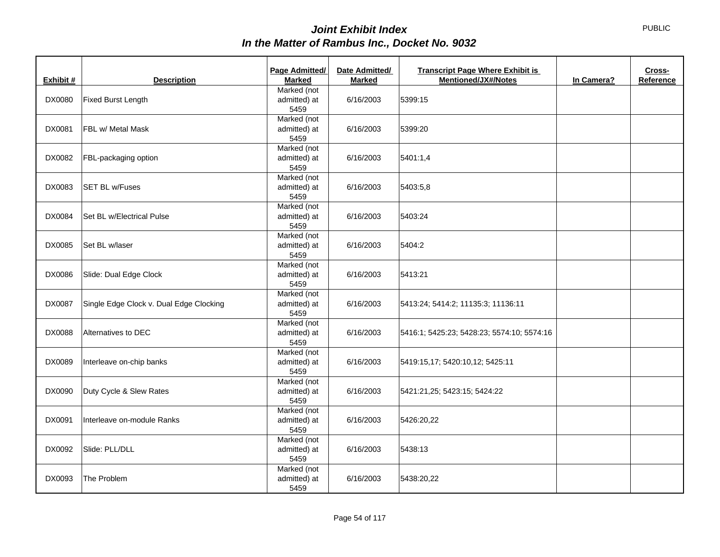|               |                                         | Page Admitted/ | Date Admitted/ | <b>Transcript Page Where Exhibit is</b>    |            | Cross-    |
|---------------|-----------------------------------------|----------------|----------------|--------------------------------------------|------------|-----------|
| Exhibit #     | <b>Description</b>                      | <b>Marked</b>  | <b>Marked</b>  | Mentioned/JX#/Notes                        | In Camera? | Reference |
|               |                                         | Marked (not    |                |                                            |            |           |
| DX0080        | Fixed Burst Length                      | admitted) at   | 6/16/2003      | 5399:15                                    |            |           |
|               |                                         | 5459           |                |                                            |            |           |
|               |                                         | Marked (not    |                |                                            |            |           |
| DX0081        | FBL w/ Metal Mask                       | admitted) at   | 6/16/2003      | 5399:20                                    |            |           |
|               |                                         | 5459           |                |                                            |            |           |
|               |                                         | Marked (not    |                |                                            |            |           |
| DX0082        | FBL-packaging option                    | admitted) at   | 6/16/2003      | 5401:1,4                                   |            |           |
|               |                                         | 5459           |                |                                            |            |           |
|               |                                         | Marked (not    |                |                                            |            |           |
| DX0083        | <b>SET BL w/Fuses</b>                   | admitted) at   | 6/16/2003      | 5403:5,8                                   |            |           |
|               |                                         | 5459           |                |                                            |            |           |
|               |                                         | Marked (not    |                |                                            |            |           |
| DX0084        | Set BL w/Electrical Pulse               | admitted) at   | 6/16/2003      | 5403:24                                    |            |           |
|               |                                         | 5459           |                |                                            |            |           |
|               |                                         | Marked (not    |                |                                            |            |           |
| DX0085        | Set BL w/laser                          | admitted) at   | 6/16/2003      | 5404:2                                     |            |           |
|               |                                         | 5459           |                |                                            |            |           |
|               |                                         | Marked (not    |                |                                            |            |           |
| DX0086        | Slide: Dual Edge Clock                  | admitted) at   | 6/16/2003      | 5413:21                                    |            |           |
|               |                                         | 5459           |                |                                            |            |           |
|               |                                         | Marked (not    |                |                                            |            |           |
| <b>DX0087</b> | Single Edge Clock v. Dual Edge Clocking | admitted) at   | 6/16/2003      | 5413:24; 5414:2; 11135:3; 11136:11         |            |           |
|               |                                         | 5459           |                |                                            |            |           |
|               |                                         | Marked (not    |                |                                            |            |           |
| DX0088        | Alternatives to DEC                     | admitted) at   | 6/16/2003      | 5416:1; 5425:23; 5428:23; 5574:10; 5574:16 |            |           |
|               |                                         | 5459           |                |                                            |            |           |
|               |                                         | Marked (not    |                |                                            |            |           |
| DX0089        | Interleave on-chip banks                | admitted) at   | 6/16/2003      | 5419:15,17; 5420:10,12; 5425:11            |            |           |
|               |                                         | 5459           |                |                                            |            |           |
|               |                                         | Marked (not    |                |                                            |            |           |
| DX0090        | Duty Cycle & Slew Rates                 | admitted) at   | 6/16/2003      | 5421:21,25; 5423:15; 5424:22               |            |           |
|               |                                         | 5459           |                |                                            |            |           |
|               |                                         | Marked (not    |                |                                            |            |           |
| DX0091        | Interleave on-module Ranks              | admitted) at   | 6/16/2003      | 5426:20,22                                 |            |           |
|               |                                         | 5459           |                |                                            |            |           |
|               |                                         | Marked (not    |                |                                            |            |           |
| DX0092        | Slide: PLL/DLL                          | admitted) at   | 6/16/2003      | 5438:13                                    |            |           |
|               |                                         | 5459           |                |                                            |            |           |
|               |                                         | Marked (not    |                |                                            |            |           |
| DX0093        | The Problem                             | admitted) at   | 6/16/2003      | 5438:20,22                                 |            |           |
|               |                                         | 5459           |                |                                            |            |           |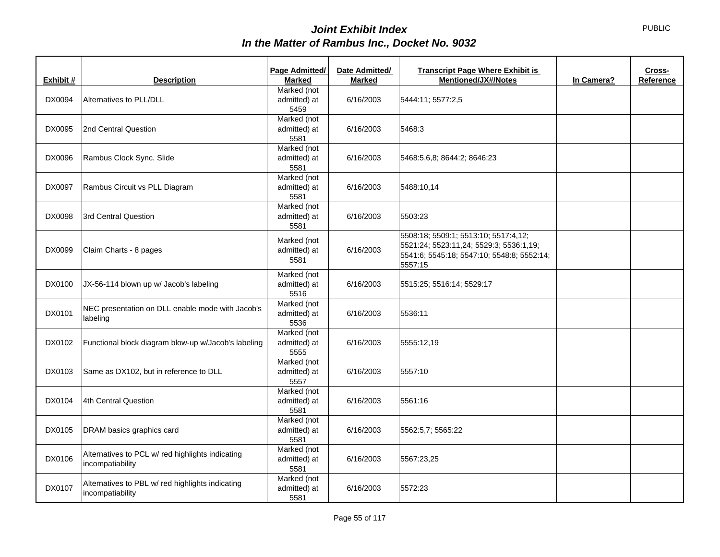|           |                                                                      | Page Admitted/                      | Date Admitted/ | <b>Transcript Page Where Exhibit is</b>                                                                                                  |            | Cross-    |
|-----------|----------------------------------------------------------------------|-------------------------------------|----------------|------------------------------------------------------------------------------------------------------------------------------------------|------------|-----------|
| Exhibit # | <b>Description</b>                                                   | <b>Marked</b>                       | <b>Marked</b>  | <b>Mentioned/JX#/Notes</b>                                                                                                               | In Camera? | Reference |
| DX0094    | Alternatives to PLL/DLL                                              | Marked (not<br>admitted) at<br>5459 | 6/16/2003      | 5444:11; 5577:2,5                                                                                                                        |            |           |
| DX0095    | 2nd Central Question                                                 | Marked (not<br>admitted) at<br>5581 | 6/16/2003      | 5468:3                                                                                                                                   |            |           |
| DX0096    | Rambus Clock Sync. Slide                                             | Marked (not<br>admitted) at<br>5581 | 6/16/2003      | 5468:5,6,8; 8644:2; 8646:23                                                                                                              |            |           |
| DX0097    | Rambus Circuit vs PLL Diagram                                        | Marked (not<br>admitted) at<br>5581 | 6/16/2003      | 5488:10,14                                                                                                                               |            |           |
| DX0098    | 3rd Central Question                                                 | Marked (not<br>admitted) at<br>5581 | 6/16/2003      | 5503:23                                                                                                                                  |            |           |
| DX0099    | Claim Charts - 8 pages                                               | Marked (not<br>admitted) at<br>5581 | 6/16/2003      | 5508:18; 5509:1; 5513:10; 5517:4,12;<br>5521:24; 5523:11,24; 5529:3; 5536:1,19;<br>5541:6; 5545:18; 5547:10; 5548:8; 5552:14;<br>5557:15 |            |           |
| DX0100    | JX-56-114 blown up w/ Jacob's labeling                               | Marked (not<br>admitted) at<br>5516 | 6/16/2003      | 5515:25; 5516:14; 5529:17                                                                                                                |            |           |
| DX0101    | NEC presentation on DLL enable mode with Jacob's<br>labeling         | Marked (not<br>admitted) at<br>5536 | 6/16/2003      | 5536:11                                                                                                                                  |            |           |
| DX0102    | Functional block diagram blow-up w/Jacob's labeling                  | Marked (not<br>admitted) at<br>5555 | 6/16/2003      | 5555:12,19                                                                                                                               |            |           |
| DX0103    | Same as DX102, but in reference to DLL                               | Marked (not<br>admitted) at<br>5557 | 6/16/2003      | 5557:10                                                                                                                                  |            |           |
| DX0104    | 4th Central Question                                                 | Marked (not<br>admitted) at<br>5581 | 6/16/2003      | 5561:16                                                                                                                                  |            |           |
| DX0105    | DRAM basics graphics card                                            | Marked (not<br>admitted) at<br>5581 | 6/16/2003      | 5562:5,7; 5565:22                                                                                                                        |            |           |
| DX0106    | Alternatives to PCL w/ red highlights indicating<br>incompatiability | Marked (not<br>admitted) at<br>5581 | 6/16/2003      | 5567:23.25                                                                                                                               |            |           |
| DX0107    | Alternatives to PBL w/ red highlights indicating<br>incompatiability | Marked (not<br>admitted) at<br>5581 | 6/16/2003      | 5572:23                                                                                                                                  |            |           |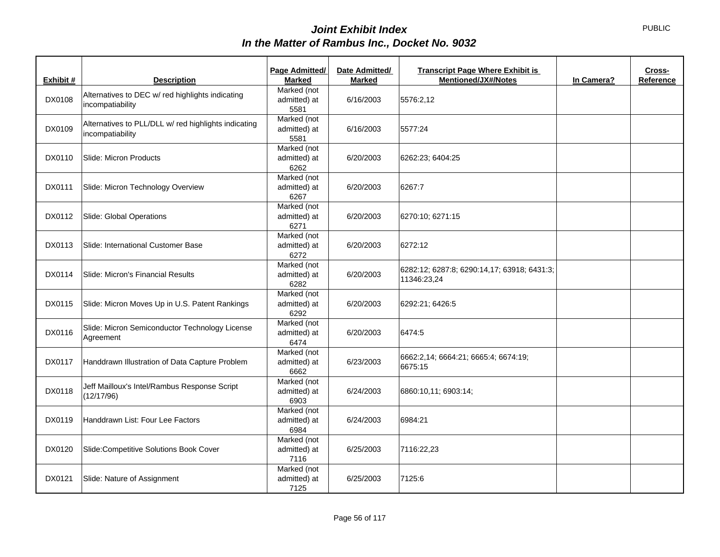|           |                                                                          | Page Admitted/                      | Date Admitted/ | <b>Transcript Page Where Exhibit is</b>                    |            | Cross-    |
|-----------|--------------------------------------------------------------------------|-------------------------------------|----------------|------------------------------------------------------------|------------|-----------|
| Exhibit # | <b>Description</b>                                                       | <b>Marked</b>                       | <b>Marked</b>  | <b>Mentioned/JX#/Notes</b>                                 | In Camera? | Reference |
| DX0108    | Alternatives to DEC w/ red highlights indicating<br>incompatiability     | Marked (not<br>admitted) at<br>5581 | 6/16/2003      | 5576:2,12                                                  |            |           |
| DX0109    | Alternatives to PLL/DLL w/ red highlights indicating<br>incompatiability | Marked (not<br>admitted) at<br>5581 | 6/16/2003      | 5577:24                                                    |            |           |
| DX0110    | Slide: Micron Products                                                   | Marked (not<br>admitted) at<br>6262 | 6/20/2003      | 6262:23; 6404:25                                           |            |           |
| DX0111    | Slide: Micron Technology Overview                                        | Marked (not<br>admitted) at<br>6267 | 6/20/2003      | 6267:7                                                     |            |           |
| DX0112    | Slide: Global Operations                                                 | Marked (not<br>admitted) at<br>6271 | 6/20/2003      | 6270:10; 6271:15                                           |            |           |
| DX0113    | Slide: International Customer Base                                       | Marked (not<br>admitted) at<br>6272 | 6/20/2003      | 6272:12                                                    |            |           |
| DX0114    | Slide: Micron's Financial Results                                        | Marked (not<br>admitted) at<br>6282 | 6/20/2003      | 6282:12; 6287:8; 6290:14,17; 63918; 6431:3;<br>11346:23,24 |            |           |
| DX0115    | Slide: Micron Moves Up in U.S. Patent Rankings                           | Marked (not<br>admitted) at<br>6292 | 6/20/2003      | 6292:21; 6426:5                                            |            |           |
| DX0116    | Slide: Micron Semiconductor Technology License<br>Agreement              | Marked (not<br>admitted) at<br>6474 | 6/20/2003      | 6474:5                                                     |            |           |
| DX0117    | Handdrawn Illustration of Data Capture Problem                           | Marked (not<br>admitted) at<br>6662 | 6/23/2003      | 6662:2,14; 6664:21; 6665:4; 6674:19;<br>6675:15            |            |           |
| DX0118    | Jeff Mailloux's Intel/Rambus Response Script<br>(12/17/96)               | Marked (not<br>admitted) at<br>6903 | 6/24/2003      | 6860:10,11; 6903:14;                                       |            |           |
| DX0119    | Handdrawn List: Four Lee Factors                                         | Marked (not<br>admitted) at<br>6984 | 6/24/2003      | 6984:21                                                    |            |           |
| DX0120    | Slide:Competitive Solutions Book Cover                                   | Marked (not<br>admitted) at<br>7116 | 6/25/2003      | 7116:22,23                                                 |            |           |
| DX0121    | Slide: Nature of Assignment                                              | Marked (not<br>admitted) at<br>7125 | 6/25/2003      | 7125:6                                                     |            |           |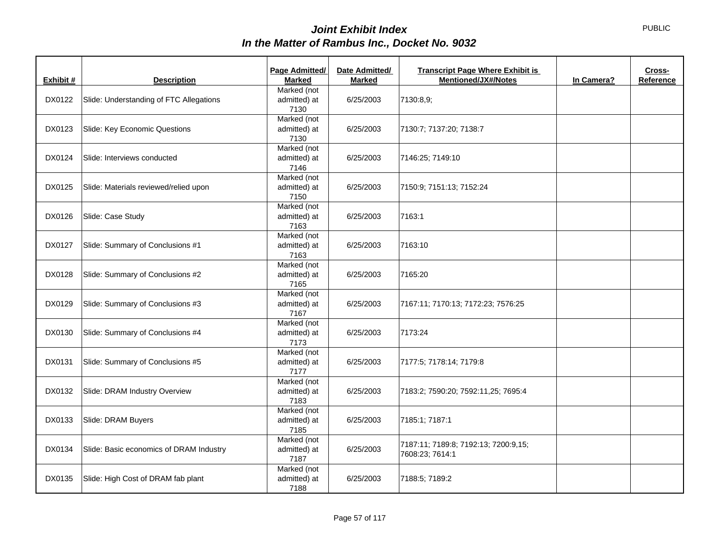| Exhibit # | <b>Description</b>                      | Page Admitted/<br><b>Marked</b>     | Date Admitted/<br><b>Marked</b> | <b>Transcript Page Where Exhibit is</b><br><b>Mentioned/JX#/Notes</b> | In Camera? | Cross-<br>Reference |
|-----------|-----------------------------------------|-------------------------------------|---------------------------------|-----------------------------------------------------------------------|------------|---------------------|
| DX0122    | Slide: Understanding of FTC Allegations | Marked (not<br>admitted) at<br>7130 | 6/25/2003                       | 7130:8,9;                                                             |            |                     |
| DX0123    | Slide: Key Economic Questions           | Marked (not<br>admitted) at<br>7130 | 6/25/2003                       | 7130:7; 7137:20; 7138:7                                               |            |                     |
| DX0124    | Slide: Interviews conducted             | Marked (not<br>admitted) at<br>7146 | 6/25/2003                       | 7146:25; 7149:10                                                      |            |                     |
| DX0125    | Slide: Materials reviewed/relied upon   | Marked (not<br>admitted) at<br>7150 | 6/25/2003                       | 7150:9; 7151:13; 7152:24                                              |            |                     |
| DX0126    | Slide: Case Study                       | Marked (not<br>admitted) at<br>7163 | 6/25/2003                       | 7163:1                                                                |            |                     |
| DX0127    | Slide: Summary of Conclusions #1        | Marked (not<br>admitted) at<br>7163 | 6/25/2003                       | 7163:10                                                               |            |                     |
| DX0128    | Slide: Summary of Conclusions #2        | Marked (not<br>admitted) at<br>7165 | 6/25/2003                       | 7165:20                                                               |            |                     |
| DX0129    | Slide: Summary of Conclusions #3        | Marked (not<br>admitted) at<br>7167 | 6/25/2003                       | 7167:11; 7170:13; 7172:23; 7576:25                                    |            |                     |
| DX0130    | Slide: Summary of Conclusions #4        | Marked (not<br>admitted) at<br>7173 | 6/25/2003                       | 7173:24                                                               |            |                     |
| DX0131    | Slide: Summary of Conclusions #5        | Marked (not<br>admitted) at<br>7177 | 6/25/2003                       | 7177:5; 7178:14; 7179:8                                               |            |                     |
| DX0132    | Slide: DRAM Industry Overview           | Marked (not<br>admitted) at<br>7183 | 6/25/2003                       | 7183:2; 7590:20; 7592:11,25; 7695:4                                   |            |                     |
| DX0133    | Slide: DRAM Buyers                      | Marked (not<br>admitted) at<br>7185 | 6/25/2003                       | 7185:1; 7187:1                                                        |            |                     |
| DX0134    | Slide: Basic economics of DRAM Industry | Marked (not<br>admitted) at<br>7187 | 6/25/2003                       | 7187:11; 7189:8; 7192:13; 7200:9,15;<br>7608:23; 7614:1               |            |                     |
| DX0135    | Slide: High Cost of DRAM fab plant      | Marked (not<br>admitted) at<br>7188 | 6/25/2003                       | 7188:5; 7189:2                                                        |            |                     |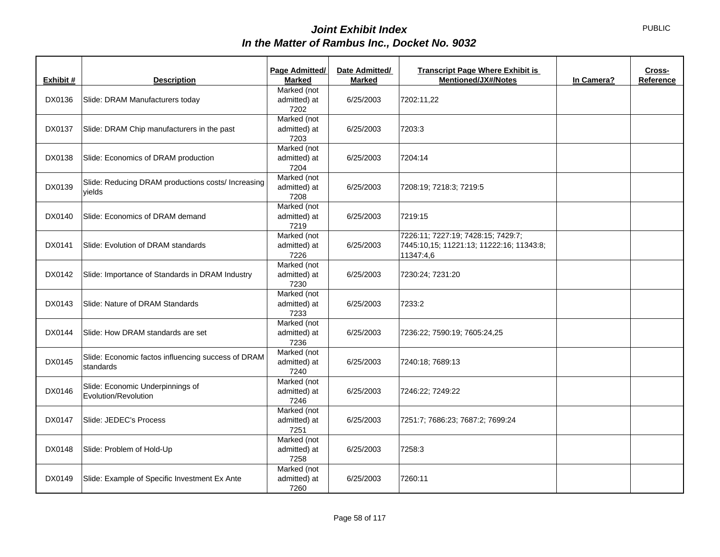|           |                                                    | Page Admitted/ | Date Admitted/ | <b>Transcript Page Where Exhibit is</b>  | Cross-    |
|-----------|----------------------------------------------------|----------------|----------------|------------------------------------------|-----------|
| Exhibit # | <b>Description</b>                                 | <b>Marked</b>  | <b>Marked</b>  | <b>Mentioned/JX#/Notes</b><br>In Camera? | Reference |
|           |                                                    | Marked (not    |                |                                          |           |
| DX0136    | Slide: DRAM Manufacturers today                    | admitted) at   | 6/25/2003      | 7202:11,22                               |           |
|           |                                                    | 7202           |                |                                          |           |
|           |                                                    | Marked (not    |                |                                          |           |
| DX0137    | Slide: DRAM Chip manufacturers in the past         | admitted) at   | 6/25/2003      | 7203:3                                   |           |
|           |                                                    | 7203           |                |                                          |           |
|           |                                                    | Marked (not    |                |                                          |           |
| DX0138    | Slide: Economics of DRAM production                | admitted) at   | 6/25/2003      | 7204:14                                  |           |
|           |                                                    | 7204           |                |                                          |           |
|           | Slide: Reducing DRAM productions costs/ Increasing | Marked (not    |                |                                          |           |
| DX0139    | vields                                             | admitted) at   | 6/25/2003      | 7208:19; 7218:3; 7219:5                  |           |
|           |                                                    | 7208           |                |                                          |           |
|           |                                                    | Marked (not    |                |                                          |           |
| DX0140    | Slide: Economics of DRAM demand                    | admitted) at   | 6/25/2003      | 7219:15                                  |           |
|           |                                                    | 7219           |                |                                          |           |
|           |                                                    | Marked (not    |                | 7226:11; 7227:19; 7428:15; 7429:7;       |           |
| DX0141    | Slide: Evolution of DRAM standards                 | admitted) at   | 6/25/2003      | 7445:10,15; 11221:13; 11222:16; 11343:8; |           |
|           |                                                    | 7226           |                | 11347:4,6                                |           |
|           |                                                    | Marked (not    |                |                                          |           |
| DX0142    | Slide: Importance of Standards in DRAM Industry    | admitted) at   | 6/25/2003      | 7230:24; 7231:20                         |           |
|           |                                                    | 7230           |                |                                          |           |
|           |                                                    | Marked (not    |                |                                          |           |
| DX0143    | Slide: Nature of DRAM Standards                    | admitted) at   | 6/25/2003      | 7233:2                                   |           |
|           |                                                    | 7233           |                |                                          |           |
|           |                                                    | Marked (not    |                |                                          |           |
| DX0144    | Slide: How DRAM standards are set                  | admitted) at   | 6/25/2003      | 7236:22; 7590:19; 7605:24,25             |           |
|           |                                                    | 7236           |                |                                          |           |
|           |                                                    | Marked (not    |                |                                          |           |
| DX0145    | Slide: Economic factos influencing success of DRAM | admitted) at   | 6/25/2003      | 7240:18; 7689:13                         |           |
|           | standards                                          | 7240           |                |                                          |           |
|           |                                                    | Marked (not    |                |                                          |           |
| DX0146    | Slide: Economic Underpinnings of                   | admitted) at   | 6/25/2003      | 7246:22; 7249:22                         |           |
|           | Evolution/Revolution                               | 7246           |                |                                          |           |
|           |                                                    | Marked (not    |                |                                          |           |
| DX0147    | Slide: JEDEC's Process                             | admitted) at   | 6/25/2003      | 7251:7; 7686:23; 7687:2; 7699:24         |           |
|           |                                                    | 7251           |                |                                          |           |
|           |                                                    | Marked (not    |                |                                          |           |
| DX0148    | Slide: Problem of Hold-Up                          | admitted) at   | 6/25/2003      | 7258:3                                   |           |
|           |                                                    | 7258           |                |                                          |           |
|           |                                                    | Marked (not    |                |                                          |           |
| DX0149    | Slide: Example of Specific Investment Ex Ante      | admitted) at   | 6/25/2003      | 7260:11                                  |           |
|           |                                                    | 7260           |                |                                          |           |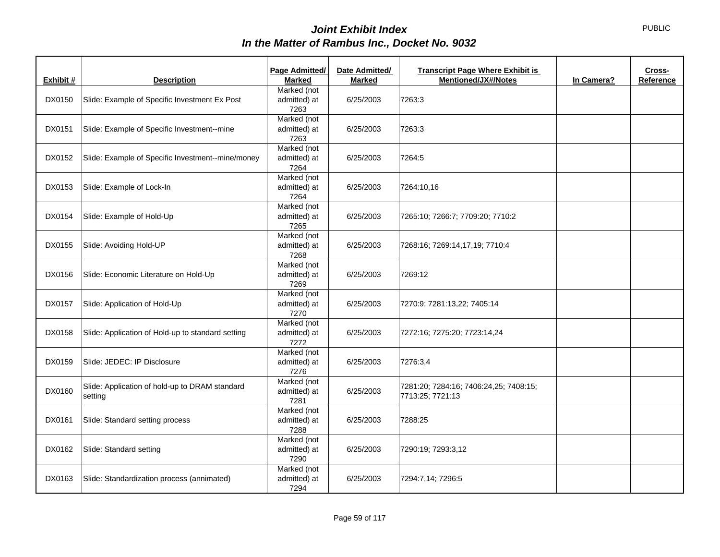| Exhibit # | <b>Description</b>                                        | Page Admitted/<br><b>Marked</b>     | Date Admitted/<br><b>Marked</b> | <b>Transcript Page Where Exhibit is</b><br><b>Mentioned/JX#/Notes</b> | In Camera? | Cross-<br>Reference |
|-----------|-----------------------------------------------------------|-------------------------------------|---------------------------------|-----------------------------------------------------------------------|------------|---------------------|
| DX0150    | Slide: Example of Specific Investment Ex Post             | Marked (not<br>admitted) at<br>7263 | 6/25/2003                       | 7263:3                                                                |            |                     |
| DX0151    | Slide: Example of Specific Investment--mine               | Marked (not<br>admitted) at<br>7263 | 6/25/2003                       | 7263:3                                                                |            |                     |
| DX0152    | Slide: Example of Specific Investment--mine/money         | Marked (not<br>admitted) at<br>7264 | 6/25/2003                       | 7264:5                                                                |            |                     |
| DX0153    | Slide: Example of Lock-In                                 | Marked (not<br>admitted) at<br>7264 | 6/25/2003                       | 7264:10,16                                                            |            |                     |
| DX0154    | Slide: Example of Hold-Up                                 | Marked (not<br>admitted) at<br>7265 | 6/25/2003                       | 7265:10; 7266:7; 7709:20; 7710:2                                      |            |                     |
| DX0155    | Slide: Avoiding Hold-UP                                   | Marked (not<br>admitted) at<br>7268 | 6/25/2003                       | 7268:16; 7269:14,17,19; 7710:4                                        |            |                     |
| DX0156    | Slide: Economic Literature on Hold-Up                     | Marked (not<br>admitted) at<br>7269 | 6/25/2003                       | 7269:12                                                               |            |                     |
| DX0157    | Slide: Application of Hold-Up                             | Marked (not<br>admitted) at<br>7270 | 6/25/2003                       | 7270:9; 7281:13,22; 7405:14                                           |            |                     |
| DX0158    | Slide: Application of Hold-up to standard setting         | Marked (not<br>admitted) at<br>7272 | 6/25/2003                       | 7272:16; 7275:20; 7723:14,24                                          |            |                     |
| DX0159    | Slide: JEDEC: IP Disclosure                               | Marked (not<br>admitted) at<br>7276 | 6/25/2003                       | 7276:3,4                                                              |            |                     |
| DX0160    | Slide: Application of hold-up to DRAM standard<br>setting | Marked (not<br>admitted) at<br>7281 | 6/25/2003                       | 7281:20; 7284:16; 7406:24,25; 7408:15;<br>7713:25; 7721:13            |            |                     |
| DX0161    | Slide: Standard setting process                           | Marked (not<br>admitted) at<br>7288 | 6/25/2003                       | 7288:25                                                               |            |                     |
| DX0162    | Slide: Standard setting                                   | Marked (not<br>admitted) at<br>7290 | 6/25/2003                       | 7290:19; 7293:3,12                                                    |            |                     |
| DX0163    | Slide: Standardization process (annimated)                | Marked (not<br>admitted) at<br>7294 | 6/25/2003                       | 7294:7,14; 7296:5                                                     |            |                     |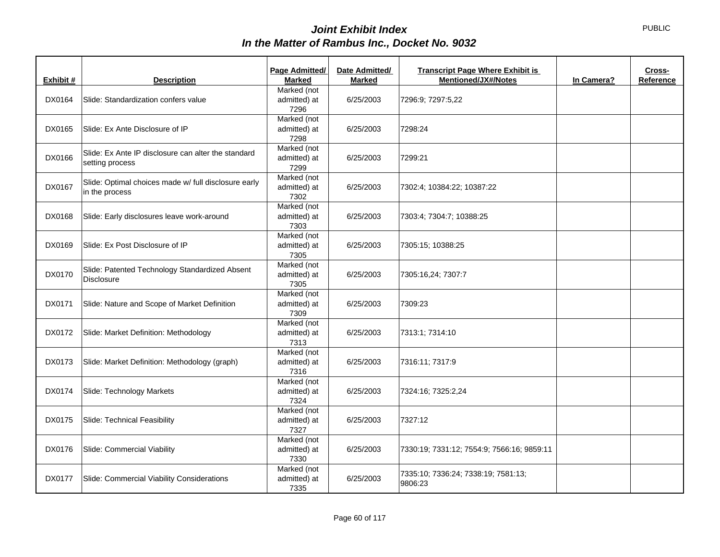| Exhibit # | <b>Description</b>                                                     | <b>Page Admitted/</b><br><b>Marked</b> | Date Admitted/<br><b>Marked</b> | <b>Transcript Page Where Exhibit is</b><br><b>Mentioned/JX#/Notes</b> | In Camera? | Cross-<br>Reference |
|-----------|------------------------------------------------------------------------|----------------------------------------|---------------------------------|-----------------------------------------------------------------------|------------|---------------------|
| DX0164    | Slide: Standardization confers value                                   | Marked (not<br>admitted) at<br>7296    | 6/25/2003                       | 7296:9; 7297:5,22                                                     |            |                     |
| DX0165    | Slide: Ex Ante Disclosure of IP                                        | Marked (not<br>admitted) at<br>7298    | 6/25/2003                       | 7298:24                                                               |            |                     |
| DX0166    | Slide: Ex Ante IP disclosure can alter the standard<br>setting process | Marked (not<br>admitted) at<br>7299    | 6/25/2003                       | 7299:21                                                               |            |                     |
| DX0167    | Slide: Optimal choices made w/ full disclosure early<br>in the process | Marked (not<br>admitted) at<br>7302    | 6/25/2003                       | 7302:4; 10384:22; 10387:22                                            |            |                     |
| DX0168    | Slide: Early disclosures leave work-around                             | Marked (not<br>admitted) at<br>7303    | 6/25/2003                       | 7303:4; 7304:7; 10388:25                                              |            |                     |
| DX0169    | Slide: Ex Post Disclosure of IP                                        | Marked (not<br>admitted) at<br>7305    | 6/25/2003                       | 7305:15; 10388:25                                                     |            |                     |
| DX0170    | Slide: Patented Technology Standardized Absent<br><b>Disclosure</b>    | Marked (not<br>admitted) at<br>7305    | 6/25/2003                       | 7305:16,24; 7307:7                                                    |            |                     |
| DX0171    | Slide: Nature and Scope of Market Definition                           | Marked (not<br>admitted) at<br>7309    | 6/25/2003                       | 7309:23                                                               |            |                     |
| DX0172    | Slide: Market Definition: Methodology                                  | Marked (not<br>admitted) at<br>7313    | 6/25/2003                       | 7313:1; 7314:10                                                       |            |                     |
| DX0173    | Slide: Market Definition: Methodology (graph)                          | Marked (not<br>admitted) at<br>7316    | 6/25/2003                       | 7316:11; 7317:9                                                       |            |                     |
| DX0174    | Slide: Technology Markets                                              | Marked (not<br>admitted) at<br>7324    | 6/25/2003                       | 7324:16; 7325:2,24                                                    |            |                     |
| DX0175    | Slide: Technical Feasibility                                           | Marked (not<br>admitted) at<br>7327    | 6/25/2003                       | 7327:12                                                               |            |                     |
| DX0176    | Slide: Commercial Viability                                            | Marked (not<br>admitted) at<br>7330    | 6/25/2003                       | 7330:19; 7331:12; 7554:9; 7566:16; 9859:11                            |            |                     |
| DX0177    | Slide: Commercial Viability Considerations                             | Marked (not<br>admitted) at<br>7335    | 6/25/2003                       | 7335:10; 7336:24; 7338:19; 7581:13;<br>9806:23                        |            |                     |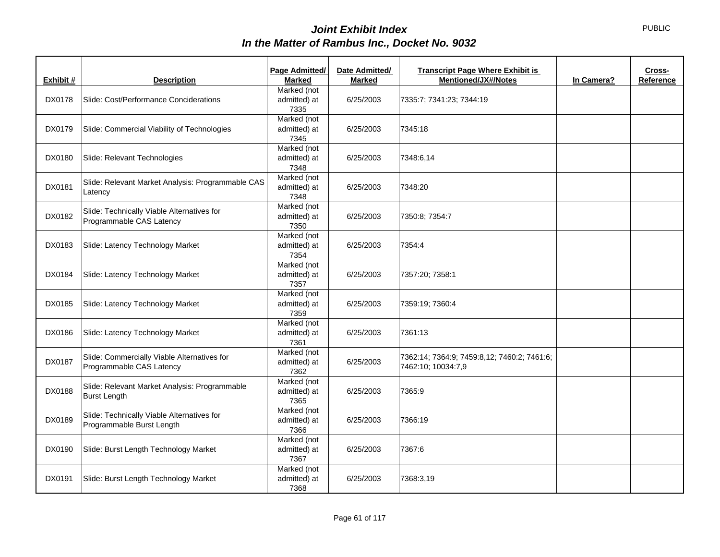| Exhibit # | <b>Description</b>                                                      | Page Admitted/<br><b>Marked</b>     | Date Admitted/<br><b>Marked</b> | <b>Transcript Page Where Exhibit is</b><br><b>Mentioned/JX#/Notes</b> | In Camera? | Cross-<br>Reference |
|-----------|-------------------------------------------------------------------------|-------------------------------------|---------------------------------|-----------------------------------------------------------------------|------------|---------------------|
| DX0178    | Slide: Cost/Performance Conciderations                                  | Marked (not<br>admitted) at<br>7335 | 6/25/2003                       | 7335:7; 7341:23; 7344:19                                              |            |                     |
| DX0179    | Slide: Commercial Viability of Technologies                             | Marked (not<br>admitted) at<br>7345 | 6/25/2003                       | 7345:18                                                               |            |                     |
| DX0180    | Slide: Relevant Technologies                                            | Marked (not<br>admitted) at<br>7348 | 6/25/2003                       | 7348:6,14                                                             |            |                     |
| DX0181    | Slide: Relevant Market Analysis: Programmable CAS<br>Latency            | Marked (not<br>admitted) at<br>7348 | 6/25/2003                       | 7348:20                                                               |            |                     |
| DX0182    | Slide: Technically Viable Alternatives for<br>Programmable CAS Latency  | Marked (not<br>admitted) at<br>7350 | 6/25/2003                       | 7350:8; 7354:7                                                        |            |                     |
| DX0183    | Slide: Latency Technology Market                                        | Marked (not<br>admitted) at<br>7354 | 6/25/2003                       | 7354:4                                                                |            |                     |
| DX0184    | Slide: Latency Technology Market                                        | Marked (not<br>admitted) at<br>7357 | 6/25/2003                       | 7357:20; 7358:1                                                       |            |                     |
| DX0185    | Slide: Latency Technology Market                                        | Marked (not<br>admitted) at<br>7359 | 6/25/2003                       | 7359:19; 7360:4                                                       |            |                     |
| DX0186    | Slide: Latency Technology Market                                        | Marked (not<br>admitted) at<br>7361 | 6/25/2003                       | 7361:13                                                               |            |                     |
| DX0187    | Slide: Commercially Viable Alternatives for<br>Programmable CAS Latency | Marked (not<br>admitted) at<br>7362 | 6/25/2003                       | 7362:14; 7364:9; 7459:8,12; 7460:2; 7461:6;<br>7462:10; 10034:7,9     |            |                     |
| DX0188    | Slide: Relevant Market Analysis: Programmable<br><b>Burst Length</b>    | Marked (not<br>admitted) at<br>7365 | 6/25/2003                       | 7365:9                                                                |            |                     |
| DX0189    | Slide: Technically Viable Alternatives for<br>Programmable Burst Length | Marked (not<br>admitted) at<br>7366 | 6/25/2003                       | 7366:19                                                               |            |                     |
| DX0190    | Slide: Burst Length Technology Market                                   | Marked (not<br>admitted) at<br>7367 | 6/25/2003                       | 7367:6                                                                |            |                     |
| DX0191    | Slide: Burst Length Technology Market                                   | Marked (not<br>admitted) at<br>7368 | 6/25/2003                       | 7368:3,19                                                             |            |                     |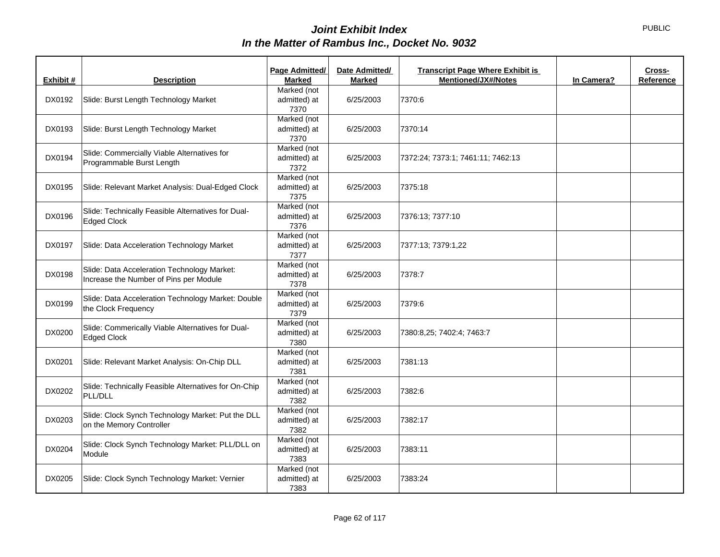| Exhibit # | <b>Description</b>                                                                    | Page Admitted/<br><b>Marked</b>     | Date Admitted/<br><b>Marked</b> | <b>Transcript Page Where Exhibit is</b><br><b>Mentioned/JX#/Notes</b> | In Camera? | Cross-<br>Reference |
|-----------|---------------------------------------------------------------------------------------|-------------------------------------|---------------------------------|-----------------------------------------------------------------------|------------|---------------------|
| DX0192    | Slide: Burst Length Technology Market                                                 | Marked (not<br>admitted) at<br>7370 | 6/25/2003                       | 7370:6                                                                |            |                     |
| DX0193    | Slide: Burst Length Technology Market                                                 | Marked (not<br>admitted) at<br>7370 | 6/25/2003                       | 7370:14                                                               |            |                     |
| DX0194    | Slide: Commercially Viable Alternatives for<br>Programmable Burst Length              | Marked (not<br>admitted) at<br>7372 | 6/25/2003                       | 7372:24; 7373:1; 7461:11; 7462:13                                     |            |                     |
| DX0195    | Slide: Relevant Market Analysis: Dual-Edged Clock                                     | Marked (not<br>admitted) at<br>7375 | 6/25/2003                       | 7375:18                                                               |            |                     |
| DX0196    | Slide: Technically Feasible Alternatives for Dual-<br><b>Edged Clock</b>              | Marked (not<br>admitted) at<br>7376 | 6/25/2003                       | 7376:13; 7377:10                                                      |            |                     |
| DX0197    | Slide: Data Acceleration Technology Market                                            | Marked (not<br>admitted) at<br>7377 | 6/25/2003                       | 7377:13; 7379:1,22                                                    |            |                     |
| DX0198    | Slide: Data Acceleration Technology Market:<br>Increase the Number of Pins per Module | Marked (not<br>admitted) at<br>7378 | 6/25/2003                       | 7378:7                                                                |            |                     |
| DX0199    | Slide: Data Acceleration Technology Market: Double<br>the Clock Frequency             | Marked (not<br>admitted) at<br>7379 | 6/25/2003                       | 7379:6                                                                |            |                     |
| DX0200    | Slide: Commerically Viable Alternatives for Dual-<br><b>Edged Clock</b>               | Marked (not<br>admitted) at<br>7380 | 6/25/2003                       | 7380:8,25; 7402:4; 7463:7                                             |            |                     |
| DX0201    | Slide: Relevant Market Analysis: On-Chip DLL                                          | Marked (not<br>admitted) at<br>7381 | 6/25/2003                       | 7381:13                                                               |            |                     |
| DX0202    | Slide: Technically Feasible Alternatives for On-Chip<br>PLL/DLL                       | Marked (not<br>admitted) at<br>7382 | 6/25/2003                       | 7382:6                                                                |            |                     |
| DX0203    | Slide: Clock Synch Technology Market: Put the DLL<br>on the Memory Controller         | Marked (not<br>admitted) at<br>7382 | 6/25/2003                       | 7382:17                                                               |            |                     |
| DX0204    | Slide: Clock Synch Technology Market: PLL/DLL on<br>Module                            | Marked (not<br>admitted) at<br>7383 | 6/25/2003                       | 7383:11                                                               |            |                     |
| DX0205    | Slide: Clock Synch Technology Market: Vernier                                         | Marked (not<br>admitted) at<br>7383 | 6/25/2003                       | 7383:24                                                               |            |                     |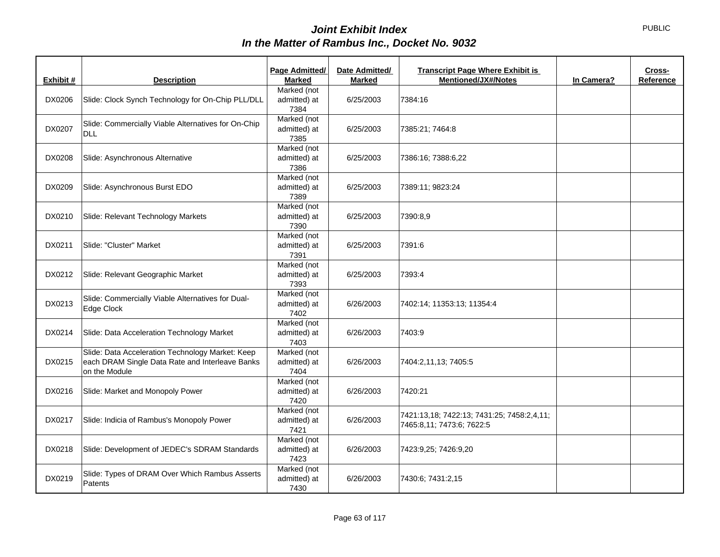| Exhibit # | <b>Description</b>                                                                                                   | Page Admitted/<br><b>Marked</b>     | Date Admitted/<br><b>Marked</b> | <b>Transcript Page Where Exhibit is</b><br><b>Mentioned/JX#/Notes</b>   | In Camera? | Cross-<br>Reference |
|-----------|----------------------------------------------------------------------------------------------------------------------|-------------------------------------|---------------------------------|-------------------------------------------------------------------------|------------|---------------------|
| DX0206    | Slide: Clock Synch Technology for On-Chip PLL/DLL                                                                    | Marked (not<br>admitted) at<br>7384 | 6/25/2003                       | 7384:16                                                                 |            |                     |
| DX0207    | Slide: Commercially Viable Alternatives for On-Chip<br>DLL                                                           | Marked (not<br>admitted) at<br>7385 | 6/25/2003                       | 7385:21; 7464:8                                                         |            |                     |
| DX0208    | Slide: Asynchronous Alternative                                                                                      | Marked (not<br>admitted) at<br>7386 | 6/25/2003                       | 7386:16; 7388:6,22                                                      |            |                     |
| DX0209    | Slide: Asynchronous Burst EDO                                                                                        | Marked (not<br>admitted) at<br>7389 | 6/25/2003                       | 7389:11; 9823:24                                                        |            |                     |
| DX0210    | Slide: Relevant Technology Markets                                                                                   | Marked (not<br>admitted) at<br>7390 | 6/25/2003                       | 7390:8,9                                                                |            |                     |
| DX0211    | Slide: "Cluster" Market                                                                                              | Marked (not<br>admitted) at<br>7391 | 6/25/2003                       | 7391:6                                                                  |            |                     |
| DX0212    | Slide: Relevant Geographic Market                                                                                    | Marked (not<br>admitted) at<br>7393 | 6/25/2003                       | 7393:4                                                                  |            |                     |
| DX0213    | Slide: Commercially Viable Alternatives for Dual-<br>Edge Clock                                                      | Marked (not<br>admitted) at<br>7402 | 6/26/2003                       | 7402:14; 11353:13; 11354:4                                              |            |                     |
| DX0214    | Slide: Data Acceleration Technology Market                                                                           | Marked (not<br>admitted) at<br>7403 | 6/26/2003                       | 7403:9                                                                  |            |                     |
| DX0215    | Slide: Data Acceleration Technology Market: Keep<br>each DRAM Single Data Rate and Interleave Banks<br>on the Module | Marked (not<br>admitted) at<br>7404 | 6/26/2003                       | 7404:2,11,13; 7405:5                                                    |            |                     |
| DX0216    | Slide: Market and Monopoly Power                                                                                     | Marked (not<br>admitted) at<br>7420 | 6/26/2003                       | 7420:21                                                                 |            |                     |
| DX0217    | Slide: Indicia of Rambus's Monopoly Power                                                                            | Marked (not<br>admitted) at<br>7421 | 6/26/2003                       | 7421:13,18; 7422:13; 7431:25; 7458:2,4,11;<br>7465:8,11; 7473:6; 7622:5 |            |                     |
| DX0218    | Slide: Development of JEDEC's SDRAM Standards                                                                        | Marked (not<br>admitted) at<br>7423 | 6/26/2003                       | 7423:9,25; 7426:9,20                                                    |            |                     |
| DX0219    | Slide: Types of DRAM Over Which Rambus Asserts<br>Patents                                                            | Marked (not<br>admitted) at<br>7430 | 6/26/2003                       | 7430:6; 7431:2,15                                                       |            |                     |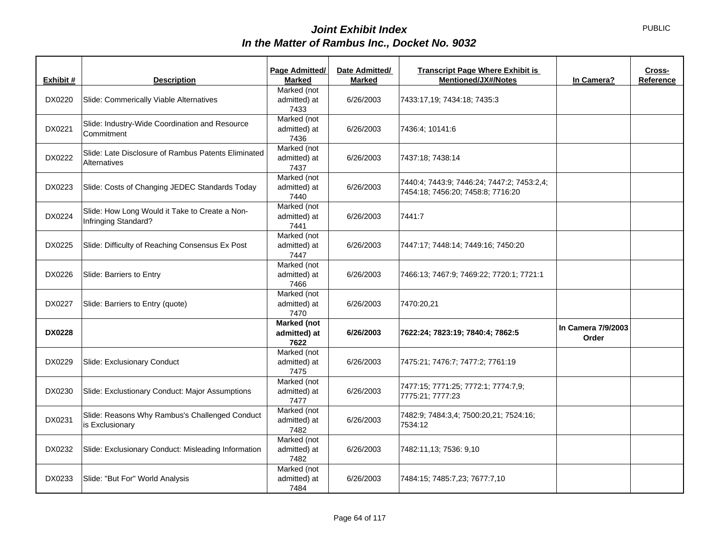| Exhibit #     | <b>Description</b>                                                     | Page Admitted/<br><b>Marked</b>            | Date Admitted/<br><b>Marked</b> | <b>Transcript Page Where Exhibit is</b><br><b>Mentioned/JX#/Notes</b>           | In Camera?                  | Cross-<br>Reference |
|---------------|------------------------------------------------------------------------|--------------------------------------------|---------------------------------|---------------------------------------------------------------------------------|-----------------------------|---------------------|
| DX0220        | Slide: Commerically Viable Alternatives                                | Marked (not<br>admitted) at<br>7433        | 6/26/2003                       | 7433:17,19; 7434:18; 7435:3                                                     |                             |                     |
| DX0221        | Slide: Industry-Wide Coordination and Resource<br>Commitment           | Marked (not<br>admitted) at<br>7436        | 6/26/2003                       | 7436:4; 10141:6                                                                 |                             |                     |
| DX0222        | Slide: Late Disclosure of Rambus Patents Eliminated<br>Alternatives    | Marked (not<br>admitted) at<br>7437        | 6/26/2003                       | 7437:18; 7438:14                                                                |                             |                     |
| DX0223        | Slide: Costs of Changing JEDEC Standards Today                         | Marked (not<br>admitted) at<br>7440        | 6/26/2003                       | 7440:4; 7443:9; 7446:24; 7447:2; 7453:2,4;<br>7454:18; 7456:20; 7458:8; 7716:20 |                             |                     |
| DX0224        | Slide: How Long Would it Take to Create a Non-<br>Infringing Standard? | Marked (not<br>admitted) at<br>7441        | 6/26/2003                       | 7441:7                                                                          |                             |                     |
| DX0225        | Slide: Difficulty of Reaching Consensus Ex Post                        | Marked (not<br>admitted) at<br>7447        | 6/26/2003                       | 7447:17; 7448:14; 7449:16; 7450:20                                              |                             |                     |
| DX0226        | Slide: Barriers to Entry                                               | Marked (not<br>admitted) at<br>7466        | 6/26/2003                       | 7466:13; 7467:9; 7469:22; 7720:1; 7721:1                                        |                             |                     |
| DX0227        | Slide: Barriers to Entry (quote)                                       | Marked (not<br>admitted) at<br>7470        | 6/26/2003                       | 7470:20,21                                                                      |                             |                     |
| <b>DX0228</b> |                                                                        | <b>Marked</b> (not<br>admitted) at<br>7622 | 6/26/2003                       | 7622:24; 7823:19; 7840:4; 7862:5                                                | In Camera 7/9/2003<br>Order |                     |
| DX0229        | Slide: Exclusionary Conduct                                            | Marked (not<br>admitted) at<br>7475        | 6/26/2003                       | 7475:21; 7476:7; 7477:2; 7761:19                                                |                             |                     |
| DX0230        | Slide: Exclustionary Conduct: Major Assumptions                        | Marked (not<br>admitted) at<br>7477        | 6/26/2003                       | 7477:15; 7771:25; 7772:1; 7774:7,9;<br>7775:21; 7777:23                         |                             |                     |
| DX0231        | Slide: Reasons Why Rambus's Challenged Conduct<br>is Exclusionary      | Marked (not<br>admitted) at<br>7482        | 6/26/2003                       | 7482:9; 7484:3,4; 7500:20,21; 7524:16;<br>7534:12                               |                             |                     |
| DX0232        | Slide: Exclusionary Conduct: Misleading Information                    | Marked (not<br>admitted) at<br>7482        | 6/26/2003                       | 7482:11,13; 7536: 9,10                                                          |                             |                     |
| DX0233        | Slide: "But For" World Analysis                                        | Marked (not<br>admitted) at<br>7484        | 6/26/2003                       | 7484:15; 7485:7,23; 7677:7,10                                                   |                             |                     |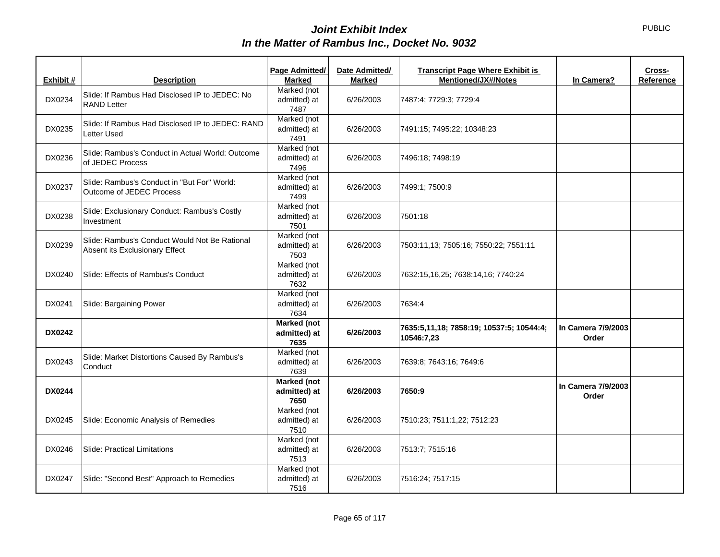| Exhibit #     | <b>Description</b>                                                              | Page Admitted/<br><b>Marked</b>            | Date Admitted/<br><b>Marked</b> | <b>Transcript Page Where Exhibit is</b><br><b>Mentioned/JX#/Notes</b> | In Camera?                  | Cross-<br>Reference |
|---------------|---------------------------------------------------------------------------------|--------------------------------------------|---------------------------------|-----------------------------------------------------------------------|-----------------------------|---------------------|
| DX0234        | Slide: If Rambus Had Disclosed IP to JEDEC: No<br><b>RAND Letter</b>            | Marked (not<br>admitted) at<br>7487        | 6/26/2003                       | 7487:4; 7729:3; 7729:4                                                |                             |                     |
| DX0235        | Slide: If Rambus Had Disclosed IP to JEDEC: RAND<br>Letter Used                 | Marked (not<br>admitted) at<br>7491        | 6/26/2003                       | 7491:15; 7495:22; 10348:23                                            |                             |                     |
| DX0236        | Slide: Rambus's Conduct in Actual World: Outcome<br>of JEDEC Process            | Marked (not<br>admitted) at<br>7496        | 6/26/2003                       | 7496:18; 7498:19                                                      |                             |                     |
| DX0237        | Slide: Rambus's Conduct in "But For" World:<br>Outcome of JEDEC Process         | Marked (not<br>admitted) at<br>7499        | 6/26/2003                       | 7499:1; 7500:9                                                        |                             |                     |
| DX0238        | Slide: Exclusionary Conduct: Rambus's Costly<br>Investment                      | Marked (not<br>admitted) at<br>7501        | 6/26/2003                       | 7501:18                                                               |                             |                     |
| DX0239        | Slide: Rambus's Conduct Would Not Be Rational<br>Absent its Exclusionary Effect | Marked (not<br>admitted) at<br>7503        | 6/26/2003                       | 7503:11,13; 7505:16; 7550:22; 7551:11                                 |                             |                     |
| DX0240        | Slide: Effects of Rambus's Conduct                                              | Marked (not<br>admitted) at<br>7632        | 6/26/2003                       | 7632:15,16,25; 7638:14,16; 7740:24                                    |                             |                     |
| DX0241        | Slide: Bargaining Power                                                         | Marked (not<br>admitted) at<br>7634        | 6/26/2003                       | 7634:4                                                                |                             |                     |
| <b>DX0242</b> |                                                                                 | <b>Marked</b> (not<br>admitted) at<br>7635 | 6/26/2003                       | 7635:5,11,18; 7858:19; 10537:5; 10544:4;<br>10546:7,23                | In Camera 7/9/2003<br>Order |                     |
| DX0243        | Slide: Market Distortions Caused By Rambus's<br>Conduct                         | Marked (not<br>admitted) at<br>7639        | 6/26/2003                       | 7639:8; 7643:16; 7649:6                                               |                             |                     |
| <b>DX0244</b> |                                                                                 | Marked (not<br>admitted) at<br>7650        | 6/26/2003                       | 7650:9                                                                | In Camera 7/9/2003<br>Order |                     |
| DX0245        | Slide: Economic Analysis of Remedies                                            | Marked (not<br>admitted) at<br>7510        | 6/26/2003                       | 7510:23; 7511:1,22; 7512:23                                           |                             |                     |
| DX0246        | <b>Slide: Practical Limitations</b>                                             | Marked (not<br>admitted) at<br>7513        | 6/26/2003                       | 7513:7; 7515:16                                                       |                             |                     |
| DX0247        | Slide: "Second Best" Approach to Remedies                                       | Marked (not<br>admitted) at<br>7516        | 6/26/2003                       | 7516:24; 7517:15                                                      |                             |                     |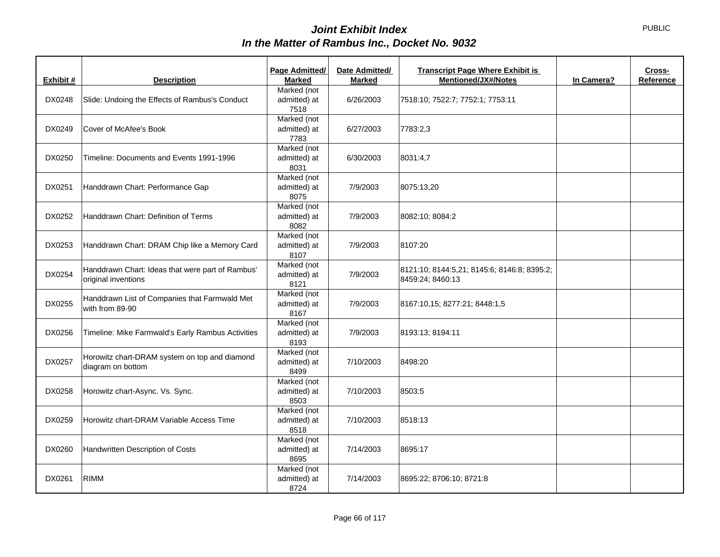| Exhibit # | <b>Description</b>                                                      | Page Admitted/<br><b>Marked</b>     | Date Admitted/<br><b>Marked</b> | <b>Transcript Page Where Exhibit is</b><br><b>Mentioned/JX#/Notes</b> | In Camera? | Cross-<br>Reference |
|-----------|-------------------------------------------------------------------------|-------------------------------------|---------------------------------|-----------------------------------------------------------------------|------------|---------------------|
| DX0248    | Slide: Undoing the Effects of Rambus's Conduct                          | Marked (not<br>admitted) at<br>7518 | 6/26/2003                       | 7518:10; 7522:7; 7752:1; 7753:11                                      |            |                     |
| DX0249    | Cover of McAfee's Book                                                  | Marked (not<br>admitted) at<br>7783 | 6/27/2003                       | 7783:2,3                                                              |            |                     |
| DX0250    | Timeline: Documents and Events 1991-1996                                | Marked (not<br>admitted) at<br>8031 | 6/30/2003                       | 8031:4,7                                                              |            |                     |
| DX0251    | Handdrawn Chart: Performance Gap                                        | Marked (not<br>admitted) at<br>8075 | 7/9/2003                        | 8075:13,20                                                            |            |                     |
| DX0252    | Handdrawn Chart: Definition of Terms                                    | Marked (not<br>admitted) at<br>8082 | 7/9/2003                        | 8082:10; 8084:2                                                       |            |                     |
| DX0253    | Handdrawn Chart: DRAM Chip like a Memory Card                           | Marked (not<br>admitted) at<br>8107 | 7/9/2003                        | 8107:20                                                               |            |                     |
| DX0254    | Handdrawn Chart: Ideas that were part of Rambus'<br>original inventions | Marked (not<br>admitted) at<br>8121 | 7/9/2003                        | 8121:10; 8144:5,21; 8145:6; 8146:8; 8395:2;<br>8459:24; 8460:13       |            |                     |
| DX0255    | Handdrawn List of Companies that Farmwald Met<br>with from 89-90        | Marked (not<br>admitted) at<br>8167 | 7/9/2003                        | 8167:10,15; 8277:21; 8448:1,5                                         |            |                     |
| DX0256    | Timeline: Mike Farmwald's Early Rambus Activities                       | Marked (not<br>admitted) at<br>8193 | 7/9/2003                        | 8193:13: 8194:11                                                      |            |                     |
| DX0257    | Horowitz chart-DRAM system on top and diamond<br>diagram on bottom      | Marked (not<br>admitted) at<br>8499 | 7/10/2003                       | 8498:20                                                               |            |                     |
| DX0258    | Horowitz chart-Async. Vs. Sync.                                         | Marked (not<br>admitted) at<br>8503 | 7/10/2003                       | 8503:5                                                                |            |                     |
| DX0259    | Horowitz chart-DRAM Variable Access Time                                | Marked (not<br>admitted) at<br>8518 | 7/10/2003                       | 8518:13                                                               |            |                     |
| DX0260    | Handwritten Description of Costs                                        | Marked (not<br>admitted) at<br>8695 | 7/14/2003                       | 8695:17                                                               |            |                     |
| DX0261    | <b>RIMM</b>                                                             | Marked (not<br>admitted) at<br>8724 | 7/14/2003                       | 8695:22; 8706:10; 8721:8                                              |            |                     |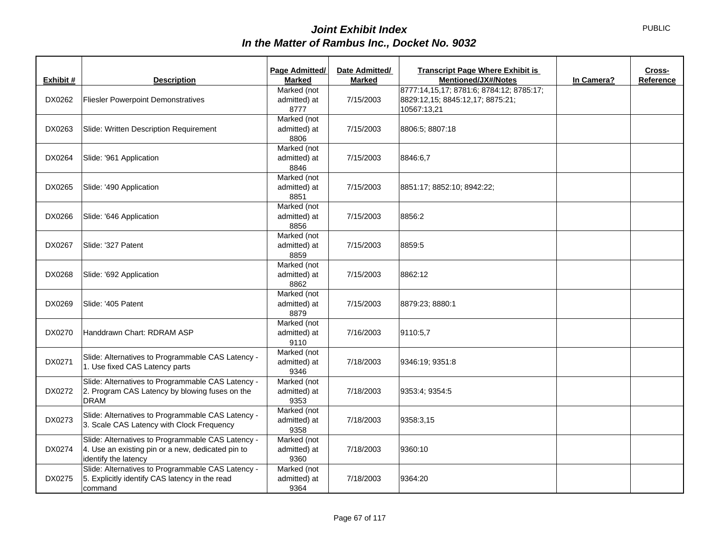| Exhibit # | <b>Description</b>                                                                                                             | Page Admitted/<br><b>Marked</b>     | Date Admitted/<br>Marked | <b>Transcript Page Where Exhibit is</b><br>Mentioned/JX#/Notes                              | In Camera? | Cross-<br>Reference |
|-----------|--------------------------------------------------------------------------------------------------------------------------------|-------------------------------------|--------------------------|---------------------------------------------------------------------------------------------|------------|---------------------|
| DX0262    | <b>Fliesler Powerpoint Demonstratives</b>                                                                                      | Marked (not<br>admitted) at<br>8777 | 7/15/2003                | 8777:14,15,17; 8781:6; 8784:12; 8785:17;<br>8829:12,15; 8845:12,17; 8875:21;<br>10567:13,21 |            |                     |
| DX0263    | Slide: Written Description Requirement                                                                                         | Marked (not<br>admitted) at<br>8806 | 7/15/2003                | 8806:5; 8807:18                                                                             |            |                     |
| DX0264    | Slide: '961 Application                                                                                                        | Marked (not<br>admitted) at<br>8846 | 7/15/2003                | 8846:6,7                                                                                    |            |                     |
| DX0265    | Slide: '490 Application                                                                                                        | Marked (not<br>admitted) at<br>8851 | 7/15/2003                | 8851:17; 8852:10; 8942:22;                                                                  |            |                     |
| DX0266    | Slide: '646 Application                                                                                                        | Marked (not<br>admitted) at<br>8856 | 7/15/2003                | 8856:2                                                                                      |            |                     |
| DX0267    | Slide: '327 Patent                                                                                                             | Marked (not<br>admitted) at<br>8859 | 7/15/2003                | 8859:5                                                                                      |            |                     |
| DX0268    | Slide: '692 Application                                                                                                        | Marked (not<br>admitted) at<br>8862 | 7/15/2003                | 8862:12                                                                                     |            |                     |
| DX0269    | Slide: '405 Patent                                                                                                             | Marked (not<br>admitted) at<br>8879 | 7/15/2003                | 8879:23; 8880:1                                                                             |            |                     |
| DX0270    | Handdrawn Chart: RDRAM ASP                                                                                                     | Marked (not<br>admitted) at<br>9110 | 7/16/2003                | 9110:5,7                                                                                    |            |                     |
| DX0271    | Slide: Alternatives to Programmable CAS Latency -<br>1. Use fixed CAS Latency parts                                            | Marked (not<br>admitted) at<br>9346 | 7/18/2003                | 9346:19; 9351:8                                                                             |            |                     |
| DX0272    | Slide: Alternatives to Programmable CAS Latency -<br>2. Program CAS Latency by blowing fuses on the<br><b>DRAM</b>             | Marked (not<br>admitted) at<br>9353 | 7/18/2003                | 9353:4: 9354:5                                                                              |            |                     |
| DX0273    | Slide: Alternatives to Programmable CAS Latency -<br>3. Scale CAS Latency with Clock Frequency                                 | Marked (not<br>admitted) at<br>9358 | 7/18/2003                | 9358:3,15                                                                                   |            |                     |
| DX0274    | Slide: Alternatives to Programmable CAS Latency -<br>4. Use an existing pin or a new, dedicated pin to<br>identify the latency | Marked (not<br>admitted) at<br>9360 | 7/18/2003                | 9360:10                                                                                     |            |                     |
| DX0275    | Slide: Alternatives to Programmable CAS Latency -<br>5. Explicitly identify CAS latency in the read<br>command                 | Marked (not<br>admitted) at<br>9364 | 7/18/2003                | 9364:20                                                                                     |            |                     |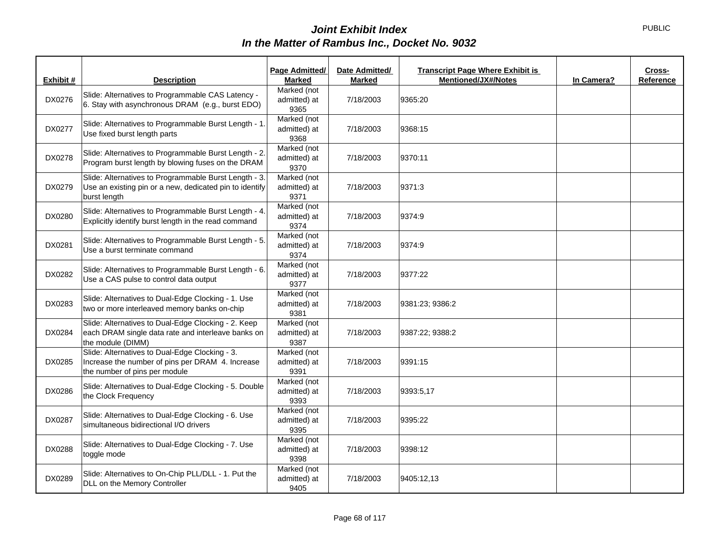| Exhibit # | <b>Description</b>                                                                                                                  | Page Admitted/<br><b>Marked</b>     | Date Admitted/<br><b>Marked</b> | <b>Transcript Page Where Exhibit is</b><br><b>Mentioned/JX#/Notes</b> | In Camera? | Cross-<br>Reference |
|-----------|-------------------------------------------------------------------------------------------------------------------------------------|-------------------------------------|---------------------------------|-----------------------------------------------------------------------|------------|---------------------|
| DX0276    | Slide: Alternatives to Programmable CAS Latency -<br>6. Stay with asynchronous DRAM (e.g., burst EDO)                               | Marked (not<br>admitted) at<br>9365 | 7/18/2003                       | 9365:20                                                               |            |                     |
| DX0277    | Slide: Alternatives to Programmable Burst Length - 1.<br>Use fixed burst length parts                                               | Marked (not<br>admitted) at<br>9368 | 7/18/2003                       | 9368:15                                                               |            |                     |
| DX0278    | Slide: Alternatives to Programmable Burst Length - 2.<br>Program burst length by blowing fuses on the DRAM                          | Marked (not<br>admitted) at<br>9370 | 7/18/2003                       | 9370:11                                                               |            |                     |
| DX0279    | Slide: Alternatives to Programmable Burst Length - 3.<br>Use an existing pin or a new, dedicated pin to identify<br>burst length    | Marked (not<br>admitted) at<br>9371 | 7/18/2003                       | 9371:3                                                                |            |                     |
| DX0280    | Slide: Alternatives to Programmable Burst Length - 4.<br>Explicitly identify burst length in the read command                       | Marked (not<br>admitted) at<br>9374 | 7/18/2003                       | 9374:9                                                                |            |                     |
| DX0281    | Slide: Alternatives to Programmable Burst Length - 5.<br>Use a burst terminate command                                              | Marked (not<br>admitted) at<br>9374 | 7/18/2003                       | 9374:9                                                                |            |                     |
| DX0282    | Slide: Alternatives to Programmable Burst Length - 6.<br>Use a CAS pulse to control data output                                     | Marked (not<br>admitted) at<br>9377 | 7/18/2003                       | 9377:22                                                               |            |                     |
| DX0283    | Slide: Alternatives to Dual-Edge Clocking - 1. Use<br>two or more interleaved memory banks on-chip                                  | Marked (not<br>admitted) at<br>9381 | 7/18/2003                       | 9381:23; 9386:2                                                       |            |                     |
| DX0284    | Slide: Alternatives to Dual-Edge Clocking - 2. Keep<br>each DRAM single data rate and interleave banks on<br>the module (DIMM)      | Marked (not<br>admitted) at<br>9387 | 7/18/2003                       | 9387:22; 9388:2                                                       |            |                     |
| DX0285    | Slide: Alternatives to Dual-Edge Clocking - 3.<br>Increase the number of pins per DRAM 4. Increase<br>the number of pins per module | Marked (not<br>admitted) at<br>9391 | 7/18/2003                       | 9391:15                                                               |            |                     |
| DX0286    | Slide: Alternatives to Dual-Edge Clocking - 5. Double<br>the Clock Frequency                                                        | Marked (not<br>admitted) at<br>9393 | 7/18/2003                       | 9393:5.17                                                             |            |                     |
| DX0287    | Slide: Alternatives to Dual-Edge Clocking - 6. Use<br>simultaneous bidirectional I/O drivers                                        | Marked (not<br>admitted) at<br>9395 | 7/18/2003                       | 9395:22                                                               |            |                     |
| DX0288    | Slide: Alternatives to Dual-Edge Clocking - 7. Use<br>toggle mode                                                                   | Marked (not<br>admitted) at<br>9398 | 7/18/2003                       | 9398:12                                                               |            |                     |
| DX0289    | Slide: Alternatives to On-Chip PLL/DLL - 1. Put the<br>DLL on the Memory Controller                                                 | Marked (not<br>admitted) at<br>9405 | 7/18/2003                       | 9405:12,13                                                            |            |                     |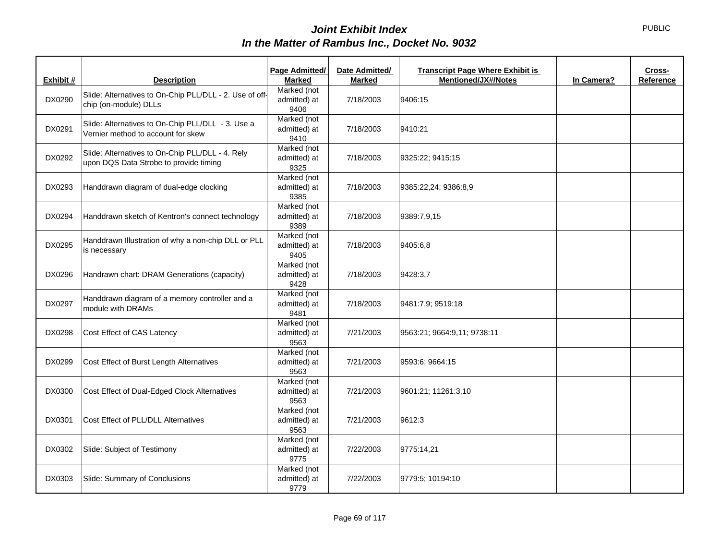|           |                                                                                            | Page Admitted/                      | Date Admitted/ | <b>Transcript Page Where Exhibit is</b> |            | Cross-    |
|-----------|--------------------------------------------------------------------------------------------|-------------------------------------|----------------|-----------------------------------------|------------|-----------|
| Exhibit # | <b>Description</b>                                                                         | <b>Marked</b>                       | <b>Marked</b>  | <b>Mentioned/JX#/Notes</b>              | In Camera? | Reference |
| DX0290    | Slide: Alternatives to On-Chip PLL/DLL - 2. Use of off-<br>chip (on-module) DLLs           | Marked (not<br>admitted) at<br>9406 | 7/18/2003      | 9406:15                                 |            |           |
| DX0291    | Slide: Alternatives to On-Chip PLL/DLL - 3. Use a<br>Vernier method to account for skew    | Marked (not<br>admitted) at<br>9410 | 7/18/2003      | 9410:21                                 |            |           |
| DX0292    | Slide: Alternatives to On-Chip PLL/DLL - 4. Rely<br>upon DQS Data Strobe to provide timing | Marked (not<br>admitted) at<br>9325 | 7/18/2003      | 9325:22; 9415:15                        |            |           |
| DX0293    | Handdrawn diagram of dual-edge clocking                                                    | Marked (not<br>admitted) at<br>9385 | 7/18/2003      | 9385:22,24; 9386:8,9                    |            |           |
| DX0294    | Handdrawn sketch of Kentron's connect technology                                           | Marked (not<br>admitted) at<br>9389 | 7/18/2003      | 9389:7,9,15                             |            |           |
| DX0295    | Handdrawn Illustration of why a non-chip DLL or PLL<br>is necessary                        | Marked (not<br>admitted) at<br>9405 | 7/18/2003      | 9405:6,8                                |            |           |
| DX0296    | Handrawn chart: DRAM Generations (capacity)                                                | Marked (not<br>admitted) at<br>9428 | 7/18/2003      | 9428:3,7                                |            |           |
| DX0297    | Handdrawn diagram of a memory controller and a<br>module with DRAMs                        | Marked (not<br>admitted) at<br>9481 | 7/18/2003      | 9481:7,9; 9519:18                       |            |           |
| DX0298    | Cost Effect of CAS Latency                                                                 | Marked (not<br>admitted) at<br>9563 | 7/21/2003      | 9563:21; 9664:9,11; 9738:11             |            |           |
| DX0299    | Cost Effect of Burst Length Alternatives                                                   | Marked (not<br>admitted) at<br>9563 | 7/21/2003      | 9593:6; 9664:15                         |            |           |
| DX0300    | Cost Effect of Dual-Edged Clock Alternatives                                               | Marked (not<br>admitted) at<br>9563 | 7/21/2003      | 9601:21; 11261:3,10                     |            |           |
| DX0301    | Cost Effect of PLL/DLL Alternatives                                                        | Marked (not<br>admitted) at<br>9563 | 7/21/2003      | 9612:3                                  |            |           |
| DX0302    | Slide: Subject of Testimony                                                                | Marked (not<br>admitted) at<br>9775 | 7/22/2003      | 9775:14,21                              |            |           |
| DX0303    | Slide: Summary of Conclusions                                                              | Marked (not<br>admitted) at<br>9779 | 7/22/2003      | 9779:5; 10194:10                        |            |           |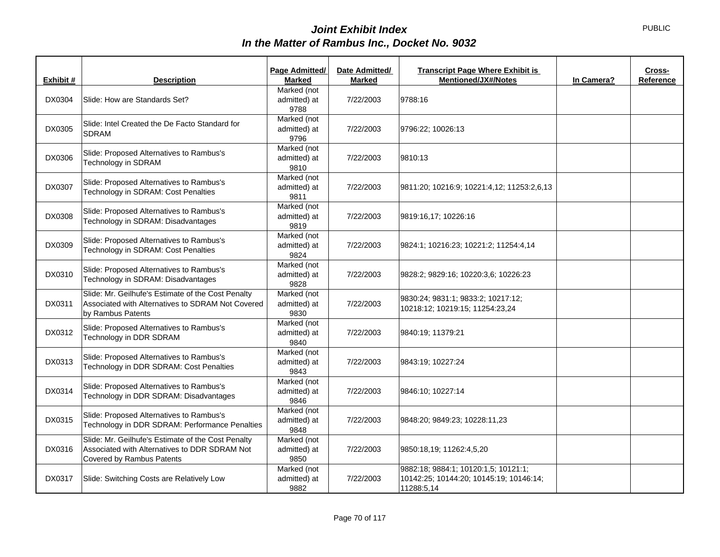|           |                                                                                                                                  | Page Admitted/                      | Date Admitted/ | <b>Transcript Page Where Exhibit is</b>                                                       |            | Cross-    |
|-----------|----------------------------------------------------------------------------------------------------------------------------------|-------------------------------------|----------------|-----------------------------------------------------------------------------------------------|------------|-----------|
| Exhibit # | <b>Description</b>                                                                                                               | <b>Marked</b>                       | <b>Marked</b>  | <b>Mentioned/JX#/Notes</b>                                                                    | In Camera? | Reference |
| DX0304    | Slide: How are Standards Set?                                                                                                    | Marked (not<br>admitted) at<br>9788 | 7/22/2003      | 9788:16                                                                                       |            |           |
| DX0305    | Slide: Intel Created the De Facto Standard for<br><b>SDRAM</b>                                                                   | Marked (not<br>admitted) at<br>9796 | 7/22/2003      | 9796:22; 10026:13                                                                             |            |           |
| DX0306    | Slide: Proposed Alternatives to Rambus's<br>Technology in SDRAM                                                                  | Marked (not<br>admitted) at<br>9810 | 7/22/2003      | 9810:13                                                                                       |            |           |
| DX0307    | Slide: Proposed Alternatives to Rambus's<br>Technology in SDRAM: Cost Penalties                                                  | Marked (not<br>admitted) at<br>9811 | 7/22/2003      | 9811:20; 10216:9; 10221:4,12; 11253:2,6,13                                                    |            |           |
| DX0308    | Slide: Proposed Alternatives to Rambus's<br>Technology in SDRAM: Disadvantages                                                   | Marked (not<br>admitted) at<br>9819 | 7/22/2003      | 9819:16,17; 10226:16                                                                          |            |           |
| DX0309    | Slide: Proposed Alternatives to Rambus's<br>Technology in SDRAM: Cost Penalties                                                  | Marked (not<br>admitted) at<br>9824 | 7/22/2003      | 9824:1; 10216:23; 10221:2; 11254:4,14                                                         |            |           |
| DX0310    | Slide: Proposed Alternatives to Rambus's<br>Technology in SDRAM: Disadvantages                                                   | Marked (not<br>admitted) at<br>9828 | 7/22/2003      | 9828:2; 9829:16; 10220:3,6; 10226:23                                                          |            |           |
| DX0311    | Slide: Mr. Geilhufe's Estimate of the Cost Penalty<br>Associated with Alternatives to SDRAM Not Covered<br>by Rambus Patents     | Marked (not<br>admitted) at<br>9830 | 7/22/2003      | 9830:24; 9831:1; 9833:2; 10217:12;<br>10218:12; 10219:15; 11254:23,24                         |            |           |
| DX0312    | Slide: Proposed Alternatives to Rambus's<br>Technology in DDR SDRAM                                                              | Marked (not<br>admitted) at<br>9840 | 7/22/2003      | 9840:19; 11379:21                                                                             |            |           |
| DX0313    | Slide: Proposed Alternatives to Rambus's<br>Technology in DDR SDRAM: Cost Penalties                                              | Marked (not<br>admitted) at<br>9843 | 7/22/2003      | 9843:19; 10227:24                                                                             |            |           |
| DX0314    | Slide: Proposed Alternatives to Rambus's<br>Technology in DDR SDRAM: Disadvantages                                               | Marked (not<br>admitted) at<br>9846 | 7/22/2003      | 9846:10; 10227:14                                                                             |            |           |
| DX0315    | Slide: Proposed Alternatives to Rambus's<br>Technology in DDR SDRAM: Performance Penalties                                       | Marked (not<br>admitted) at<br>9848 | 7/22/2003      | 9848:20; 9849:23; 10228:11,23                                                                 |            |           |
| DX0316    | Slide: Mr. Geilhufe's Estimate of the Cost Penalty<br>Associated with Alternatives to DDR SDRAM Not<br>Covered by Rambus Patents | Marked (not<br>admitted) at<br>9850 | 7/22/2003      | 9850:18,19; 11262:4,5,20                                                                      |            |           |
| DX0317    | Slide: Switching Costs are Relatively Low                                                                                        | Marked (not<br>admitted) at<br>9882 | 7/22/2003      | 9882:18; 9884:1; 10120:1,5; 10121:1;<br>10142:25; 10144:20; 10145:19; 10146:14;<br>11288:5,14 |            |           |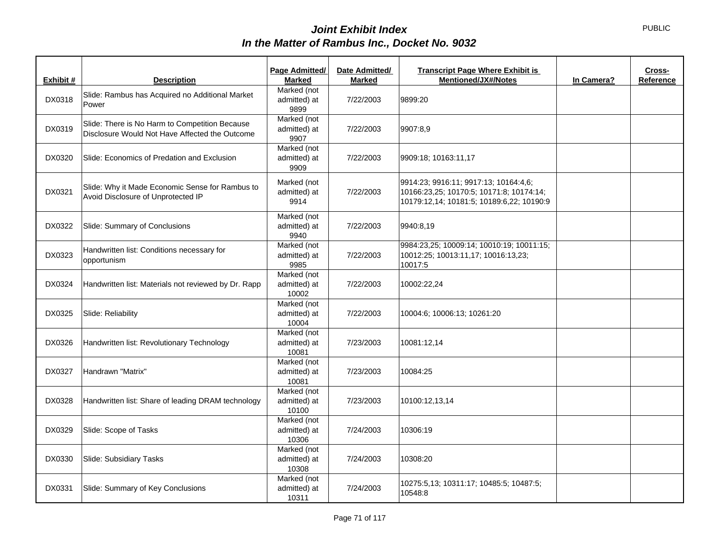|           |                                                                                                  | Page Admitted/                       | Date Admitted/ | <b>Transcript Page Where Exhibit is</b>                                                                                        |            | Cross-    |
|-----------|--------------------------------------------------------------------------------------------------|--------------------------------------|----------------|--------------------------------------------------------------------------------------------------------------------------------|------------|-----------|
| Exhibit # | <b>Description</b>                                                                               | <b>Marked</b>                        | <b>Marked</b>  | <b>Mentioned/JX#/Notes</b>                                                                                                     | In Camera? | Reference |
| DX0318    | Slide: Rambus has Acquired no Additional Market<br>Power                                         | Marked (not<br>admitted) at<br>9899  | 7/22/2003      | 9899:20                                                                                                                        |            |           |
| DX0319    | Slide: There is No Harm to Competition Because<br>Disclosure Would Not Have Affected the Outcome | Marked (not<br>admitted) at<br>9907  | 7/22/2003      | 9907:8,9                                                                                                                       |            |           |
| DX0320    | Slide: Economics of Predation and Exclusion                                                      | Marked (not<br>admitted) at<br>9909  | 7/22/2003      | 9909:18; 10163:11,17                                                                                                           |            |           |
| DX0321    | Slide: Why it Made Economic Sense for Rambus to<br>Avoid Disclosure of Unprotected IP            | Marked (not<br>admitted) at<br>9914  | 7/22/2003      | 9914:23; 9916:11; 9917:13; 10164:4,6;<br>10166:23,25; 10170:5; 10171:8; 10174:14;<br>10179:12,14; 10181:5; 10189:6,22; 10190:9 |            |           |
| DX0322    | Slide: Summary of Conclusions                                                                    | Marked (not<br>admitted) at<br>9940  | 7/22/2003      | 9940:8,19                                                                                                                      |            |           |
| DX0323    | Handwritten list: Conditions necessary for<br>opportunism                                        | Marked (not<br>admitted) at<br>9985  | 7/22/2003      | 9984:23,25; 10009:14; 10010:19; 10011:15;<br>10012:25; 10013:11,17; 10016:13,23;<br>10017:5                                    |            |           |
| DX0324    | Handwritten list: Materials not reviewed by Dr. Rapp                                             | Marked (not<br>admitted) at<br>10002 | 7/22/2003      | 10002:22,24                                                                                                                    |            |           |
| DX0325    | Slide: Reliability                                                                               | Marked (not<br>admitted) at<br>10004 | 7/22/2003      | 10004:6; 10006:13; 10261:20                                                                                                    |            |           |
| DX0326    | Handwritten list: Revolutionary Technology                                                       | Marked (not<br>admitted) at<br>10081 | 7/23/2003      | 10081:12,14                                                                                                                    |            |           |
| DX0327    | Handrawn "Matrix"                                                                                | Marked (not<br>admitted) at<br>10081 | 7/23/2003      | 10084:25                                                                                                                       |            |           |
| DX0328    | Handwritten list: Share of leading DRAM technology                                               | Marked (not<br>admitted) at<br>10100 | 7/23/2003      | 10100:12,13,14                                                                                                                 |            |           |
| DX0329    | Slide: Scope of Tasks                                                                            | Marked (not<br>admitted) at<br>10306 | 7/24/2003      | 10306:19                                                                                                                       |            |           |
| DX0330    | Slide: Subsidiary Tasks                                                                          | Marked (not<br>admitted) at<br>10308 | 7/24/2003      | 10308:20                                                                                                                       |            |           |
| DX0331    | Slide: Summary of Key Conclusions                                                                | Marked (not<br>admitted) at<br>10311 | 7/24/2003      | 10275:5,13; 10311:17; 10485:5; 10487:5;<br>10548:8                                                                             |            |           |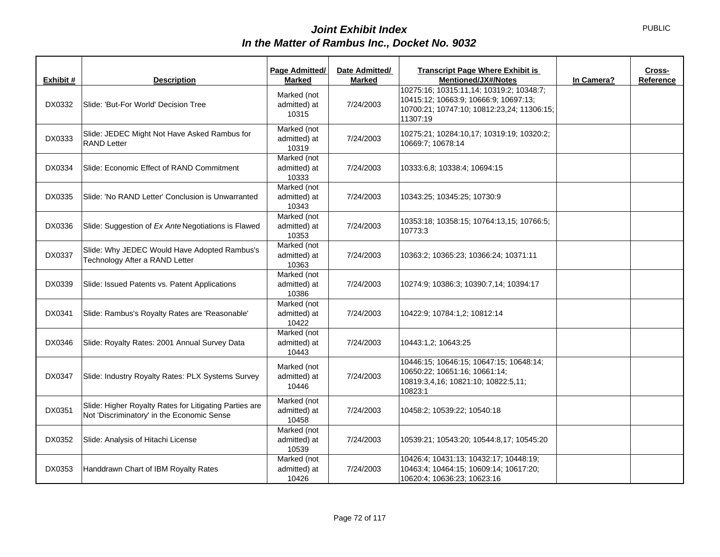| Exhibit # | <b>Description</b>                                                                                   | Page Admitted/<br><b>Marked</b>      | Date Admitted/<br><b>Marked</b> | <b>Transcript Page Where Exhibit is</b><br>Mentioned/JX#/Notes                                                                              | In Camera? | Cross-<br>Reference |
|-----------|------------------------------------------------------------------------------------------------------|--------------------------------------|---------------------------------|---------------------------------------------------------------------------------------------------------------------------------------------|------------|---------------------|
| DX0332    | Slide: 'But-For World' Decision Tree                                                                 | Marked (not<br>admitted) at<br>10315 | 7/24/2003                       | 10275:16; 10315:11,14; 10319:2; 10348:7;<br>10415:12; 10663:9; 10666:9; 10697:13;<br>10700:21; 10747:10; 10812:23,24; 11306:15;<br>11307:19 |            |                     |
| DX0333    | Slide: JEDEC Might Not Have Asked Rambus for<br><b>RAND Letter</b>                                   | Marked (not<br>admitted) at<br>10319 | 7/24/2003                       | 10275:21; 10284:10,17; 10319:19; 10320:2;<br>10669:7; 10678:14                                                                              |            |                     |
| DX0334    | Slide: Economic Effect of RAND Commitment                                                            | Marked (not<br>admitted) at<br>10333 | 7/24/2003                       | 10333:6,8; 10338:4; 10694:15                                                                                                                |            |                     |
| DX0335    | Slide: 'No RAND Letter' Conclusion is Unwarranted                                                    | Marked (not<br>admitted) at<br>10343 | 7/24/2003                       | 10343:25; 10345:25; 10730:9                                                                                                                 |            |                     |
| DX0336    | Slide: Suggestion of Ex Ante Negotiations is Flawed                                                  | Marked (not<br>admitted) at<br>10353 | 7/24/2003                       | 10353:18; 10358:15; 10764:13,15; 10766:5;<br>10773:3                                                                                        |            |                     |
| DX0337    | Slide: Why JEDEC Would Have Adopted Rambus's<br>Technology After a RAND Letter                       | Marked (not<br>admitted) at<br>10363 | 7/24/2003                       | 10363:2; 10365:23; 10366:24; 10371:11                                                                                                       |            |                     |
| DX0339    | Slide: Issued Patents vs. Patent Applications                                                        | Marked (not<br>admitted) at<br>10386 | 7/24/2003                       | 10274:9; 10386:3; 10390:7,14; 10394:17                                                                                                      |            |                     |
| DX0341    | Slide: Rambus's Royalty Rates are 'Reasonable'                                                       | Marked (not<br>admitted) at<br>10422 | 7/24/2003                       | 10422:9; 10784:1,2; 10812:14                                                                                                                |            |                     |
| DX0346    | Slide: Royalty Rates: 2001 Annual Survey Data                                                        | Marked (not<br>admitted) at<br>10443 | 7/24/2003                       | 10443:1,2; 10643:25                                                                                                                         |            |                     |
| DX0347    | Slide: Industry Royalty Rates: PLX Systems Survey                                                    | Marked (not<br>admitted) at<br>10446 | 7/24/2003                       | 10446:15; 10646:15; 10647:15; 10648:14;<br>10650:22; 10651:16; 10661:14;<br>10819:3,4,16; 10821:10; 10822:5,11;<br>10823:1                  |            |                     |
| DX0351    | Slide: Higher Royalty Rates for Litigating Parties are<br>Not 'Discriminatory' in the Economic Sense | Marked (not<br>admitted) at<br>10458 | 7/24/2003                       | 10458:2; 10539:22; 10540:18                                                                                                                 |            |                     |
| DX0352    | Slide: Analysis of Hitachi License                                                                   | Marked (not<br>admitted) at<br>10539 | 7/24/2003                       | 10539:21; 10543:20; 10544:8,17; 10545:20                                                                                                    |            |                     |
| DX0353    | Handdrawn Chart of IBM Royalty Rates                                                                 | Marked (not<br>admitted) at<br>10426 | 7/24/2003                       | 10426:4; 10431:13; 10432:17; 10448:19;<br>10463:4; 10464:15; 10609:14; 10617:20;<br>10620:4; 10636:23; 10623:16                             |            |                     |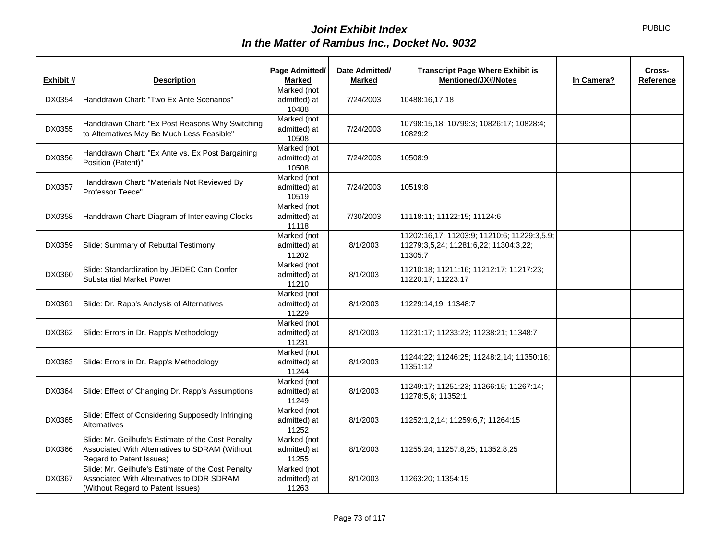|           |                                                                                                                                      | Page Admitted/                       | Date Admitted/ | <b>Transcript Page Where Exhibit is</b>                                                         |            | Cross-    |
|-----------|--------------------------------------------------------------------------------------------------------------------------------------|--------------------------------------|----------------|-------------------------------------------------------------------------------------------------|------------|-----------|
| Exhibit # | <b>Description</b>                                                                                                                   | <b>Marked</b>                        | <b>Marked</b>  | <b>Mentioned/JX#/Notes</b>                                                                      | In Camera? | Reference |
| DX0354    | Handdrawn Chart: "Two Ex Ante Scenarios"                                                                                             | Marked (not<br>admitted) at<br>10488 | 7/24/2003      | 10488:16,17,18                                                                                  |            |           |
| DX0355    | Handdrawn Chart: "Ex Post Reasons Why Switching<br>to Alternatives May Be Much Less Feasible"                                        | Marked (not<br>admitted) at<br>10508 | 7/24/2003      | 10798:15,18; 10799:3; 10826:17; 10828:4;<br>10829:2                                             |            |           |
| DX0356    | Handdrawn Chart: "Ex Ante vs. Ex Post Bargaining<br>Position (Patent)"                                                               | Marked (not<br>admitted) at<br>10508 | 7/24/2003      | 10508:9                                                                                         |            |           |
| DX0357    | Handdrawn Chart: "Materials Not Reviewed By<br>Professor Teece"                                                                      | Marked (not<br>admitted) at<br>10519 | 7/24/2003      | 10519:8                                                                                         |            |           |
| DX0358    | Handdrawn Chart: Diagram of Interleaving Clocks                                                                                      | Marked (not<br>admitted) at<br>11118 | 7/30/2003      | 11118:11; 11122:15; 11124:6                                                                     |            |           |
| DX0359    | Slide: Summary of Rebuttal Testimony                                                                                                 | Marked (not<br>admitted) at<br>11202 | 8/1/2003       | 11202:16,17; 11203:9; 11210:6; 11229:3,5,9;<br>11279:3,5,24; 11281:6,22; 11304:3,22;<br>11305:7 |            |           |
| DX0360    | Slide: Standardization by JEDEC Can Confer<br><b>Substantial Market Power</b>                                                        | Marked (not<br>admitted) at<br>11210 | 8/1/2003       | 11210:18; 11211:16; 11212:17; 11217:23;<br>11220:17; 11223:17                                   |            |           |
| DX0361    | Slide: Dr. Rapp's Analysis of Alternatives                                                                                           | Marked (not<br>admitted) at<br>11229 | 8/1/2003       | 11229:14,19; 11348:7                                                                            |            |           |
| DX0362    | Slide: Errors in Dr. Rapp's Methodology                                                                                              | Marked (not<br>admitted) at<br>11231 | 8/1/2003       | 11231:17; 11233:23; 11238:21; 11348:7                                                           |            |           |
| DX0363    | Slide: Errors in Dr. Rapp's Methodology                                                                                              | Marked (not<br>admitted) at<br>11244 | 8/1/2003       | 11244:22; 11246:25; 11248:2,14; 11350:16;<br>11351:12                                           |            |           |
| DX0364    | Slide: Effect of Changing Dr. Rapp's Assumptions                                                                                     | Marked (not<br>admitted) at<br>11249 | 8/1/2003       | 11249:17; 11251:23; 11266:15; 11267:14;<br>11278:5,6; 11352:1                                   |            |           |
| DX0365    | Slide: Effect of Considering Supposedly Infringing<br>Alternatives                                                                   | Marked (not<br>admitted) at<br>11252 | 8/1/2003       | 11252:1.2.14; 11259:6.7; 11264:15                                                               |            |           |
| DX0366    | Slide: Mr. Geilhufe's Estimate of the Cost Penalty<br>Associated With Alternatives to SDRAM (Without<br>Regard to Patent Issues)     | Marked (not<br>admitted) at<br>11255 | 8/1/2003       | 11255:24; 11257:8,25; 11352:8,25                                                                |            |           |
| DX0367    | Slide: Mr. Geilhufe's Estimate of the Cost Penalty<br>Associated With Alternatives to DDR SDRAM<br>(Without Regard to Patent Issues) | Marked (not<br>admitted) at<br>11263 | 8/1/2003       | 11263:20; 11354:15                                                                              |            |           |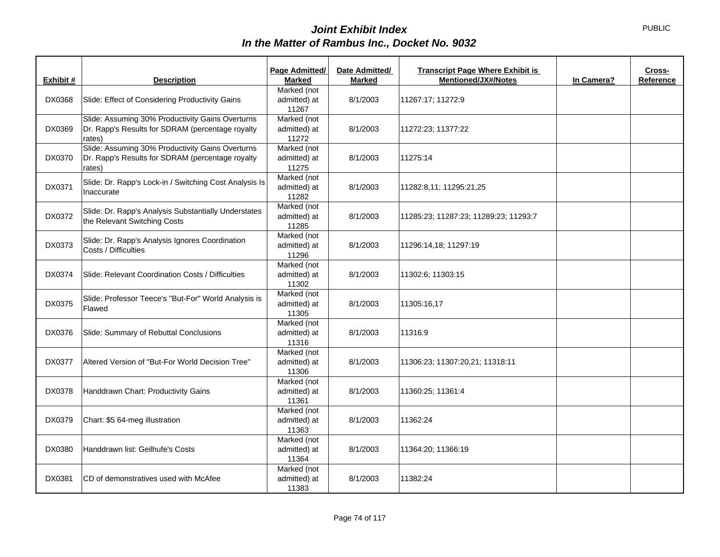|           |                                                                                                                | Page Admitted/                       | Date Admitted/ | <b>Transcript Page Where Exhibit is</b> |            | Cross-    |
|-----------|----------------------------------------------------------------------------------------------------------------|--------------------------------------|----------------|-----------------------------------------|------------|-----------|
| Exhibit # | <b>Description</b>                                                                                             | <b>Marked</b>                        | <b>Marked</b>  | <b>Mentioned/JX#/Notes</b>              | In Camera? | Reference |
| DX0368    | Slide: Effect of Considering Productivity Gains                                                                | Marked (not<br>admitted) at<br>11267 | 8/1/2003       | 11267:17; 11272:9                       |            |           |
| DX0369    | Slide: Assuming 30% Productivity Gains Overturns<br>Dr. Rapp's Results for SDRAM (percentage royalty<br>rates) | Marked (not<br>admitted) at<br>11272 | 8/1/2003       | 11272:23; 11377:22                      |            |           |
| DX0370    | Slide: Assuming 30% Productivity Gains Overturns<br>Dr. Rapp's Results for SDRAM (percentage royalty<br>rates) | Marked (not<br>admitted) at<br>11275 | 8/1/2003       | 11275:14                                |            |           |
| DX0371    | Slide: Dr. Rapp's Lock-in / Switching Cost Analysis Is<br>Inaccurate                                           | Marked (not<br>admitted) at<br>11282 | 8/1/2003       | 11282:8,11; 11295:21,25                 |            |           |
| DX0372    | Slide: Dr. Rapp's Analysis Substantially Understates<br>the Relevant Switching Costs                           | Marked (not<br>admitted) at<br>11285 | 8/1/2003       | 11285:23; 11287:23; 11289:23; 11293:7   |            |           |
| DX0373    | Slide: Dr. Rapp's Analysis Ignores Coordination<br>Costs / Difficulties                                        | Marked (not<br>admitted) at<br>11296 | 8/1/2003       | 11296:14,18; 11297:19                   |            |           |
| DX0374    | Slide: Relevant Coordination Costs / Difficulties                                                              | Marked (not<br>admitted) at<br>11302 | 8/1/2003       | 11302:6; 11303:15                       |            |           |
| DX0375    | Slide: Professor Teece's "But-For" World Analysis is<br>Flawed                                                 | Marked (not<br>admitted) at<br>11305 | 8/1/2003       | 11305:16,17                             |            |           |
| DX0376    | Slide: Summary of Rebuttal Conclusions                                                                         | Marked (not<br>admitted) at<br>11316 | 8/1/2003       | 11316:9                                 |            |           |
| DX0377    | Altered Version of "But-For World Decision Tree"                                                               | Marked (not<br>admitted) at<br>11306 | 8/1/2003       | 11306:23; 11307:20,21; 11318:11         |            |           |
| DX0378    | Handdrawn Chart: Productivity Gains                                                                            | Marked (not<br>admitted) at<br>11361 | 8/1/2003       | 11360:25; 11361:4                       |            |           |
| DX0379    | Chart: \$5 64-meg illustration                                                                                 | Marked (not<br>admitted) at<br>11363 | 8/1/2003       | 11362:24                                |            |           |
| DX0380    | Handdrawn list: Geilhufe's Costs                                                                               | Marked (not<br>admitted) at<br>11364 | 8/1/2003       | 11364:20; 11366:19                      |            |           |
| DX0381    | CD of demonstratives used with McAfee                                                                          | Marked (not<br>admitted) at<br>11383 | 8/1/2003       | 11382:24                                |            |           |

Page 74 of 117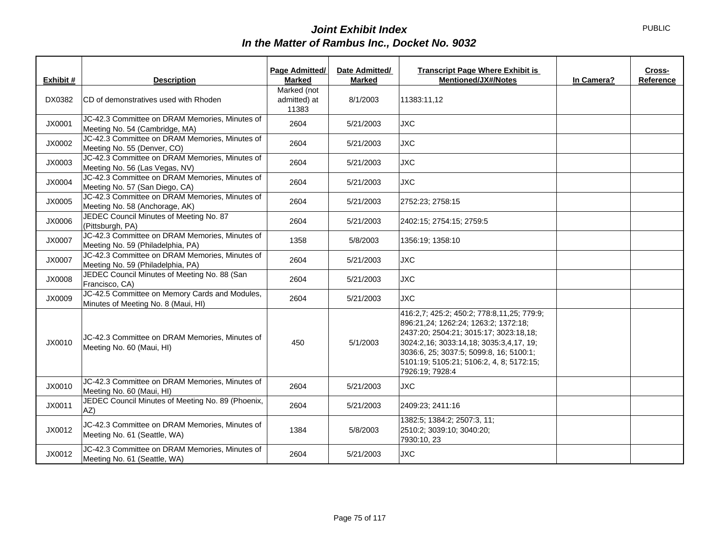| Exhibit # | <b>Description</b>                                                                    | Page Admitted/<br><b>Marked</b>      | Date Admitted/<br><b>Marked</b> | <b>Transcript Page Where Exhibit is</b><br><b>Mentioned/JX#/Notes</b>                                                                                                                                                                                                             | In Camera? | Cross-<br>Reference |
|-----------|---------------------------------------------------------------------------------------|--------------------------------------|---------------------------------|-----------------------------------------------------------------------------------------------------------------------------------------------------------------------------------------------------------------------------------------------------------------------------------|------------|---------------------|
| DX0382    | <b>CD</b> of demonstratives used with Rhoden                                          | Marked (not<br>admitted) at<br>11383 | 8/1/2003                        | 11383:11,12                                                                                                                                                                                                                                                                       |            |                     |
| JX0001    | JC-42.3 Committee on DRAM Memories, Minutes of<br>Meeting No. 54 (Cambridge, MA)      | 2604                                 | 5/21/2003                       | <b>JXC</b>                                                                                                                                                                                                                                                                        |            |                     |
| JX0002    | JC-42.3 Committee on DRAM Memories, Minutes of<br>Meeting No. 55 (Denver, CO)         | 2604                                 | 5/21/2003                       | <b>JXC</b>                                                                                                                                                                                                                                                                        |            |                     |
| JX0003    | JC-42.3 Committee on DRAM Memories, Minutes of<br>Meeting No. 56 (Las Vegas, NV)      | 2604                                 | 5/21/2003                       | <b>JXC</b>                                                                                                                                                                                                                                                                        |            |                     |
| JX0004    | JC-42.3 Committee on DRAM Memories, Minutes of<br>Meeting No. 57 (San Diego, CA)      | 2604                                 | 5/21/2003                       | <b>JXC</b>                                                                                                                                                                                                                                                                        |            |                     |
| JX0005    | JC-42.3 Committee on DRAM Memories, Minutes of<br>Meeting No. 58 (Anchorage, AK)      | 2604                                 | 5/21/2003                       | 2752:23; 2758:15                                                                                                                                                                                                                                                                  |            |                     |
| JX0006    | JEDEC Council Minutes of Meeting No. 87<br>(Pittsburgh, PA)                           | 2604                                 | 5/21/2003                       | 2402:15; 2754:15; 2759:5                                                                                                                                                                                                                                                          |            |                     |
| JX0007    | JC-42.3 Committee on DRAM Memories, Minutes of<br>Meeting No. 59 (Philadelphia, PA)   | 1358                                 | 5/8/2003                        | 1356:19; 1358:10                                                                                                                                                                                                                                                                  |            |                     |
| JX0007    | JC-42.3 Committee on DRAM Memories, Minutes of<br>Meeting No. 59 (Philadelphia, PA)   | 2604                                 | 5/21/2003                       | <b>JXC</b>                                                                                                                                                                                                                                                                        |            |                     |
| JX0008    | JEDEC Council Minutes of Meeting No. 88 (San<br>Francisco, CA)                        | 2604                                 | 5/21/2003                       | <b>JXC</b>                                                                                                                                                                                                                                                                        |            |                     |
| JX0009    | JC-42.5 Committee on Memory Cards and Modules,<br>Minutes of Meeting No. 8 (Maui, HI) | 2604                                 | 5/21/2003                       | <b>JXC</b>                                                                                                                                                                                                                                                                        |            |                     |
| JX0010    | JC-42.3 Committee on DRAM Memories, Minutes of<br>Meeting No. 60 (Maui, HI)           | 450                                  | 5/1/2003                        | 416:2,7; 425:2; 450:2; 778:8,11,25; 779:9;<br>896:21,24; 1262:24; 1263:2; 1372:18;<br>2437:20; 2504:21; 3015:17; 3023:18,18;<br>3024:2,16; 3033:14,18; 3035:3,4,17, 19;<br>3036:6, 25; 3037:5; 5099:8, 16; 5100:1;<br>5101:19; 5105:21; 5106:2, 4, 8; 5172:15;<br>7926:19; 7928:4 |            |                     |
| JX0010    | JC-42.3 Committee on DRAM Memories, Minutes of<br>Meeting No. 60 (Maui, HI)           | 2604                                 | 5/21/2003                       | <b>JXC</b>                                                                                                                                                                                                                                                                        |            |                     |
| JX0011    | JEDEC Council Minutes of Meeting No. 89 (Phoenix,<br>AZ)                              | 2604                                 | 5/21/2003                       | 2409:23; 2411:16                                                                                                                                                                                                                                                                  |            |                     |
| JX0012    | JC-42.3 Committee on DRAM Memories, Minutes of<br>Meeting No. 61 (Seattle, WA)        | 1384                                 | 5/8/2003                        | 1382:5; 1384:2; 2507:3, 11;<br>2510:2; 3039:10; 3040:20;<br>7930:10, 23                                                                                                                                                                                                           |            |                     |
| JX0012    | JC-42.3 Committee on DRAM Memories, Minutes of<br>Meeting No. 61 (Seattle, WA)        | 2604                                 | 5/21/2003                       | <b>JXC</b>                                                                                                                                                                                                                                                                        |            |                     |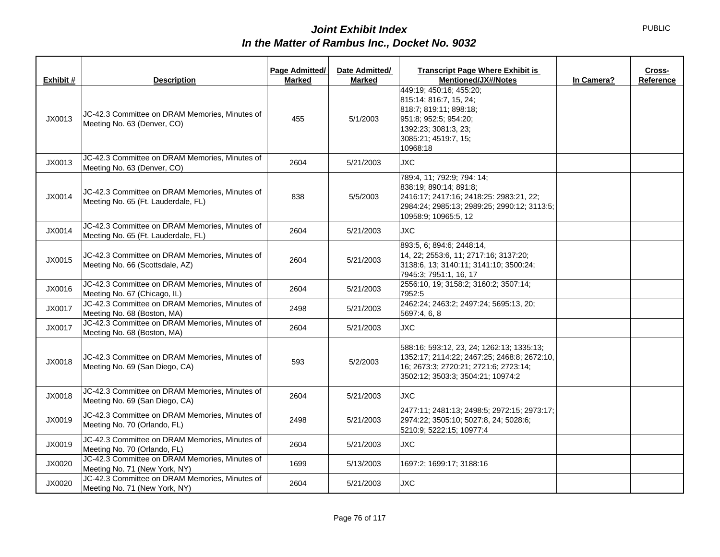| Exhibit # | <b>Description</b>                                                                    | Page Admitted/<br><b>Marked</b> | Date Admitted/<br><b>Marked</b> | <b>Transcript Page Where Exhibit is</b><br>Cross-<br><b>Mentioned/JX#/Notes</b><br>In Camera?<br>Reference                                                             |
|-----------|---------------------------------------------------------------------------------------|---------------------------------|---------------------------------|------------------------------------------------------------------------------------------------------------------------------------------------------------------------|
| JX0013    | JC-42.3 Committee on DRAM Memories, Minutes of<br>Meeting No. 63 (Denver, CO)         | 455                             | 5/1/2003                        | 449:19; 450:16; 455:20;<br>815:14; 816:7, 15, 24;<br>818:7; 819:11; 898:18;<br>951:8; 952:5; 954:20;<br>1392:23; 3081:3, 23;<br>3085:21; 4519:7, 15;<br>10968:18       |
| JX0013    | JC-42.3 Committee on DRAM Memories, Minutes of<br>Meeting No. 63 (Denver, CO)         | 2604                            | 5/21/2003                       | <b>JXC</b>                                                                                                                                                             |
| JX0014    | JC-42.3 Committee on DRAM Memories, Minutes of<br>Meeting No. 65 (Ft. Lauderdale, FL) | 838                             | 5/5/2003                        | 789:4, 11; 792:9; 794: 14;<br>838:19; 890:14; 891:8;<br>2416:17; 2417:16; 2418:25: 2983:21, 22;<br>2984:24; 2985:13; 2989:25; 2990:12; 3113:5;<br>10958:9; 10965:5, 12 |
| JX0014    | JC-42.3 Committee on DRAM Memories, Minutes of<br>Meeting No. 65 (Ft. Lauderdale, FL) | 2604                            | 5/21/2003                       | <b>JXC</b>                                                                                                                                                             |
| JX0015    | JC-42.3 Committee on DRAM Memories, Minutes of<br>Meeting No. 66 (Scottsdale, AZ)     | 2604                            | 5/21/2003                       | 893:5, 6; 894:6; 2448:14,<br>14, 22; 2553:6, 11; 2717:16; 3137:20;<br>3138:6, 13; 3140:11; 3141:10; 3500:24;<br>7945:3; 7951:1, 16, 17                                 |
| JX0016    | JC-42.3 Committee on DRAM Memories, Minutes of<br>Meeting No. 67 (Chicago, IL)        | 2604                            | 5/21/2003                       | 2556:10, 19; 3158:2; 3160:2; 3507:14;<br>7952:5                                                                                                                        |
| JX0017    | JC-42.3 Committee on DRAM Memories, Minutes of<br>Meeting No. 68 (Boston, MA)         | 2498                            | 5/21/2003                       | 2462:24; 2463:2; 2497:24; 5695:13, 20;<br>5697:4, 6, 8                                                                                                                 |
| JX0017    | JC-42.3 Committee on DRAM Memories, Minutes of<br>Meeting No. 68 (Boston, MA)         | 2604                            | 5/21/2003                       | <b>JXC</b>                                                                                                                                                             |
| JX0018    | JC-42.3 Committee on DRAM Memories, Minutes of<br>Meeting No. 69 (San Diego, CA)      | 593                             | 5/2/2003                        | 588:16; 593:12, 23, 24; 1262:13; 1335:13;<br>1352:17; 2114:22; 2467:25; 2468:8; 2672:10,<br>16; 2673:3; 2720:21; 2721:6; 2723:14;<br>3502:12; 3503:3; 3504:21; 10974:2 |
| JX0018    | JC-42.3 Committee on DRAM Memories, Minutes of<br>Meeting No. 69 (San Diego, CA)      | 2604                            | 5/21/2003                       | <b>JXC</b>                                                                                                                                                             |
| JX0019    | JC-42.3 Committee on DRAM Memories, Minutes of<br>Meeting No. 70 (Orlando, FL)        | 2498                            | 5/21/2003                       | 2477:11; 2481:13; 2498:5; 2972:15; 2973:17;<br>2974:22; 3505:10; 5027:8, 24; 5028:6;<br>5210:9; 5222:15; 10977:4                                                       |
| JX0019    | JC-42.3 Committee on DRAM Memories, Minutes of<br>Meeting No. 70 (Orlando, FL)        | 2604                            | 5/21/2003                       | <b>JXC</b>                                                                                                                                                             |
| JX0020    | JC-42.3 Committee on DRAM Memories, Minutes of<br>Meeting No. 71 (New York, NY)       | 1699                            | 5/13/2003                       | 1697:2; 1699:17; 3188:16                                                                                                                                               |
| JX0020    | JC-42.3 Committee on DRAM Memories, Minutes of<br>Meeting No. 71 (New York, NY)       | 2604                            | 5/21/2003                       | <b>JXC</b>                                                                                                                                                             |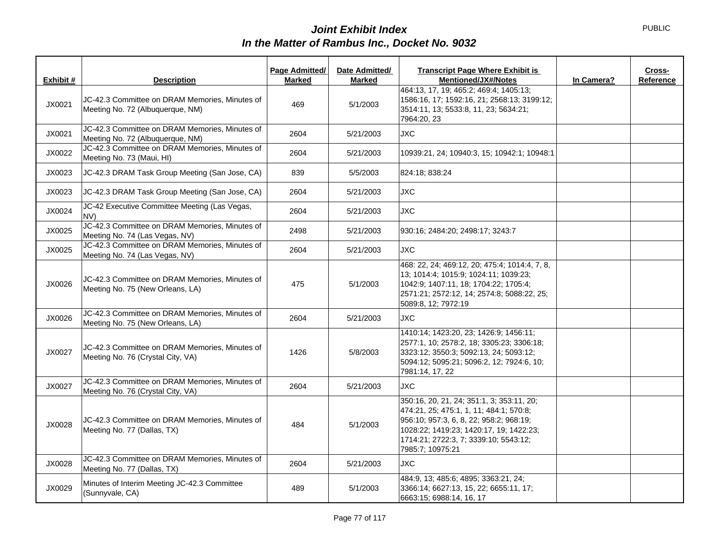|           |                                                                                     | Page Admitted/ | Date Admitted/ | <b>Transcript Page Where Exhibit is</b>                                                                                                                                                                                                 |            | Cross-    |
|-----------|-------------------------------------------------------------------------------------|----------------|----------------|-----------------------------------------------------------------------------------------------------------------------------------------------------------------------------------------------------------------------------------------|------------|-----------|
| Exhibit # | <b>Description</b>                                                                  | <b>Marked</b>  | Marked         | <b>Mentioned/JX#/Notes</b>                                                                                                                                                                                                              | In Camera? | Reference |
| JX0021    | JC-42.3 Committee on DRAM Memories, Minutes of<br>Meeting No. 72 (Albuquerque, NM)  | 469            | 5/1/2003       | 464:13, 17, 19; 465:2; 469:4; 1405:13;<br>1586:16, 17; 1592:16, 21; 2568:13; 3199:12;<br>3514:11, 13; 5533:8, 11, 23; 5634:21;<br>7964:20, 23                                                                                           |            |           |
| JX0021    | JC-42.3 Committee on DRAM Memories, Minutes of<br>Meeting No. 72 (Albuquerque, NM)  | 2604           | 5/21/2003      | <b>JXC</b>                                                                                                                                                                                                                              |            |           |
| JX0022    | JC-42.3 Committee on DRAM Memories, Minutes of<br>Meeting No. 73 (Maui, HI)         | 2604           | 5/21/2003      | 10939:21, 24; 10940:3, 15; 10942:1; 10948:1                                                                                                                                                                                             |            |           |
| JX0023    | JC-42.3 DRAM Task Group Meeting (San Jose, CA)                                      | 839            | 5/5/2003       | 824:18: 838:24                                                                                                                                                                                                                          |            |           |
| JX0023    | JC-42.3 DRAM Task Group Meeting (San Jose, CA)                                      | 2604           | 5/21/2003      | <b>JXC</b>                                                                                                                                                                                                                              |            |           |
| JX0024    | JC-42 Executive Committee Meeting (Las Vegas,<br>NV)                                | 2604           | 5/21/2003      | <b>JXC</b>                                                                                                                                                                                                                              |            |           |
| JX0025    | JC-42.3 Committee on DRAM Memories, Minutes of<br>Meeting No. 74 (Las Vegas, NV)    | 2498           | 5/21/2003      | 930:16; 2484:20; 2498:17; 3243:7                                                                                                                                                                                                        |            |           |
| JX0025    | JC-42.3 Committee on DRAM Memories, Minutes of<br>Meeting No. 74 (Las Vegas, NV)    | 2604           | 5/21/2003      | JXC.                                                                                                                                                                                                                                    |            |           |
| JX0026    | JC-42.3 Committee on DRAM Memories, Minutes of<br>Meeting No. 75 (New Orleans, LA)  | 475            | 5/1/2003       | 468: 22, 24; 469:12, 20; 475:4; 1014:4, 7, 8,<br>13; 1014:4; 1015:9; 1024:11; 1039:23;<br>1042:9: 1407:11, 18: 1704:22: 1705:4:<br>2571:21; 2572:12, 14; 2574:8; 5088:22, 25;<br>5089:8, 12; 7972:19                                    |            |           |
| JX0026    | JC-42.3 Committee on DRAM Memories, Minutes of<br>Meeting No. 75 (New Orleans, LA)  | 2604           | 5/21/2003      | <b>JXC</b>                                                                                                                                                                                                                              |            |           |
| JX0027    | JC-42.3 Committee on DRAM Memories, Minutes of<br>Meeting No. 76 (Crystal City, VA) | 1426           | 5/8/2003       | 1410:14; 1423:20, 23; 1426:9; 1456:11;<br>2577:1, 10; 2578:2, 18; 3305:23; 3306:18;<br>3323:12; 3550:3; 5092:13, 24; 5093:12;<br>5094:12; 5095:21; 5096:2, 12; 7924:6, 10;<br>7981:14, 17, 22                                           |            |           |
| JX0027    | JC-42.3 Committee on DRAM Memories, Minutes of<br>Meeting No. 76 (Crystal City, VA) | 2604           | 5/21/2003      | <b>JXC</b>                                                                                                                                                                                                                              |            |           |
| JX0028    | JC-42.3 Committee on DRAM Memories, Minutes of<br>Meeting No. 77 (Dallas, TX)       | 484            | 5/1/2003       | 350:16, 20, 21, 24; 351:1, 3; 353:11, 20;<br>474:21, 25; 475:1, 1, 11; 484:1; 570:8;<br>956:10; 957:3, 6, 8, 22; 958:2; 968:19;<br>1028:22; 1419:23; 1420:17, 19; 1422:23;<br>1714:21; 2722:3, 7; 3339:10; 5543:12;<br>7985:7; 10975:21 |            |           |
| JX0028    | JC-42.3 Committee on DRAM Memories, Minutes of<br>Meeting No. 77 (Dallas, TX)       | 2604           | 5/21/2003      | <b>JXC</b>                                                                                                                                                                                                                              |            |           |
| JX0029    | Minutes of Interim Meeting JC-42.3 Committee<br>(Sunnyvale, CA)                     | 489            | 5/1/2003       | 484:9, 13; 485:6; 4895; 3363:21, 24;<br>3366:14; 6627:13, 15, 22; 6655:11, 17;<br>6663:15; 6988:14, 16, 17                                                                                                                              |            |           |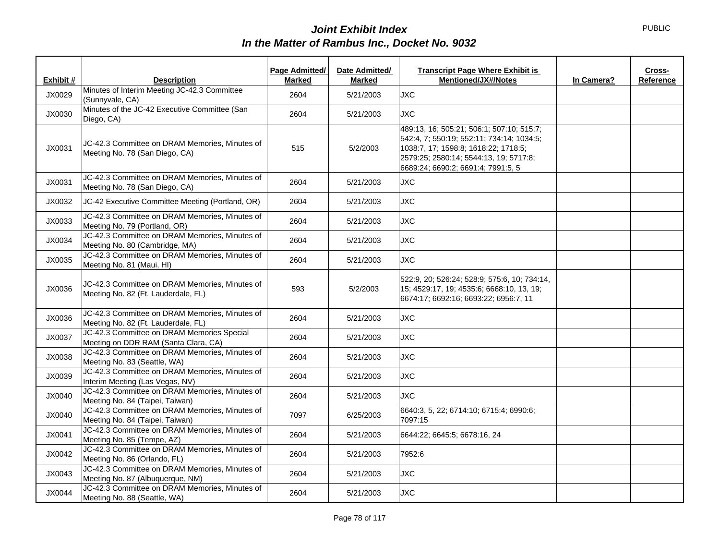|           |                                                                                       | Page Admitted/ | Date Admitted/ | <b>Transcript Page Where Exhibit is</b>                                                                                                                                                                        |            | Cross-    |
|-----------|---------------------------------------------------------------------------------------|----------------|----------------|----------------------------------------------------------------------------------------------------------------------------------------------------------------------------------------------------------------|------------|-----------|
| Exhibit # | <b>Description</b>                                                                    | <b>Marked</b>  | Marked         | <b>Mentioned/JX#/Notes</b>                                                                                                                                                                                     | In Camera? | Reference |
| JX0029    | Minutes of Interim Meeting JC-42.3 Committee<br>(Sunnyvale, CA)                       | 2604           | 5/21/2003      | <b>JXC</b>                                                                                                                                                                                                     |            |           |
| JX0030    | Minutes of the JC-42 Executive Committee (San<br>Diego, CA)                           | 2604           | 5/21/2003      | <b>JXC</b>                                                                                                                                                                                                     |            |           |
| JX0031    | JC-42.3 Committee on DRAM Memories, Minutes of<br>Meeting No. 78 (San Diego, CA)      | 515            | 5/2/2003       | 489:13, 16; 505:21; 506:1; 507:10; 515:7;<br>542:4, 7; 550:19; 552:11; 734:14; 1034:5;<br>1038:7, 17; 1598:8; 1618:22; 1718:5;<br>2579:25; 2580:14; 5544:13, 19; 5717:8;<br>6689:24; 6690:2; 6691:4; 7991:5, 5 |            |           |
| JX0031    | JC-42.3 Committee on DRAM Memories, Minutes of<br>Meeting No. 78 (San Diego, CA)      | 2604           | 5/21/2003      | <b>JXC</b>                                                                                                                                                                                                     |            |           |
| JX0032    | JC-42 Executive Committee Meeting (Portland, OR)                                      | 2604           | 5/21/2003      | <b>JXC</b>                                                                                                                                                                                                     |            |           |
| JX0033    | JC-42.3 Committee on DRAM Memories, Minutes of<br>Meeting No. 79 (Portland, OR)       | 2604           | 5/21/2003      | <b>JXC</b>                                                                                                                                                                                                     |            |           |
| JX0034    | JC-42.3 Committee on DRAM Memories, Minutes of<br>Meeting No. 80 (Cambridge, MA)      | 2604           | 5/21/2003      | <b>JXC</b>                                                                                                                                                                                                     |            |           |
| JX0035    | JC-42.3 Committee on DRAM Memories, Minutes of<br>Meeting No. 81 (Maui, HI)           | 2604           | 5/21/2003      | <b>JXC</b>                                                                                                                                                                                                     |            |           |
| JX0036    | JC-42.3 Committee on DRAM Memories, Minutes of<br>Meeting No. 82 (Ft. Lauderdale, FL) | 593            | 5/2/2003       | 522:9, 20; 526:24; 528:9; 575:6, 10; 734:14,<br>15; 4529:17, 19; 4535:6; 6668:10, 13, 19;<br>6674:17; 6692:16; 6693:22; 6956:7, 11                                                                             |            |           |
| JX0036    | JC-42.3 Committee on DRAM Memories, Minutes of<br>Meeting No. 82 (Ft. Lauderdale, FL) | 2604           | 5/21/2003      | <b>JXC</b>                                                                                                                                                                                                     |            |           |
| JX0037    | JC-42.3 Committee on DRAM Memories Special<br>Meeting on DDR RAM (Santa Clara, CA)    | 2604           | 5/21/2003      | <b>JXC</b>                                                                                                                                                                                                     |            |           |
| JX0038    | JC-42.3 Committee on DRAM Memories, Minutes of<br>Meeting No. 83 (Seattle, WA)        | 2604           | 5/21/2003      | <b>JXC</b>                                                                                                                                                                                                     |            |           |
| JX0039    | JC-42.3 Committee on DRAM Memories, Minutes of<br>Interim Meeting (Las Vegas, NV)     | 2604           | 5/21/2003      | <b>JXC</b>                                                                                                                                                                                                     |            |           |
| JX0040    | JC-42.3 Committee on DRAM Memories, Minutes of<br>Meeting No. 84 (Taipei, Taiwan)     | 2604           | 5/21/2003      | <b>JXC</b>                                                                                                                                                                                                     |            |           |
| JX0040    | JC-42.3 Committee on DRAM Memories, Minutes of<br>Meeting No. 84 (Taipei, Taiwan)     | 7097           | 6/25/2003      | 6640:3, 5, 22; 6714:10; 6715:4; 6990:6;<br>7097:15                                                                                                                                                             |            |           |
| JX0041    | JC-42.3 Committee on DRAM Memories, Minutes of<br>Meeting No. 85 (Tempe, AZ)          | 2604           | 5/21/2003      | 6644:22; 6645:5; 6678:16, 24                                                                                                                                                                                   |            |           |
| JX0042    | JC-42.3 Committee on DRAM Memories, Minutes of<br>Meeting No. 86 (Orlando, FL)        | 2604           | 5/21/2003      | 7952:6                                                                                                                                                                                                         |            |           |
| JX0043    | JC-42.3 Committee on DRAM Memories, Minutes of<br>Meeting No. 87 (Albuquerque, NM)    | 2604           | 5/21/2003      | <b>JXC</b>                                                                                                                                                                                                     |            |           |
| JX0044    | JC-42.3 Committee on DRAM Memories, Minutes of<br>Meeting No. 88 (Seattle, WA)        | 2604           | 5/21/2003      | <b>JXC</b>                                                                                                                                                                                                     |            |           |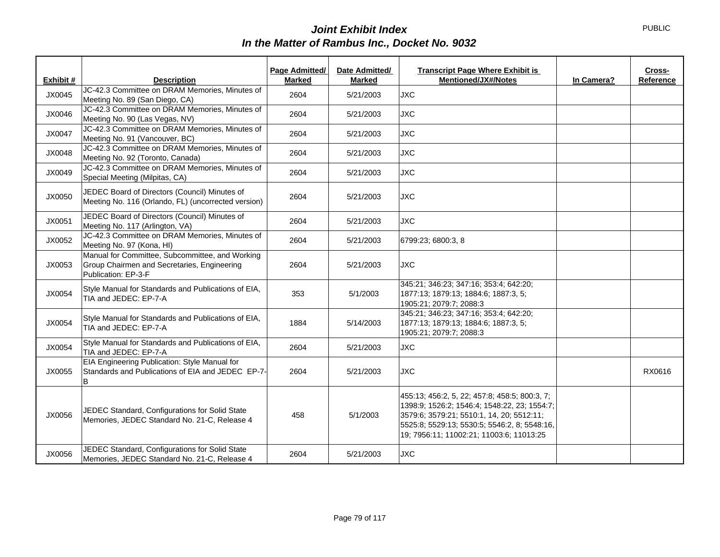| Exhibit # | <b>Description</b>                                                                                                    | Page Admitted/<br><b>Marked</b> | Date Admitted/<br><b>Marked</b> | <b>Transcript Page Where Exhibit is</b><br><b>Mentioned/JX#/Notes</b>                                                                                                                                                                  | In Camera? | Cross-<br>Reference |
|-----------|-----------------------------------------------------------------------------------------------------------------------|---------------------------------|---------------------------------|----------------------------------------------------------------------------------------------------------------------------------------------------------------------------------------------------------------------------------------|------------|---------------------|
| JX0045    | JC-42.3 Committee on DRAM Memories, Minutes of<br>Meeting No. 89 (San Diego, CA)                                      | 2604                            | 5/21/2003                       | <b>JXC</b>                                                                                                                                                                                                                             |            |                     |
| JX0046    | JC-42.3 Committee on DRAM Memories, Minutes of<br>Meeting No. 90 (Las Vegas, NV)                                      | 2604                            | 5/21/2003                       | <b>JXC</b>                                                                                                                                                                                                                             |            |                     |
| JX0047    | JC-42.3 Committee on DRAM Memories, Minutes of<br>Meeting No. 91 (Vancouver, BC)                                      | 2604                            | 5/21/2003                       | <b>JXC</b>                                                                                                                                                                                                                             |            |                     |
| JX0048    | JC-42.3 Committee on DRAM Memories, Minutes of<br>Meeting No. 92 (Toronto, Canada)                                    | 2604                            | 5/21/2003                       | <b>JXC</b>                                                                                                                                                                                                                             |            |                     |
| JX0049    | JC-42.3 Committee on DRAM Memories, Minutes of<br>Special Meeting (Milpitas, CA)                                      | 2604                            | 5/21/2003                       | <b>JXC</b>                                                                                                                                                                                                                             |            |                     |
| JX0050    | JEDEC Board of Directors (Council) Minutes of<br>Meeting No. 116 (Orlando, FL) (uncorrected version)                  | 2604                            | 5/21/2003                       | <b>JXC</b>                                                                                                                                                                                                                             |            |                     |
| JX0051    | JEDEC Board of Directors (Council) Minutes of<br>Meeting No. 117 (Arlington, VA)                                      | 2604                            | 5/21/2003                       | <b>JXC</b>                                                                                                                                                                                                                             |            |                     |
| JX0052    | JC-42.3 Committee on DRAM Memories, Minutes of<br>Meeting No. 97 (Kona, HI)                                           | 2604                            | 5/21/2003                       | 6799:23; 6800:3, 8                                                                                                                                                                                                                     |            |                     |
| JX0053    | Manual for Committee, Subcommittee, and Working<br>Group Chairmen and Secretaries, Engineering<br>Publication: EP-3-F | 2604                            | 5/21/2003                       | <b>JXC</b>                                                                                                                                                                                                                             |            |                     |
| JX0054    | Style Manual for Standards and Publications of EIA,<br>TIA and JEDEC: EP-7-A                                          | 353                             | 5/1/2003                        | 345:21; 346:23; 347:16; 353:4; 642:20;<br>1877:13; 1879:13; 1884:6; 1887:3, 5;<br>1905:21; 2079:7; 2088:3                                                                                                                              |            |                     |
| JX0054    | Style Manual for Standards and Publications of EIA,<br>TIA and JEDEC: EP-7-A                                          | 1884                            | 5/14/2003                       | 345:21; 346:23; 347:16; 353:4; 642:20;<br>1877:13; 1879:13; 1884:6; 1887:3, 5;<br>1905:21; 2079:7; 2088:3                                                                                                                              |            |                     |
| JX0054    | Style Manual for Standards and Publications of EIA,<br>TIA and JEDEC: EP-7-A                                          | 2604                            | 5/21/2003                       | <b>JXC</b>                                                                                                                                                                                                                             |            |                     |
| JX0055    | EIA Engineering Publication: Style Manual for<br>Standards and Publications of EIA and JEDEC EP-7-<br>В               | 2604                            | 5/21/2003                       | <b>JXC</b>                                                                                                                                                                                                                             |            | RX0616              |
| JX0056    | JEDEC Standard, Configurations for Solid State<br>Memories, JEDEC Standard No. 21-C, Release 4                        | 458                             | 5/1/2003                        | 455:13; 456:2, 5, 22; 457:8; 458:5; 800:3, 7;<br>1398:9; 1526:2; 1546:4; 1548:22, 23; 1554:7;<br>3579:6; 3579:21; 5510:1, 14, 20; 5512:11;<br>5525:8; 5529:13; 5530:5; 5546:2, 8; 5548:16,<br>19; 7956:11; 11002:21; 11003:6; 11013:25 |            |                     |
| JX0056    | JEDEC Standard, Configurations for Solid State<br>Memories, JEDEC Standard No. 21-C, Release 4                        | 2604                            | 5/21/2003                       | <b>JXC</b>                                                                                                                                                                                                                             |            |                     |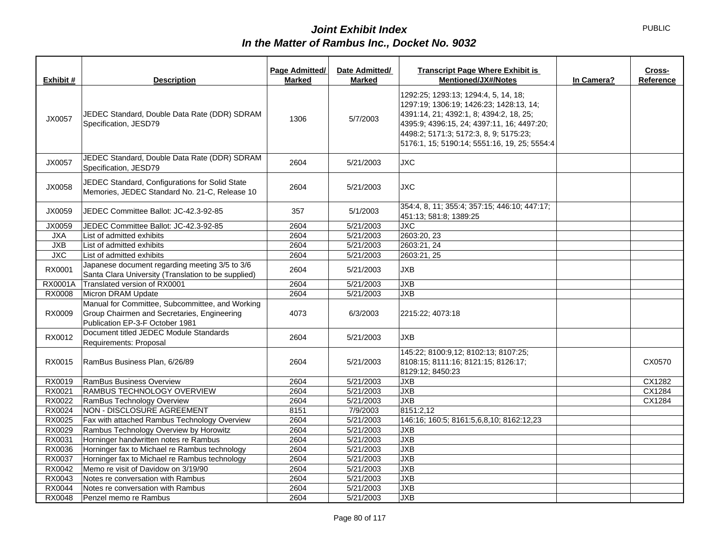| Exhibit #  | <b>Description</b>                                                                                                                | Page Admitted/<br><b>Marked</b> | Date Admitted/<br><b>Marked</b> | <b>Transcript Page Where Exhibit is</b><br><b>Mentioned/JX#/Notes</b>                                                                                                                                                                                              | In Camera? | Cross-<br>Reference |
|------------|-----------------------------------------------------------------------------------------------------------------------------------|---------------------------------|---------------------------------|--------------------------------------------------------------------------------------------------------------------------------------------------------------------------------------------------------------------------------------------------------------------|------------|---------------------|
| JX0057     | JEDEC Standard, Double Data Rate (DDR) SDRAM<br>Specification, JESD79                                                             | 1306                            | 5/7/2003                        | 1292:25; 1293:13; 1294:4, 5, 14, 18;<br>1297:19; 1306:19; 1426:23; 1428:13, 14;<br>4391:14, 21; 4392:1, 8; 4394:2, 18, 25;<br>4395:9; 4396:15, 24; 4397:11, 16; 4497:20;<br>4498:2; 5171:3; 5172:3, 8, 9; 5175:23;<br>5176:1, 15; 5190:14; 5551:16, 19, 25; 5554:4 |            |                     |
| JX0057     | JEDEC Standard, Double Data Rate (DDR) SDRAM<br>Specification, JESD79                                                             | 2604                            | 5/21/2003                       | <b>JXC</b>                                                                                                                                                                                                                                                         |            |                     |
| JX0058     | JEDEC Standard, Configurations for Solid State<br>Memories, JEDEC Standard No. 21-C, Release 10                                   | 2604                            | 5/21/2003                       | <b>JXC</b>                                                                                                                                                                                                                                                         |            |                     |
| JX0059     | JEDEC Committee Ballot: JC-42.3-92-85                                                                                             | 357                             | 5/1/2003                        | 354:4, 8, 11; 355:4; 357:15; 446:10; 447:17;<br>451:13; 581:8; 1389:25                                                                                                                                                                                             |            |                     |
| JX0059     | JEDEC Committee Ballot: JC-42.3-92-85                                                                                             | 2604                            | 5/21/2003                       | <b>JXC</b>                                                                                                                                                                                                                                                         |            |                     |
| <b>JXA</b> | List of admitted exhibits                                                                                                         | 2604                            | 5/21/2003                       | 2603:20, 23                                                                                                                                                                                                                                                        |            |                     |
| JXB        | List of admitted exhibits                                                                                                         | 2604                            | 5/21/2003                       | 2603:21, 24                                                                                                                                                                                                                                                        |            |                     |
| <b>JXC</b> | List of admitted exhibits                                                                                                         | 2604                            | 5/21/2003                       | 2603:21, 25                                                                                                                                                                                                                                                        |            |                     |
| RX0001     | Japanese document regarding meeting 3/5 to 3/6<br>Santa Clara University (Translation to be supplied)                             | 2604                            | 5/21/2003                       | <b>JXB</b>                                                                                                                                                                                                                                                         |            |                     |
| RX0001A    | Translated version of RX0001                                                                                                      | 2604                            | 5/21/2003                       | <b>JXB</b>                                                                                                                                                                                                                                                         |            |                     |
| RX0008     | Micron DRAM Update                                                                                                                | 2604                            | 5/21/2003                       | <b>JXB</b>                                                                                                                                                                                                                                                         |            |                     |
| RX0009     | Manual for Committee, Subcommittee, and Working<br>Group Chairmen and Secretaries, Engineering<br>Publication EP-3-F October 1981 | 4073                            | 6/3/2003                        | 2215:22; 4073:18                                                                                                                                                                                                                                                   |            |                     |
| RX0012     | Document titled JEDEC Module Standards<br>Requirements: Proposal                                                                  | 2604                            | 5/21/2003                       | <b>JXB</b>                                                                                                                                                                                                                                                         |            |                     |
| RX0015     | RamBus Business Plan, 6/26/89                                                                                                     | 2604                            | 5/21/2003                       | 145:22; 8100:9,12; 8102:13; 8107:25;<br>8108:15; 8111:16; 8121:15; 8126:17;<br>8129:12; 8450:23                                                                                                                                                                    |            | CX0570              |
| RX0019     | RamBus Business Overview                                                                                                          | 2604                            | 5/21/2003                       | <b>JXB</b>                                                                                                                                                                                                                                                         |            | CX1282              |
| RX0021     | RAMBUS TECHNOLOGY OVERVIEW                                                                                                        | 2604                            | 5/21/2003                       | <b>JXB</b>                                                                                                                                                                                                                                                         |            | CX1284              |
| RX0022     | RamBus Technology Overview                                                                                                        | 2604                            | 5/21/2003                       | <b>JXB</b>                                                                                                                                                                                                                                                         |            | CX1284              |
| RX0024     | NON - DISCLOSURE AGREEMENT                                                                                                        | 8151                            | 7/9/2003                        | 8151:2,12                                                                                                                                                                                                                                                          |            |                     |
| RX0025     | Fax with attached Rambus Technology Overview                                                                                      | 2604                            | 5/21/2003                       | 146:16; 160:5; 8161:5,6,8,10; 8162:12,23                                                                                                                                                                                                                           |            |                     |
| RX0029     | Rambus Technology Overview by Horowitz                                                                                            | 2604                            | 5/21/2003                       | <b>JXB</b>                                                                                                                                                                                                                                                         |            |                     |
| RX0031     | Horninger handwritten notes re Rambus                                                                                             | 2604                            | 5/21/2003                       | <b>JXB</b>                                                                                                                                                                                                                                                         |            |                     |
| RX0036     | Horninger fax to Michael re Rambus technology                                                                                     | 2604                            | 5/21/2003                       | <b>JXB</b>                                                                                                                                                                                                                                                         |            |                     |
| RX0037     | Horninger fax to Michael re Rambus technology                                                                                     | 2604                            | 5/21/2003                       | <b>JXB</b>                                                                                                                                                                                                                                                         |            |                     |
| RX0042     | Memo re visit of Davidow on 3/19/90                                                                                               | 2604                            | 5/21/2003                       | <b>JXB</b>                                                                                                                                                                                                                                                         |            |                     |
| RX0043     | Notes re conversation with Rambus                                                                                                 | 2604                            | 5/21/2003                       | <b>JXB</b>                                                                                                                                                                                                                                                         |            |                     |
| RX0044     | Notes re conversation with Rambus                                                                                                 | 2604                            | 5/21/2003                       | <b>JXB</b>                                                                                                                                                                                                                                                         |            |                     |
| RX0048     | Penzel memo re Rambus                                                                                                             | 2604                            | 5/21/2003                       | <b>JXB</b>                                                                                                                                                                                                                                                         |            |                     |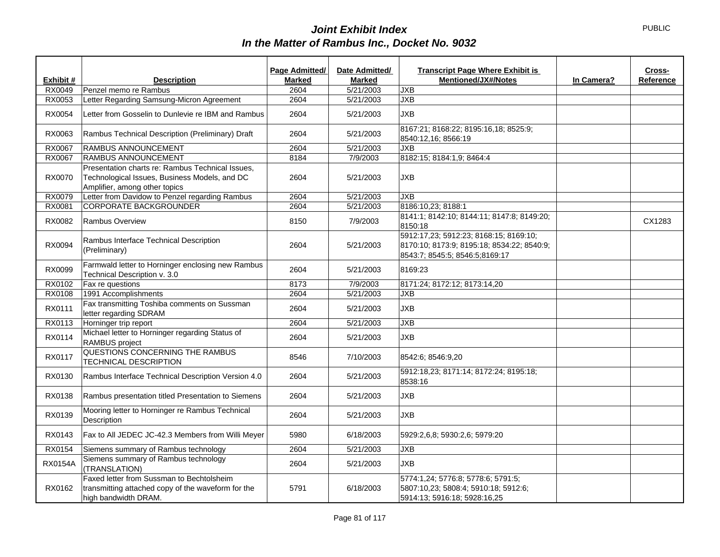|                |                                                                                                                                    | Page Admitted/ | Date Admitted/ | <b>Transcript Page Where Exhibit is</b>                                                                                |            | Cross-    |
|----------------|------------------------------------------------------------------------------------------------------------------------------------|----------------|----------------|------------------------------------------------------------------------------------------------------------------------|------------|-----------|
| Exhibit #      | <b>Description</b>                                                                                                                 | <b>Marked</b>  | <b>Marked</b>  | <b>Mentioned/JX#/Notes</b>                                                                                             | In Camera? | Reference |
| RX0049         | Penzel memo re Rambus                                                                                                              | 2604           | 5/21/2003      | <b>JXB</b>                                                                                                             |            |           |
| RX0053         | Letter Regarding Samsung-Micron Agreement                                                                                          | 2604           | 5/21/2003      | <b>JXB</b>                                                                                                             |            |           |
| RX0054         | Letter from Gosselin to Dunlevie re IBM and Rambus                                                                                 | 2604           | 5/21/2003      | <b>JXB</b>                                                                                                             |            |           |
| RX0063         | Rambus Technical Description (Preliminary) Draft                                                                                   | 2604           | 5/21/2003      | 8167:21; 8168:22; 8195:16,18; 8525:9;<br>8540:12,16; 8566:19                                                           |            |           |
| RX0067         | <b>RAMBUS ANNOUNCEMENT</b>                                                                                                         | 2604           | 5/21/2003      | <b>JXB</b>                                                                                                             |            |           |
| RX0067         | RAMBUS ANNOUNCEMENT                                                                                                                | 8184           | 7/9/2003       | 8182:15; 8184:1,9; 8464:4                                                                                              |            |           |
| <b>RX0070</b>  | Presentation charts re: Rambus Technical Issues,<br>Technological Issues, Business Models, and DC<br>Amplifier, among other topics | 2604           | 5/21/2003      | <b>JXB</b>                                                                                                             |            |           |
| RX0079         | Letter from Davidow to Penzel regarding Rambus                                                                                     | 2604           | 5/21/2003      | <b>JXB</b>                                                                                                             |            |           |
| RX0081         | CORPORATE BACKGROUNDER                                                                                                             | 2604           | 5/21/2003      | 8186:10,23; 8188:1                                                                                                     |            |           |
| RX0082         | <b>Rambus Overview</b>                                                                                                             | 8150           | 7/9/2003       | 8141:1; 8142:10; 8144:11; 8147:8; 8149:20;<br>8150:18                                                                  |            | CX1283    |
| RX0094         | Rambus Interface Technical Description<br>(Preliminary)                                                                            | 2604           | 5/21/2003      | 5912:17,23; 5912:23; 8168:15; 8169:10;<br>8170:10; 8173:9; 8195:18; 8534:22; 8540:9;<br>8543:7: 8545:5: 8546:5:8169:17 |            |           |
| RX0099         | Farmwald letter to Horninger enclosing new Rambus<br>Technical Description v. 3.0                                                  | 2604           | 5/21/2003      | 8169:23                                                                                                                |            |           |
| RX0102         | Fax re questions                                                                                                                   | 8173           | 7/9/2003       | 8171:24; 8172:12; 8173:14,20                                                                                           |            |           |
| RX0108         | 1991 Accomplishments                                                                                                               | 2604           | 5/21/2003      | <b>JXB</b>                                                                                                             |            |           |
| RX0111         | Fax transmitting Toshiba comments on Sussman<br>letter regarding SDRAM                                                             | 2604           | 5/21/2003      | <b>JXB</b>                                                                                                             |            |           |
| RX0113         | Horninger trip report                                                                                                              | 2604           | 5/21/2003      | <b>JXB</b>                                                                                                             |            |           |
| RX0114         | Michael letter to Horninger regarding Status of<br>RAMBUS project                                                                  | 2604           | 5/21/2003      | <b>JXB</b>                                                                                                             |            |           |
| RX0117         | QUESTIONS CONCERNING THE RAMBUS<br><b>TECHNICAL DESCRIPTION</b>                                                                    | 8546           | 7/10/2003      | 8542:6; 8546:9,20                                                                                                      |            |           |
| RX0130         | Rambus Interface Technical Description Version 4.0                                                                                 | 2604           | 5/21/2003      | 5912:18,23; 8171:14; 8172:24; 8195:18;<br>8538:16                                                                      |            |           |
| RX0138         | Rambus presentation titled Presentation to Siemens                                                                                 | 2604           | 5/21/2003      | <b>JXB</b>                                                                                                             |            |           |
| RX0139         | Mooring letter to Horninger re Rambus Technical<br>Description                                                                     | 2604           | 5/21/2003      | <b>JXB</b>                                                                                                             |            |           |
| RX0143         | Fax to All JEDEC JC-42.3 Members from Willi Meyer                                                                                  | 5980           | 6/18/2003      | 5929:2,6,8; 5930:2,6; 5979:20                                                                                          |            |           |
| RX0154         | Siemens summary of Rambus technology                                                                                               | 2604           | 5/21/2003      | <b>JXB</b>                                                                                                             |            |           |
| <b>RX0154A</b> | Siemens summary of Rambus technology<br>(TRANSLATION)                                                                              | 2604           | 5/21/2003      | <b>JXB</b>                                                                                                             |            |           |
| RX0162         | Faxed letter from Sussman to Bechtolsheim<br>transmitting attached copy of the waveform for the<br>high bandwidth DRAM.            | 5791           | 6/18/2003      | 5774:1.24; 5776:8; 5778:6; 5791:5;<br>5807:10,23; 5808:4; 5910:18; 5912:6;<br>5914:13; 5916:18; 5928:16,25             |            |           |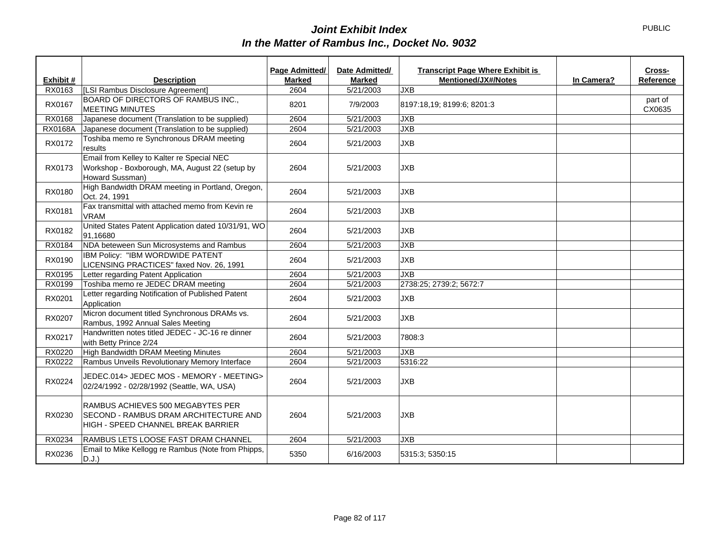|           |                                                                                                                         | Page Admitted/ | Date Admitted/ | <b>Transcript Page Where Exhibit is</b> |            | Cross-            |
|-----------|-------------------------------------------------------------------------------------------------------------------------|----------------|----------------|-----------------------------------------|------------|-------------------|
| Exhibit # | <b>Description</b>                                                                                                      | <b>Marked</b>  | <b>Marked</b>  | <b>Mentioned/JX#/Notes</b>              | In Camera? | Reference         |
| RX0163    | [LSI Rambus Disclosure Agreement]                                                                                       | 2604           | 5/21/2003      | <b>JXB</b>                              |            |                   |
| RX0167    | BOARD OF DIRECTORS OF RAMBUS INC.,<br><b>MEETING MINUTES</b>                                                            | 8201           | 7/9/2003       | 8197:18,19; 8199:6; 8201:3              |            | part of<br>CX0635 |
| RX0168    | Japanese document (Translation to be supplied)                                                                          | 2604           | 5/21/2003      | <b>JXB</b>                              |            |                   |
| RX0168A   | Japanese document (Translation to be supplied)                                                                          | 2604           | 5/21/2003      | <b>JXB</b>                              |            |                   |
| RX0172    | Toshiba memo re Synchronous DRAM meeting<br>results                                                                     | 2604           | 5/21/2003      | <b>JXB</b>                              |            |                   |
| RX0173    | Email from Kelley to Kalter re Special NEC<br>Workshop - Boxborough, MA, August 22 (setup by<br>Howard Sussman)         | 2604           | 5/21/2003      | <b>JXB</b>                              |            |                   |
| RX0180    | High Bandwidth DRAM meeting in Portland, Oregon,<br>Oct. 24, 1991                                                       | 2604           | 5/21/2003      | <b>JXB</b>                              |            |                   |
| RX0181    | Fax transmittal with attached memo from Kevin re<br><b>VRAM</b>                                                         | 2604           | 5/21/2003      | <b>JXB</b>                              |            |                   |
| RX0182    | United States Patent Application dated 10/31/91, WO<br>91,16680                                                         | 2604           | 5/21/2003      | <b>JXB</b>                              |            |                   |
| RX0184    | NDA beteween Sun Microsystems and Rambus                                                                                | 2604           | 5/21/2003      | <b>JXB</b>                              |            |                   |
| RX0190    | IBM Policy: "IBM WORDWIDE PATENT<br>LICENSING PRACTICES" faxed Nov. 26, 1991                                            | 2604           | 5/21/2003      | <b>JXB</b>                              |            |                   |
| RX0195    | Letter regarding Patent Application                                                                                     | 2604           | 5/21/2003      | <b>JXB</b>                              |            |                   |
| RX0199    | Toshiba memo re JEDEC DRAM meeting                                                                                      | 2604           | 5/21/2003      | 2738:25; 2739:2; 5672:7                 |            |                   |
| RX0201    | Letter regarding Notification of Published Patent<br>Application                                                        | 2604           | 5/21/2003      | <b>JXB</b>                              |            |                   |
| RX0207    | Micron document titled Synchronous DRAMs vs.<br>Rambus, 1992 Annual Sales Meeting                                       | 2604           | 5/21/2003      | <b>JXB</b>                              |            |                   |
| RX0217    | Handwritten notes titled JEDEC - JC-16 re dinner<br>with Betty Prince 2/24                                              | 2604           | 5/21/2003      | 7808:3                                  |            |                   |
| RX0220    | High Bandwidth DRAM Meeting Minutes                                                                                     | 2604           | 5/21/2003      | <b>JXB</b>                              |            |                   |
| RX0222    | Rambus Unveils Revolutionary Memory Interface                                                                           | 2604           | 5/21/2003      | 5316:22                                 |            |                   |
| RX0224    | JEDEC.014> JEDEC MOS - MEMORY - MEETING><br>02/24/1992 - 02/28/1992 (Seattle, WA, USA)                                  | 2604           | 5/21/2003      | <b>JXB</b>                              |            |                   |
| RX0230    | RAMBUS ACHIEVES 500 MEGABYTES PER<br><b>SECOND - RAMBUS DRAM ARCHITECTURE AND</b><br>HIGH - SPEED CHANNEL BREAK BARRIER | 2604           | 5/21/2003      | <b>JXB</b>                              |            |                   |
| RX0234    | RAMBUS LETS LOOSE FAST DRAM CHANNEL                                                                                     | 2604           | 5/21/2003      | <b>JXB</b>                              |            |                   |
| RX0236    | Email to Mike Kellogg re Rambus (Note from Phipps,<br>D.J.)                                                             | 5350           | 6/16/2003      | 5315:3: 5350:15                         |            |                   |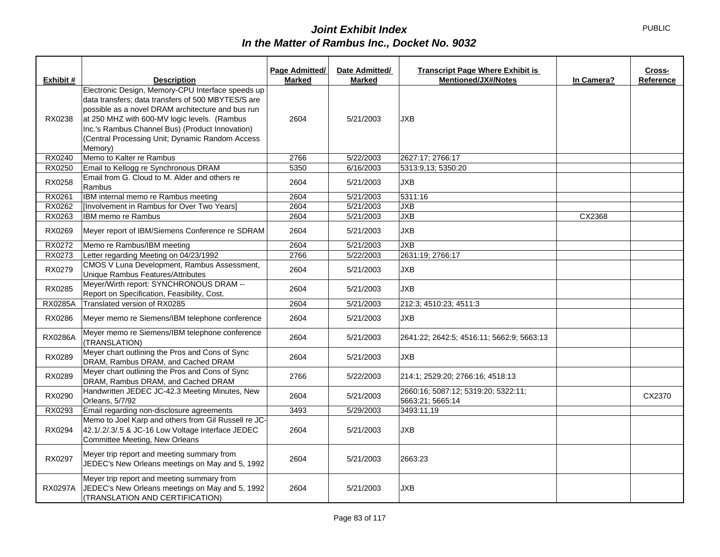|                |                                                                                                                                                                                                                                                                                                                               | Page Admitted/ | Date Admitted/ | <b>Transcript Page Where Exhibit is</b>                 |            | Cross-    |
|----------------|-------------------------------------------------------------------------------------------------------------------------------------------------------------------------------------------------------------------------------------------------------------------------------------------------------------------------------|----------------|----------------|---------------------------------------------------------|------------|-----------|
| Exhibit #      | <b>Description</b>                                                                                                                                                                                                                                                                                                            | <b>Marked</b>  | <b>Marked</b>  | <b>Mentioned/JX#/Notes</b>                              | In Camera? | Reference |
| RX0238         | Electronic Design, Memory-CPU Interface speeds up<br>data transfers; data transfers of 500 MBYTES/S are<br>possible as a novel DRAM architecture and bus run<br>at 250 MHZ with 600-MV logic levels. (Rambus<br>Inc.'s Rambus Channel Bus) (Product Innovation)<br>(Central Processing Unit; Dynamic Random Access<br>Memory) | 2604           | 5/21/2003      | <b>JXB</b>                                              |            |           |
| RX0240         | Memo to Kalter re Rambus                                                                                                                                                                                                                                                                                                      | 2766           | 5/22/2003      | 2627:17; 2766:17                                        |            |           |
| RX0250         | Email to Kellogg re Synchronous DRAM                                                                                                                                                                                                                                                                                          | 5350           | 6/16/2003      | 5313:9,13; 5350:20                                      |            |           |
| RX0258         | Email from G. Cloud to M. Alder and others re<br>Rambus                                                                                                                                                                                                                                                                       | 2604           | 5/21/2003      | <b>JXB</b>                                              |            |           |
| RX0261         | IBM internal memo re Rambus meeting                                                                                                                                                                                                                                                                                           | 2604           | 5/21/2003      | 5311:16                                                 |            |           |
| RX0262         | [Involvement in Rambus for Over Two Years]                                                                                                                                                                                                                                                                                    | 2604           | 5/21/2003      | <b>JXB</b>                                              |            |           |
| RX0263         | IBM memo re Rambus                                                                                                                                                                                                                                                                                                            | 2604           | 5/21/2003      | <b>JXB</b>                                              | CX2368     |           |
| RX0269         | Meyer report of IBM/Siemens Conference re SDRAM                                                                                                                                                                                                                                                                               | 2604           | 5/21/2003      | <b>JXB</b>                                              |            |           |
| RX0272         | Memo re Rambus/IBM meeting                                                                                                                                                                                                                                                                                                    | 2604           | 5/21/2003      | <b>JXB</b>                                              |            |           |
| RX0273         | Letter regarding Meeting on 04/23/1992                                                                                                                                                                                                                                                                                        | 2766           | 5/22/2003      | 2631:19; 2766:17                                        |            |           |
| RX0279         | CMOS V Luna Development, Rambus Assessment,<br>Unique Rambus Features/Attributes                                                                                                                                                                                                                                              | 2604           | 5/21/2003      | <b>JXB</b>                                              |            |           |
| RX0285         | Meyer/Wirth report: SYNCHRONOUS DRAM --<br>Report on Specification, Feasibility, Cost.                                                                                                                                                                                                                                        | 2604           | 5/21/2003      | <b>JXB</b>                                              |            |           |
| RX0285A        | Translated version of RX0285                                                                                                                                                                                                                                                                                                  | 2604           | 5/21/2003      | 212:3; 4510:23; 4511:3                                  |            |           |
| RX0286         | Meyer memo re Siemens/IBM telephone conference                                                                                                                                                                                                                                                                                | 2604           | 5/21/2003      | <b>JXB</b>                                              |            |           |
| <b>RX0286A</b> | Meyer memo re Siemens/IBM telephone conference<br>(TRANSLATION)                                                                                                                                                                                                                                                               | 2604           | 5/21/2003      | 2641:22; 2642:5; 4516:11; 5662:9; 5663:13               |            |           |
| RX0289         | Meyer chart outlining the Pros and Cons of Sync<br>DRAM, Rambus DRAM, and Cached DRAM                                                                                                                                                                                                                                         | 2604           | 5/21/2003      | <b>JXB</b>                                              |            |           |
| RX0289         | Meyer chart outlining the Pros and Cons of Sync<br>DRAM, Rambus DRAM, and Cached DRAM                                                                                                                                                                                                                                         | 2766           | 5/22/2003      | 214:1; 2529:20; 2766:16; 4518:13                        |            |           |
| RX0290         | Handwritten JEDEC JC-42.3 Meeting Minutes, New<br>Orleans, 5/7/92                                                                                                                                                                                                                                                             | 2604           | 5/21/2003      | 2660:16; 5087:12; 5319:20; 5322:11;<br>5663:21; 5665:14 |            | CX2370    |
| RX0293         | Email regarding non-disclosure agreements                                                                                                                                                                                                                                                                                     | 3493           | 5/29/2003      | 3493:11,19                                              |            |           |
| RX0294         | Memo to Joel Karp and others from Gil Russell re JC-<br>42.1/.2/.3/.5 & JC-16 Low Voltage Interface JEDEC<br>Committee Meeting, New Orleans                                                                                                                                                                                   | 2604           | 5/21/2003      | <b>JXB</b>                                              |            |           |
| RX0297         | Meyer trip report and meeting summary from<br>JEDEC's New Orleans meetings on May and 5, 1992                                                                                                                                                                                                                                 | 2604           | 5/21/2003      | 2663:23                                                 |            |           |
| <b>RX0297A</b> | Meyer trip report and meeting summary from<br>JEDEC's New Orleans meetings on May and 5, 1992<br>(TRANSLATION AND CERTIFICATION)                                                                                                                                                                                              | 2604           | 5/21/2003      | <b>JXB</b>                                              |            |           |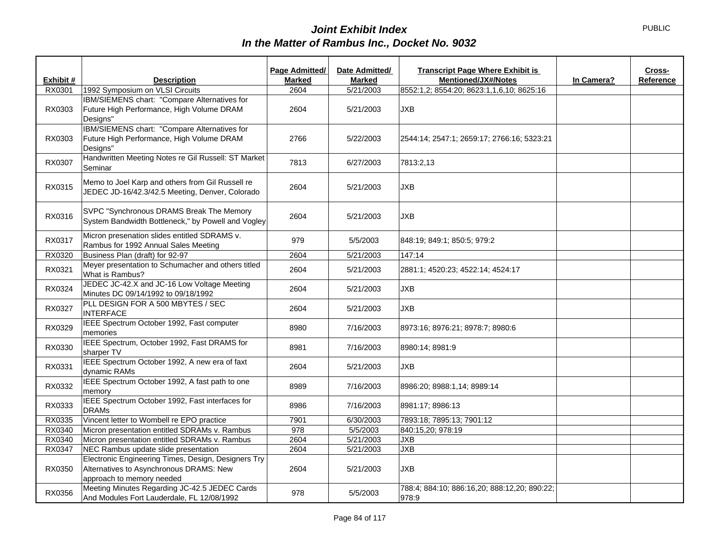|           |                                                                                                                             | Page Admitted/ | Date Admitted/ | <b>Transcript Page Where Exhibit is</b><br>Cross-     |
|-----------|-----------------------------------------------------------------------------------------------------------------------------|----------------|----------------|-------------------------------------------------------|
| Exhibit # | <b>Description</b>                                                                                                          | <b>Marked</b>  | <b>Marked</b>  | <b>Mentioned/JX#/Notes</b><br>Reference<br>In Camera? |
| RX0301    | 1992 Symposium on VLSI Circuits                                                                                             | 2604           | 5/21/2003      | 8552:1,2; 8554:20; 8623:1,1,6,10; 8625:16             |
| RX0303    | IBM/SIEMENS chart: "Compare Alternatives for<br>Future High Performance, High Volume DRAM<br>Designs"                       | 2604           | 5/21/2003      | <b>JXB</b>                                            |
| RX0303    | IBM/SIEMENS chart: "Compare Alternatives for<br>Future High Performance, High Volume DRAM<br>Designs"                       | 2766           | 5/22/2003      | 2544:14; 2547:1; 2659:17; 2766:16; 5323:21            |
| RX0307    | Handwritten Meeting Notes re Gil Russell: ST Market<br>Seminar                                                              | 7813           | 6/27/2003      | 7813:2,13                                             |
| RX0315    | Memo to Joel Karp and others from Gil Russell re<br>JEDEC JD-16/42.3/42.5 Meeting, Denver, Colorado                         | 2604           | 5/21/2003      | <b>JXB</b>                                            |
| RX0316    | SVPC "Synchronous DRAMS Break The Memory<br>System Bandwidth Bottleneck," by Powell and Vogley                              | 2604           | 5/21/2003      | <b>JXB</b>                                            |
| RX0317    | Micron presenation slides entitled SDRAMS v.<br>Rambus for 1992 Annual Sales Meeting                                        | 979            | 5/5/2003       | 848:19; 849:1; 850:5; 979:2                           |
| RX0320    | Business Plan (draft) for 92-97                                                                                             | 2604           | 5/21/2003      | 147:14                                                |
| RX0321    | Meyer presentation to Schumacher and others titled<br>What is Rambus?                                                       | 2604           | 5/21/2003      | 2881:1; 4520:23; 4522:14; 4524:17                     |
| RX0324    | JEDEC JC-42.X and JC-16 Low Voltage Meeting<br>Minutes DC 09/14/1992 to 09/18/1992                                          | 2604           | 5/21/2003      | <b>JXB</b>                                            |
| RX0327    | PLL DESIGN FOR A 500 MBYTES / SEC<br><b>INTERFACE</b>                                                                       | 2604           | 5/21/2003      | <b>JXB</b>                                            |
| RX0329    | IEEE Spectrum October 1992, Fast computer<br>memories                                                                       | 8980           | 7/16/2003      | 8973:16; 8976:21; 8978:7; 8980:6                      |
| RX0330    | IEEE Spectrum, October 1992, Fast DRAMS for<br>sharper TV                                                                   | 8981           | 7/16/2003      | 8980:14; 8981:9                                       |
| RX0331    | IEEE Spectrum October 1992, A new era of faxt<br>dynamic RAMs                                                               | 2604           | 5/21/2003      | <b>JXB</b>                                            |
| RX0332    | IEEE Spectrum October 1992, A fast path to one<br>memory                                                                    | 8989           | 7/16/2003      | 8986:20; 8988:1,14; 8989:14                           |
| RX0333    | IEEE Spectrum October 1992, Fast interfaces for<br><b>DRAMs</b>                                                             | 8986           | 7/16/2003      | 8981:17; 8986:13                                      |
| RX0335    | Vincent letter to Wombell re EPO practice                                                                                   | 7901           | 6/30/2003      | 7893:18; 7895:13; 7901:12                             |
| RX0340    | Micron presentation entitled SDRAMs v. Rambus                                                                               | 978            | 5/5/2003       | 840:15,20; 978:19                                     |
| RX0340    | Micron presentation entitled SDRAMs v. Rambus                                                                               | 2604           | 5/21/2003      | <b>JXB</b>                                            |
| RX0347    | NEC Rambus update slide presentation                                                                                        | 2604           | 5/21/2003      | <b>JXB</b>                                            |
| RX0350    | Electronic Engineering Times, Design, Designers Try<br>Alternatives to Asynchronous DRAMS: New<br>approach to memory needed | 2604           | 5/21/2003      | <b>JXB</b>                                            |
| RX0356    | Meeting Minutes Regarding JC-42.5 JEDEC Cards<br>And Modules Fort Lauderdale, FL 12/08/1992                                 | 978            | 5/5/2003       | 788:4; 884:10; 886:16,20; 888:12,20; 890:22;<br>978:9 |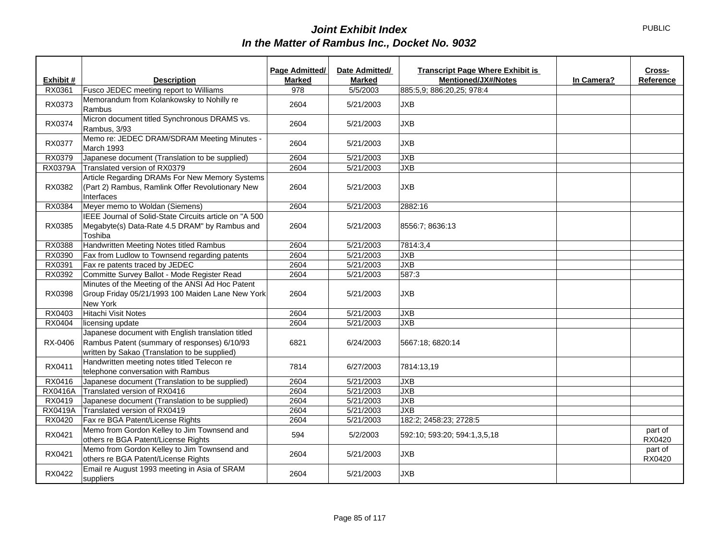|                |                                                                                                                                                    | Page Admitted/ | Date Admitted/ | <b>Transcript Page Where Exhibit is</b> |            | Cross-            |
|----------------|----------------------------------------------------------------------------------------------------------------------------------------------------|----------------|----------------|-----------------------------------------|------------|-------------------|
| Exhibit #      | <b>Description</b>                                                                                                                                 | <b>Marked</b>  | <b>Marked</b>  | <b>Mentioned/JX#/Notes</b>              | In Camera? | Reference         |
| RX0361         | Fusco JEDEC meeting report to Williams                                                                                                             | 978            | 5/5/2003       | 885:5,9; 886:20,25; 978:4               |            |                   |
| RX0373         | Memorandum from Kolankowsky to Nohilly re<br>Rambus                                                                                                | 2604           | 5/21/2003      | <b>JXB</b>                              |            |                   |
| RX0374         | Micron document titled Synchronous DRAMS vs.<br>Rambus, 3/93                                                                                       | 2604           | 5/21/2003      | <b>JXB</b>                              |            |                   |
| RX0377         | Memo re: JEDEC DRAM/SDRAM Meeting Minutes -<br>March 1993                                                                                          | 2604           | 5/21/2003      | <b>JXB</b>                              |            |                   |
| RX0379         | Japanese document (Translation to be supplied)                                                                                                     | 2604           | 5/21/2003      | <b>JXB</b>                              |            |                   |
| RX0379A        | Translated version of RX0379                                                                                                                       | 2604           | 5/21/2003      | <b>JXB</b>                              |            |                   |
| RX0382         | Article Regarding DRAMs For New Memory Systems<br>(Part 2) Rambus, Ramlink Offer Revolutionary New<br>Interfaces                                   | 2604           | 5/21/2003      | <b>JXB</b>                              |            |                   |
| RX0384         | Meyer memo to Woldan (Siemens)                                                                                                                     | 2604           | 5/21/2003      | 2882:16                                 |            |                   |
| RX0385         | IEEE Journal of Solid-State Circuits article on "A 500<br>Megabyte(s) Data-Rate 4.5 DRAM" by Rambus and<br>Toshiba                                 | 2604           | 5/21/2003      | 8556:7; 8636:13                         |            |                   |
| RX0388         | Handwritten Meeting Notes titled Rambus                                                                                                            | 2604           | 5/21/2003      | 7814:3,4                                |            |                   |
| RX0390         | Fax from Ludlow to Townsend regarding patents                                                                                                      | 2604           | 5/21/2003      | JXB                                     |            |                   |
| RX0391         | Fax re patents traced by JEDEC                                                                                                                     | 2604           | 5/21/2003      | <b>JXB</b>                              |            |                   |
| RX0392         | Committe Survey Ballot - Mode Register Read                                                                                                        | 2604           | 5/21/2003      | 587:3                                   |            |                   |
| RX0398         | Minutes of the Meeting of the ANSI Ad Hoc Patent<br>Group Friday 05/21/1993 100 Maiden Lane New York<br>New York                                   | 2604           | 5/21/2003      | <b>JXB</b>                              |            |                   |
| RX0403         | <b>Hitachi Visit Notes</b>                                                                                                                         | 2604           | 5/21/2003      | <b>JXB</b>                              |            |                   |
| RX0404         | licensing update                                                                                                                                   | 2604           | 5/21/2003      | <b>JXB</b>                              |            |                   |
| RX-0406        | Japanese document with English translation titled<br>Rambus Patent (summary of responses) 6/10/93<br>written by Sakao (Translation to be supplied) | 6821           | 6/24/2003      | 5667:18; 6820:14                        |            |                   |
| RX0411         | Handwritten meeting notes titled Telecon re<br>telephone conversation with Rambus                                                                  | 7814           | 6/27/2003      | 7814:13,19                              |            |                   |
| RX0416         | Japanese document (Translation to be supplied)                                                                                                     | 2604           | 5/21/2003      | <b>JXB</b>                              |            |                   |
| <b>RX0416A</b> | Translated version of RX0416                                                                                                                       | 2604           | 5/21/2003      | JXB                                     |            |                   |
| RX0419         | Japanese document (Translation to be supplied)                                                                                                     | 2604           | 5/21/2003      | <b>JXB</b>                              |            |                   |
| <b>RX0419A</b> | Translated version of RX0419                                                                                                                       | 2604           | 5/21/2003      | JXB                                     |            |                   |
| RX0420         | Fax re BGA Patent/License Rights                                                                                                                   | 2604           | 5/21/2003      | 182:2; 2458:23; 2728:5                  |            |                   |
| RX0421         | Memo from Gordon Kelley to Jim Townsend and<br>others re BGA Patent/License Rights                                                                 | 594            | 5/2/2003       | 592:10; 593:20; 594:1,3,5,18            |            | part of<br>RX0420 |
| RX0421         | Memo from Gordon Kelley to Jim Townsend and<br>others re BGA Patent/License Rights                                                                 | 2604           | 5/21/2003      | <b>JXB</b>                              |            | part of<br>RX0420 |
| RX0422         | Email re August 1993 meeting in Asia of SRAM<br>suppliers                                                                                          | 2604           | 5/21/2003      | <b>JXB</b>                              |            |                   |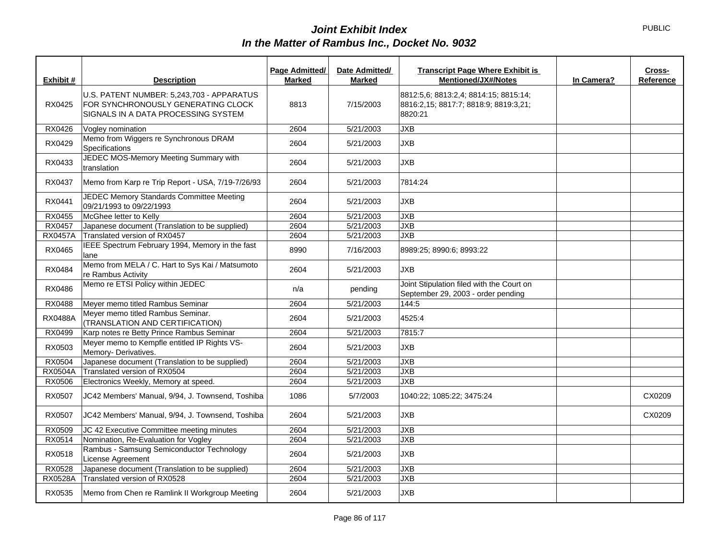| Exhibit #      | <b>Description</b>                                                                                                     | Page Admitted/<br><b>Marked</b> | Date Admitted/<br><b>Marked</b> | <b>Transcript Page Where Exhibit is</b><br><b>Mentioned/JX#/Notes</b>                     | In Camera? | Cross-<br>Reference |
|----------------|------------------------------------------------------------------------------------------------------------------------|---------------------------------|---------------------------------|-------------------------------------------------------------------------------------------|------------|---------------------|
| RX0425         | U.S. PATENT NUMBER: 5,243,703 - APPARATUS<br>FOR SYNCHRONOUSLY GENERATING CLOCK<br>SIGNALS IN A DATA PROCESSING SYSTEM | 8813                            | 7/15/2003                       | 8812:5,6; 8813:2,4; 8814:15; 8815:14;<br>8816:2,15; 8817:7; 8818:9; 8819:3,21;<br>8820:21 |            |                     |
| RX0426         | Vogley nomination                                                                                                      | 2604                            | 5/21/2003                       | <b>JXB</b>                                                                                |            |                     |
| RX0429         | Memo from Wiggers re Synchronous DRAM<br>Specifications                                                                | 2604                            | 5/21/2003                       | <b>JXB</b>                                                                                |            |                     |
| RX0433         | JEDEC MOS-Memory Meeting Summary with<br>translation                                                                   | 2604                            | 5/21/2003                       | <b>JXB</b>                                                                                |            |                     |
| RX0437         | Memo from Karp re Trip Report - USA, 7/19-7/26/93                                                                      | 2604                            | 5/21/2003                       | 7814:24                                                                                   |            |                     |
| RX0441         | JEDEC Memory Standards Committee Meeting<br>09/21/1993 to 09/22/1993                                                   | 2604                            | 5/21/2003                       | <b>JXB</b>                                                                                |            |                     |
| RX0455         | McGhee letter to Kelly                                                                                                 | 2604                            | 5/21/2003                       | <b>JXB</b>                                                                                |            |                     |
| RX0457         | Japanese document (Translation to be supplied)                                                                         | 2604                            | 5/21/2003                       | <b>JXB</b>                                                                                |            |                     |
| <b>RX0457A</b> | Translated version of RX0457                                                                                           | 2604                            | 5/21/2003                       | <b>JXB</b>                                                                                |            |                     |
| RX0465         | IEEE Spectrum February 1994, Memory in the fast<br>lane                                                                | 8990                            | 7/16/2003                       | 8989:25; 8990:6; 8993:22                                                                  |            |                     |
| RX0484         | Memo from MELA / C. Hart to Sys Kai / Matsumoto<br>re Rambus Activity                                                  | 2604                            | 5/21/2003                       | <b>JXB</b>                                                                                |            |                     |
| RX0486         | Memo re ETSI Policy within JEDEC                                                                                       | n/a                             | pending                         | Joint Stipulation filed with the Court on<br>September 29, 2003 - order pending           |            |                     |
| RX0488         | Meyer memo titled Rambus Seminar                                                                                       | 2604                            | 5/21/2003                       | 144:5                                                                                     |            |                     |
| <b>RX0488A</b> | Meyer memo titled Rambus Seminar.<br>(TRANSLATION AND CERTIFICATION)                                                   | 2604                            | 5/21/2003                       | 4525:4                                                                                    |            |                     |
| RX0499         | Karp notes re Betty Prince Rambus Seminar                                                                              | 2604                            | 5/21/2003                       | 7815:7                                                                                    |            |                     |
| RX0503         | Meyer memo to Kempfle entitled IP Rights VS-<br>Memory-Derivatives.                                                    | 2604                            | 5/21/2003                       | <b>JXB</b>                                                                                |            |                     |
| RX0504         | Japanese document (Translation to be supplied)                                                                         | 2604                            | 5/21/2003                       | <b>JXB</b>                                                                                |            |                     |
| <b>RX0504A</b> | Translated version of RX0504                                                                                           | 2604                            | 5/21/2003                       | <b>JXB</b>                                                                                |            |                     |
| RX0506         | Electronics Weekly, Memory at speed.                                                                                   | 2604                            | 5/21/2003                       | <b>JXB</b>                                                                                |            |                     |
| RX0507         | JC42 Members' Manual, 9/94, J. Townsend, Toshiba                                                                       | 1086                            | 5/7/2003                        | 1040:22; 1085:22; 3475:24                                                                 |            | CX0209              |
| RX0507         | JC42 Members' Manual, 9/94, J. Townsend, Toshiba                                                                       | 2604                            | 5/21/2003                       | <b>JXB</b>                                                                                |            | CX0209              |
| RX0509         | JC 42 Executive Committee meeting minutes                                                                              | 2604                            | 5/21/2003                       | <b>JXB</b>                                                                                |            |                     |
| RX0514         | Nomination, Re-Evaluation for Vogley                                                                                   | 2604                            | 5/21/2003                       | <b>JXB</b>                                                                                |            |                     |
| RX0518         | Rambus - Samsung Semiconductor Technology<br>License Agreement                                                         | 2604                            | 5/21/2003                       | <b>JXB</b>                                                                                |            |                     |
| RX0528         | Japanese document (Translation to be supplied)                                                                         | 2604                            | 5/21/2003                       | <b>JXB</b>                                                                                |            |                     |
| RX0528A        | Translated version of RX0528                                                                                           | 2604                            | 5/21/2003                       | <b>JXB</b>                                                                                |            |                     |
| RX0535         | Memo from Chen re Ramlink II Workgroup Meeting                                                                         | 2604                            | 5/21/2003                       | <b>JXB</b>                                                                                |            |                     |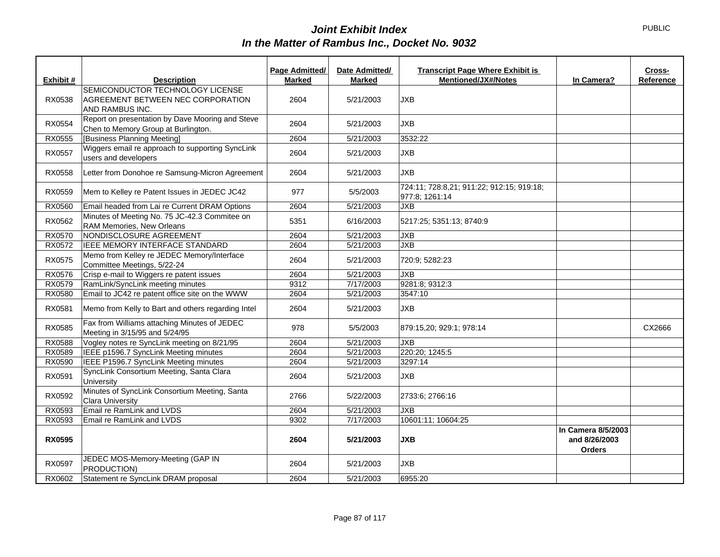|               |                                                                                          | Page Admitted/ | Date Admitted/ | <b>Transcript Page Where Exhibit is</b>                     |                                                      | Cross-    |
|---------------|------------------------------------------------------------------------------------------|----------------|----------------|-------------------------------------------------------------|------------------------------------------------------|-----------|
| Exhibit #     | <b>Description</b>                                                                       | <b>Marked</b>  | <b>Marked</b>  | <b>Mentioned/JX#/Notes</b>                                  | In Camera?                                           | Reference |
| RX0538        | SEMICONDUCTOR TECHNOLOGY LICENSE<br>AGREEMENT BETWEEN NEC CORPORATION<br>AND RAMBUS INC. | 2604           | 5/21/2003      | <b>JXB</b>                                                  |                                                      |           |
| RX0554        | Report on presentation by Dave Mooring and Steve<br>Chen to Memory Group at Burlington.  | 2604           | 5/21/2003      | <b>JXB</b>                                                  |                                                      |           |
| RX0555        | [Business Planning Meeting]                                                              | 2604           | 5/21/2003      | 3532:22                                                     |                                                      |           |
| RX0557        | Wiggers email re approach to supporting SyncLink<br>users and developers                 | 2604           | 5/21/2003      | <b>JXB</b>                                                  |                                                      |           |
| RX0558        | Letter from Donohoe re Samsung-Micron Agreement                                          | 2604           | 5/21/2003      | <b>JXB</b>                                                  |                                                      |           |
| RX0559        | Mem to Kelley re Patent Issues in JEDEC JC42                                             | 977            | 5/5/2003       | 724:11; 728:8,21; 911:22; 912:15; 919:18;<br>977:8; 1261:14 |                                                      |           |
| RX0560        | Email headed from Lai re Current DRAM Options                                            | 2604           | 5/21/2003      | <b>JXB</b>                                                  |                                                      |           |
| RX0562        | Minutes of Meeting No. 75 JC-42.3 Commitee on<br>RAM Memories, New Orleans               | 5351           | 6/16/2003      | 5217:25; 5351:13; 8740:9                                    |                                                      |           |
| RX0570        | NONDISCLOSURE AGREEMENT                                                                  | 2604           | 5/21/2003      | <b>JXB</b>                                                  |                                                      |           |
| RX0572        | IEEE MEMORY INTERFACE STANDARD                                                           | 2604           | 5/21/2003      | <b>JXB</b>                                                  |                                                      |           |
| RX0575        | Memo from Kelley re JEDEC Memory/Interface<br>Committee Meetings, 5/22-24                | 2604           | 5/21/2003      | 720:9; 5282:23                                              |                                                      |           |
| RX0576        | Crisp e-mail to Wiggers re patent issues                                                 | 2604           | 5/21/2003      | <b>JXB</b>                                                  |                                                      |           |
| RX0579        | RamLink/SyncLink meeting minutes                                                         | 9312           | 7/17/2003      | 9281:8; 9312:3                                              |                                                      |           |
| RX0580        | Email to JC42 re patent office site on the WWW                                           | 2604           | 5/21/2003      | 3547:10                                                     |                                                      |           |
| RX0581        | Memo from Kelly to Bart and others regarding Intel                                       | 2604           | 5/21/2003      | <b>JXB</b>                                                  |                                                      |           |
| RX0585        | Fax from Williams attaching Minutes of JEDEC<br>Meeting in 3/15/95 and 5/24/95           | 978            | 5/5/2003       | 879:15,20; 929:1; 978:14                                    |                                                      | CX2666    |
| RX0588        | Vogley notes re SyncLink meeting on 8/21/95                                              | 2604           | 5/21/2003      | <b>JXB</b>                                                  |                                                      |           |
| RX0589        | IEEE p1596.7 SyncLink Meeting minutes                                                    | 2604           | 5/21/2003      | 220:20; 1245:5                                              |                                                      |           |
| RX0590        | IEEE P1596.7 SyncLink Meeting minutes                                                    | 2604           | 5/21/2003      | 3297:14                                                     |                                                      |           |
| RX0591        | SyncLink Consortium Meeting, Santa Clara<br>University                                   | 2604           | 5/21/2003      | <b>JXB</b>                                                  |                                                      |           |
| RX0592        | Minutes of SyncLink Consortium Meeting, Santa<br><b>Clara University</b>                 | 2766           | 5/22/2003      | 2733:6; 2766:16                                             |                                                      |           |
| RX0593        | Email re RamLink and LVDS                                                                | 2604           | 5/21/2003      | <b>JXB</b>                                                  |                                                      |           |
| RX0593        | Email re RamLink and LVDS                                                                | 9302           | 7/17/2003      | 10601:11; 10604:25                                          |                                                      |           |
| <b>RX0595</b> |                                                                                          | 2604           | 5/21/2003      | <b>JXB</b>                                                  | In Camera 8/5/2003<br>and 8/26/2003<br><b>Orders</b> |           |
| RX0597        | JEDEC MOS-Memory-Meeting (GAP IN<br>PRODUCTION)                                          | 2604           | 5/21/2003      | <b>JXB</b>                                                  |                                                      |           |
| RX0602        | Statement re SyncLink DRAM proposal                                                      | 2604           | 5/21/2003      | 6955:20                                                     |                                                      |           |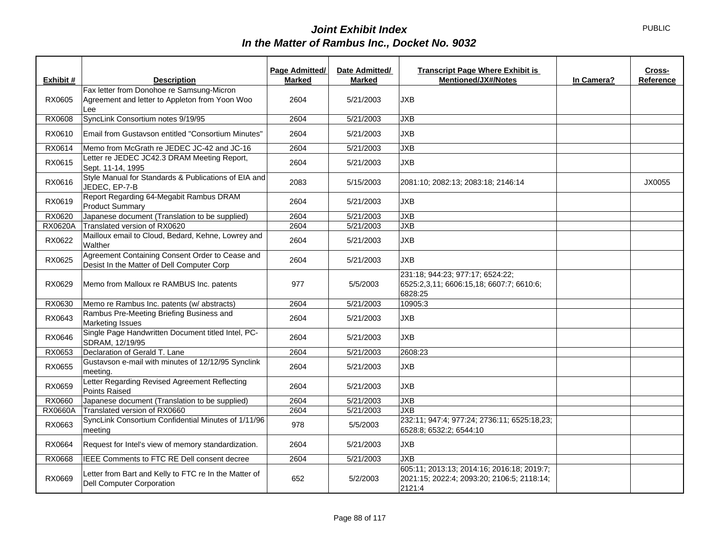|                |                                                                                                    | Page Admitted/ | Date Admitted/ | <b>Transcript Page Where Exhibit is</b>                                                            |            | Cross-    |
|----------------|----------------------------------------------------------------------------------------------------|----------------|----------------|----------------------------------------------------------------------------------------------------|------------|-----------|
| Exhibit #      | <b>Description</b>                                                                                 | <b>Marked</b>  | <b>Marked</b>  | <b>Mentioned/JX#/Notes</b>                                                                         | In Camera? | Reference |
| RX0605         | Fax letter from Donohoe re Samsung-Micron<br>Agreement and letter to Appleton from Yoon Woo<br>Lee | 2604           | 5/21/2003      | <b>JXB</b>                                                                                         |            |           |
| RX0608         | SyncLink Consortium notes 9/19/95                                                                  | 2604           | 5/21/2003      | JXB                                                                                                |            |           |
| RX0610         | Email from Gustavson entitled "Consortium Minutes"                                                 | 2604           | 5/21/2003      | JXB                                                                                                |            |           |
| RX0614         | Memo from McGrath re JEDEC JC-42 and JC-16                                                         | 2604           | 5/21/2003      | <b>JXB</b>                                                                                         |            |           |
| RX0615         | Letter re JEDEC JC42.3 DRAM Meeting Report,<br>Sept. 11-14, 1995                                   | 2604           | 5/21/2003      | <b>JXB</b>                                                                                         |            |           |
| RX0616         | Style Manual for Standards & Publications of EIA and<br>JEDEC, EP-7-B                              | 2083           | 5/15/2003      | 2081:10; 2082:13; 2083:18; 2146:14                                                                 |            | JX0055    |
| RX0619         | Report Regarding 64-Megabit Rambus DRAM<br><b>Product Summary</b>                                  | 2604           | 5/21/2003      | <b>JXB</b>                                                                                         |            |           |
| RX0620         | Japanese document (Translation to be supplied)                                                     | 2604           | 5/21/2003      | <b>JXB</b>                                                                                         |            |           |
| RX0620A        | Translated version of RX0620                                                                       | 2604           | 5/21/2003      | JXB                                                                                                |            |           |
| RX0622         | Mailloux email to Cloud, Bedard, Kehne, Lowrey and<br>Walther                                      | 2604           | 5/21/2003      | <b>JXB</b>                                                                                         |            |           |
| RX0625         | Agreement Containing Consent Order to Cease and<br>Desist In the Matter of Dell Computer Corp      | 2604           | 5/21/2003      | <b>JXB</b>                                                                                         |            |           |
| RX0629         | Memo from Malloux re RAMBUS Inc. patents                                                           | 977            | 5/5/2003       | 231:18; 944:23; 977:17; 6524:22;<br>6525:2,3,11; 6606:15,18; 6607:7; 6610:6;<br>6828:25            |            |           |
| RX0630         | Memo re Rambus Inc. patents (w/ abstracts)                                                         | 2604           | 5/21/2003      | 10905:3                                                                                            |            |           |
| RX0643         | Rambus Pre-Meeting Briefing Business and<br><b>Marketing Issues</b>                                | 2604           | 5/21/2003      | JXB                                                                                                |            |           |
| RX0646         | Single Page Handwritten Document titled Intel, PC-<br>SDRAM, 12/19/95                              | 2604           | 5/21/2003      | <b>JXB</b>                                                                                         |            |           |
| RX0653         | Declaration of Gerald T. Lane                                                                      | 2604           | 5/21/2003      | 2608:23                                                                                            |            |           |
| RX0655         | Gustavson e-mail with minutes of 12/12/95 Synclink<br>meeting.                                     | 2604           | 5/21/2003      | JXB                                                                                                |            |           |
| RX0659         | Letter Regarding Revised Agreement Reflecting<br>Points Raised                                     | 2604           | 5/21/2003      | <b>JXB</b>                                                                                         |            |           |
| RX0660         | Japanese document (Translation to be supplied)                                                     | 2604           | 5/21/2003      | <b>JXB</b>                                                                                         |            |           |
| <b>RX0660A</b> | Translated version of RX0660                                                                       | 2604           | 5/21/2003      | <b>JXB</b>                                                                                         |            |           |
| RX0663         | SyncLink Consortium Confidential Minutes of 1/11/96<br>meeting                                     | 978            | 5/5/2003       | 232:11; 947:4; 977:24; 2736:11; 6525:18,23;<br>6528:8; 6532:2; 6544:10                             |            |           |
| RX0664         | Request for Intel's view of memory standardization.                                                | 2604           | 5/21/2003      | JXB                                                                                                |            |           |
| RX0668         | IEEE Comments to FTC RE Dell consent decree                                                        | 2604           | 5/21/2003      | JXB                                                                                                |            |           |
| RX0669         | Letter from Bart and Kelly to FTC re In the Matter of<br><b>Dell Computer Corporation</b>          | 652            | 5/2/2003       | 605:11; 2013:13; 2014:16; 2016:18; 2019:7;<br>2021:15; 2022:4; 2093:20; 2106:5; 2118:14;<br>2121:4 |            |           |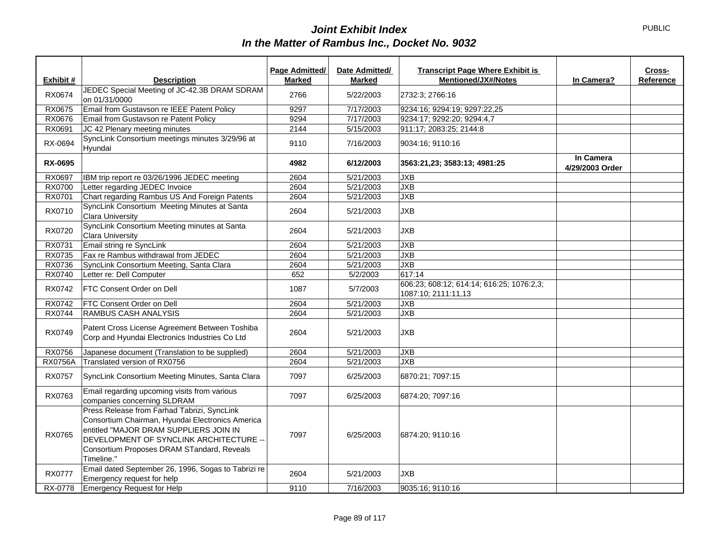|                |                                                                                                                                                                                                                                                  | Page Admitted/ | Date Admitted/ | <b>Transcript Page Where Exhibit is</b>                          |                              | Cross-    |
|----------------|--------------------------------------------------------------------------------------------------------------------------------------------------------------------------------------------------------------------------------------------------|----------------|----------------|------------------------------------------------------------------|------------------------------|-----------|
| Exhibit #      | <b>Description</b>                                                                                                                                                                                                                               | <b>Marked</b>  | <b>Marked</b>  | <b>Mentioned/JX#/Notes</b>                                       | In Camera?                   | Reference |
| RX0674         | JEDEC Special Meeting of JC-42.3B DRAM SDRAM<br>on 01/31/0000                                                                                                                                                                                    | 2766           | 5/22/2003      | 2732:3; 2766:16                                                  |                              |           |
| RX0675         | Email from Gustavson re IEEE Patent Policy                                                                                                                                                                                                       | 9297           | 7/17/2003      | 9234:16; 9294:19; 9297:22,25                                     |                              |           |
| <b>RX0676</b>  | Email from Gustavson re Patent Policy                                                                                                                                                                                                            | 9294           | 7/17/2003      | 9234:17; 9292:20; 9294:4,7                                       |                              |           |
| RX0691         | JC 42 Plenary meeting minutes                                                                                                                                                                                                                    | 2144           | 5/15/2003      | 911:17; 2083:25; 2144:8                                          |                              |           |
| RX-0694        | SyncLink Consortium meetings minutes 3/29/96 at<br>Hyundai                                                                                                                                                                                       | 9110           | 7/16/2003      | 9034:16; 9110:16                                                 |                              |           |
| <b>RX-0695</b> |                                                                                                                                                                                                                                                  | 4982           | 6/12/2003      | 3563:21,23; 3583:13; 4981:25                                     | In Camera<br>4/29/2003 Order |           |
| RX0697         | IBM trip report re 03/26/1996 JEDEC meeting                                                                                                                                                                                                      | 2604           | 5/21/2003      | <b>JXB</b>                                                       |                              |           |
| <b>RX0700</b>  | Letter regarding JEDEC Invoice                                                                                                                                                                                                                   | 2604           | 5/21/2003      | <b>JXB</b>                                                       |                              |           |
| RX0701         | Chart regarding Rambus US And Foreign Patents                                                                                                                                                                                                    | 2604           | 5/21/2003      | <b>JXB</b>                                                       |                              |           |
| RX0710         | SyncLink Consortium Meeting Minutes at Santa<br><b>Clara University</b>                                                                                                                                                                          | 2604           | 5/21/2003      | <b>JXB</b>                                                       |                              |           |
| RX0720         | SyncLink Consortium Meeting minutes at Santa<br><b>Clara University</b>                                                                                                                                                                          | 2604           | 5/21/2003      | <b>JXB</b>                                                       |                              |           |
| RX0731         | Email string re SyncLink                                                                                                                                                                                                                         | 2604           | 5/21/2003      | <b>JXB</b>                                                       |                              |           |
| RX0735         | Fax re Rambus withdrawal from JEDEC                                                                                                                                                                                                              | 2604           | 5/21/2003      | <b>JXB</b>                                                       |                              |           |
| RX0736         | SyncLink Consortium Meeting, Santa Clara                                                                                                                                                                                                         | 2604           | 5/21/2003      | <b>JXB</b>                                                       |                              |           |
| RX0740         | Letter re: Dell Computer                                                                                                                                                                                                                         | 652            | 5/2/2003       | 617:14                                                           |                              |           |
| RX0742         | <b>FTC Consent Order on Dell</b>                                                                                                                                                                                                                 | 1087           | 5/7/2003       | 606:23; 608:12; 614:14; 616:25; 1076:2,3;<br>1087:10; 2111:11,13 |                              |           |
| RX0742         | FTC Consent Order on Dell                                                                                                                                                                                                                        | 2604           | 5/21/2003      | <b>JXB</b>                                                       |                              |           |
| RX0744         | <b>RAMBUS CASH ANALYSIS</b>                                                                                                                                                                                                                      | 2604           | 5/21/2003      | <b>JXB</b>                                                       |                              |           |
| RX0749         | Patent Cross License Agreement Between Toshiba<br>Corp and Hyundai Electronics Industries Co Ltd                                                                                                                                                 | 2604           | 5/21/2003      | <b>JXB</b>                                                       |                              |           |
| RX0756         | Japanese document (Translation to be supplied)                                                                                                                                                                                                   | 2604           | 5/21/2003      | <b>JXB</b>                                                       |                              |           |
| <b>RX0756A</b> | Translated version of RX0756                                                                                                                                                                                                                     | 2604           | 5/21/2003      | <b>JXB</b>                                                       |                              |           |
| RX0757         | SyncLink Consortium Meeting Minutes, Santa Clara                                                                                                                                                                                                 | 7097           | 6/25/2003      | 6870:21; 7097:15                                                 |                              |           |
| RX0763         | Email regarding upcoming visits from various<br>companies concerning SLDRAM                                                                                                                                                                      | 7097           | 6/25/2003      | 6874:20; 7097:16                                                 |                              |           |
| RX0765         | Press Release from Farhad Tabrizi, SyncLink<br>Consortium Chairman, Hyundai Electronics America<br>entitled "MAJOR DRAM SUPPLIERS JOIN IN<br>DEVELOPMENT OF SYNCLINK ARCHITECTURE --<br>Consortium Proposes DRAM STandard, Reveals<br>Timeline." | 7097           | 6/25/2003      | 6874:20; 9110:16                                                 |                              |           |
| <b>RX0777</b>  | Email dated September 26, 1996, Sogas to Tabrizi re<br>Emergency request for help                                                                                                                                                                | 2604           | 5/21/2003      | <b>JXB</b>                                                       |                              |           |
| RX-0778        | Emergency Request for Help                                                                                                                                                                                                                       | 9110           | 7/16/2003      | 9035:16; 9110:16                                                 |                              |           |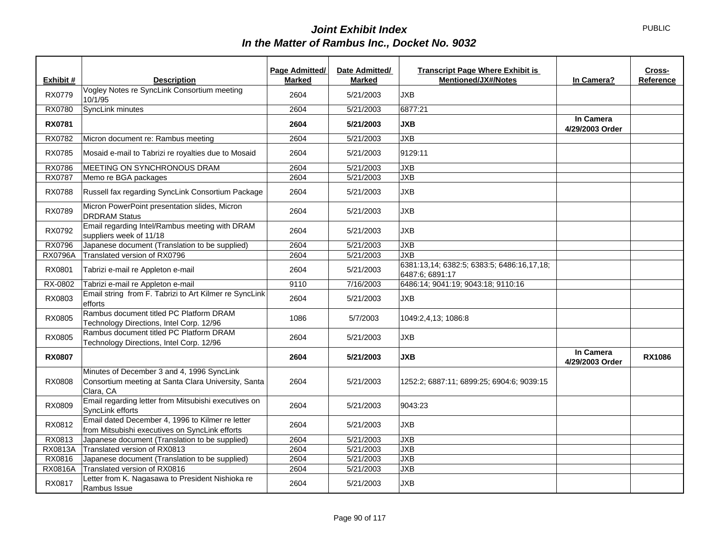|                |                                                                                                                | Page Admitted/ | Date Admitted/ | <b>Transcript Page Where Exhibit is</b>                       |                              | Cross-        |
|----------------|----------------------------------------------------------------------------------------------------------------|----------------|----------------|---------------------------------------------------------------|------------------------------|---------------|
| Exhibit #      | <b>Description</b>                                                                                             | <b>Marked</b>  | <b>Marked</b>  | <b>Mentioned/JX#/Notes</b>                                    | In Camera?                   | Reference     |
| RX0779         | Vogley Notes re SyncLink Consortium meeting<br>10/1/95                                                         | 2604           | 5/21/2003      | <b>JXB</b>                                                    |                              |               |
| <b>RX0780</b>  | SyncLink minutes                                                                                               | 2604           | 5/21/2003      | 6877:21                                                       |                              |               |
| <b>RX0781</b>  |                                                                                                                | 2604           | 5/21/2003      | <b>JXB</b>                                                    | In Camera<br>4/29/2003 Order |               |
| RX0782         | Micron document re: Rambus meeting                                                                             | 2604           | 5/21/2003      | <b>JXB</b>                                                    |                              |               |
| RX0785         | Mosaid e-mail to Tabrizi re royalties due to Mosaid                                                            | 2604           | 5/21/2003      | 9129:11                                                       |                              |               |
| <b>RX0786</b>  | MEETING ON SYNCHRONOUS DRAM                                                                                    | 2604           | 5/21/2003      | <b>JXB</b>                                                    |                              |               |
| <b>RX0787</b>  | Memo re BGA packages                                                                                           | 2604           | 5/21/2003      | <b>JXB</b>                                                    |                              |               |
| <b>RX0788</b>  | Russell fax regarding SyncLink Consortium Package                                                              | 2604           | 5/21/2003      | <b>JXB</b>                                                    |                              |               |
| RX0789         | Micron PowerPoint presentation slides, Micron<br><b>DRDRAM Status</b>                                          | 2604           | 5/21/2003      | <b>JXB</b>                                                    |                              |               |
| RX0792         | Email regarding Intel/Rambus meeting with DRAM<br>suppliers week of 11/18                                      | 2604           | 5/21/2003      | <b>JXB</b>                                                    |                              |               |
| <b>RX0796</b>  | Japanese document (Translation to be supplied)                                                                 | 2604           | 5/21/2003      | <b>JXB</b>                                                    |                              |               |
| <b>RX0796A</b> | Translated version of RX0796                                                                                   | 2604           | 5/21/2003      | <b>JXB</b>                                                    |                              |               |
| RX0801         | Tabrizi e-mail re Appleton e-mail                                                                              | 2604           | 5/21/2003      | 6381:13,14; 6382:5; 6383:5; 6486:16,17,18;<br>6487:6: 6891:17 |                              |               |
| RX-0802        | Tabrizi e-mail re Appleton e-mail                                                                              | 9110           | 7/16/2003      | 6486:14; 9041:19; 9043:18; 9110:16                            |                              |               |
| RX0803         | Email string from F. Tabrizi to Art Kilmer re SyncLink<br>efforts                                              | 2604           | 5/21/2003      | <b>JXB</b>                                                    |                              |               |
| RX0805         | Rambus document titled PC Platform DRAM<br>Technology Directions, Intel Corp. 12/96                            | 1086           | 5/7/2003       | 1049:2,4,13; 1086:8                                           |                              |               |
| RX0805         | Rambus document titled PC Platform DRAM<br>Technology Directions, Intel Corp. 12/96                            | 2604           | 5/21/2003      | <b>JXB</b>                                                    |                              |               |
| <b>RX0807</b>  |                                                                                                                | 2604           | 5/21/2003      | <b>JXB</b>                                                    | In Camera<br>4/29/2003 Order | <b>RX1086</b> |
| RX0808         | Minutes of December 3 and 4, 1996 SyncLink<br>Consortium meeting at Santa Clara University, Santa<br>Clara, CA | 2604           | 5/21/2003      | 1252:2; 6887:11; 6899:25; 6904:6; 9039:15                     |                              |               |
| RX0809         | Email regarding letter from Mitsubishi executives on<br>SyncLink efforts                                       | 2604           | 5/21/2003      | 9043:23                                                       |                              |               |
| RX0812         | Email dated December 4, 1996 to Kilmer re letter<br>from Mitsubishi executives on SyncLink efforts             | 2604           | 5/21/2003      | <b>JXB</b>                                                    |                              |               |
| RX0813         | Japanese document (Translation to be supplied)                                                                 | 2604           | 5/21/2003      | <b>JXB</b>                                                    |                              |               |
| RX0813A        | Translated version of RX0813                                                                                   | 2604           | 5/21/2003      | <b>JXB</b>                                                    |                              |               |
| RX0816         | Japanese document (Translation to be supplied)                                                                 | 2604           | 5/21/2003      | <b>JXB</b>                                                    |                              |               |
| RX0816A        | Translated version of RX0816                                                                                   | 2604           | 5/21/2003      | <b>JXB</b>                                                    |                              |               |
| RX0817         | Letter from K. Nagasawa to President Nishioka re<br>Rambus Issue                                               | 2604           | 5/21/2003      | <b>JXB</b>                                                    |                              |               |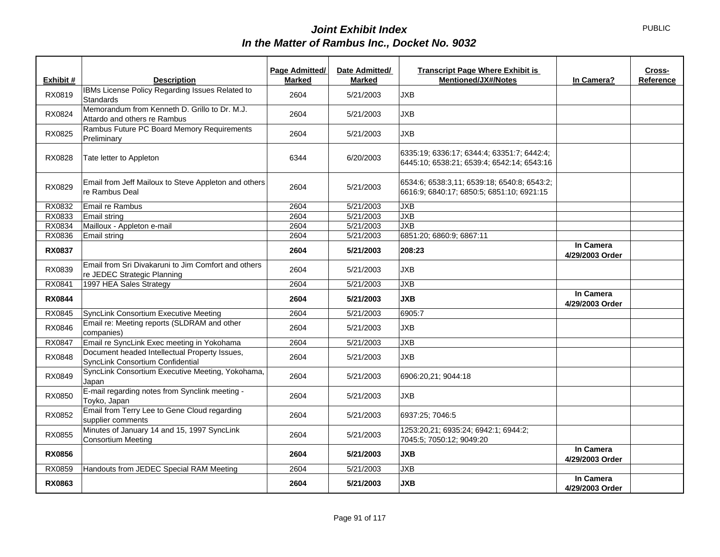|               |                                                                                    | Page Admitted/ | Date Admitted/ | <b>Transcript Page Where Exhibit is</b>                                                  |                              | Cross-    |
|---------------|------------------------------------------------------------------------------------|----------------|----------------|------------------------------------------------------------------------------------------|------------------------------|-----------|
| Exhibit #     | <b>Description</b>                                                                 | <b>Marked</b>  | <b>Marked</b>  | <b>Mentioned/JX#/Notes</b>                                                               | In Camera?                   | Reference |
| RX0819        | IBMs License Policy Regarding Issues Related to<br>Standards                       | 2604           | 5/21/2003      | JXB                                                                                      |                              |           |
| RX0824        | Memorandum from Kenneth D. Grillo to Dr. M.J.<br>Attardo and others re Rambus      | 2604           | 5/21/2003      | <b>JXB</b>                                                                               |                              |           |
| RX0825        | Rambus Future PC Board Memory Requirements<br>Preliminary                          | 2604           | 5/21/2003      | JXB                                                                                      |                              |           |
| RX0828        | Tate letter to Appleton                                                            | 6344           | 6/20/2003      | 6335:19; 6336:17; 6344:4; 63351:7; 6442:4;<br>6445:10; 6538:21; 6539:4; 6542:14; 6543:16 |                              |           |
| RX0829        | Email from Jeff Mailoux to Steve Appleton and others<br>re Rambus Deal             | 2604           | 5/21/2003      | 6534:6; 6538:3,11; 6539:18; 6540:8; 6543:2;<br>6616:9; 6840:17; 6850:5; 6851:10; 6921:15 |                              |           |
| RX0832        | Email re Rambus                                                                    | 2604           | 5/21/2003      | <b>JXB</b>                                                                               |                              |           |
| RX0833        | Email string                                                                       | 2604           | 5/21/2003      | <b>JXB</b>                                                                               |                              |           |
| RX0834        | Mailloux - Appleton e-mail                                                         | 2604           | 5/21/2003      | JXB                                                                                      |                              |           |
| RX0836        | Email string                                                                       | 2604           | 5/21/2003      | 6851:20; 6860:9; 6867:11                                                                 |                              |           |
| <b>RX0837</b> |                                                                                    | 2604           | 5/21/2003      | 208:23                                                                                   | In Camera<br>4/29/2003 Order |           |
| RX0839        | Email from Sri Divakaruni to Jim Comfort and others<br>re JEDEC Strategic Planning | 2604           | 5/21/2003      | <b>JXB</b>                                                                               |                              |           |
| RX0841        | 1997 HEA Sales Strategy                                                            | 2604           | 5/21/2003      | <b>JXB</b>                                                                               |                              |           |
| <b>RX0844</b> |                                                                                    | 2604           | 5/21/2003      | <b>JXB</b>                                                                               | In Camera<br>4/29/2003 Order |           |
| RX0845        | SyncLink Consortium Executive Meeting                                              | 2604           | 5/21/2003      | 6905:7                                                                                   |                              |           |
| RX0846        | Email re: Meeting reports (SLDRAM and other<br>companies)                          | 2604           | 5/21/2003      | <b>JXB</b>                                                                               |                              |           |
| RX0847        | Email re SyncLink Exec meeting in Yokohama                                         | 2604           | 5/21/2003      | <b>JXB</b>                                                                               |                              |           |
| RX0848        | Document headed Intellectual Property Issues,<br>SyncLink Consortium Confidential  | 2604           | 5/21/2003      | JXB                                                                                      |                              |           |
| RX0849        | SyncLink Consortium Executive Meeting, Yokohama,<br>Japan                          | 2604           | 5/21/2003      | 6906:20,21; 9044:18                                                                      |                              |           |
| RX0850        | E-mail regarding notes from Synclink meeting -<br>Toyko, Japan                     | 2604           | 5/21/2003      | JXB                                                                                      |                              |           |
| RX0852        | Email from Terry Lee to Gene Cloud regarding<br>supplier comments                  | 2604           | 5/21/2003      | 6937:25; 7046:5                                                                          |                              |           |
| RX0855        | Minutes of January 14 and 15, 1997 SyncLink<br><b>Consortium Meeting</b>           | 2604           | 5/21/2003      | 1253:20,21; 6935:24; 6942:1; 6944:2;<br>7045:5; 7050:12; 9049:20                         |                              |           |
| <b>RX0856</b> |                                                                                    | 2604           | 5/21/2003      | <b>JXB</b>                                                                               | In Camera<br>4/29/2003 Order |           |
| RX0859        | Handouts from JEDEC Special RAM Meeting                                            | 2604           | 5/21/2003      | <b>JXB</b>                                                                               |                              |           |
| <b>RX0863</b> |                                                                                    | 2604           | 5/21/2003      | <b>JXB</b>                                                                               | In Camera<br>4/29/2003 Order |           |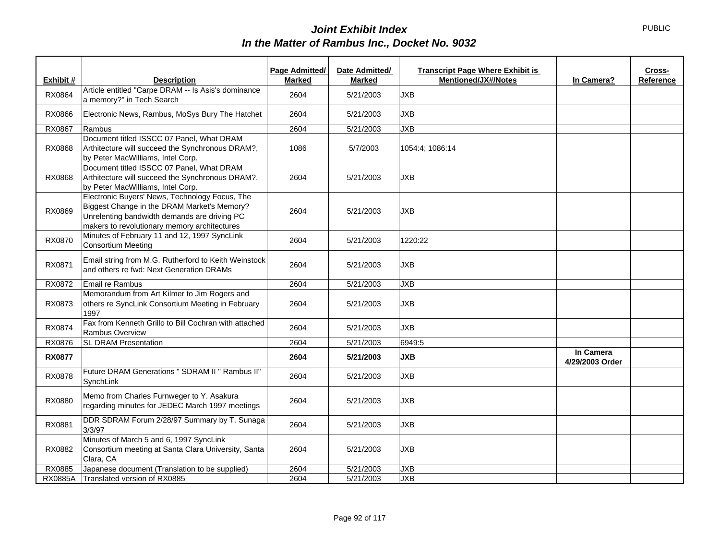| Exhibit #      | <b>Description</b>                                                                                                                                                                            | Page Admitted/<br>Marked | Date Admitted/<br>Marked | <b>Transcript Page Where Exhibit is</b><br>Mentioned/JX#/Notes | In Camera?                   | Cross-<br>Reference |
|----------------|-----------------------------------------------------------------------------------------------------------------------------------------------------------------------------------------------|--------------------------|--------------------------|----------------------------------------------------------------|------------------------------|---------------------|
|                | Article entitled "Carpe DRAM -- Is Asis's dominance                                                                                                                                           |                          |                          |                                                                |                              |                     |
| RX0864         | a memory?" in Tech Search                                                                                                                                                                     | 2604                     | 5/21/2003                | <b>JXB</b>                                                     |                              |                     |
| RX0866         | Electronic News, Rambus, MoSys Bury The Hatchet                                                                                                                                               | 2604                     | 5/21/2003                | <b>JXB</b>                                                     |                              |                     |
| RX0867         | Rambus                                                                                                                                                                                        | 2604                     | 5/21/2003                | <b>JXB</b>                                                     |                              |                     |
| RX0868         | Document titled ISSCC 07 Panel, What DRAM<br>Arthitecture will succeed the Synchronous DRAM?,<br>by Peter MacWilliams, Intel Corp.                                                            | 1086                     | 5/7/2003                 | 1054:4; 1086:14                                                |                              |                     |
| RX0868         | Document titled ISSCC 07 Panel, What DRAM<br>Arthitecture will succeed the Synchronous DRAM?,<br>by Peter MacWilliams, Intel Corp.                                                            | 2604                     | 5/21/2003                | <b>JXB</b>                                                     |                              |                     |
| RX0869         | Electronic Buyers' News, Technology Focus, The<br>Biggest Change in the DRAM Market's Memory?<br>Unrelenting bandwidth demands are driving PC<br>makers to revolutionary memory architectures | 2604                     | 5/21/2003                | <b>JXB</b>                                                     |                              |                     |
| RX0870         | Minutes of February 11 and 12, 1997 SyncLink<br><b>Consortium Meeting</b>                                                                                                                     | 2604                     | 5/21/2003                | 1220:22                                                        |                              |                     |
| RX0871         | Email string from M.G. Rutherford to Keith Weinstock<br>and others re fwd: Next Generation DRAMs                                                                                              | 2604                     | 5/21/2003                | <b>JXB</b>                                                     |                              |                     |
| RX0872         | Email re Rambus                                                                                                                                                                               | 2604                     | 5/21/2003                | <b>JXB</b>                                                     |                              |                     |
| RX0873         | Memorandum from Art Kilmer to Jim Rogers and<br>others re SyncLink Consortium Meeting in February<br>1997                                                                                     | 2604                     | 5/21/2003                | <b>JXB</b>                                                     |                              |                     |
| RX0874         | Fax from Kenneth Grillo to Bill Cochran with attached<br>Rambus Overview                                                                                                                      | 2604                     | 5/21/2003                | <b>JXB</b>                                                     |                              |                     |
| RX0876         | <b>SL DRAM Presentation</b>                                                                                                                                                                   | 2604                     | 5/21/2003                | 6949:5                                                         |                              |                     |
| <b>RX0877</b>  |                                                                                                                                                                                               | 2604                     | 5/21/2003                | <b>JXB</b>                                                     | In Camera<br>4/29/2003 Order |                     |
| RX0878         | Future DRAM Generations " SDRAM II " Rambus II"<br>SynchLink                                                                                                                                  | 2604                     | 5/21/2003                | <b>JXB</b>                                                     |                              |                     |
| RX0880         | Memo from Charles Furnweger to Y. Asakura<br>regarding minutes for JEDEC March 1997 meetings                                                                                                  | 2604                     | 5/21/2003                | <b>JXB</b>                                                     |                              |                     |
| RX0881         | DDR SDRAM Forum 2/28/97 Summary by T. Sunaga<br>3/3/97                                                                                                                                        | 2604                     | 5/21/2003                | <b>JXB</b>                                                     |                              |                     |
| RX0882         | Minutes of March 5 and 6, 1997 SyncLink<br>Consortium meeting at Santa Clara University, Santa<br>Clara, CA                                                                                   | 2604                     | 5/21/2003                | <b>JXB</b>                                                     |                              |                     |
| RX0885         | Japanese document (Translation to be supplied)                                                                                                                                                | 2604                     | 5/21/2003                | <b>JXB</b>                                                     |                              |                     |
| <b>RX0885A</b> | Translated version of RX0885                                                                                                                                                                  | 2604                     | 5/21/2003                | <b>JXB</b>                                                     |                              |                     |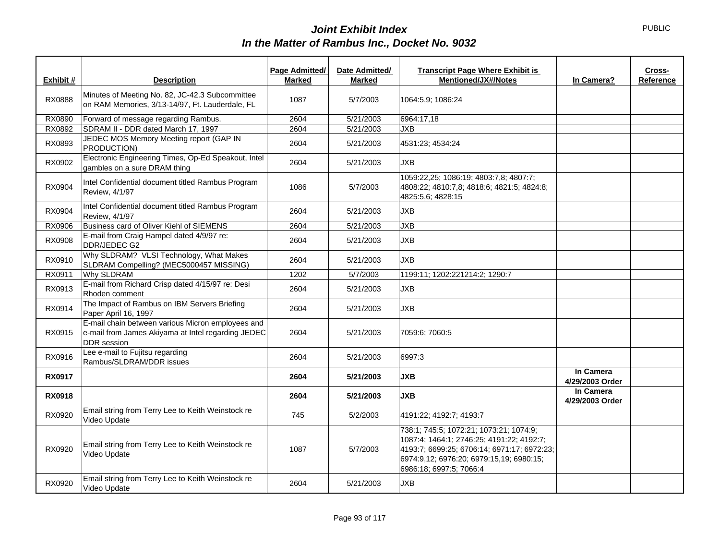| Exhibit #     | <b>Description</b>                                                                                                            | Page Admitted/<br><b>Marked</b> | Date Admitted/<br><b>Marked</b> | <b>Transcript Page Where Exhibit is</b><br><b>Mentioned/JX#/Notes</b>                                                                                                                                      | In Camera?                   | Cross-<br>Reference |
|---------------|-------------------------------------------------------------------------------------------------------------------------------|---------------------------------|---------------------------------|------------------------------------------------------------------------------------------------------------------------------------------------------------------------------------------------------------|------------------------------|---------------------|
| RX0888        | Minutes of Meeting No. 82, JC-42.3 Subcommittee<br>on RAM Memories, 3/13-14/97, Ft. Lauderdale, FL                            | 1087                            | 5/7/2003                        | 1064:5,9; 1086:24                                                                                                                                                                                          |                              |                     |
| RX0890        | Forward of message regarding Rambus.                                                                                          | 2604                            | 5/21/2003                       | 6964:17,18                                                                                                                                                                                                 |                              |                     |
| RX0892        | SDRAM II - DDR dated March 17, 1997                                                                                           | 2604                            | 5/21/2003                       | <b>JXB</b>                                                                                                                                                                                                 |                              |                     |
| RX0893        | JEDEC MOS Memory Meeting report (GAP IN<br>PRODUCTION)                                                                        | 2604                            | 5/21/2003                       | 4531:23; 4534:24                                                                                                                                                                                           |                              |                     |
| RX0902        | Electronic Engineering Times, Op-Ed Speakout, Intel<br>gambles on a sure DRAM thing                                           | 2604                            | 5/21/2003                       | <b>JXB</b>                                                                                                                                                                                                 |                              |                     |
| RX0904        | Intel Confidential document titled Rambus Program<br>Review, 4/1/97                                                           | 1086                            | 5/7/2003                        | 1059:22,25; 1086:19; 4803:7,8; 4807:7;<br>4808:22; 4810:7,8; 4818:6; 4821:5; 4824:8;<br>4825:5,6; 4828:15                                                                                                  |                              |                     |
| RX0904        | Intel Confidential document titled Rambus Program<br>Review, 4/1/97                                                           | 2604                            | 5/21/2003                       | <b>JXB</b>                                                                                                                                                                                                 |                              |                     |
| RX0906        | Business card of Oliver Kiehl of SIEMENS                                                                                      | 2604                            | 5/21/2003                       | <b>JXB</b>                                                                                                                                                                                                 |                              |                     |
| RX0908        | E-mail from Craig Hampel dated 4/9/97 re:<br>DDR/JEDEC G2                                                                     | 2604                            | 5/21/2003                       | <b>JXB</b>                                                                                                                                                                                                 |                              |                     |
| RX0910        | Why SLDRAM? VLSI Technology, What Makes<br>SLDRAM Compelling? (MEC5000457 MISSING)                                            | 2604                            | 5/21/2003                       | <b>JXB</b>                                                                                                                                                                                                 |                              |                     |
| RX0911        | <b>Why SLDRAM</b>                                                                                                             | 1202                            | 5/7/2003                        | 1199:11; 1202:221214:2; 1290:7                                                                                                                                                                             |                              |                     |
| RX0913        | E-mail from Richard Crisp dated 4/15/97 re: Desi<br>Rhoden comment                                                            | 2604                            | 5/21/2003                       | <b>JXB</b>                                                                                                                                                                                                 |                              |                     |
| RX0914        | The Impact of Rambus on IBM Servers Briefing<br>Paper April 16, 1997                                                          | 2604                            | 5/21/2003                       | JXB                                                                                                                                                                                                        |                              |                     |
| RX0915        | E-mail chain between various Micron employees and<br>e-mail from James Akiyama at Intel regarding JEDEC<br><b>DDR</b> session | 2604                            | 5/21/2003                       | 7059:6; 7060:5                                                                                                                                                                                             |                              |                     |
| RX0916        | Lee e-mail to Fujitsu regarding<br>Rambus/SLDRAM/DDR issues                                                                   | 2604                            | 5/21/2003                       | 6997:3                                                                                                                                                                                                     |                              |                     |
| <b>RX0917</b> |                                                                                                                               | 2604                            | 5/21/2003                       | <b>JXB</b>                                                                                                                                                                                                 | In Camera<br>4/29/2003 Order |                     |
| <b>RX0918</b> |                                                                                                                               | 2604                            | 5/21/2003                       | <b>JXB</b>                                                                                                                                                                                                 | In Camera<br>4/29/2003 Order |                     |
| RX0920        | Email string from Terry Lee to Keith Weinstock re<br>Video Update                                                             | 745                             | 5/2/2003                        | 4191:22; 4192:7; 4193:7                                                                                                                                                                                    |                              |                     |
| RX0920        | Email string from Terry Lee to Keith Weinstock re<br>Video Update                                                             | 1087                            | 5/7/2003                        | 738:1; 745:5; 1072:21; 1073:21; 1074:9;<br>1087:4; 1464:1; 2746:25; 4191:22; 4192:7;<br>4193:7; 6699:25; 6706:14; 6971:17; 6972:23;<br>6974:9,12; 6976:20; 6979:15,19; 6980:15;<br>6986:18; 6997:5; 7066:4 |                              |                     |
| RX0920        | Email string from Terry Lee to Keith Weinstock re<br>Video Update                                                             | 2604                            | 5/21/2003                       | <b>JXB</b>                                                                                                                                                                                                 |                              |                     |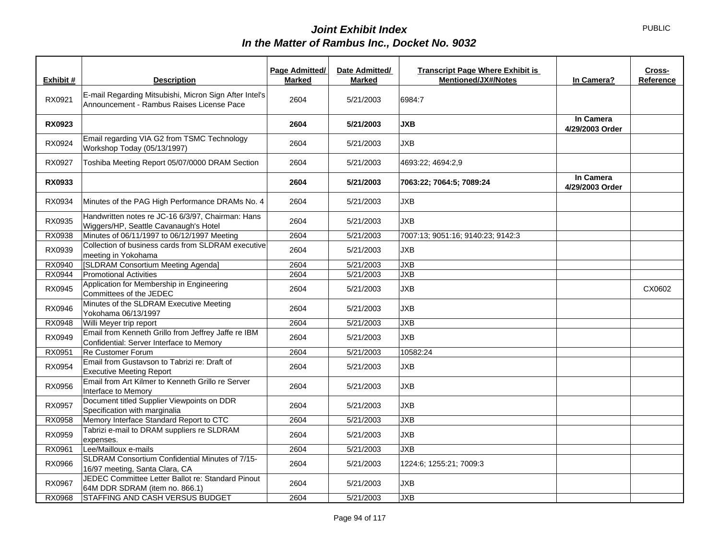| Exhibit #     | <b>Description</b>                                                                                  | Page Admitted/<br><b>Marked</b> | Date Admitted/<br><b>Marked</b> | <b>Transcript Page Where Exhibit is</b><br><b>Mentioned/JX#/Notes</b> | In Camera?                   | Cross-<br><b>Reference</b> |
|---------------|-----------------------------------------------------------------------------------------------------|---------------------------------|---------------------------------|-----------------------------------------------------------------------|------------------------------|----------------------------|
| RX0921        | E-mail Regarding Mitsubishi, Micron Sign After Intel's<br>Announcement - Rambus Raises License Pace | 2604                            | 5/21/2003                       | 6984:7                                                                |                              |                            |
| <b>RX0923</b> |                                                                                                     | 2604                            | 5/21/2003                       | <b>JXB</b>                                                            | In Camera<br>4/29/2003 Order |                            |
| RX0924        | Email regarding VIA G2 from TSMC Technology<br>Workshop Today (05/13/1997)                          | 2604                            | 5/21/2003                       | <b>JXB</b>                                                            |                              |                            |
| RX0927        | Toshiba Meeting Report 05/07/0000 DRAM Section                                                      | 2604                            | 5/21/2003                       | 4693:22; 4694:2,9                                                     |                              |                            |
| RX0933        |                                                                                                     | 2604                            | 5/21/2003                       | 7063:22; 7064:5; 7089:24                                              | In Camera<br>4/29/2003 Order |                            |
| RX0934        | Minutes of the PAG High Performance DRAMs No. 4                                                     | 2604                            | 5/21/2003                       | JXB                                                                   |                              |                            |
| RX0935        | Handwritten notes re JC-16 6/3/97, Chairman: Hans<br>Wiggers/HP, Seattle Cavanaugh's Hotel          | 2604                            | 5/21/2003                       | <b>JXB</b>                                                            |                              |                            |
| RX0938        | Minutes of 06/11/1997 to 06/12/1997 Meeting                                                         | 2604                            | 5/21/2003                       | 7007:13; 9051:16; 9140:23; 9142:3                                     |                              |                            |
| RX0939        | Collection of business cards from SLDRAM executive<br>meeting in Yokohama                           | 2604                            | 5/21/2003                       | <b>JXB</b>                                                            |                              |                            |
| RX0940        | [SLDRAM Consortium Meeting Agenda]                                                                  | 2604                            | 5/21/2003                       | JXB                                                                   |                              |                            |
| RX0944        | <b>Promotional Activities</b>                                                                       | 2604                            | 5/21/2003                       | JXB                                                                   |                              |                            |
| RX0945        | Application for Membership in Engineering<br>Committees of the JEDEC                                | 2604                            | 5/21/2003                       | <b>JXB</b>                                                            |                              | CX0602                     |
| RX0946        | Minutes of the SLDRAM Executive Meeting<br>Yokohama 06/13/1997                                      | 2604                            | 5/21/2003                       | <b>JXB</b>                                                            |                              |                            |
| RX0948        | Willi Meyer trip report                                                                             | 2604                            | 5/21/2003                       | <b>JXB</b>                                                            |                              |                            |
| RX0949        | Email from Kenneth Grillo from Jeffrey Jaffe re IBM<br>Confidential: Server Interface to Memory     | 2604                            | 5/21/2003                       | <b>JXB</b>                                                            |                              |                            |
| RX0951        | Re Customer Forum                                                                                   | 2604                            | 5/21/2003                       | 10582:24                                                              |                              |                            |
| RX0954        | Email from Gustavson to Tabrizi re: Draft of<br><b>Executive Meeting Report</b>                     | 2604                            | 5/21/2003                       | <b>JXB</b>                                                            |                              |                            |
| RX0956        | Email from Art Kilmer to Kenneth Grillo re Server<br>Interface to Memory                            | 2604                            | 5/21/2003                       | <b>JXB</b>                                                            |                              |                            |
| RX0957        | Document titled Supplier Viewpoints on DDR<br>Specification with marginalia                         | 2604                            | 5/21/2003                       | <b>JXB</b>                                                            |                              |                            |
| RX0958        | Memory Interface Standard Report to CTC                                                             | 2604                            | 5/21/2003                       | <b>JXB</b>                                                            |                              |                            |
| RX0959        | Tabrizi e-mail to DRAM suppliers re SLDRAM<br>expenses.                                             | 2604                            | 5/21/2003                       | <b>JXB</b>                                                            |                              |                            |
| RX0961        | Lee/Mailloux e-mails                                                                                | 2604                            | 5/21/2003                       | <b>JXB</b>                                                            |                              |                            |
| RX0966        | SLDRAM Consortium Confidential Minutes of 7/15-<br>16/97 meeting, Santa Clara, CA                   | 2604                            | 5/21/2003                       | 1224:6; 1255:21; 7009:3                                               |                              |                            |
| RX0967        | JEDEC Committee Letter Ballot re: Standard Pinout<br>64M DDR SDRAM (item no. 866.1)                 | 2604                            | 5/21/2003                       | <b>JXB</b>                                                            |                              |                            |
| RX0968        | STAFFING AND CASH VERSUS BUDGET                                                                     | 2604                            | 5/21/2003                       | <b>JXB</b>                                                            |                              |                            |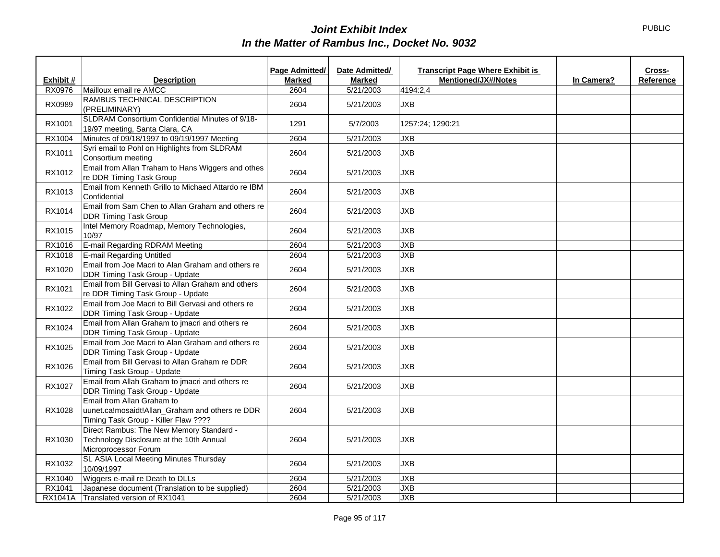|           |                                                                                                                       | Page Admitted/ | Date Admitted/ | <b>Transcript Page Where Exhibit is</b> |            | Cross-    |
|-----------|-----------------------------------------------------------------------------------------------------------------------|----------------|----------------|-----------------------------------------|------------|-----------|
| Exhibit # | <b>Description</b>                                                                                                    | <b>Marked</b>  | <b>Marked</b>  | <b>Mentioned/JX#/Notes</b>              | In Camera? | Reference |
| RX0976    | Mailloux email re AMCC                                                                                                | 2604           | 5/21/2003      | 4194:2,4                                |            |           |
| RX0989    | RAMBUS TECHNICAL DESCRIPTION<br>(PRELIMINARY)                                                                         | 2604           | 5/21/2003      | <b>JXB</b>                              |            |           |
| RX1001    | SLDRAM Consortium Confidential Minutes of 9/18-<br>19/97 meeting, Santa Clara, CA                                     | 1291           | 5/7/2003       | 1257:24; 1290:21                        |            |           |
| RX1004    | Minutes of 09/18/1997 to 09/19/1997 Meeting                                                                           | 2604           | 5/21/2003      | <b>JXB</b>                              |            |           |
| RX1011    | Syri email to Pohl on Highlights from SLDRAM<br>Consortium meeting                                                    | 2604           | 5/21/2003      | <b>JXB</b>                              |            |           |
| RX1012    | Email from Allan Traham to Hans Wiggers and othes<br>re DDR Timing Task Group                                         | 2604           | 5/21/2003      | <b>JXB</b>                              |            |           |
| RX1013    | Email from Kenneth Grillo to Michaed Attardo re IBM<br>Confidential                                                   | 2604           | 5/21/2003      | <b>JXB</b>                              |            |           |
| RX1014    | Email from Sam Chen to Allan Graham and others re<br><b>DDR Timing Task Group</b>                                     | 2604           | 5/21/2003      | <b>JXB</b>                              |            |           |
| RX1015    | Intel Memory Roadmap, Memory Technologies,<br>10/97                                                                   | 2604           | 5/21/2003      | <b>JXB</b>                              |            |           |
| RX1016    | E-mail Regarding RDRAM Meeting                                                                                        | 2604           | 5/21/2003      | JXB                                     |            |           |
| RX1018    | E-mail Regarding Untitled                                                                                             | 2604           | 5/21/2003      | JXB                                     |            |           |
| RX1020    | Email from Joe Macri to Alan Graham and others re<br>DDR Timing Task Group - Update                                   | 2604           | 5/21/2003      | <b>JXB</b>                              |            |           |
| RX1021    | Email from Bill Gervasi to Allan Graham and others<br>re DDR Timing Task Group - Update                               | 2604           | 5/21/2003      | <b>JXB</b>                              |            |           |
| RX1022    | Email from Joe Macri to Bill Gervasi and others re<br>DDR Timing Task Group - Update                                  | 2604           | 5/21/2003      | <b>JXB</b>                              |            |           |
| RX1024    | Email from Allan Graham to jmacri and others re<br>DDR Timing Task Group - Update                                     | 2604           | 5/21/2003      | <b>JXB</b>                              |            |           |
| RX1025    | Email from Joe Macri to Alan Graham and others re<br>DDR Timing Task Group - Update                                   | 2604           | 5/21/2003      | <b>JXB</b>                              |            |           |
| RX1026    | Email from Bill Gervasi to Allan Graham re DDR<br>Timing Task Group - Update                                          | 2604           | 5/21/2003      | <b>JXB</b>                              |            |           |
| RX1027    | Email from Allah Graham to jmacri and others re<br>DDR Timing Task Group - Update                                     | 2604           | 5/21/2003      | <b>JXB</b>                              |            |           |
| RX1028    | Email from Allan Graham to<br>uunet.ca!mosaidt!Allan_Graham and others re DDR<br>Timing Task Group - Killer Flaw ???? | 2604           | 5/21/2003      | <b>JXB</b>                              |            |           |
| RX1030    | Direct Rambus: The New Memory Standard -<br>Technology Disclosure at the 10th Annual<br>Microprocessor Forum          | 2604           | 5/21/2003      | <b>JXB</b>                              |            |           |
| RX1032    | SL ASIA Local Meeting Minutes Thursday<br>10/09/1997                                                                  | 2604           | 5/21/2003      | <b>JXB</b>                              |            |           |
| RX1040    | Wiggers e-mail re Death to DLLs                                                                                       | 2604           | 5/21/2003      | <b>JXB</b>                              |            |           |
| RX1041    | Japanese document (Translation to be supplied)                                                                        | 2604           | 5/21/2003      | JXB                                     |            |           |
|           | RX1041A Translated version of RX1041                                                                                  | 2604           | 5/21/2003      | <b>JXB</b>                              |            |           |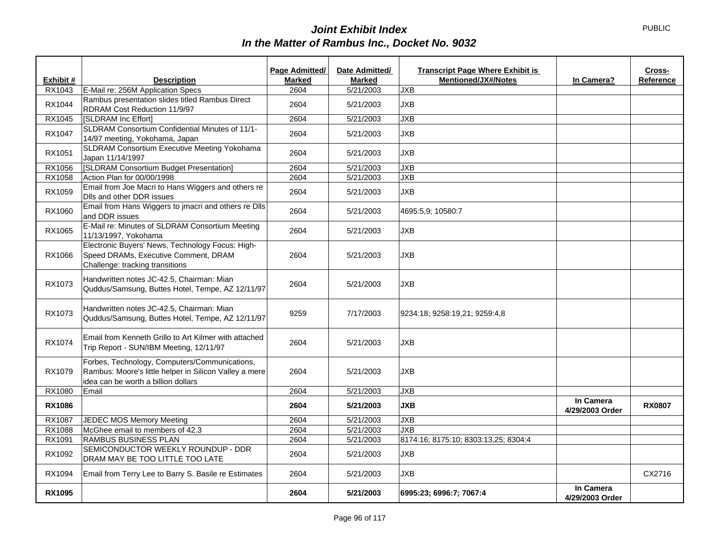|               |                                                                                                                                                | Page Admitted/ | Date Admitted/ | <b>Transcript Page Where Exhibit is</b> |                              | Cross-        |
|---------------|------------------------------------------------------------------------------------------------------------------------------------------------|----------------|----------------|-----------------------------------------|------------------------------|---------------|
| Exhibit #     | <b>Description</b>                                                                                                                             | <b>Marked</b>  | <b>Marked</b>  | <b>Mentioned/JX#/Notes</b>              | In Camera?                   | Reference     |
| RX1043        | E-Mail re: 256M Application Specs                                                                                                              | 2604           | 5/21/2003      | <b>JXB</b>                              |                              |               |
| RX1044        | Rambus presentation slides titled Rambus Direct<br>RDRAM Cost Reduction 11/9/97                                                                | 2604           | 5/21/2003      | <b>JXB</b>                              |                              |               |
| RX1045        | [SLDRAM Inc Effort]                                                                                                                            | 2604           | 5/21/2003      | JXB                                     |                              |               |
| RX1047        | SLDRAM Consortium Confidential Minutes of 11/1-<br>14/97 meeting, Yokohama, Japan                                                              | 2604           | 5/21/2003      | <b>JXB</b>                              |                              |               |
| RX1051        | SLDRAM Consortium Executive Meeting Yokohama<br>Japan 11/14/1997                                                                               | 2604           | 5/21/2003      | <b>JXB</b>                              |                              |               |
| RX1056        | [SLDRAM Consortium Budget Presentation]                                                                                                        | 2604           | 5/21/2003      | JXB                                     |                              |               |
| RX1058        | Action Plan for 00/00/1998                                                                                                                     | 2604           | 5/21/2003      | <b>JXB</b>                              |                              |               |
| RX1059        | Email from Joe Macri to Hans Wiggers and others re<br>Dlls and other DDR issues                                                                | 2604           | 5/21/2003      | <b>JXB</b>                              |                              |               |
| RX1060        | Email from Hans Wiggers to jmacri and others re Dlls<br>and DDR issues                                                                         | 2604           | 5/21/2003      | 4695:5,9; 10580:7                       |                              |               |
| RX1065        | E-Mail re: Minutes of SLDRAM Consortium Meeting<br>11/13/1997, Yokohama                                                                        | 2604           | 5/21/2003      | <b>JXB</b>                              |                              |               |
| RX1066        | Electronic Buyers' News, Technology Focus: High-<br>Speed DRAMs, Executive Comment, DRAM<br>Challenge: tracking transitions                    | 2604           | 5/21/2003      | <b>JXB</b>                              |                              |               |
| RX1073        | Handwritten notes JC-42.5, Chairman: Mian<br>Quddus/Samsung, Buttes Hotel, Tempe, AZ 12/11/97                                                  | 2604           | 5/21/2003      | <b>JXB</b>                              |                              |               |
| RX1073        | Handwritten notes JC-42.5, Chairman: Mian<br>Quddus/Samsung, Buttes Hotel, Tempe, AZ 12/11/97                                                  | 9259           | 7/17/2003      | 9234:18; 9258:19,21; 9259:4,8           |                              |               |
| RX1074        | Email from Kenneth Grillo to Art Kilmer with attached<br>Trip Report - SUN/IBM Meeting, 12/11/97                                               | 2604           | 5/21/2003      | <b>JXB</b>                              |                              |               |
| RX1079        | Forbes, Technology, Computers/Communications,<br>Rambus: Moore's little helper in Silicon Valley a mere<br>idea can be worth a billion dollars | 2604           | 5/21/2003      | <b>JXB</b>                              |                              |               |
| RX1080        | Email                                                                                                                                          | 2604           | 5/21/2003      | <b>JXB</b>                              |                              |               |
| <b>RX1086</b> |                                                                                                                                                | 2604           | 5/21/2003      | <b>JXB</b>                              | In Camera<br>4/29/2003 Order | <b>RX0807</b> |
| RX1087        | JEDEC MOS Memory Meeting                                                                                                                       | 2604           | 5/21/2003      | <b>JXB</b>                              |                              |               |
| RX1088        | McGhee email to members of 42.3                                                                                                                | 2604           | 5/21/2003      | JXB                                     |                              |               |
| RX1091        | <b>RAMBUS BUSINESS PLAN</b>                                                                                                                    | 2604           | 5/21/2003      | 8174:16; 8175:10; 8303:13,25; 8304:4    |                              |               |
| RX1092        | SEMICONDUCTOR WEEKLY ROUNDUP - DDR<br>DRAM MAY BE TOO LITTLE TOO LATE                                                                          | 2604           | 5/21/2003      | <b>JXB</b>                              |                              |               |
| RX1094        | Email from Terry Lee to Barry S. Basile re Estimates                                                                                           | 2604           | 5/21/2003      | <b>JXB</b>                              |                              | CX2716        |
| <b>RX1095</b> |                                                                                                                                                | 2604           | 5/21/2003      | 6995:23; 6996:7; 7067:4                 | In Camera<br>4/29/2003 Order |               |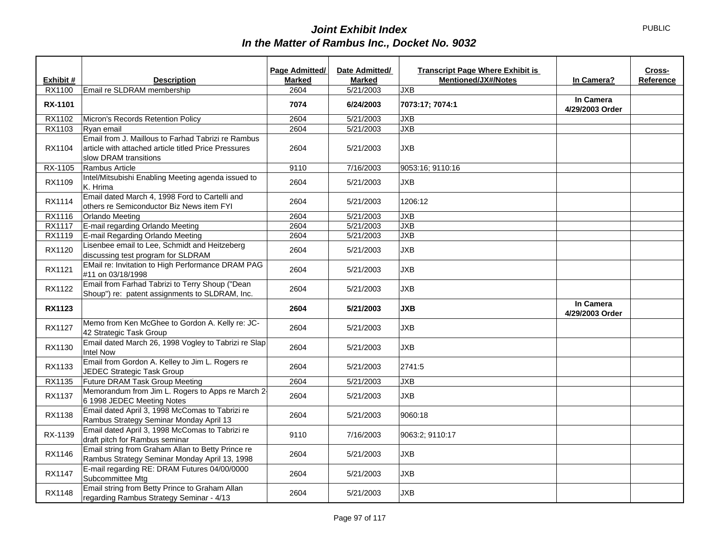|                |                                                                                                                                     | Page Admitted/ | Date Admitted/ | <b>Transcript Page Where Exhibit is</b> |                              | Cross-    |
|----------------|-------------------------------------------------------------------------------------------------------------------------------------|----------------|----------------|-----------------------------------------|------------------------------|-----------|
| Exhibit #      | <b>Description</b>                                                                                                                  | <b>Marked</b>  | <b>Marked</b>  | <b>Mentioned/JX#/Notes</b>              | In Camera?                   | Reference |
| RX1100         | Email re SLDRAM membership                                                                                                          | 2604           | 5/21/2003      | <b>JXB</b>                              |                              |           |
| <b>RX-1101</b> |                                                                                                                                     | 7074           | 6/24/2003      | 7073:17; 7074:1                         | In Camera<br>4/29/2003 Order |           |
| RX1102         | Micron's Records Retention Policy                                                                                                   | 2604           | 5/21/2003      | JXB                                     |                              |           |
| RX1103         | Ryan email                                                                                                                          | 2604           | 5/21/2003      | <b>JXB</b>                              |                              |           |
| RX1104         | Email from J. Maillous to Farhad Tabrizi re Rambus<br>article with attached article titled Price Pressures<br>slow DRAM transitions | 2604           | 5/21/2003      | <b>JXB</b>                              |                              |           |
| RX-1105        | Rambus Article                                                                                                                      | 9110           | 7/16/2003      | 9053:16: 9110:16                        |                              |           |
| RX1109         | Intel/Mitsubishi Enabling Meeting agenda issued to<br>K. Hrima                                                                      | 2604           | 5/21/2003      | <b>JXB</b>                              |                              |           |
| RX1114         | Email dated March 4, 1998 Ford to Cartelli and<br>others re Semiconductor Biz News item FYI                                         | 2604           | 5/21/2003      | 1206:12                                 |                              |           |
| RX1116         | <b>Orlando Meeting</b>                                                                                                              | 2604           | 5/21/2003      | <b>JXB</b>                              |                              |           |
| RX1117         | E-mail regarding Orlando Meeting                                                                                                    | 2604           | 5/21/2003      | <b>JXB</b>                              |                              |           |
| RX1119         | E-mail Regarding Orlando Meeting                                                                                                    | 2604           | 5/21/2003      | JXB                                     |                              |           |
| RX1120         | Lisenbee email to Lee, Schmidt and Heitzeberg<br>discussing test program for SLDRAM                                                 | 2604           | 5/21/2003      | <b>JXB</b>                              |                              |           |
| RX1121         | EMail re: Invitation to High Performance DRAM PAG<br>#11 on 03/18/1998                                                              | 2604           | 5/21/2003      | <b>JXB</b>                              |                              |           |
| RX1122         | Email from Farhad Tabrizi to Terry Shoup ("Dean<br>Shoup") re: patent assignments to SLDRAM, Inc.                                   | 2604           | 5/21/2003      | <b>JXB</b>                              |                              |           |
| <b>RX1123</b>  |                                                                                                                                     | 2604           | 5/21/2003      | <b>JXB</b>                              | In Camera<br>4/29/2003 Order |           |
| RX1127         | Memo from Ken McGhee to Gordon A. Kelly re: JC-<br>42 Strategic Task Group                                                          | 2604           | 5/21/2003      | <b>JXB</b>                              |                              |           |
| RX1130         | Email dated March 26, 1998 Vogley to Tabrizi re Slap<br><b>Intel Now</b>                                                            | 2604           | 5/21/2003      | <b>JXB</b>                              |                              |           |
| RX1133         | Email from Gordon A. Kelley to Jim L. Rogers re<br>JEDEC Strategic Task Group                                                       | 2604           | 5/21/2003      | 2741:5                                  |                              |           |
| RX1135         | Future DRAM Task Group Meeting                                                                                                      | 2604           | 5/21/2003      | <b>JXB</b>                              |                              |           |
| RX1137         | Memorandum from Jim L. Rogers to Apps re March 2-<br>6 1998 JEDEC Meeting Notes                                                     | 2604           | 5/21/2003      | <b>JXB</b>                              |                              |           |
| RX1138         | Email dated April 3, 1998 McComas to Tabrizi re<br>Rambus Strategy Seminar Monday April 13                                          | 2604           | 5/21/2003      | 9060:18                                 |                              |           |
| RX-1139        | Email dated April 3, 1998 McComas to Tabrizi re<br>draft pitch for Rambus seminar                                                   | 9110           | 7/16/2003      | 9063:2; 9110:17                         |                              |           |
| RX1146         | Email string from Graham Allan to Betty Prince re<br>Rambus Strategy Seminar Monday April 13, 1998                                  | 2604           | 5/21/2003      | <b>JXB</b>                              |                              |           |
| <b>RX1147</b>  | E-mail regarding RE: DRAM Futures 04/00/0000<br>Subcommittee Mtg                                                                    | 2604           | 5/21/2003      | <b>JXB</b>                              |                              |           |
| RX1148         | Email string from Betty Prince to Graham Allan<br>regarding Rambus Strategy Seminar - 4/13                                          | 2604           | 5/21/2003      | <b>JXB</b>                              |                              |           |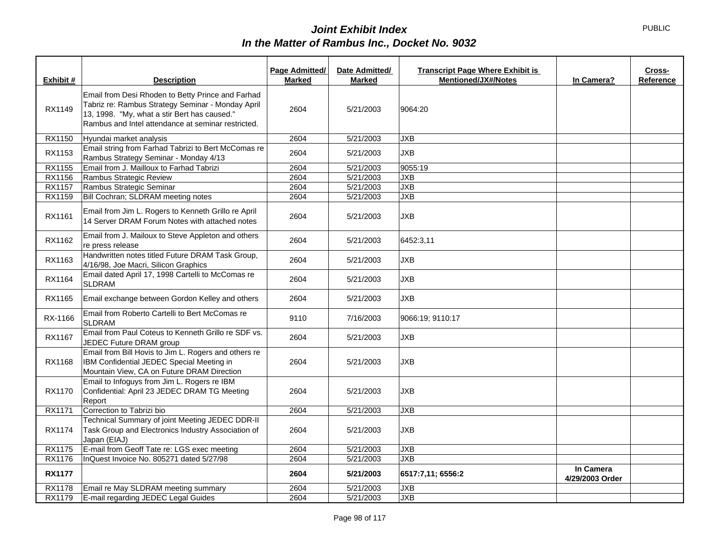| Exhibit #     | <b>Description</b>                                                                                                                                                                                           | Page Admitted/<br><b>Marked</b> | Date Admitted/<br><b>Marked</b> | <b>Transcript Page Where Exhibit is</b><br><b>Mentioned/JX#/Notes</b> | In Camera?                   | Cross-<br>Reference |
|---------------|--------------------------------------------------------------------------------------------------------------------------------------------------------------------------------------------------------------|---------------------------------|---------------------------------|-----------------------------------------------------------------------|------------------------------|---------------------|
| RX1149        | Email from Desi Rhoden to Betty Prince and Farhad<br>Tabriz re: Rambus Strategy Seminar - Monday April<br>13, 1998. "My, what a stir Bert has caused."<br>Rambus and Intel attendance at seminar restricted. | 2604                            | 5/21/2003                       | 9064:20                                                               |                              |                     |
| RX1150        | Hyundai market analysis                                                                                                                                                                                      | 2604                            | 5/21/2003                       | <b>JXB</b>                                                            |                              |                     |
| RX1153        | Email string from Farhad Tabrizi to Bert McComas re<br>Rambus Strategy Seminar - Monday 4/13                                                                                                                 | 2604                            | 5/21/2003                       | <b>JXB</b>                                                            |                              |                     |
| RX1155        | Email from J. Mailloux to Farhad Tabrizi                                                                                                                                                                     | 2604                            | 5/21/2003                       | 9055:19                                                               |                              |                     |
| RX1156        | Rambus Strategic Review                                                                                                                                                                                      | 2604                            | 5/21/2003                       | <b>JXB</b>                                                            |                              |                     |
| RX1157        | Rambus Strategic Seminar                                                                                                                                                                                     | 2604                            | 5/21/2003                       | <b>JXB</b>                                                            |                              |                     |
| RX1159        | Bill Cochran; SLDRAM meeting notes                                                                                                                                                                           | 2604                            | 5/21/2003                       | <b>JXB</b>                                                            |                              |                     |
| RX1161        | Email from Jim L. Rogers to Kenneth Grillo re April<br>14 Server DRAM Forum Notes with attached notes                                                                                                        | 2604                            | 5/21/2003                       | <b>JXB</b>                                                            |                              |                     |
| RX1162        | Email from J. Mailoux to Steve Appleton and others<br>re press release                                                                                                                                       | 2604                            | 5/21/2003                       | 6452:3,11                                                             |                              |                     |
| RX1163        | Handwritten notes titled Future DRAM Task Group,<br>4/16/98, Joe Macri, Silicon Graphics                                                                                                                     | 2604                            | 5/21/2003                       | <b>JXB</b>                                                            |                              |                     |
| RX1164        | Email dated April 17, 1998 Cartelli to McComas re<br><b>SLDRAM</b>                                                                                                                                           | 2604                            | 5/21/2003                       | <b>JXB</b>                                                            |                              |                     |
| RX1165        | Email exchange between Gordon Kelley and others                                                                                                                                                              | 2604                            | 5/21/2003                       | <b>JXB</b>                                                            |                              |                     |
| RX-1166       | Email from Roberto Cartelli to Bert McComas re<br><b>SLDRAM</b>                                                                                                                                              | 9110                            | 7/16/2003                       | 9066:19; 9110:17                                                      |                              |                     |
| RX1167        | Email from Paul Coteus to Kenneth Grillo re SDF vs.<br>JEDEC Future DRAM group                                                                                                                               | 2604                            | 5/21/2003                       | <b>JXB</b>                                                            |                              |                     |
| RX1168        | Email from Bill Hovis to Jim L. Rogers and others re<br>IBM Confidential JEDEC Special Meeting in<br>Mountain View, CA on Future DRAM Direction                                                              | 2604                            | 5/21/2003                       | <b>JXB</b>                                                            |                              |                     |
| RX1170        | Email to Infoguys from Jim L. Rogers re IBM<br>Confidential: April 23 JEDEC DRAM TG Meeting<br>Report                                                                                                        | 2604                            | 5/21/2003                       | <b>JXB</b>                                                            |                              |                     |
| RX1171        | Correction to Tabrizi bio                                                                                                                                                                                    | 2604                            | 5/21/2003                       | <b>JXB</b>                                                            |                              |                     |
| RX1174        | Technical Summary of joint Meeting JEDEC DDR-II<br>Task Group and Electronics Industry Association of<br>Japan (EIAJ)                                                                                        | 2604                            | 5/21/2003                       | <b>JXB</b>                                                            |                              |                     |
| <b>RX1175</b> | E-mail from Geoff Tate re: LGS exec meeting                                                                                                                                                                  | 2604                            | 5/21/2003                       | <b>JXB</b>                                                            |                              |                     |
| RX1176        | InQuest Invoice No. 805271 dated 5/27/98                                                                                                                                                                     | 2604                            | 5/21/2003                       | <b>JXB</b>                                                            |                              |                     |
| <b>RX1177</b> |                                                                                                                                                                                                              | 2604                            | 5/21/2003                       | 6517:7,11; 6556:2                                                     | In Camera<br>4/29/2003 Order |                     |
| <b>RX1178</b> | Email re May SLDRAM meeting summary                                                                                                                                                                          | 2604                            | 5/21/2003                       | <b>JXB</b>                                                            |                              |                     |
| RX1179        | E-mail regarding JEDEC Legal Guides                                                                                                                                                                          | 2604                            | 5/21/2003                       | <b>JXB</b>                                                            |                              |                     |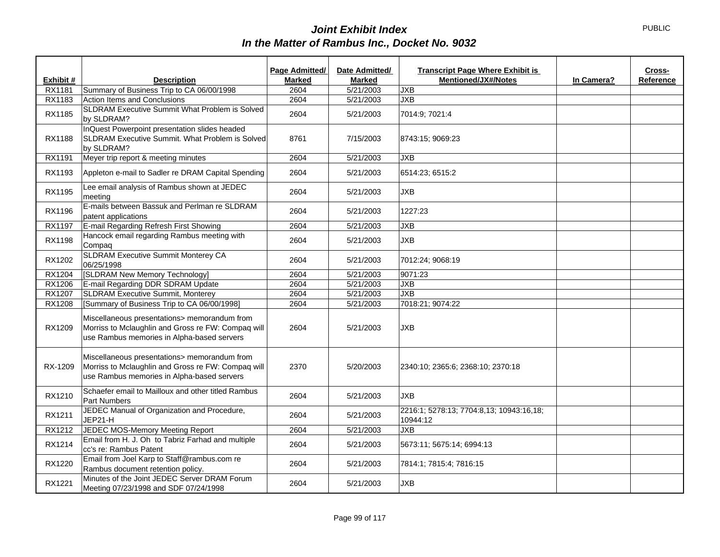|               |                                                                                                                                                  | Page Admitted/ | Date Admitted/ | <b>Transcript Page Where Exhibit is</b>              |            | Cross-    |
|---------------|--------------------------------------------------------------------------------------------------------------------------------------------------|----------------|----------------|------------------------------------------------------|------------|-----------|
| Exhibit #     | <b>Description</b>                                                                                                                               | <b>Marked</b>  | <b>Marked</b>  | <b>Mentioned/JX#/Notes</b>                           | In Camera? | Reference |
| RX1181        | Summary of Business Trip to CA 06/00/1998                                                                                                        | 2604           | 5/21/2003      | <b>JXB</b>                                           |            |           |
| RX1183        | <b>Action Items and Conclusions</b>                                                                                                              | 2604           | 5/21/2003      | <b>JXB</b>                                           |            |           |
| RX1185        | SLDRAM Executive Summit What Problem is Solved<br>by SLDRAM?                                                                                     | 2604           | 5/21/2003      | 7014:9; 7021:4                                       |            |           |
| <b>RX1188</b> | InQuest Powerpoint presentation slides headed<br>SLDRAM Executive Summit. What Problem is Solved<br>by SLDRAM?                                   | 8761           | 7/15/2003      | 8743:15; 9069:23                                     |            |           |
| RX1191        | Meyer trip report & meeting minutes                                                                                                              | 2604           | 5/21/2003      | <b>JXB</b>                                           |            |           |
| RX1193        | Appleton e-mail to Sadler re DRAM Capital Spending                                                                                               | 2604           | 5/21/2003      | 6514:23; 6515:2                                      |            |           |
| RX1195        | Lee email analysis of Rambus shown at JEDEC<br>meeting                                                                                           | 2604           | 5/21/2003      | <b>JXB</b>                                           |            |           |
| RX1196        | E-mails between Bassuk and Perlman re SLDRAM<br>patent applications                                                                              | 2604           | 5/21/2003      | 1227:23                                              |            |           |
| RX1197        | E-mail Regarding Refresh First Showing                                                                                                           | 2604           | 5/21/2003      | <b>JXB</b>                                           |            |           |
| <b>RX1198</b> | Hancock email regarding Rambus meeting with<br>Compaq                                                                                            | 2604           | 5/21/2003      | <b>JXB</b>                                           |            |           |
| RX1202        | SLDRAM Executive Summit Monterey CA<br>06/25/1998                                                                                                | 2604           | 5/21/2003      | 7012:24; 9068:19                                     |            |           |
| RX1204        | [SLDRAM New Memory Technology]                                                                                                                   | 2604           | 5/21/2003      | 9071:23                                              |            |           |
| RX1206        | E-mail Regarding DDR SDRAM Update                                                                                                                | 2604           | 5/21/2003      | JXB                                                  |            |           |
| RX1207        | <b>SLDRAM Executive Summit, Monterey</b>                                                                                                         | 2604           | 5/21/2003      | JXB                                                  |            |           |
| RX1208        | [Summary of Business Trip to CA 06/00/1998]                                                                                                      | 2604           | 5/21/2003      | 7018:21; 9074:22                                     |            |           |
| RX1209        | Miscellaneous presentations> memorandum from<br>Morriss to Mclaughlin and Gross re FW: Compaq will<br>use Rambus memories in Alpha-based servers | 2604           | 5/21/2003      | <b>JXB</b>                                           |            |           |
| RX-1209       | Miscellaneous presentations> memorandum from<br>Morriss to Mclaughlin and Gross re FW: Compaq will<br>use Rambus memories in Alpha-based servers | 2370           | 5/20/2003      | 2340:10; 2365:6; 2368:10; 2370:18                    |            |           |
| RX1210        | Schaefer email to Mailloux and other titled Rambus<br>Part Numbers                                                                               | 2604           | 5/21/2003      | <b>JXB</b>                                           |            |           |
| RX1211        | JEDEC Manual of Organization and Procedure,<br>JEP21-H                                                                                           | 2604           | 5/21/2003      | 2216:1; 5278:13; 7704:8,13; 10943:16,18;<br>10944:12 |            |           |
| RX1212        | JEDEC MOS-Memory Meeting Report                                                                                                                  | 2604           | 5/21/2003      | <b>JXB</b>                                           |            |           |
| RX1214        | Email from H. J. Oh to Tabriz Farhad and multiple<br>cc's re: Rambus Patent                                                                      | 2604           | 5/21/2003      | 5673:11; 5675:14; 6994:13                            |            |           |
| RX1220        | Email from Joel Karp to Staff@rambus.com re<br>Rambus document retention policy.                                                                 | 2604           | 5/21/2003      | 7814:1; 7815:4; 7816:15                              |            |           |
| RX1221        | Minutes of the Joint JEDEC Server DRAM Forum<br>Meeting 07/23/1998 and SDF 07/24/1998                                                            | 2604           | 5/21/2003      | <b>JXB</b>                                           |            |           |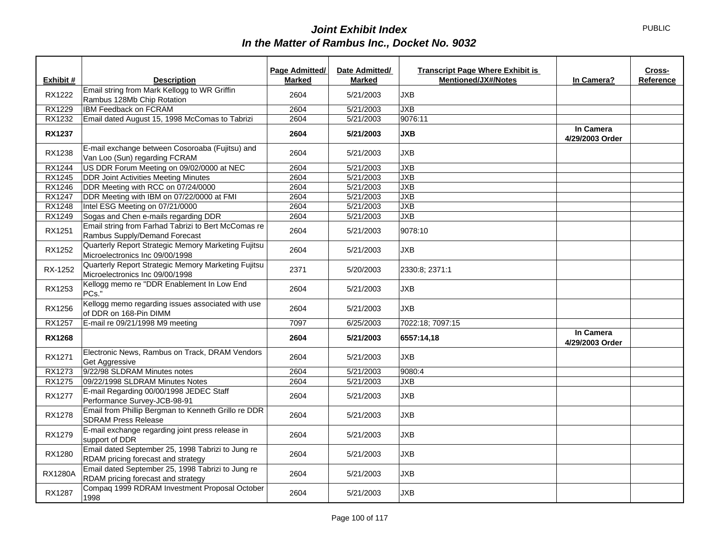|                |                                                                                         | Page Admitted/ | Date Admitted/ | <b>Transcript Page Where Exhibit is</b> |                              | Cross-    |
|----------------|-----------------------------------------------------------------------------------------|----------------|----------------|-----------------------------------------|------------------------------|-----------|
| Exhibit #      | <b>Description</b>                                                                      | <b>Marked</b>  | <b>Marked</b>  | <b>Mentioned/JX#/Notes</b>              | In Camera?                   | Reference |
| RX1222         | Email string from Mark Kellogg to WR Griffin<br>Rambus 128Mb Chip Rotation              | 2604           | 5/21/2003      | <b>JXB</b>                              |                              |           |
| RX1229         | IBM Feedback on FCRAM                                                                   | 2604           | 5/21/2003      | <b>JXB</b>                              |                              |           |
| RX1232         | Email dated August 15, 1998 McComas to Tabrizi                                          | 2604           | 5/21/2003      | 9076:11                                 |                              |           |
| <b>RX1237</b>  |                                                                                         | 2604           | 5/21/2003      | <b>JXB</b>                              | In Camera<br>4/29/2003 Order |           |
| RX1238         | E-mail exchange between Cosoroaba (Fujitsu) and<br>Van Loo (Sun) regarding FCRAM        | 2604           | 5/21/2003      | <b>JXB</b>                              |                              |           |
| RX1244         | US DDR Forum Meeting on 09/02/0000 at NEC                                               | 2604           | 5/21/2003      | <b>JXB</b>                              |                              |           |
| RX1245         | <b>DDR Joint Activities Meeting Minutes</b>                                             | 2604           | 5/21/2003      | <b>JXB</b>                              |                              |           |
| RX1246         | DDR Meeting with RCC on 07/24/0000                                                      | 2604           | 5/21/2003      | JXB                                     |                              |           |
| <b>RX1247</b>  | DDR Meeting with IBM on 07/22/0000 at FMI                                               | 2604           | 5/21/2003      | JXB                                     |                              |           |
| RX1248         | Intel ESG Meeting on 07/21/0000                                                         | 2604           | 5/21/2003      | <b>JXB</b>                              |                              |           |
| RX1249         | Sogas and Chen e-mails regarding DDR                                                    | 2604           | 5/21/2003      | <b>JXB</b>                              |                              |           |
| RX1251         | Email string from Farhad Tabrizi to Bert McComas re<br>Rambus Supply/Demand Forecast    | 2604           | 5/21/2003      | 9078:10                                 |                              |           |
| RX1252         | Quarterly Report Strategic Memory Marketing Fujitsu<br>Microelectronics Inc 09/00/1998  | 2604           | 5/21/2003      | JXB                                     |                              |           |
| RX-1252        | Quarterly Report Strategic Memory Marketing Fujitsu<br>Microelectronics Inc 09/00/1998  | 2371           | 5/20/2003      | 2330:8; 2371:1                          |                              |           |
| RX1253         | Kellogg memo re "DDR Enablement In Low End<br>PCs."                                     | 2604           | 5/21/2003      | <b>JXB</b>                              |                              |           |
| RX1256         | Kellogg memo regarding issues associated with use<br>of DDR on 168-Pin DIMM             | 2604           | 5/21/2003      | JXB                                     |                              |           |
| RX1257         | E-mail re 09/21/1998 M9 meeting                                                         | 7097           | 6/25/2003      | 7022:18; 7097:15                        |                              |           |
| <b>RX1268</b>  |                                                                                         | 2604           | 5/21/2003      | 6557:14.18                              | In Camera<br>4/29/2003 Order |           |
| RX1271         | Electronic News, Rambus on Track, DRAM Vendors<br>Get Aggressive                        | 2604           | 5/21/2003      | <b>JXB</b>                              |                              |           |
| RX1273         | 9/22/98 SLDRAM Minutes notes                                                            | 2604           | 5/21/2003      | 9080:4                                  |                              |           |
| RX1275         | 09/22/1998 SLDRAM Minutes Notes                                                         | 2604           | 5/21/2003      | <b>JXB</b>                              |                              |           |
| <b>RX1277</b>  | E-mail Regarding 00/00/1998 JEDEC Staff<br>Performance Survey-JCB-98-91                 | 2604           | 5/21/2003      | <b>JXB</b>                              |                              |           |
| <b>RX1278</b>  | Email from Phillip Bergman to Kenneth Grillo re DDR<br><b>SDRAM Press Release</b>       | 2604           | 5/21/2003      | <b>JXB</b>                              |                              |           |
| RX1279         | E-mail exchange regarding joint press release in<br>support of DDR                      | 2604           | 5/21/2003      | <b>JXB</b>                              |                              |           |
| RX1280         | Email dated September 25, 1998 Tabrizi to Jung re<br>RDAM pricing forecast and strategy | 2604           | 5/21/2003      | <b>JXB</b>                              |                              |           |
| <b>RX1280A</b> | Email dated September 25, 1998 Tabrizi to Jung re<br>RDAM pricing forecast and strategy | 2604           | 5/21/2003      | <b>JXB</b>                              |                              |           |
| <b>RX1287</b>  | Compaq 1999 RDRAM Investment Proposal October<br>1998                                   | 2604           | 5/21/2003      | <b>JXB</b>                              |                              |           |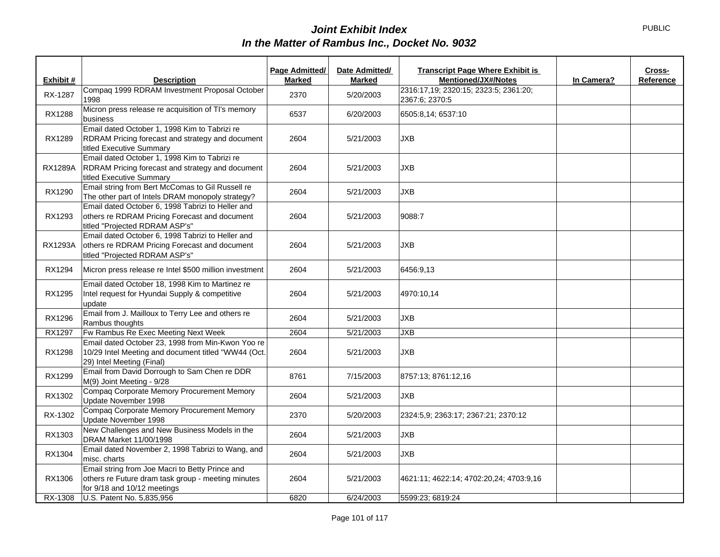|                |                                                                                                                                       | Page Admitted/ | Date Admitted/ | <b>Transcript Page Where Exhibit is</b><br>Cross-       |
|----------------|---------------------------------------------------------------------------------------------------------------------------------------|----------------|----------------|---------------------------------------------------------|
| Exhibit #      | <b>Description</b>                                                                                                                    | <b>Marked</b>  | <b>Marked</b>  | <b>Mentioned/JX#/Notes</b><br>In Camera?<br>Reference   |
| RX-1287        | Compaq 1999 RDRAM Investment Proposal October<br>1998                                                                                 | 2370           | 5/20/2003      | 2316:17,19; 2320:15; 2323:5; 2361:20;<br>2367:6; 2370:5 |
| <b>RX1288</b>  | Micron press release re acquisition of TI's memory<br>business                                                                        | 6537           | 6/20/2003      | 6505:8,14; 6537:10                                      |
| RX1289         | Email dated October 1, 1998 Kim to Tabrizi re<br>RDRAM Pricing forecast and strategy and document<br>titled Executive Summary         | 2604           | 5/21/2003      | <b>JXB</b>                                              |
| <b>RX1289A</b> | Email dated October 1, 1998 Kim to Tabrizi re<br>RDRAM Pricing forecast and strategy and document<br>titled Executive Summary         | 2604           | 5/21/2003      | <b>JXB</b>                                              |
| RX1290         | Email string from Bert McComas to Gil Russell re<br>The other part of Intels DRAM monopoly strategy?                                  | 2604           | 5/21/2003      | <b>JXB</b>                                              |
| RX1293         | Email dated October 6, 1998 Tabrizi to Heller and<br>others re RDRAM Pricing Forecast and document<br>titled "Projected RDRAM ASP's"  | 2604           | 5/21/2003      | 9088:7                                                  |
| RX1293A        | Email dated October 6, 1998 Tabrizi to Heller and<br>others re RDRAM Pricing Forecast and document<br>titled "Projected RDRAM ASP's"  | 2604           | 5/21/2003      | <b>JXB</b>                                              |
| RX1294         | Micron press release re Intel \$500 million investment                                                                                | 2604           | 5/21/2003      | 6456:9,13                                               |
| RX1295         | Email dated October 18, 1998 Kim to Martinez re<br>Intel request for Hyundai Supply & competitive<br>update                           | 2604           | 5/21/2003      | 4970:10,14                                              |
| RX1296         | Email from J. Mailloux to Terry Lee and others re<br>Rambus thoughts                                                                  | 2604           | 5/21/2003      | <b>JXB</b>                                              |
| RX1297         | Fw Rambus Re Exec Meeting Next Week                                                                                                   | 2604           | 5/21/2003      | <b>JXB</b>                                              |
| <b>RX1298</b>  | Email dated October 23, 1998 from Min-Kwon Yoo re<br>10/29 Intel Meeting and document titled "WW44 (Oct.<br>29) Intel Meeting (Final) | 2604           | 5/21/2003      | <b>JXB</b>                                              |
| RX1299         | Email from David Dorrough to Sam Chen re DDR<br>M(9) Joint Meeting - 9/28                                                             | 8761           | 7/15/2003      | 8757:13; 8761:12,16                                     |
| RX1302         | Compaq Corporate Memory Procurement Memory<br>Update November 1998                                                                    | 2604           | 5/21/2003      | <b>JXB</b>                                              |
| RX-1302        | Compaq Corporate Memory Procurement Memory<br>Update November 1998                                                                    | 2370           | 5/20/2003      | 2324:5,9; 2363:17; 2367:21; 2370:12                     |
| RX1303         | New Challenges and New Business Models in the<br>DRAM Market 11/00/1998                                                               | 2604           | 5/21/2003      | <b>JXB</b>                                              |
| RX1304         | Email dated November 2, 1998 Tabrizi to Wang, and<br>misc. charts                                                                     | 2604           | 5/21/2003      | <b>JXB</b>                                              |
| RX1306         | Email string from Joe Macri to Betty Prince and<br>others re Future dram task group - meeting minutes<br>for 9/18 and 10/12 meetings  | 2604           | 5/21/2003      | 4621:11; 4622:14; 4702:20,24; 4703:9,16                 |
| RX-1308        | U.S. Patent No. 5,835,956                                                                                                             | 6820           | 6/24/2003      | 5599:23; 6819:24                                        |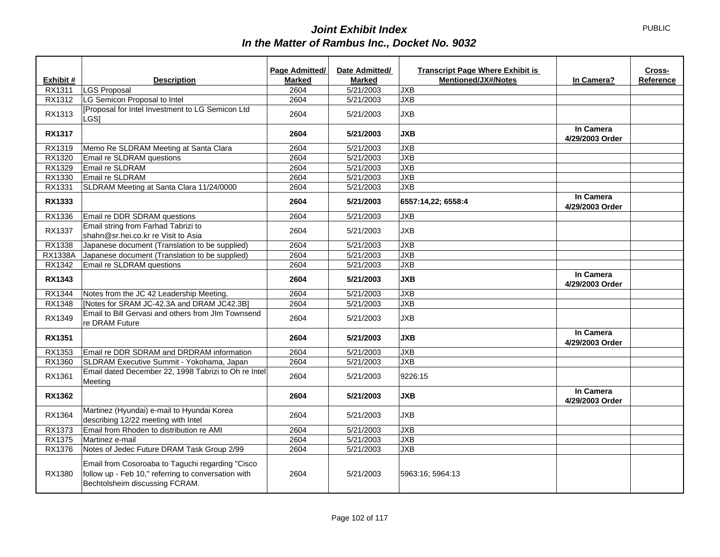|               |                                                                                                                                           | <b>Page Admitted/</b> | Date Admitted/ | <b>Transcript Page Where Exhibit is</b> |                              | Cross-    |
|---------------|-------------------------------------------------------------------------------------------------------------------------------------------|-----------------------|----------------|-----------------------------------------|------------------------------|-----------|
| Exhibit #     | <b>Description</b>                                                                                                                        | <b>Marked</b>         | <b>Marked</b>  | <b>Mentioned/JX#/Notes</b>              | In Camera?                   | Reference |
| RX1311        | <b>LGS Proposal</b>                                                                                                                       | 2604                  | 5/21/2003      | <b>JXB</b>                              |                              |           |
| RX1312        | LG Semicon Proposal to Intel                                                                                                              | 2604                  | 5/21/2003      | <b>JXB</b>                              |                              |           |
| RX1313        | [Proposal for Intel Investment to LG Semicon Ltd<br>LGS <sub>I</sub>                                                                      | 2604                  | 5/21/2003      | <b>JXB</b>                              |                              |           |
| <b>RX1317</b> |                                                                                                                                           | 2604                  | 5/21/2003      | <b>JXB</b>                              | In Camera<br>4/29/2003 Order |           |
| RX1319        | Memo Re SLDRAM Meeting at Santa Clara                                                                                                     | 2604                  | 5/21/2003      | <b>JXB</b>                              |                              |           |
| RX1320        | Email re SLDRAM questions                                                                                                                 | 2604                  | 5/21/2003      | <b>JXB</b>                              |                              |           |
| RX1329        | Email re SLDRAM                                                                                                                           | 2604                  | 5/21/2003      | <b>JXB</b>                              |                              |           |
| RX1330        | Email re SLDRAM                                                                                                                           | 2604                  | 5/21/2003      | <b>JXB</b>                              |                              |           |
| RX1331        | SLDRAM Meeting at Santa Clara 11/24/0000                                                                                                  | 2604                  | 5/21/2003      | <b>JXB</b>                              |                              |           |
| RX1333        |                                                                                                                                           | 2604                  | 5/21/2003      | 6557:14,22; 6558:4                      | In Camera<br>4/29/2003 Order |           |
| RX1336        | Email re DDR SDRAM questions                                                                                                              | 2604                  | 5/21/2003      | <b>JXB</b>                              |                              |           |
| RX1337        | Email string from Farhad Tabrizi to<br>shahn@sr.hei.co.kr re Visit to Asia                                                                | 2604                  | 5/21/2003      | <b>JXB</b>                              |                              |           |
| RX1338        | Japanese document (Translation to be supplied)                                                                                            | 2604                  | 5/21/2003      | <b>JXB</b>                              |                              |           |
| RX1338A       | Japanese document (Translation to be supplied)                                                                                            | 2604                  | 5/21/2003      | <b>JXB</b>                              |                              |           |
| RX1342        | Email re SLDRAM questions                                                                                                                 | 2604                  | 5/21/2003      | <b>JXB</b>                              |                              |           |
| RX1343        |                                                                                                                                           | 2604                  | 5/21/2003      | <b>JXB</b>                              | In Camera<br>4/29/2003 Order |           |
| RX1344        | Notes from the JC 42 Leadership Meeting.                                                                                                  | 2604                  | 5/21/2003      | <b>JXB</b>                              |                              |           |
| RX1348        | [Notes for SRAM JC-42.3A and DRAM JC42.3B]                                                                                                | 2604                  | 5/21/2003      | <b>JXB</b>                              |                              |           |
| RX1349        | Email to Bill Gervasi and others from JIm Townsend<br>re DRAM Future                                                                      | 2604                  | 5/21/2003      | <b>JXB</b>                              |                              |           |
| <b>RX1351</b> |                                                                                                                                           | 2604                  | 5/21/2003      | <b>JXB</b>                              | In Camera<br>4/29/2003 Order |           |
| RX1353        | Email re DDR SDRAM and DRDRAM information                                                                                                 | 2604                  | 5/21/2003      | <b>JXB</b>                              |                              |           |
| RX1360        | SLDRAM Executive Summit - Yokohama, Japan                                                                                                 | 2604                  | 5/21/2003      | <b>JXB</b>                              |                              |           |
| RX1361        | Email dated December 22, 1998 Tabrizi to Oh re Intel<br>Meeting                                                                           | 2604                  | 5/21/2003      | 9226:15                                 |                              |           |
| <b>RX1362</b> |                                                                                                                                           | 2604                  | 5/21/2003      | <b>JXB</b>                              | In Camera<br>4/29/2003 Order |           |
| RX1364        | Martinez (Hyundai) e-mail to Hyundai Korea<br>describing 12/22 meeting with Intel                                                         | 2604                  | 5/21/2003      | <b>JXB</b>                              |                              |           |
| RX1373        | Email from Rhoden to distribution re AMI                                                                                                  | 2604                  | 5/21/2003      | <b>JXB</b>                              |                              |           |
| RX1375        | Martinez e-mail                                                                                                                           | 2604                  | 5/21/2003      | <b>JXB</b>                              |                              |           |
| RX1376        | Notes of Jedec Future DRAM Task Group 2/99                                                                                                | 2604                  | 5/21/2003      | <b>JXB</b>                              |                              |           |
| RX1380        | Email from Cosoroaba to Taguchi regarding "Cisco<br>follow up - Feb 10," referring to conversation with<br>Bechtolsheim discussing FCRAM. | 2604                  | 5/21/2003      | 5963:16; 5964:13                        |                              |           |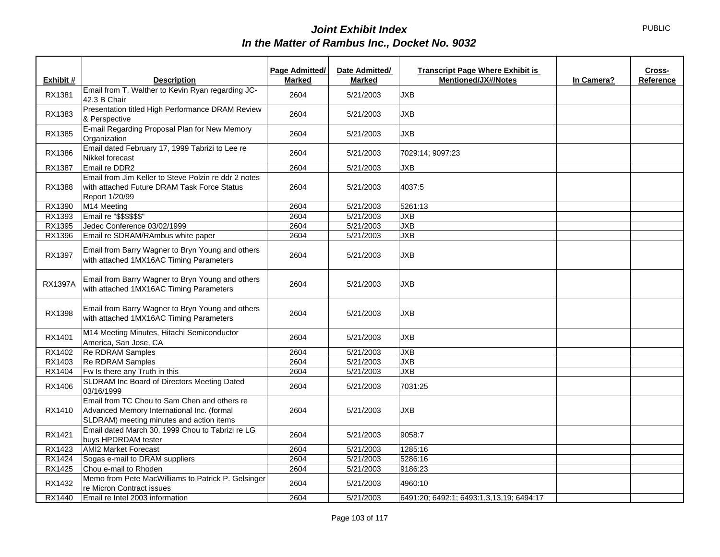|                |                                                                                                                                        | Page Admitted/ | Date Admitted/ | <b>Transcript Page Where Exhibit is</b>  |            | Cross-    |
|----------------|----------------------------------------------------------------------------------------------------------------------------------------|----------------|----------------|------------------------------------------|------------|-----------|
| Exhibit #      | <b>Description</b>                                                                                                                     | <b>Marked</b>  | Marked         | <b>Mentioned/JX#/Notes</b>               | In Camera? | Reference |
| RX1381         | Email from T. Walther to Kevin Ryan regarding JC-<br>42.3 B Chair                                                                      | 2604           | 5/21/2003      | <b>JXB</b>                               |            |           |
| RX1383         | Presentation titled High Performance DRAM Review<br>& Perspective                                                                      | 2604           | 5/21/2003      | <b>JXB</b>                               |            |           |
| RX1385         | E-mail Regarding Proposal Plan for New Memory<br>Organization                                                                          | 2604           | 5/21/2003      | <b>JXB</b>                               |            |           |
| RX1386         | Email dated February 17, 1999 Tabrizi to Lee re<br>Nikkel forecast                                                                     | 2604           | 5/21/2003      | 7029:14; 9097:23                         |            |           |
| RX1387         | Email re DDR2                                                                                                                          | 2604           | 5/21/2003      | <b>JXB</b>                               |            |           |
| RX1388         | Email from Jim Keller to Steve Polzin re ddr 2 notes<br>with attached Future DRAM Task Force Status<br>Report 1/20/99                  | 2604           | 5/21/2003      | 4037:5                                   |            |           |
| RX1390         | M14 Meeting                                                                                                                            | 2604           | 5/21/2003      | 5261:13                                  |            |           |
| RX1393         | Email re "\$\$\$\$\$\$"                                                                                                                | 2604           | 5/21/2003      | <b>JXB</b>                               |            |           |
| RX1395         | Jedec Conference 03/02/1999                                                                                                            | 2604           | 5/21/2003      | JXB                                      |            |           |
| RX1396         | Email re SDRAM/RAmbus white paper                                                                                                      | 2604           | 5/21/2003      | <b>JXB</b>                               |            |           |
| RX1397         | Email from Barry Wagner to Bryn Young and others<br>with attached 1MX16AC Timing Parameters                                            | 2604           | 5/21/2003      | <b>JXB</b>                               |            |           |
| <b>RX1397A</b> | Email from Barry Wagner to Bryn Young and others<br>with attached 1MX16AC Timing Parameters                                            | 2604           | 5/21/2003      | <b>JXB</b>                               |            |           |
| RX1398         | Email from Barry Wagner to Bryn Young and others<br>with attached 1MX16AC Timing Parameters                                            | 2604           | 5/21/2003      | <b>JXB</b>                               |            |           |
| RX1401         | M14 Meeting Minutes, Hitachi Semiconductor<br>America, San Jose, CA                                                                    | 2604           | 5/21/2003      | <b>JXB</b>                               |            |           |
| RX1402         | <b>Re RDRAM Samples</b>                                                                                                                | 2604           | 5/21/2003      | <b>JXB</b>                               |            |           |
| RX1403         | Re RDRAM Samples                                                                                                                       | 2604           | 5/21/2003      | <b>JXB</b>                               |            |           |
| RX1404         | Fw Is there any Truth in this                                                                                                          | 2604           | 5/21/2003      | JXB                                      |            |           |
| RX1406         | SLDRAM Inc Board of Directors Meeting Dated<br>03/16/1999                                                                              | 2604           | 5/21/2003      | 7031:25                                  |            |           |
| RX1410         | Email from TC Chou to Sam Chen and others re<br>Advanced Memory International Inc. (formal<br>SLDRAM) meeting minutes and action items | 2604           | 5/21/2003      | <b>JXB</b>                               |            |           |
| RX1421         | Email dated March 30, 1999 Chou to Tabrizi re LG<br>buys HPDRDAM tester                                                                | 2604           | 5/21/2003      | 9058:7                                   |            |           |
| RX1423         | <b>AMI2 Market Forecast</b>                                                                                                            | 2604           | 5/21/2003      | 1285:16                                  |            |           |
| RX1424         | Sogas e-mail to DRAM suppliers                                                                                                         | 2604           | 5/21/2003      | 5286:16                                  |            |           |
| RX1425         | Chou e-mail to Rhoden                                                                                                                  | 2604           | 5/21/2003      | 9186:23                                  |            |           |
| RX1432         | Memo from Pete MacWilliams to Patrick P. Gelsinger<br>re Micron Contract issues                                                        | 2604           | 5/21/2003      | 4960:10                                  |            |           |
| RX1440         | Email re Intel 2003 information                                                                                                        | 2604           | 5/21/2003      | 6491:20; 6492:1; 6493:1,3,13,19; 6494:17 |            |           |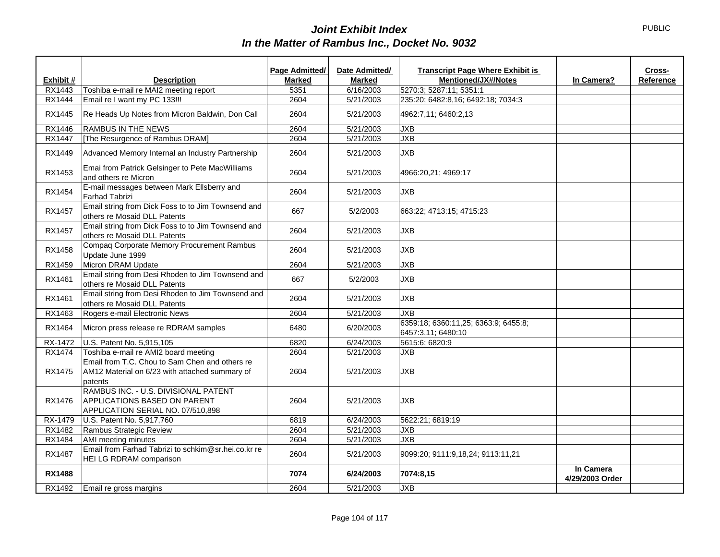|               |                                                                                                             | Page Admitted/ | Date Admitted/ | <b>Transcript Page Where Exhibit is</b>                    | Cross-                       |
|---------------|-------------------------------------------------------------------------------------------------------------|----------------|----------------|------------------------------------------------------------|------------------------------|
| Exhibit #     | <b>Description</b>                                                                                          | <b>Marked</b>  | <b>Marked</b>  | <b>Mentioned/JX#/Notes</b>                                 | In Camera?<br>Reference      |
| RX1443        | Toshiba e-mail re MAI2 meeting report                                                                       | 5351           | 6/16/2003      | 5270:3; 5287:11; 5351:1                                    |                              |
| <b>RX1444</b> | Email re I want my PC 133!!!                                                                                | 2604           | 5/21/2003      | 235:20; 6482:8,16; 6492:18; 7034:3                         |                              |
| RX1445        | Re Heads Up Notes from Micron Baldwin, Don Call                                                             | 2604           | 5/21/2003      | 4962:7,11; 6460:2,13                                       |                              |
| RX1446        | <b>RAMBUS IN THE NEWS</b>                                                                                   | 2604           | 5/21/2003      | <b>JXB</b>                                                 |                              |
| <b>RX1447</b> | [The Resurgence of Rambus DRAM]                                                                             | 2604           | 5/21/2003      | <b>JXB</b>                                                 |                              |
| RX1449        | Advanced Memory Internal an Industry Partnership                                                            | 2604           | 5/21/2003      | <b>JXB</b>                                                 |                              |
| RX1453        | Emai from Patrick Gelsinger to Pete MacWilliams<br>and others re Micron                                     | 2604           | 5/21/2003      | 4966:20,21; 4969:17                                        |                              |
| RX1454        | E-mail messages between Mark Ellsberry and<br><b>Farhad Tabrizi</b>                                         | 2604           | 5/21/2003      | <b>JXB</b>                                                 |                              |
| <b>RX1457</b> | Email string from Dick Foss to to Jim Townsend and<br>others re Mosaid DLL Patents                          | 667            | 5/2/2003       | 663:22; 4713:15; 4715:23                                   |                              |
| RX1457        | Email string from Dick Foss to to Jim Townsend and<br>others re Mosaid DLL Patents                          | 2604           | 5/21/2003      | <b>JXB</b>                                                 |                              |
| RX1458        | Compaq Corporate Memory Procurement Rambus<br>Update June 1999                                              | 2604           | 5/21/2003      | <b>JXB</b>                                                 |                              |
| RX1459        | Micron DRAM Update                                                                                          | 2604           | 5/21/2003      | <b>JXB</b>                                                 |                              |
| RX1461        | Email string from Desi Rhoden to Jim Townsend and<br>others re Mosaid DLL Patents                           | 667            | 5/2/2003       | <b>JXB</b>                                                 |                              |
| RX1461        | Email string from Desi Rhoden to Jim Townsend and<br>others re Mosaid DLL Patents                           | 2604           | 5/21/2003      | <b>JXB</b>                                                 |                              |
| RX1463        | Rogers e-mail Electronic News                                                                               | 2604           | 5/21/2003      | <b>JXB</b>                                                 |                              |
| RX1464        | Micron press release re RDRAM samples                                                                       | 6480           | 6/20/2003      | 6359:18; 6360:11,25; 6363:9; 6455:8;<br>6457:3,11; 6480:10 |                              |
| RX-1472       | U.S. Patent No. 5,915,105                                                                                   | 6820           | 6/24/2003      | 5615:6; 6820:9                                             |                              |
| <b>RX1474</b> | Toshiba e-mail re AMI2 board meeting                                                                        | 2604           | 5/21/2003      | <b>JXB</b>                                                 |                              |
| RX1475        | Email from T.C. Chou to Sam Chen and others re<br>AM12 Material on 6/23 with attached summary of<br>patents | 2604           | 5/21/2003      | <b>JXB</b>                                                 |                              |
| RX1476        | RAMBUS INC. - U.S. DIVISIONAL PATENT<br>APPLICATIONS BASED ON PARENT<br>APPLICATION SERIAL NO. 07/510.898   | 2604           | 5/21/2003      | <b>JXB</b>                                                 |                              |
| RX-1479       | U.S. Patent No. 5,917,760                                                                                   | 6819           | 6/24/2003      | 5622:21; 6819:19                                           |                              |
| RX1482        | Rambus Strategic Review                                                                                     | 2604           | 5/21/2003      | <b>JXB</b>                                                 |                              |
| RX1484        | AMI meeting minutes                                                                                         | 2604           | 5/21/2003      | <b>JXB</b>                                                 |                              |
| <b>RX1487</b> | Email from Farhad Tabrizi to schkim@sr.hei.co.kr re<br>HEI LG RDRAM comparison                              | 2604           | 5/21/2003      | 9099:20; 9111:9,18,24; 9113:11,21                          |                              |
| <b>RX1488</b> |                                                                                                             | 7074           | 6/24/2003      | 7074:8,15                                                  | In Camera<br>4/29/2003 Order |
| RX1492        | Email re gross margins                                                                                      | 2604           | 5/21/2003      | <b>JXB</b>                                                 |                              |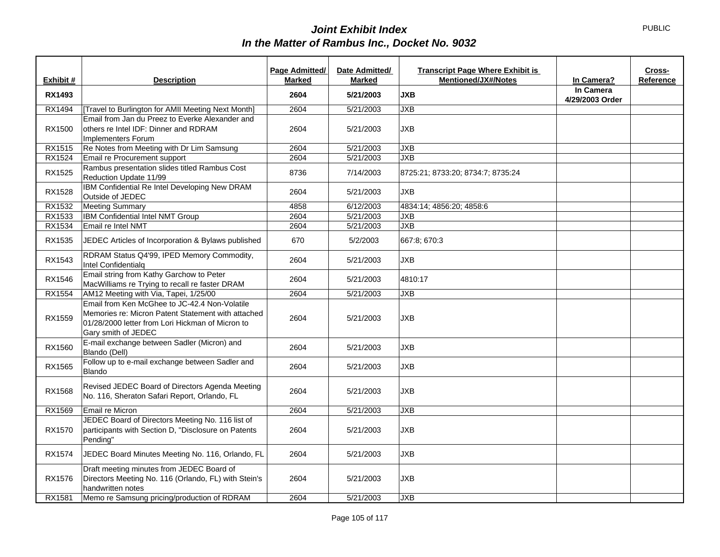| Exhibit #     | <b>Description</b>                                                                                                                                                             | Page Admitted/<br><b>Marked</b> | Date Admitted/<br><b>Marked</b> | <b>Transcript Page Where Exhibit is</b><br><b>Mentioned/JX#/Notes</b> | In Camera?                   | Cross-<br>Reference |
|---------------|--------------------------------------------------------------------------------------------------------------------------------------------------------------------------------|---------------------------------|---------------------------------|-----------------------------------------------------------------------|------------------------------|---------------------|
| <b>RX1493</b> |                                                                                                                                                                                | 2604                            | 5/21/2003                       | <b>JXB</b>                                                            | In Camera<br>4/29/2003 Order |                     |
| RX1494        | [Travel to Burlington for AMII Meeting Next Month]                                                                                                                             | 2604                            | 5/21/2003                       | <b>JXB</b>                                                            |                              |                     |
| RX1500        | Email from Jan du Preez to Everke Alexander and<br>others re Intel IDF: Dinner and RDRAM<br>Implementers Forum                                                                 | 2604                            | 5/21/2003                       | <b>JXB</b>                                                            |                              |                     |
| RX1515        | Re Notes from Meeting with Dr Lim Samsung                                                                                                                                      | 2604                            | 5/21/2003                       | <b>JXB</b>                                                            |                              |                     |
| RX1524        | Email re Procurement support                                                                                                                                                   | 2604                            | 5/21/2003                       | <b>JXB</b>                                                            |                              |                     |
| <b>RX1525</b> | Rambus presentation slides titled Rambus Cost<br>Reduction Update 11/99                                                                                                        | 8736                            | 7/14/2003                       | 8725:21; 8733:20; 8734:7; 8735:24                                     |                              |                     |
| RX1528        | IBM Confidential Re Intel Developing New DRAM<br>Outside of JEDEC                                                                                                              | 2604                            | 5/21/2003                       | <b>JXB</b>                                                            |                              |                     |
| RX1532        | <b>Meeting Summary</b>                                                                                                                                                         | 4858                            | 6/12/2003                       | 4834:14; 4856:20; 4858:6                                              |                              |                     |
| RX1533        | IBM Confidential Intel NMT Group                                                                                                                                               | 2604                            | 5/21/2003                       | <b>JXB</b>                                                            |                              |                     |
| RX1534        | Email re Intel NMT                                                                                                                                                             | 2604                            | 5/21/2003                       | <b>JXB</b>                                                            |                              |                     |
| RX1535        | JEDEC Articles of Incorporation & Bylaws published                                                                                                                             | 670                             | 5/2/2003                        | 667:8; 670:3                                                          |                              |                     |
| RX1543        | RDRAM Status Q4'99, IPED Memory Commodity,<br>Intel Confidentialq                                                                                                              | 2604                            | 5/21/2003                       | <b>JXB</b>                                                            |                              |                     |
| RX1546        | Email string from Kathy Garchow to Peter<br>MacWilliams re Trying to recall re faster DRAM                                                                                     | 2604                            | 5/21/2003                       | 4810:17                                                               |                              |                     |
| RX1554        | AM12 Meeting with Via, Tapei, 1/25/00                                                                                                                                          | 2604                            | 5/21/2003                       | <b>JXB</b>                                                            |                              |                     |
| RX1559        | Email from Ken McGhee to JC-42.4 Non-Volatile<br>Memories re: Micron Patent Statement with attached<br>01/28/2000 letter from Lori Hickman of Micron to<br>Gary smith of JEDEC | 2604                            | 5/21/2003                       | <b>JXB</b>                                                            |                              |                     |
| RX1560        | E-mail exchange between Sadler (Micron) and<br>Blando (Dell)                                                                                                                   | 2604                            | 5/21/2003                       | <b>JXB</b>                                                            |                              |                     |
| RX1565        | Follow up to e-mail exchange between Sadler and<br><b>Blando</b>                                                                                                               | 2604                            | 5/21/2003                       | <b>JXB</b>                                                            |                              |                     |
| RX1568        | Revised JEDEC Board of Directors Agenda Meeting<br>No. 116, Sheraton Safari Report, Orlando, FL                                                                                | 2604                            | 5/21/2003                       | <b>JXB</b>                                                            |                              |                     |
| RX1569        | Email re Micron                                                                                                                                                                | 2604                            | 5/21/2003                       | <b>JXB</b>                                                            |                              |                     |
| RX1570        | JEDEC Board of Directors Meeting No. 116 list of<br>participants with Section D, "Disclosure on Patents<br>Pending"                                                            | 2604                            | 5/21/2003                       | <b>JXB</b>                                                            |                              |                     |
| RX1574        | JEDEC Board Minutes Meeting No. 116, Orlando, FL                                                                                                                               | 2604                            | 5/21/2003                       | <b>JXB</b>                                                            |                              |                     |
| RX1576        | Draft meeting minutes from JEDEC Board of<br>Directors Meeting No. 116 (Orlando, FL) with Stein's<br>handwritten notes                                                         | 2604                            | 5/21/2003                       | <b>JXB</b>                                                            |                              |                     |
| RX1581        | Memo re Samsung pricing/production of RDRAM                                                                                                                                    | 2604                            | 5/21/2003                       | <b>JXB</b>                                                            |                              |                     |

PUBLIC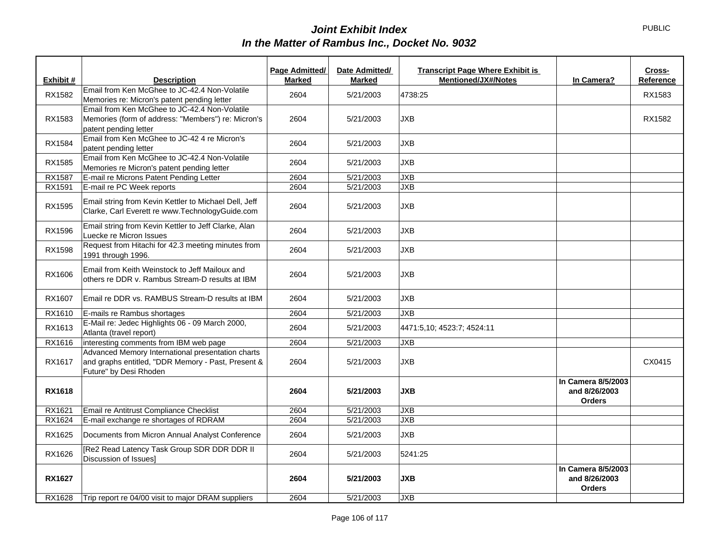|               |                                                                                                                                   | Page Admitted/ | Date Admitted/ | <b>Transcript Page Where Exhibit is</b> |                                                      | Cross-    |
|---------------|-----------------------------------------------------------------------------------------------------------------------------------|----------------|----------------|-----------------------------------------|------------------------------------------------------|-----------|
| Exhibit #     | <b>Description</b>                                                                                                                | <b>Marked</b>  | <b>Marked</b>  | <b>Mentioned/JX#/Notes</b>              | In Camera?                                           | Reference |
| RX1582        | Email from Ken McGhee to JC-42.4 Non-Volatile<br>Memories re: Micron's patent pending letter                                      | 2604           | 5/21/2003      | 4738:25                                 |                                                      | RX1583    |
| RX1583        | Email from Ken McGhee to JC-42.4 Non-Volatile<br>Memories (form of address: "Members") re: Micron's<br>patent pending letter      | 2604           | 5/21/2003      | <b>JXB</b>                              |                                                      | RX1582    |
| RX1584        | Email from Ken McGhee to JC-42 4 re Micron's<br>patent pending letter                                                             | 2604           | 5/21/2003      | <b>JXB</b>                              |                                                      |           |
| RX1585        | Email from Ken McGhee to JC-42.4 Non-Volatile<br>Memories re Micron's patent pending letter                                       | 2604           | 5/21/2003      | <b>JXB</b>                              |                                                      |           |
| RX1587        | E-mail re Microns Patent Pending Letter                                                                                           | 2604           | 5/21/2003      | <b>JXB</b>                              |                                                      |           |
| RX1591        | E-mail re PC Week reports                                                                                                         | 2604           | 5/21/2003      | <b>JXB</b>                              |                                                      |           |
| RX1595        | Email string from Kevin Kettler to Michael Dell, Jeff<br>Clarke, Carl Everett re www.TechnologyGuide.com                          | 2604           | 5/21/2003      | <b>JXB</b>                              |                                                      |           |
| RX1596        | Email string from Kevin Kettler to Jeff Clarke, Alan<br>Luecke re Micron Issues                                                   | 2604           | 5/21/2003      | <b>JXB</b>                              |                                                      |           |
| RX1598        | Request from Hitachi for 42.3 meeting minutes from<br>1991 through 1996.                                                          | 2604           | 5/21/2003      | <b>JXB</b>                              |                                                      |           |
| RX1606        | Email from Keith Weinstock to Jeff Mailoux and<br>others re DDR v. Rambus Stream-D results at IBM                                 | 2604           | 5/21/2003      | <b>JXB</b>                              |                                                      |           |
| RX1607        | Email re DDR vs. RAMBUS Stream-D results at IBM                                                                                   | 2604           | 5/21/2003      | <b>JXB</b>                              |                                                      |           |
| RX1610        | E-mails re Rambus shortages                                                                                                       | 2604           | 5/21/2003      | <b>JXB</b>                              |                                                      |           |
| RX1613        | E-Mail re: Jedec Highlights 06 - 09 March 2000,<br>Atlanta (travel report)                                                        | 2604           | 5/21/2003      | 4471:5,10; 4523:7; 4524:11              |                                                      |           |
| RX1616        | interesting comments from IBM web page                                                                                            | 2604           | 5/21/2003      | <b>JXB</b>                              |                                                      |           |
| RX1617        | Advanced Memory International presentation charts<br>and graphs entitled, "DDR Memory - Past, Present &<br>Future" by Desi Rhoden | 2604           | 5/21/2003      | <b>JXB</b>                              |                                                      | CX0415    |
| <b>RX1618</b> |                                                                                                                                   | 2604           | 5/21/2003      | <b>JXB</b>                              | In Camera 8/5/2003<br>and 8/26/2003<br><b>Orders</b> |           |
| RX1621        | Email re Antitrust Compliance Checklist                                                                                           | 2604           | 5/21/2003      | <b>JXB</b>                              |                                                      |           |
| RX1624        | E-mail exchange re shortages of RDRAM                                                                                             | 2604           | 5/21/2003      | <b>JXB</b>                              |                                                      |           |
| RX1625        | Documents from Micron Annual Analyst Conference                                                                                   | 2604           | 5/21/2003      | <b>JXB</b>                              |                                                      |           |
| RX1626        | [Re2 Read Latency Task Group SDR DDR DDR II<br>Discussion of Issues]                                                              | 2604           | 5/21/2003      | 5241:25                                 |                                                      |           |
| <b>RX1627</b> |                                                                                                                                   | 2604           | 5/21/2003      | <b>JXB</b>                              | In Camera 8/5/2003<br>and 8/26/2003<br><b>Orders</b> |           |
| RX1628        | Trip report re 04/00 visit to major DRAM suppliers                                                                                | 2604           | 5/21/2003      | <b>JXB</b>                              |                                                      |           |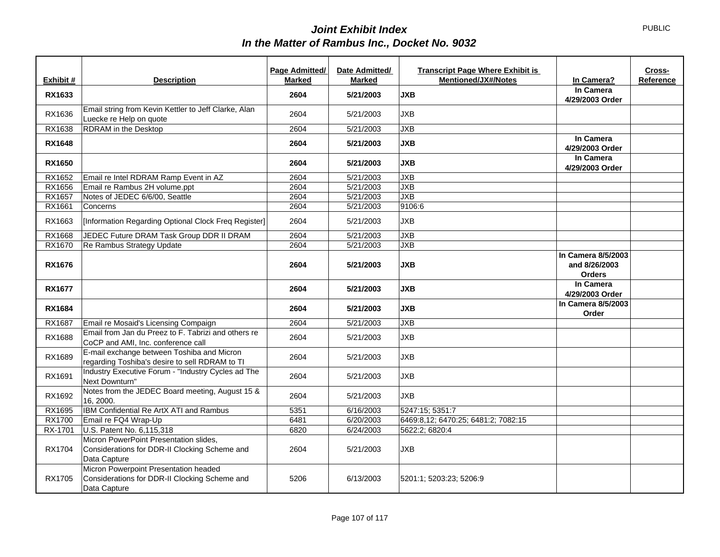|               |                                                                                                         | <b>Page Admitted/</b> | Date Admitted/ | <b>Transcript Page Where Exhibit is</b> |                                                      | Cross-    |
|---------------|---------------------------------------------------------------------------------------------------------|-----------------------|----------------|-----------------------------------------|------------------------------------------------------|-----------|
| Exhibit #     | <b>Description</b>                                                                                      | <b>Marked</b>         | <b>Marked</b>  | <b>Mentioned/JX#/Notes</b>              | In Camera?                                           | Reference |
| RX1633        |                                                                                                         | 2604                  | 5/21/2003      | <b>JXB</b>                              | In Camera                                            |           |
|               |                                                                                                         |                       |                |                                         | 4/29/2003 Order                                      |           |
| RX1636        | Email string from Kevin Kettler to Jeff Clarke, Alan                                                    | 2604                  | 5/21/2003      | <b>JXB</b>                              |                                                      |           |
|               | Luecke re Help on quote                                                                                 |                       |                |                                         |                                                      |           |
| RX1638        | RDRAM in the Desktop                                                                                    | 2604                  | 5/21/2003      | <b>JXB</b>                              |                                                      |           |
| <b>RX1648</b> |                                                                                                         | 2604                  | 5/21/2003      | <b>JXB</b>                              | In Camera<br>4/29/2003 Order                         |           |
| <b>RX1650</b> |                                                                                                         | 2604                  | 5/21/2003      | <b>JXB</b>                              | In Camera<br>4/29/2003 Order                         |           |
| RX1652        | Email re Intel RDRAM Ramp Event in AZ                                                                   | 2604                  | 5/21/2003      | JXB                                     |                                                      |           |
| RX1656        | Email re Rambus 2H volume.ppt                                                                           | 2604                  | 5/21/2003      | JXB                                     |                                                      |           |
| RX1657        | Notes of JEDEC 6/6/00, Seattle                                                                          | 2604                  | 5/21/2003      | JXB                                     |                                                      |           |
| RX1661        | Concerns                                                                                                | 2604                  | 5/21/2003      | 9106:6                                  |                                                      |           |
| RX1663        | [Information Regarding Optional Clock Freq Register]                                                    | 2604                  | 5/21/2003      | <b>JXB</b>                              |                                                      |           |
| RX1668        | JEDEC Future DRAM Task Group DDR II DRAM                                                                | 2604                  | 5/21/2003      | <b>JXB</b>                              |                                                      |           |
| RX1670        | Re Rambus Strategy Update                                                                               | 2604                  | 5/21/2003      | JXB                                     |                                                      |           |
| <b>RX1676</b> |                                                                                                         | 2604                  | 5/21/2003      | <b>JXB</b>                              | In Camera 8/5/2003<br>and 8/26/2003<br><b>Orders</b> |           |
| <b>RX1677</b> |                                                                                                         | 2604                  | 5/21/2003      | <b>JXB</b>                              | In Camera<br>4/29/2003 Order                         |           |
| <b>RX1684</b> |                                                                                                         | 2604                  | 5/21/2003      | <b>JXB</b>                              | In Camera 8/5/2003<br>Order                          |           |
| RX1687        | Email re Mosaid's Licensing Compaign                                                                    | 2604                  | 5/21/2003      | <b>JXB</b>                              |                                                      |           |
| RX1688        | Email from Jan du Preez to F. Tabrizi and others re<br>CoCP and AMI, Inc. conference call               | 2604                  | 5/21/2003      | <b>JXB</b>                              |                                                      |           |
| RX1689        | E-mail exchange between Toshiba and Micron<br>regarding Toshiba's desire to sell RDRAM to TI            | 2604                  | 5/21/2003      | <b>JXB</b>                              |                                                      |           |
| RX1691        | Industry Executive Forum - "Industry Cycles ad The<br>Next Downturn"                                    | 2604                  | 5/21/2003      | <b>JXB</b>                              |                                                      |           |
| RX1692        | Notes from the JEDEC Board meeting, August 15 &<br>16, 2000.                                            | 2604                  | 5/21/2003      | <b>JXB</b>                              |                                                      |           |
| RX1695        | IBM Confidential Re ArtX ATI and Rambus                                                                 | 5351                  | 6/16/2003      | 5247:15; 5351:7                         |                                                      |           |
| <b>RX1700</b> | Email re FQ4 Wrap-Up                                                                                    | 6481                  | 6/20/2003      | 6469:8,12; 6470:25; 6481:2; 7082:15     |                                                      |           |
| RX-1701       | U.S. Patent No. 6,115,318                                                                               | 6820                  | 6/24/2003      | 5622:2; 6820:4                          |                                                      |           |
| RX1704        | Micron PowerPoint Presentation slides,<br>Considerations for DDR-II Clocking Scheme and<br>Data Capture | 2604                  | 5/21/2003      | <b>JXB</b>                              |                                                      |           |
| RX1705        | Micron Powerpoint Presentation headed<br>Considerations for DDR-II Clocking Scheme and<br>Data Capture  | 5206                  | 6/13/2003      | 5201:1; 5203:23; 5206:9                 |                                                      |           |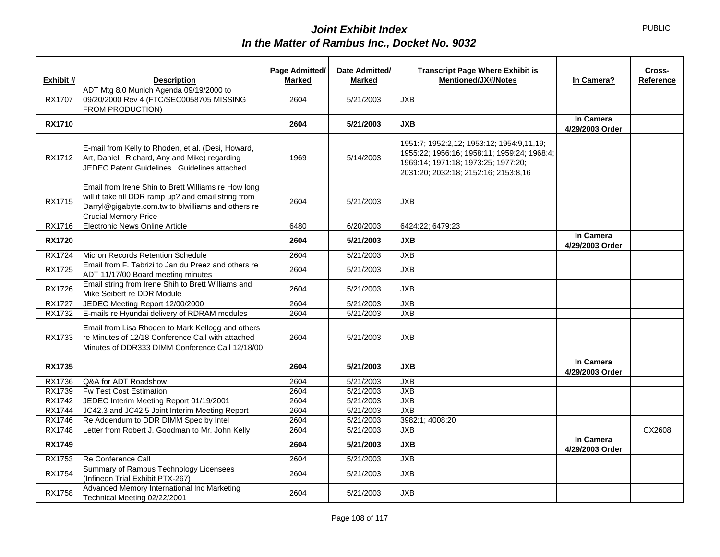| Exhibit #     | <b>Description</b>                                                                                                                                                                               | Page Admitted/<br><b>Marked</b> | Date Admitted/<br><b>Marked</b> | <b>Transcript Page Where Exhibit is</b><br><b>Mentioned/JX#/Notes</b>                                                                                                   | In Camera?                   | Cross-<br>Reference |
|---------------|--------------------------------------------------------------------------------------------------------------------------------------------------------------------------------------------------|---------------------------------|---------------------------------|-------------------------------------------------------------------------------------------------------------------------------------------------------------------------|------------------------------|---------------------|
| <b>RX1707</b> | ADT Mtg 8.0 Munich Agenda 09/19/2000 to<br>09/20/2000 Rev 4 (FTC/SEC0058705 MISSING<br>FROM PRODUCTION)                                                                                          | 2604                            | 5/21/2003                       | <b>JXB</b>                                                                                                                                                              |                              |                     |
| <b>RX1710</b> |                                                                                                                                                                                                  | 2604                            | 5/21/2003                       | <b>JXB</b>                                                                                                                                                              | In Camera<br>4/29/2003 Order |                     |
| RX1712        | E-mail from Kelly to Rhoden, et al. (Desi, Howard,<br>Art, Daniel, Richard, Any and Mike) regarding<br>JEDEC Patent Guidelines. Guidelines attached.                                             | 1969                            | 5/14/2003                       | 1951:7; 1952:2,12; 1953:12; 1954:9,11,19;<br>1955:22: 1956:16: 1958:11: 1959:24: 1968:4:<br>1969:14; 1971:18; 1973:25; 1977:20;<br>2031:20; 2032:18; 2152:16; 2153:8,16 |                              |                     |
| <b>RX1715</b> | Email from Irene Shin to Brett Williams re How long<br>will it take till DDR ramp up? and email string from<br>Darryl@gigabyte.com.tw to blwilliams and others re<br><b>Crucial Memory Price</b> | 2604                            | 5/21/2003                       | <b>JXB</b>                                                                                                                                                              |                              |                     |
| RX1716        | Electronic News Online Article                                                                                                                                                                   | 6480                            | 6/20/2003                       | 6424:22; 6479:23                                                                                                                                                        |                              |                     |
| <b>RX1720</b> |                                                                                                                                                                                                  | 2604                            | 5/21/2003                       | <b>JXB</b>                                                                                                                                                              | In Camera<br>4/29/2003 Order |                     |
| RX1724        | Micron Records Retention Schedule                                                                                                                                                                | 2604                            | 5/21/2003                       | <b>JXB</b>                                                                                                                                                              |                              |                     |
| RX1725        | Email from F. Tabrizi to Jan du Preez and others re<br>ADT 11/17/00 Board meeting minutes                                                                                                        | 2604                            | 5/21/2003                       | JXB                                                                                                                                                                     |                              |                     |
| RX1726        | Email string from Irene Shih to Brett Williams and<br>Mike Seibert re DDR Module                                                                                                                 | 2604                            | 5/21/2003                       | <b>JXB</b>                                                                                                                                                              |                              |                     |
| <b>RX1727</b> | JEDEC Meeting Report 12/00/2000                                                                                                                                                                  | 2604                            | 5/21/2003                       | JXB                                                                                                                                                                     |                              |                     |
| RX1732        | E-mails re Hyundai delivery of RDRAM modules                                                                                                                                                     | 2604                            | 5/21/2003                       | JXB                                                                                                                                                                     |                              |                     |
| RX1733        | Email from Lisa Rhoden to Mark Kellogg and others<br>re Minutes of 12/18 Conference Call with attached<br>Minutes of DDR333 DIMM Conference Call 12/18/00                                        | 2604                            | 5/21/2003                       | <b>JXB</b>                                                                                                                                                              |                              |                     |
| <b>RX1735</b> |                                                                                                                                                                                                  | 2604                            | 5/21/2003                       | <b>JXB</b>                                                                                                                                                              | In Camera<br>4/29/2003 Order |                     |
| RX1736        | Q&A for ADT Roadshow                                                                                                                                                                             | 2604                            | 5/21/2003                       | <b>JXB</b>                                                                                                                                                              |                              |                     |
| RX1739        | Fw Test Cost Estimation                                                                                                                                                                          | 2604                            | 5/21/2003                       | JXB                                                                                                                                                                     |                              |                     |
| RX1742        | JEDEC Interim Meeting Report 01/19/2001                                                                                                                                                          | 2604                            | 5/21/2003                       | <b>JXB</b>                                                                                                                                                              |                              |                     |
| <b>RX1744</b> | JC42.3 and JC42.5 Joint Interim Meeting Report                                                                                                                                                   | 2604                            | 5/21/2003                       | JXB                                                                                                                                                                     |                              |                     |
| <b>RX1746</b> | Re Addendum to DDR DIMM Spec by Intel                                                                                                                                                            | 2604                            | 5/21/2003                       | 3982:1; 4008:20                                                                                                                                                         |                              |                     |
| <b>RX1748</b> | Letter from Robert J. Goodman to Mr. John Kelly                                                                                                                                                  | 2604                            | 5/21/2003                       | <b>JXB</b>                                                                                                                                                              |                              | CX2608              |
| <b>RX1749</b> |                                                                                                                                                                                                  | 2604                            | 5/21/2003                       | <b>JXB</b>                                                                                                                                                              | In Camera<br>4/29/2003 Order |                     |
| RX1753        | Re Conference Call                                                                                                                                                                               | 2604                            | 5/21/2003                       | JXB                                                                                                                                                                     |                              |                     |
| <b>RX1754</b> | Summary of Rambus Technology Licensees<br>(Infineon Trial Exhibit PTX-267)                                                                                                                       | 2604                            | 5/21/2003                       | <b>JXB</b>                                                                                                                                                              |                              |                     |
| <b>RX1758</b> | Advanced Memory International Inc Marketing<br>Technical Meeting 02/22/2001                                                                                                                      | 2604                            | 5/21/2003                       | <b>JXB</b>                                                                                                                                                              |                              |                     |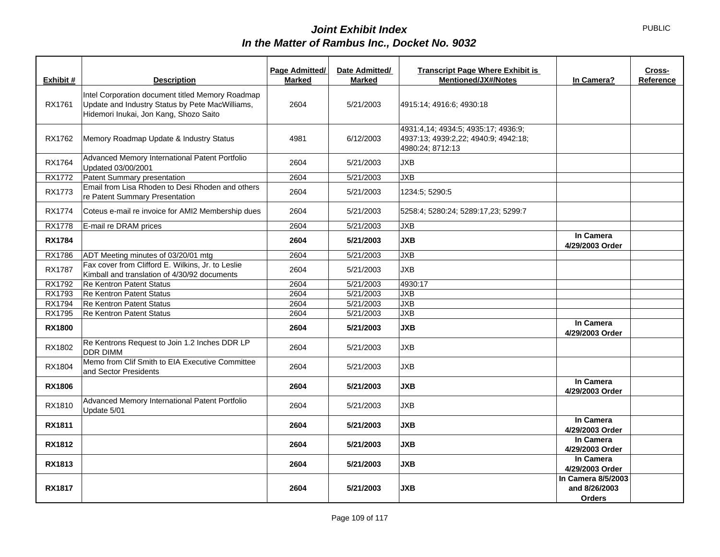| Exhibit #     | <b>Description</b>                                                                                                                            | Page Admitted/<br><b>Marked</b> | Date Admitted/<br><b>Marked</b> | <b>Transcript Page Where Exhibit is</b><br><b>Mentioned/JX#/Notes</b>                           | In Camera?                                           | Cross-<br>Reference |
|---------------|-----------------------------------------------------------------------------------------------------------------------------------------------|---------------------------------|---------------------------------|-------------------------------------------------------------------------------------------------|------------------------------------------------------|---------------------|
| RX1761        | Intel Corporation document titled Memory Roadmap<br>Update and Industry Status by Pete MacWilliams,<br>Hidemori Inukai, Jon Kang, Shozo Saito | 2604                            | 5/21/2003                       | 4915:14; 4916:6; 4930:18                                                                        |                                                      |                     |
| RX1762        | Memory Roadmap Update & Industry Status                                                                                                       | 4981                            | 6/12/2003                       | 4931:4,14; 4934:5; 4935:17; 4936:9;<br>4937:13; 4939:2,22; 4940:9; 4942:18;<br>4980:24; 8712:13 |                                                      |                     |
| RX1764        | Advanced Memory International Patent Portfolio<br>Updated 03/00/2001                                                                          | 2604                            | 5/21/2003                       | <b>JXB</b>                                                                                      |                                                      |                     |
| RX1772        | Patent Summary presentation                                                                                                                   | 2604                            | 5/21/2003                       | <b>JXB</b>                                                                                      |                                                      |                     |
| <b>RX1773</b> | Email from Lisa Rhoden to Desi Rhoden and others<br>re Patent Summary Presentation                                                            | 2604                            | 5/21/2003                       | 1234:5: 5290:5                                                                                  |                                                      |                     |
| <b>RX1774</b> | Coteus e-mail re invoice for AMI2 Membership dues                                                                                             | 2604                            | 5/21/2003                       | 5258:4; 5280:24; 5289:17,23; 5299:7                                                             |                                                      |                     |
| <b>RX1778</b> | E-mail re DRAM prices                                                                                                                         | 2604                            | 5/21/2003                       | <b>JXB</b>                                                                                      |                                                      |                     |
| <b>RX1784</b> |                                                                                                                                               | 2604                            | 5/21/2003                       | <b>JXB</b>                                                                                      | In Camera<br>4/29/2003 Order                         |                     |
| RX1786        | ADT Meeting minutes of 03/20/01 mtg                                                                                                           | 2604                            | 5/21/2003                       | <b>JXB</b>                                                                                      |                                                      |                     |
| <b>RX1787</b> | Fax cover from Clifford E. Wilkins, Jr. to Leslie<br>Kimball and translation of 4/30/92 documents                                             | 2604                            | 5/21/2003                       | <b>JXB</b>                                                                                      |                                                      |                     |
| RX1792        | <b>Re Kentron Patent Status</b>                                                                                                               | 2604                            | 5/21/2003                       | 4930:17                                                                                         |                                                      |                     |
| RX1793        | <b>Re Kentron Patent Status</b>                                                                                                               | 2604                            | 5/21/2003                       | <b>JXB</b>                                                                                      |                                                      |                     |
| RX1794        | <b>Re Kentron Patent Status</b>                                                                                                               | 2604                            | 5/21/2003                       | JXB                                                                                             |                                                      |                     |
| RX1795        | <b>Re Kentron Patent Status</b>                                                                                                               | 2604                            | 5/21/2003                       | JXB                                                                                             |                                                      |                     |
| <b>RX1800</b> |                                                                                                                                               | 2604                            | 5/21/2003                       | <b>JXB</b>                                                                                      | In Camera<br>4/29/2003 Order                         |                     |
| RX1802        | Re Kentrons Request to Join 1.2 Inches DDR LP<br><b>DDR DIMM</b>                                                                              | 2604                            | 5/21/2003                       | <b>JXB</b>                                                                                      |                                                      |                     |
| RX1804        | Memo from Clif Smith to EIA Executive Committee<br>and Sector Presidents                                                                      | 2604                            | 5/21/2003                       | <b>JXB</b>                                                                                      |                                                      |                     |
| <b>RX1806</b> |                                                                                                                                               | 2604                            | 5/21/2003                       | <b>JXB</b>                                                                                      | In Camera<br>4/29/2003 Order                         |                     |
| RX1810        | Advanced Memory International Patent Portfolio<br>Update 5/01                                                                                 | 2604                            | 5/21/2003                       | <b>JXB</b>                                                                                      |                                                      |                     |
| <b>RX1811</b> |                                                                                                                                               | 2604                            | 5/21/2003                       | <b>JXB</b>                                                                                      | In Camera<br>4/29/2003 Order                         |                     |
| <b>RX1812</b> |                                                                                                                                               | 2604                            | 5/21/2003                       | <b>JXB</b>                                                                                      | In Camera<br>4/29/2003 Order                         |                     |
| RX1813        |                                                                                                                                               | 2604                            | 5/21/2003                       | <b>JXB</b>                                                                                      | In Camera<br>4/29/2003 Order                         |                     |
| <b>RX1817</b> |                                                                                                                                               | 2604                            | 5/21/2003                       | <b>JXB</b>                                                                                      | In Camera 8/5/2003<br>and 8/26/2003<br><b>Orders</b> |                     |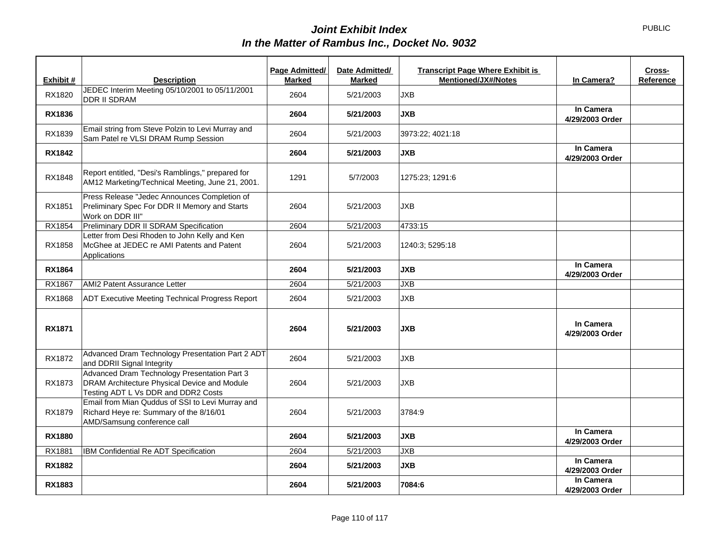|               |                                                                                                                                     | Page Admitted/ | Date Admitted/ | <b>Transcript Page Where Exhibit is</b> |                              | Cross-    |
|---------------|-------------------------------------------------------------------------------------------------------------------------------------|----------------|----------------|-----------------------------------------|------------------------------|-----------|
| Exhibit #     | <b>Description</b>                                                                                                                  | <b>Marked</b>  | <b>Marked</b>  | <b>Mentioned/JX#/Notes</b>              | In Camera?                   | Reference |
| RX1820        | JEDEC Interim Meeting 05/10/2001 to 05/11/2001<br><b>DDR II SDRAM</b>                                                               | 2604           | 5/21/2003      | <b>JXB</b>                              |                              |           |
| <b>RX1836</b> |                                                                                                                                     | 2604           | 5/21/2003      | <b>JXB</b>                              | In Camera<br>4/29/2003 Order |           |
| RX1839        | Email string from Steve Polzin to Levi Murray and<br>Sam Patel re VLSI DRAM Rump Session                                            | 2604           | 5/21/2003      | 3973:22; 4021:18                        |                              |           |
| <b>RX1842</b> |                                                                                                                                     | 2604           | 5/21/2003      | <b>JXB</b>                              | In Camera<br>4/29/2003 Order |           |
| RX1848        | Report entitled, "Desi's Ramblings," prepared for<br>AM12 Marketing/Technical Meeting, June 21, 2001.                               | 1291           | 5/7/2003       | 1275:23; 1291:6                         |                              |           |
| RX1851        | Press Release "Jedec Announces Completion of<br>Preliminary Spec For DDR II Memory and Starts<br>Work on DDR III"                   | 2604           | 5/21/2003      | <b>JXB</b>                              |                              |           |
| RX1854        | Preliminary DDR II SDRAM Specification                                                                                              | 2604           | 5/21/2003      | 4733:15                                 |                              |           |
| RX1858        | Letter from Desi Rhoden to John Kelly and Ken<br>McGhee at JEDEC re AMI Patents and Patent<br>Applications                          | 2604           | 5/21/2003      | 1240:3; 5295:18                         |                              |           |
| <b>RX1864</b> |                                                                                                                                     | 2604           | 5/21/2003      | <b>JXB</b>                              | In Camera<br>4/29/2003 Order |           |
| RX1867        | AMI2 Patent Assurance Letter                                                                                                        | 2604           | 5/21/2003      | <b>JXB</b>                              |                              |           |
| RX1868        | <b>ADT Executive Meeting Technical Progress Report</b>                                                                              | 2604           | 5/21/2003      | <b>JXB</b>                              |                              |           |
| <b>RX1871</b> |                                                                                                                                     | 2604           | 5/21/2003      | <b>JXB</b>                              | In Camera<br>4/29/2003 Order |           |
| RX1872        | Advanced Dram Technology Presentation Part 2 ADT<br>and DDRII Signal Integrity                                                      | 2604           | 5/21/2003      | <b>JXB</b>                              |                              |           |
| RX1873        | Advanced Dram Technology Presentation Part 3<br>DRAM Architecture Physical Device and Module<br>Testing ADT L Vs DDR and DDR2 Costs | 2604           | 5/21/2003      | <b>JXB</b>                              |                              |           |
| RX1879        | Email from Mian Quddus of SSI to Levi Murray and<br>Richard Heye re: Summary of the 8/16/01<br>AMD/Samsung conference call          | 2604           | 5/21/2003      | 3784:9                                  |                              |           |
| <b>RX1880</b> |                                                                                                                                     | 2604           | 5/21/2003      | <b>JXB</b>                              | In Camera<br>4/29/2003 Order |           |
| RX1881        | IBM Confidential Re ADT Specification                                                                                               | 2604           | 5/21/2003      | <b>JXB</b>                              |                              |           |
| <b>RX1882</b> |                                                                                                                                     | 2604           | 5/21/2003      | <b>JXB</b>                              | In Camera<br>4/29/2003 Order |           |
| RX1883        |                                                                                                                                     | 2604           | 5/21/2003      | 7084:6                                  | In Camera<br>4/29/2003 Order |           |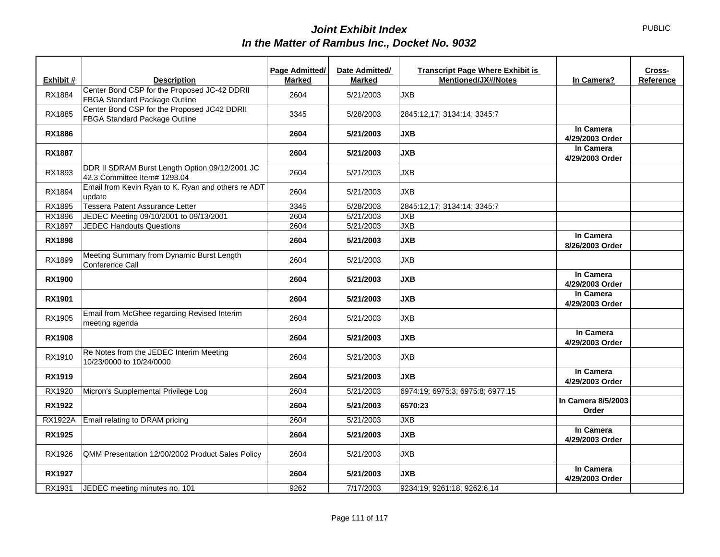|                |                                                                                | Page Admitted/ | Date Admitted/ | <b>Transcript Page Where Exhibit is</b> |                              | Cross-    |
|----------------|--------------------------------------------------------------------------------|----------------|----------------|-----------------------------------------|------------------------------|-----------|
| Exhibit #      | <b>Description</b>                                                             | <b>Marked</b>  | <b>Marked</b>  | <b>Mentioned/JX#/Notes</b>              | In Camera?                   | Reference |
| RX1884         | Center Bond CSP for the Proposed JC-42 DDRII<br>FBGA Standard Package Outline  | 2604           | 5/21/2003      | <b>JXB</b>                              |                              |           |
| RX1885         | Center Bond CSP for the Proposed JC42 DDRII<br>FBGA Standard Package Outline   | 3345           | 5/28/2003      | 2845:12,17; 3134:14; 3345:7             |                              |           |
| <b>RX1886</b>  |                                                                                | 2604           | 5/21/2003      | <b>JXB</b>                              | In Camera<br>4/29/2003 Order |           |
| <b>RX1887</b>  |                                                                                | 2604           | 5/21/2003      | <b>JXB</b>                              | In Camera<br>4/29/2003 Order |           |
| RX1893         | DDR II SDRAM Burst Length Option 09/12/2001 JC<br>42.3 Committee Item# 1293.04 | 2604           | 5/21/2003      | <b>JXB</b>                              |                              |           |
| RX1894         | Email from Kevin Ryan to K. Ryan and others re ADT<br>update                   | 2604           | 5/21/2003      | <b>JXB</b>                              |                              |           |
| RX1895         | Tessera Patent Assurance Letter                                                | 3345           | 5/28/2003      | 2845:12,17; 3134:14; 3345:7             |                              |           |
| RX1896         | JEDEC Meeting 09/10/2001 to 09/13/2001                                         | 2604           | 5/21/2003      | <b>JXB</b>                              |                              |           |
| RX1897         | <b>JEDEC Handouts Questions</b>                                                | 2604           | 5/21/2003      | JXB                                     |                              |           |
| <b>RX1898</b>  |                                                                                | 2604           | 5/21/2003      | <b>JXB</b>                              | In Camera<br>8/26/2003 Order |           |
| RX1899         | Meeting Summary from Dynamic Burst Length<br>Conference Call                   | 2604           | 5/21/2003      | <b>JXB</b>                              |                              |           |
| <b>RX1900</b>  |                                                                                | 2604           | 5/21/2003      | <b>JXB</b>                              | In Camera<br>4/29/2003 Order |           |
| <b>RX1901</b>  |                                                                                | 2604           | 5/21/2003      | <b>JXB</b>                              | In Camera<br>4/29/2003 Order |           |
| RX1905         | Email from McGhee regarding Revised Interim<br>meeting agenda                  | 2604           | 5/21/2003      | <b>JXB</b>                              |                              |           |
| <b>RX1908</b>  |                                                                                | 2604           | 5/21/2003      | <b>JXB</b>                              | In Camera<br>4/29/2003 Order |           |
| RX1910         | Re Notes from the JEDEC Interim Meeting<br>10/23/0000 to 10/24/0000            | 2604           | 5/21/2003      | <b>JXB</b>                              |                              |           |
| <b>RX1919</b>  |                                                                                | 2604           | 5/21/2003      | <b>JXB</b>                              | In Camera<br>4/29/2003 Order |           |
| RX1920         | Micron's Supplemental Privilege Log                                            | 2604           | 5/21/2003      | 6974:19; 6975:3; 6975:8; 6977:15        |                              |           |
| <b>RX1922</b>  |                                                                                | 2604           | 5/21/2003      | 6570:23                                 | In Camera 8/5/2003<br>Order  |           |
| <b>RX1922A</b> | Email relating to DRAM pricing                                                 | 2604           | 5/21/2003      | <b>JXB</b>                              |                              |           |
| <b>RX1925</b>  |                                                                                | 2604           | 5/21/2003      | <b>JXB</b>                              | In Camera<br>4/29/2003 Order |           |
| RX1926         | QMM Presentation 12/00/2002 Product Sales Policy                               | 2604           | 5/21/2003      | <b>JXB</b>                              |                              |           |
| <b>RX1927</b>  |                                                                                | 2604           | 5/21/2003      | <b>JXB</b>                              | In Camera<br>4/29/2003 Order |           |
| RX1931         | JEDEC meeting minutes no. 101                                                  | 9262           | 7/17/2003      | 9234:19; 9261:18; 9262:6,14             |                              |           |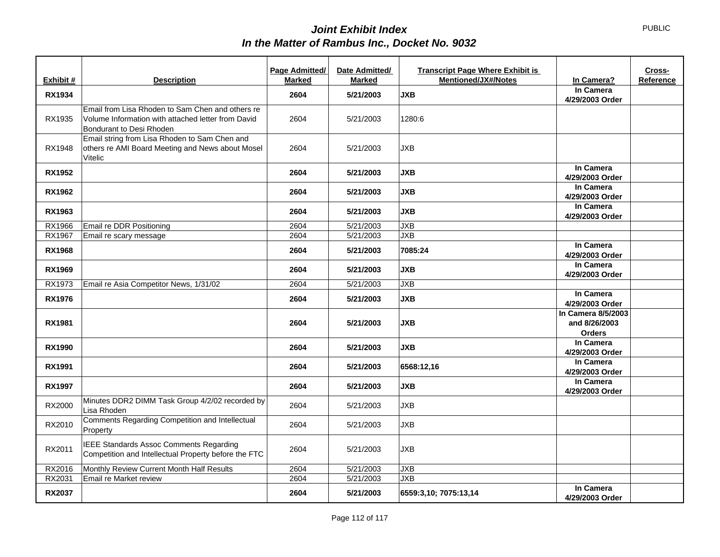|               |                                                                                                                                    | Page Admitted/ | Date Admitted/ | <b>Transcript Page Where Exhibit is</b> |                                                      | Cross-    |
|---------------|------------------------------------------------------------------------------------------------------------------------------------|----------------|----------------|-----------------------------------------|------------------------------------------------------|-----------|
| Exhibit #     | <b>Description</b>                                                                                                                 | <b>Marked</b>  | <b>Marked</b>  | <b>Mentioned/JX#/Notes</b>              | In Camera?                                           | Reference |
| <b>RX1934</b> |                                                                                                                                    | 2604           | 5/21/2003      | <b>JXB</b>                              | In Camera<br>4/29/2003 Order                         |           |
| RX1935        | Email from Lisa Rhoden to Sam Chen and others re<br>Volume Information with attached letter from David<br>Bondurant to Desi Rhoden | 2604           | 5/21/2003      | 1280:6                                  |                                                      |           |
| RX1948        | Email string from Lisa Rhoden to Sam Chen and<br>others re AMI Board Meeting and News about Mosel<br>Vitelic                       | 2604           | 5/21/2003      | <b>JXB</b>                              |                                                      |           |
| <b>RX1952</b> |                                                                                                                                    | 2604           | 5/21/2003      | <b>JXB</b>                              | In Camera<br>4/29/2003 Order                         |           |
| <b>RX1962</b> |                                                                                                                                    | 2604           | 5/21/2003      | <b>JXB</b>                              | In Camera<br>4/29/2003 Order                         |           |
| RX1963        |                                                                                                                                    | 2604           | 5/21/2003      | <b>JXB</b>                              | In Camera<br>4/29/2003 Order                         |           |
| RX1966        | Email re DDR Positioning                                                                                                           | 2604           | 5/21/2003      | <b>JXB</b>                              |                                                      |           |
| RX1967        | Email re scary message                                                                                                             | 2604           | 5/21/2003      | <b>JXB</b>                              |                                                      |           |
| <b>RX1968</b> |                                                                                                                                    | 2604           | 5/21/2003      | 7085:24                                 | In Camera<br>4/29/2003 Order                         |           |
| <b>RX1969</b> |                                                                                                                                    | 2604           | 5/21/2003      | <b>JXB</b>                              | In Camera<br>4/29/2003 Order                         |           |
| RX1973        | Email re Asia Competitor News, 1/31/02                                                                                             | 2604           | 5/21/2003      | <b>JXB</b>                              |                                                      |           |
| <b>RX1976</b> |                                                                                                                                    | 2604           | 5/21/2003      | <b>JXB</b>                              | In Camera<br>4/29/2003 Order                         |           |
| <b>RX1981</b> |                                                                                                                                    | 2604           | 5/21/2003      | <b>JXB</b>                              | In Camera 8/5/2003<br>and 8/26/2003<br><b>Orders</b> |           |
| <b>RX1990</b> |                                                                                                                                    | 2604           | 5/21/2003      | <b>JXB</b>                              | In Camera<br>4/29/2003 Order                         |           |
| <b>RX1991</b> |                                                                                                                                    | 2604           | 5/21/2003      | 6568:12,16                              | In Camera<br>4/29/2003 Order                         |           |
| <b>RX1997</b> |                                                                                                                                    | 2604           | 5/21/2003      | <b>JXB</b>                              | In Camera<br>4/29/2003 Order                         |           |
| RX2000        | Minutes DDR2 DIMM Task Group 4/2/02 recorded by<br>Lisa Rhoden                                                                     | 2604           | 5/21/2003      | <b>JXB</b>                              |                                                      |           |
| RX2010        | Comments Regarding Competition and Intellectual<br>Property                                                                        | 2604           | 5/21/2003      | <b>JXB</b>                              |                                                      |           |
| RX2011        | <b>IEEE Standards Assoc Comments Regarding</b><br>Competition and Intellectual Property before the FTC                             | 2604           | 5/21/2003      | <b>JXB</b>                              |                                                      |           |
| RX2016        | Monthly Review Current Month Half Results                                                                                          | 2604           | 5/21/2003      | <b>JXB</b>                              |                                                      |           |
| RX2031        | Email re Market review                                                                                                             | 2604           | 5/21/2003      | <b>JXB</b>                              |                                                      |           |
| <b>RX2037</b> |                                                                                                                                    | 2604           | 5/21/2003      | 6559:3,10; 7075:13,14                   | In Camera<br>4/29/2003 Order                         |           |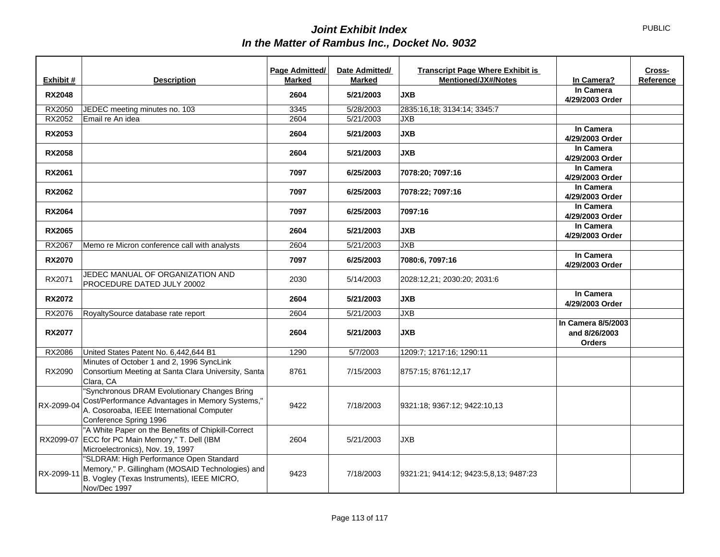|               |                                                                                                                                                                        | Page Admitted/ | Date Admitted/ | <b>Transcript Page Where Exhibit is</b> |                                                      | Cross-    |
|---------------|------------------------------------------------------------------------------------------------------------------------------------------------------------------------|----------------|----------------|-----------------------------------------|------------------------------------------------------|-----------|
| Exhibit #     | <b>Description</b>                                                                                                                                                     | <b>Marked</b>  | Marked         | <b>Mentioned/JX#/Notes</b>              | In Camera?                                           | Reference |
| <b>RX2048</b> |                                                                                                                                                                        | 2604           | 5/21/2003      | <b>JXB</b>                              | In Camera<br>4/29/2003 Order                         |           |
| RX2050        | JEDEC meeting minutes no. 103                                                                                                                                          | 3345           | 5/28/2003      | 2835:16,18; 3134:14; 3345:7             |                                                      |           |
| RX2052        | Email re An idea                                                                                                                                                       | 2604           | 5/21/2003      | <b>JXB</b>                              |                                                      |           |
| <b>RX2053</b> |                                                                                                                                                                        | 2604           | 5/21/2003      | <b>JXB</b>                              | In Camera<br>4/29/2003 Order                         |           |
| <b>RX2058</b> |                                                                                                                                                                        | 2604           | 5/21/2003      | <b>JXB</b>                              | In Camera<br>4/29/2003 Order                         |           |
| <b>RX2061</b> |                                                                                                                                                                        | 7097           | 6/25/2003      | 7078:20; 7097:16                        | In Camera<br>4/29/2003 Order                         |           |
| <b>RX2062</b> |                                                                                                                                                                        | 7097           | 6/25/2003      | 7078:22; 7097:16                        | In Camera<br>4/29/2003 Order                         |           |
| <b>RX2064</b> |                                                                                                                                                                        | 7097           | 6/25/2003      | 7097:16                                 | In Camera<br>4/29/2003 Order                         |           |
| <b>RX2065</b> |                                                                                                                                                                        | 2604           | 5/21/2003      | <b>JXB</b>                              | In Camera<br>4/29/2003 Order                         |           |
| RX2067        | Memo re Micron conference call with analysts                                                                                                                           | 2604           | 5/21/2003      | <b>JXB</b>                              |                                                      |           |
| <b>RX2070</b> |                                                                                                                                                                        | 7097           | 6/25/2003      | 7080:6, 7097:16                         | In Camera<br>4/29/2003 Order                         |           |
| RX2071        | JEDEC MANUAL OF ORGANIZATION AND<br>PROCEDURE DATED JULY 20002                                                                                                         | 2030           | 5/14/2003      | 2028:12.21; 2030:20; 2031:6             |                                                      |           |
| <b>RX2072</b> |                                                                                                                                                                        | 2604           | 5/21/2003      | <b>JXB</b>                              | In Camera<br>4/29/2003 Order                         |           |
| RX2076        | RoyaltySource database rate report                                                                                                                                     | 2604           | 5/21/2003      | <b>JXB</b>                              |                                                      |           |
| <b>RX2077</b> |                                                                                                                                                                        | 2604           | 5/21/2003      | <b>JXB</b>                              | In Camera 8/5/2003<br>and 8/26/2003<br><b>Orders</b> |           |
| RX2086        | United States Patent No. 6,442,644 B1                                                                                                                                  | 1290           | 5/7/2003       | 1209:7; 1217:16; 1290:11                |                                                      |           |
| RX2090        | Minutes of October 1 and 2, 1996 SyncLink<br>Consortium Meeting at Santa Clara University, Santa<br>Clara, CA                                                          | 8761           | 7/15/2003      | 8757:15; 8761:12,17                     |                                                      |           |
| RX-2099-04    | "Synchronous DRAM Evolutionary Changes Bring<br>Cost/Performance Advantages in Memory Systems,"<br>A. Cosoroaba, IEEE International Computer<br>Conference Spring 1996 | 9422           | 7/18/2003      | 9321:18; 9367:12; 9422:10.13            |                                                      |           |
|               | "A White Paper on the Benefits of Chipkill-Correct<br>RX2099-07 ECC for PC Main Memory," T. Dell (IBM<br>Microelectronics), Nov. 19, 1997                              | 2604           | 5/21/2003      | <b>JXB</b>                              |                                                      |           |
| RX-2099-11    | "SLDRAM: High Performance Open Standard<br>Memory," P. Gillingham (MOSAID Technologies) and<br>B. Vogley (Texas Instruments), IEEE MICRO,<br>Nov/Dec 1997              | 9423           | 7/18/2003      | 9321:21; 9414:12; 9423:5,8,13; 9487:23  |                                                      |           |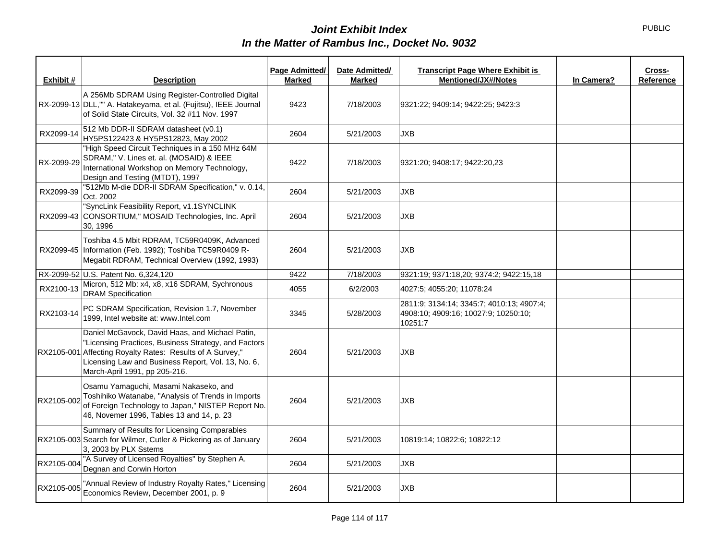| Exhibit #  | <b>Description</b>                                                                                                                                                                                                                               | Page Admitted/<br><b>Marked</b> | Date Admitted/<br><b>Marked</b> | <b>Transcript Page Where Exhibit is</b><br><b>Mentioned/JX#/Notes</b>                        | In Camera? | Cross-<br>Reference |
|------------|--------------------------------------------------------------------------------------------------------------------------------------------------------------------------------------------------------------------------------------------------|---------------------------------|---------------------------------|----------------------------------------------------------------------------------------------|------------|---------------------|
|            | A 256Mb SDRAM Using Register-Controlled Digital<br>RX-2099-13 DLL,"" A. Hatakeyama, et al. (Fujitsu), IEEE Journal<br>of Solid State Circuits, Vol. 32 #11 Nov. 1997                                                                             | 9423                            | 7/18/2003                       | 9321:22; 9409:14; 9422:25; 9423:3                                                            |            |                     |
| RX2099-14  | 512 Mb DDR-II SDRAM datasheet (v0.1)<br>HY5PS122423 & HY5PS12823, May 2002                                                                                                                                                                       | 2604                            | 5/21/2003                       | <b>JXB</b>                                                                                   |            |                     |
| RX-2099-29 | "High Speed Circuit Techniques in a 150 MHz 64M<br>SDRAM," V. Lines et. al. (MOSAID) & IEEE<br>International Workshop on Memory Technology,<br>Design and Testing (MTDT), 1997                                                                   | 9422                            | 7/18/2003                       | 9321:20; 9408:17; 9422:20,23                                                                 |            |                     |
| RX2099-39  | "512Mb M-die DDR-II SDRAM Specification," v. 0.14,<br>Oct. 2002                                                                                                                                                                                  | 2604                            | 5/21/2003                       | JXB                                                                                          |            |                     |
|            | "SyncLink Feasibility Report, v1.1SYNCLINK<br>RX2099-43 CONSORTIUM," MOSAID Technologies, Inc. April<br>30, 1996                                                                                                                                 | 2604                            | 5/21/2003                       | <b>JXB</b>                                                                                   |            |                     |
| RX2099-45  | Toshiba 4.5 Mbit RDRAM, TC59R0409K, Advanced<br>Information (Feb. 1992); Toshiba TC59R0409 R-<br>Megabit RDRAM, Technical Overview (1992, 1993)                                                                                                  | 2604                            | 5/21/2003                       | <b>JXB</b>                                                                                   |            |                     |
|            | RX-2099-52 U.S. Patent No. 6,324,120                                                                                                                                                                                                             | 9422                            | 7/18/2003                       | 9321:19; 9371:18,20; 9374:2; 9422:15,18                                                      |            |                     |
| RX2100-13  | Micron, 512 Mb: x4, x8, x16 SDRAM, Sychronous<br><b>DRAM Specification</b>                                                                                                                                                                       | 4055                            | 6/2/2003                        | 4027:5; 4055:20; 11078:24                                                                    |            |                     |
| RX2103-14  | PC SDRAM Specification, Revision 1.7, November<br>1999, Intel website at: www.Intel.com                                                                                                                                                          | 3345                            | 5/28/2003                       | 2811:9: 3134:14: 3345:7: 4010:13: 4907:4:<br>4908:10; 4909:16; 10027:9; 10250:10;<br>10251:7 |            |                     |
| RX2105-001 | Daniel McGavock, David Haas, and Michael Patin,<br>"Licensing Practices, Business Strategy, and Factors<br>Affecting Royalty Rates: Results of A Survey,"<br>Licensing Law and Business Report, Vol. 13, No. 6,<br>March-April 1991, pp 205-216. | 2604                            | 5/21/2003                       | <b>JXB</b>                                                                                   |            |                     |
| RX2105-002 | Osamu Yamaguchi, Masami Nakaseko, and<br>Toshihiko Watanabe, "Analysis of Trends in Imports<br>of Foreign Technology to Japan," NISTEP Report No.<br>46, Novemer 1996, Tables 13 and 14, p. 23                                                   | 2604                            | 5/21/2003                       | <b>JXB</b>                                                                                   |            |                     |
|            | Summary of Results for Licensing Comparables<br>RX2105-003 Search for Wilmer, Cutler & Pickering as of January<br>3, 2003 by PLX Sstems                                                                                                          | 2604                            | 5/21/2003                       | 10819:14; 10822:6; 10822:12                                                                  |            |                     |
| RX2105-004 | "A Survey of Licensed Royalties" by Stephen A.<br>Degnan and Corwin Horton                                                                                                                                                                       | 2604                            | 5/21/2003                       | JXB                                                                                          |            |                     |
| RX2105-005 | 'Annual Review of Industry Royalty Rates," Licensing<br>Economics Review, December 2001, p. 9                                                                                                                                                    | 2604                            | 5/21/2003                       | <b>JXB</b>                                                                                   |            |                     |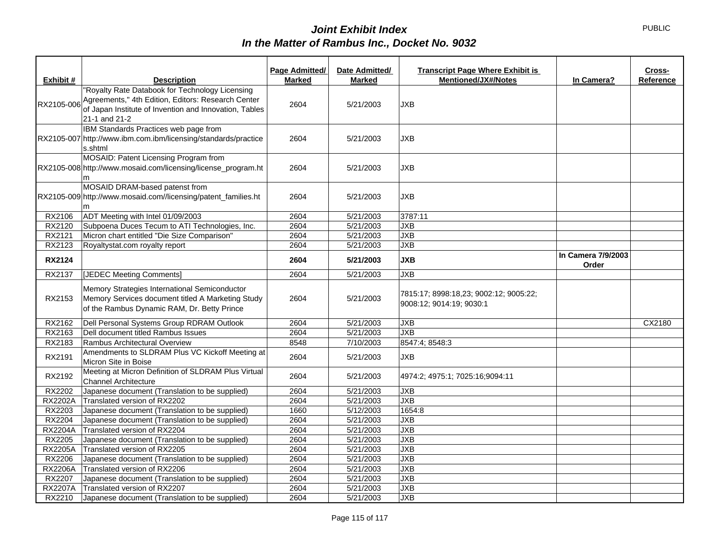|                |                                                                                    | Page Admitted/ | Date Admitted/ | <b>Transcript Page Where Exhibit is</b> |                    | Cross-    |
|----------------|------------------------------------------------------------------------------------|----------------|----------------|-----------------------------------------|--------------------|-----------|
| Exhibit #      | <b>Description</b>                                                                 | <b>Marked</b>  | <b>Marked</b>  | <b>Mentioned/JX#/Notes</b>              | In Camera?         | Reference |
|                | "Royalty Rate Databook for Technology Licensing                                    |                |                |                                         |                    |           |
|                | Agreements," 4th Edition, Editors: Research Center                                 | 2604           | 5/21/2003      | JXB                                     |                    |           |
| RX2105-006     | of Japan Institute of Invention and Innovation, Tables                             |                |                |                                         |                    |           |
|                | 21-1 and 21-2                                                                      |                |                |                                         |                    |           |
|                | IBM Standards Practices web page from                                              |                |                |                                         |                    |           |
|                | RX2105-007 http://www.ibm.com.ibm/licensing/standards/practice                     | 2604           | 5/21/2003      | <b>JXB</b>                              |                    |           |
|                | s.shtml                                                                            |                |                |                                         |                    |           |
|                | MOSAID: Patent Licensing Program from                                              |                |                |                                         |                    |           |
|                | RX2105-008 http://www.mosaid.com/licensing/license_program.ht                      | 2604           | 5/21/2003      | <b>JXB</b>                              |                    |           |
|                | m<br>MOSAID DRAM-based patenst from                                                |                |                |                                         |                    |           |
|                | RX2105-009 http://www.mosaid.com//licensing/patent_families.ht                     | 2604           | 5/21/2003      | <b>JXB</b>                              |                    |           |
|                |                                                                                    |                |                |                                         |                    |           |
| RX2106         | ADT Meeting with Intel 01/09/2003                                                  | 2604           | 5/21/2003      | 3787:11                                 |                    |           |
| RX2120         | Subpoena Duces Tecum to ATI Technologies, Inc.                                     | 2604           | 5/21/2003      | <b>JXB</b>                              |                    |           |
| RX2121         | Micron chart entitled "Die Size Comparison"                                        | 2604           | 5/21/2003      | JXB                                     |                    |           |
| RX2123         | Royaltystat.com royalty report                                                     | 2604           | 5/21/2003      | JXB                                     |                    |           |
|                |                                                                                    |                |                |                                         | In Camera 7/9/2003 |           |
| <b>RX2124</b>  |                                                                                    | 2604           | 5/21/2003      | <b>JXB</b>                              | Order              |           |
| RX2137         | [JEDEC Meeting Comments]                                                           | 2604           | 5/21/2003      | JXB                                     |                    |           |
|                | Memory Strategies International Semiconductor                                      |                |                |                                         |                    |           |
| RX2153         | Memory Services document titled A Marketing Study                                  | 2604           | 5/21/2003      | 7815:17; 8998:18,23; 9002:12; 9005:22;  |                    |           |
|                | of the Rambus Dynamic RAM, Dr. Betty Prince                                        |                |                | 9008:12; 9014:19; 9030:1                |                    |           |
|                |                                                                                    |                |                |                                         |                    |           |
| RX2162         | Dell Personal Systems Group RDRAM Outlook                                          | 2604           | 5/21/2003      | JXB                                     |                    | CX2180    |
| RX2163         | Dell document titled Rambus Issues                                                 | 2604           | 5/21/2003      | <b>JXB</b>                              |                    |           |
| RX2183         | Rambus Architectural Overview                                                      | 8548           | 7/10/2003      | 8547:4; 8548:3                          |                    |           |
| RX2191         | Amendments to SLDRAM Plus VC Kickoff Meeting at                                    | 2604           | 5/21/2003      | JXB                                     |                    |           |
|                | Micron Site in Boise                                                               |                |                |                                         |                    |           |
| RX2192         | Meeting at Micron Definition of SLDRAM Plus Virtual<br><b>Channel Architecture</b> | 2604           | 5/21/2003      | 4974:2; 4975:1; 7025:16;9094:11         |                    |           |
| RX2202         | Japanese document (Translation to be supplied)                                     | 2604           | 5/21/2003      | <b>JXB</b>                              |                    |           |
| <b>RX2202A</b> | Translated version of RX2202                                                       | 2604           | 5/21/2003      | JXB                                     |                    |           |
| RX2203         | Japanese document (Translation to be supplied)                                     | 1660           | 5/12/2003      | 1654:8                                  |                    |           |
| RX2204         | Japanese document (Translation to be supplied)                                     | 2604           | 5/21/2003      | <b>JXB</b>                              |                    |           |
| <b>RX2204A</b> | Translated version of RX2204                                                       | 2604           | 5/21/2003      | JXB                                     |                    |           |
| RX2205         | Japanese document (Translation to be supplied)                                     | 2604           | 5/21/2003      | JXB                                     |                    |           |
| <b>RX2205A</b> | Translated version of RX2205                                                       | 2604           | 5/21/2003      | JXB                                     |                    |           |
| RX2206         | Japanese document (Translation to be supplied)                                     | 2604           | 5/21/2003      | <b>JXB</b>                              |                    |           |
| <b>RX2206A</b> | Translated version of RX2206                                                       | 2604           | 5/21/2003      | JXB                                     |                    |           |
| RX2207         | Japanese document (Translation to be supplied)                                     | 2604           | 5/21/2003      | <b>JXB</b>                              |                    |           |
| <b>RX2207A</b> | Translated version of RX2207                                                       | 2604           | 5/21/2003      | <b>JXB</b>                              |                    |           |
| RX2210         | Japanese document (Translation to be supplied)                                     | 2604           | 5/21/2003      | <b>JXB</b>                              |                    |           |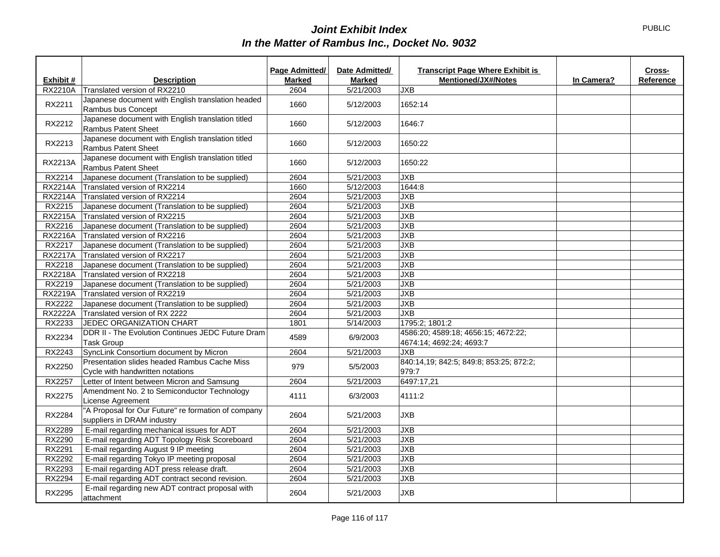|                |                                                                                   | Page Admitted/ | Date Admitted/ | <b>Transcript Page Where Exhibit is</b>                         |            | Cross-    |
|----------------|-----------------------------------------------------------------------------------|----------------|----------------|-----------------------------------------------------------------|------------|-----------|
| Exhibit #      | <b>Description</b>                                                                | <b>Marked</b>  | <b>Marked</b>  | <b>Mentioned/JX#/Notes</b>                                      | In Camera? | Reference |
| <b>RX2210A</b> | Translated version of RX2210                                                      | 2604           | 5/21/2003      | <b>JXB</b>                                                      |            |           |
| RX2211         | Japanese document with English translation headed<br>Rambus bus Concept           | 1660           | 5/12/2003      | 1652:14                                                         |            |           |
| RX2212         | Japanese document with English translation titled<br><b>Rambus Patent Sheet</b>   | 1660           | 5/12/2003      | 1646:7                                                          |            |           |
| RX2213         | Japanese document with English translation titled<br><b>Rambus Patent Sheet</b>   | 1660           | 5/12/2003      | 1650:22                                                         |            |           |
| RX2213A        | Japanese document with English translation titled<br><b>Rambus Patent Sheet</b>   | 1660           | 5/12/2003      | 1650:22                                                         |            |           |
| RX2214         | Japanese document (Translation to be supplied)                                    | 2604           | 5/21/2003      | <b>JXB</b>                                                      |            |           |
| <b>RX2214A</b> | Translated version of RX2214                                                      | 1660           | 5/12/2003      | 1644:8                                                          |            |           |
| RX2214A        | Translated version of RX2214                                                      | 2604           | 5/21/2003      | JXB                                                             |            |           |
| RX2215         | Japanese document (Translation to be supplied)                                    | 2604           | 5/21/2003      | JXB                                                             |            |           |
| <b>RX2215A</b> | Translated version of RX2215                                                      | 2604           | 5/21/2003      | <b>JXB</b>                                                      |            |           |
| RX2216         | Japanese document (Translation to be supplied)                                    | 2604           | 5/21/2003      | JXB                                                             |            |           |
|                | RX2216A Translated version of RX2216                                              | 2604           | 5/21/2003      | JXB                                                             |            |           |
| RX2217         | Japanese document (Translation to be supplied)                                    | 2604           | 5/21/2003      | JXB                                                             |            |           |
| <b>RX2217A</b> | Translated version of RX2217                                                      | 2604           | 5/21/2003      | JXB                                                             |            |           |
| RX2218         | Japanese document (Translation to be supplied)                                    | 2604           | 5/21/2003      | JXB                                                             |            |           |
| <b>RX2218A</b> | Translated version of RX2218                                                      | 2604           | 5/21/2003      | JXB                                                             |            |           |
| RX2219         | Japanese document (Translation to be supplied)                                    | 2604           | 5/21/2003      | JXB                                                             |            |           |
| <b>RX2219A</b> | Translated version of RX2219                                                      | 2604           | 5/21/2003      | JXB                                                             |            |           |
| RX2222         | Japanese document (Translation to be supplied)                                    | 2604           | 5/21/2003      | JXB                                                             |            |           |
| <b>RX2222A</b> | Translated version of RX 2222                                                     | 2604           | 5/21/2003      | JXB                                                             |            |           |
| RX2233         | <b>JEDEC ORGANIZATION CHART</b>                                                   | 1801           | 5/14/2003      | 1795:2; 1801:2                                                  |            |           |
| RX2234         | DDR II - The Evolution Continues JEDC Future Dram<br><b>Task Group</b>            | 4589           | 6/9/2003       | 4586:20; 4589:18; 4656:15; 4672:22;<br>4674:14; 4692:24; 4693:7 |            |           |
| RX2243         | SyncLink Consortium document by Micron                                            | 2604           | 5/21/2003      | <b>JXB</b>                                                      |            |           |
| RX2250         | Presentation slides headed Rambus Cache Miss<br>Cycle with handwritten notations  | 979            | 5/5/2003       | 840:14,19; 842:5; 849:8; 853:25; 872:2;<br>979:7                |            |           |
| RX2257         | Letter of Intent between Micron and Samsung                                       | 2604           | 5/21/2003      | 6497:17,21                                                      |            |           |
| RX2275         | Amendment No. 2 to Semiconductor Technology<br>License Agreement                  | 4111           | 6/3/2003       | 4111:2                                                          |            |           |
| RX2284         | "A Proposal for Our Future" re formation of company<br>suppliers in DRAM industry | 2604           | 5/21/2003      | <b>JXB</b>                                                      |            |           |
| RX2289         | E-mail regarding mechanical issues for ADT                                        | 2604           | 5/21/2003      | <b>JXB</b>                                                      |            |           |
| RX2290         | E-mail regarding ADT Topology Risk Scoreboard                                     | 2604           | 5/21/2003      | <b>JXB</b>                                                      |            |           |
| RX2291         | E-mail regarding August 9 IP meeting                                              | 2604           | 5/21/2003      | JXB                                                             |            |           |
| RX2292         | E-mail regarding Tokyo IP meeting proposal                                        | 2604           | 5/21/2003      | <b>JXB</b>                                                      |            |           |
| RX2293         | E-mail regarding ADT press release draft.                                         | 2604           | 5/21/2003      | JXB                                                             |            |           |
| RX2294         | E-mail regarding ADT contract second revision.                                    | 2604           | 5/21/2003      | <b>JXB</b>                                                      |            |           |
| <b>RX2295</b>  | E-mail regarding new ADT contract proposal with<br>attachment                     | 2604           | 5/21/2003      | <b>JXB</b>                                                      |            |           |